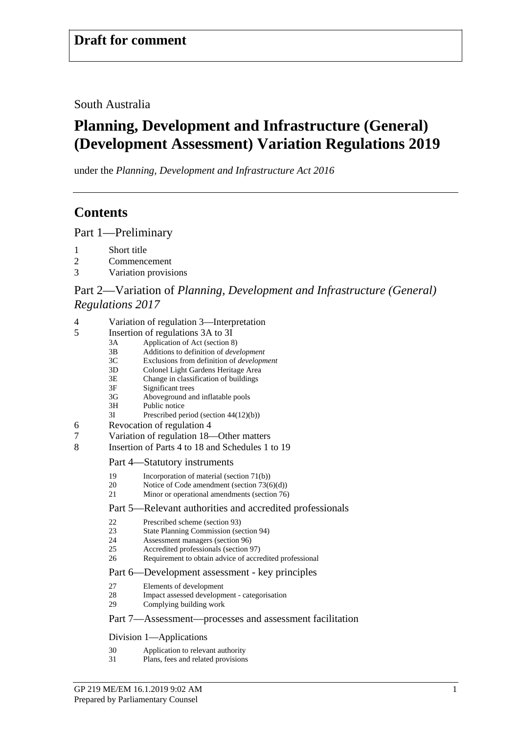South Australia

# **Planning, Development and Infrastructure (General) (Development Assessment) Variation Regulations 2019**

under the *Planning, Development and Infrastructure Act 2016*

# **Contents**

Part [1—Preliminary](#page-5-0)

- 1 [Short title](#page-5-1)
- 2 [Commencement](#page-6-0)
- 3 [Variation provisions](#page-6-1)

## Part 2—Variation of *[Planning, Development and Infrastructure \(General\)](#page-6-2)  [Regulations 2017](#page-6-2)*

| 4<br>Variation of regulation 3—Interpretation |
|-----------------------------------------------|
|-----------------------------------------------|

- 5 [Insertion of regulations 3A to 3I](#page-8-0)
	- 3A Application of Act (section 8)
	- 3B Additions to definition of *development*
	- 3C Exclusions from definition of *development*
	- 3D Colonel Light Gardens Heritage Area
	- 3E Change in classification of buildings<br>3F Significant trees
	- 3F Significant trees<br>3G Aboveground an
	- 3G Aboveground and inflatable pools<br>3H Public notice
	- Public notice
	- 3I Prescribed period (section 44(12)(b))
- 6 [Revocation of regulation 4](#page-13-0)
- 7 [Variation of regulation 18—Other matters](#page-13-1)
- 8 [Insertion of Parts 4 to 18 and Schedules 1 to 19](#page-13-2)

#### Part 4—Statutory instruments

- 19 Incorporation of material (section 71(b))<br>20 Notice of Code amendment (section 730)
- 20 Notice of Code amendment (section 73(6)(d))<br>21 Minor or operational amendments (section 76)
- Minor or operational amendments (section 76)

#### Part 5—Relevant authorities and accredited professionals

- 22 Prescribed scheme (section 93)<br>23 State Planning Commission (see
- State Planning Commission (section 94)
- 24 Assessment managers (section 96)<br>25 Accredited professionals (section 9
- 25 Accredited professionals (section 97)<br>26 Requirement to obtain advice of accre
- Requirement to obtain advice of accredited professional

#### Part 6—Development assessment - key principles

- 27 Elements of development<br>28 Impact assessed development
- Impact assessed development categorisation
- 29 Complying building work

#### Part 7—Assessment—processes and assessment facilitation

Division 1—Applications

- 30 Application to relevant authority
- 31 Plans, fees and related provisions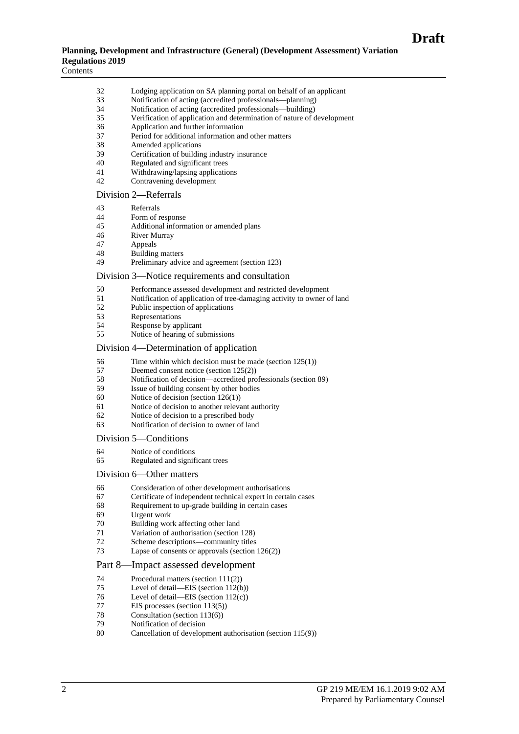#### **Planning, Development and Infrastructure (General) (Development Assessment) Variation Regulations 2019**

Contents

| 32 | Lodging application on SA planning portal on behalf of an applicant    |
|----|------------------------------------------------------------------------|
| 33 | Notification of acting (accredited professionals—planning)             |
| 34 | Notification of acting (accredited professionals—building)             |
| 35 | Verification of application and determination of nature of development |
| 36 | Application and further information                                    |
| 37 | Period for additional information and other matters                    |
| 38 | Amended applications                                                   |
| 39 |                                                                        |
|    | Certification of building industry insurance                           |
| 40 | Regulated and significant trees                                        |
| 41 | Withdrawing/lapsing applications                                       |
| 42 | Contravening development                                               |
|    | Division 2-Referrals                                                   |
| 43 | Referrals                                                              |
| 44 | Form of response                                                       |
| 45 | Additional information or amended plans                                |
| 46 | <b>River Murray</b>                                                    |
| 47 | Appeals                                                                |
|    |                                                                        |
| 48 | <b>Building matters</b>                                                |
| 49 | Preliminary advice and agreement (section 123)                         |
|    | Division 3—Notice requirements and consultation                        |
| 50 | Performance assessed development and restricted development            |
| 51 | Notification of application of tree-damaging activity to owner of land |
| 52 | Public inspection of applications                                      |
| 53 | Representations                                                        |
|    |                                                                        |
| 54 | Response by applicant                                                  |
| 55 | Notice of hearing of submissions                                       |
|    | Division 4—Determination of application                                |
| 56 | Time within which decision must be made (section $125(1)$ )            |
| 57 | Deemed consent notice (section $125(2)$ )                              |
| 58 | Notification of decision—accredited professionals (section 89)         |
| 59 | Issue of building consent by other bodies                              |
| 60 |                                                                        |
|    | Notice of decision (section $126(1)$ )                                 |
| 61 | Notice of decision to another relevant authority                       |
| 62 | Notice of decision to a prescribed body                                |
| 63 | Notification of decision to owner of land                              |
|    | Division 5—Conditions                                                  |
| 64 | Notice of conditions                                                   |
| 65 | Regulated and significant trees                                        |
|    | Division 6-Other matters                                               |
| 66 | Consideration of other development authorisations                      |
|    |                                                                        |
| 67 | Certificate of independent technical expert in certain cases           |
| 68 | Requirement to up-grade building in certain cases                      |
| 69 | Urgent work                                                            |
| 70 | Building work affecting other land                                     |
| 71 | Variation of authorisation (section 128)                               |
| 72 | Scheme descriptions—community titles                                   |
| 73 | Lapse of consents or approvals (section $126(2)$ )                     |
|    | Part 8—Impact assessed development                                     |
| 74 | Procedural matters (section 111(2))                                    |
|    |                                                                        |
| 75 | Level of detail—EIS (section $112(b)$ )                                |
| 76 | Level of detail—EIS (section $112(c)$ )                                |
| 77 | EIS processes (section $113(5)$ )                                      |
| 78 | Consultation (section 113(6))                                          |
|    | Notification of decision                                               |
| 79 |                                                                        |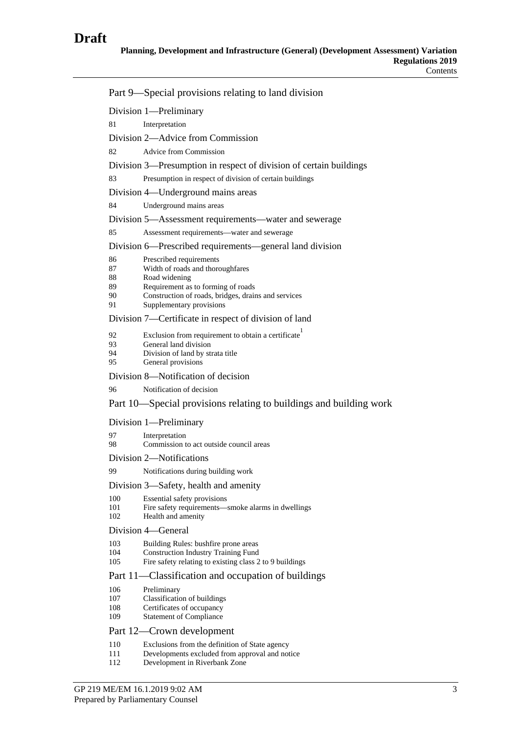|                           | Part 9—Special provisions relating to land division                                                     |  |  |
|---------------------------|---------------------------------------------------------------------------------------------------------|--|--|
|                           | Division 1-Preliminary                                                                                  |  |  |
| 81                        | Interpretation                                                                                          |  |  |
|                           | Division 2—Advice from Commission                                                                       |  |  |
| 82                        | <b>Advice from Commission</b>                                                                           |  |  |
|                           | Division 3—Presumption in respect of division of certain buildings                                      |  |  |
| 83                        | Presumption in respect of division of certain buildings                                                 |  |  |
|                           | Division 4—Underground mains areas                                                                      |  |  |
| 84                        | Underground mains areas                                                                                 |  |  |
|                           | Division 5—Assessment requirements—water and sewerage                                                   |  |  |
| 85                        | Assessment requirements-water and sewerage                                                              |  |  |
|                           | Division 6—Prescribed requirements—general land division                                                |  |  |
| 86                        | Prescribed requirements                                                                                 |  |  |
| 87<br>88                  | Width of roads and thoroughfares<br>Road widening                                                       |  |  |
| 89                        | Requirement as to forming of roads                                                                      |  |  |
| 90<br>91                  | Construction of roads, bridges, drains and services<br>Supplementary provisions                         |  |  |
|                           | Division 7-Certificate in respect of division of land                                                   |  |  |
| 92                        | Exclusion from requirement to obtain a certificate                                                      |  |  |
| 93<br>94                  | General land division<br>Division of land by strata title                                               |  |  |
| 95                        | General provisions                                                                                      |  |  |
|                           | Division 8-Notification of decision                                                                     |  |  |
| 96                        | Notification of decision                                                                                |  |  |
|                           | Part 10—Special provisions relating to buildings and building work                                      |  |  |
| Division 1-Preliminary    |                                                                                                         |  |  |
| 97<br>98                  | Interpretation<br>Commission to act outside council areas                                               |  |  |
|                           | Division 2—Notifications                                                                                |  |  |
| 99                        | Notifications during building work                                                                      |  |  |
|                           | Division 3—Safety, health and amenity                                                                   |  |  |
| 100<br>101<br>102         | Essential safety provisions<br>Fire safety requirements—smoke alarms in dwellings<br>Health and amenity |  |  |
|                           | Division 4—General                                                                                      |  |  |
| 103                       | Building Rules: bushfire prone areas                                                                    |  |  |
| 104<br>105                | <b>Construction Industry Training Fund</b><br>Fire safety relating to existing class 2 to 9 buildings   |  |  |
|                           | Part 11—Classification and occupation of buildings                                                      |  |  |
| 106                       | Preliminary                                                                                             |  |  |
| 107<br>108                | Classification of buildings<br>Certificates of occupancy                                                |  |  |
| 109                       | <b>Statement of Compliance</b>                                                                          |  |  |
| Part 12—Crown development |                                                                                                         |  |  |
| 110                       | Exclusions from the definition of State agency                                                          |  |  |
| 111<br>112                | Developments excluded from approval and notice<br>Development in Riverbank Zone                         |  |  |
|                           |                                                                                                         |  |  |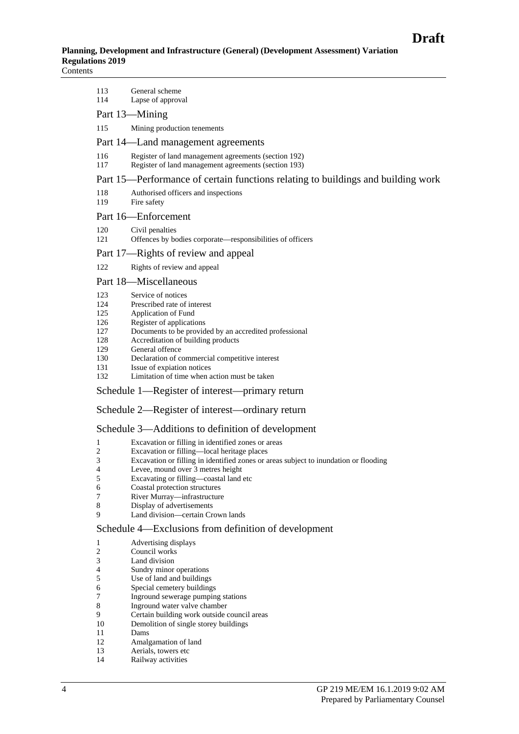| 113 | General scheme                                                                   |
|-----|----------------------------------------------------------------------------------|
| 114 | Lapse of approval                                                                |
|     | Part 13—Mining                                                                   |
| 115 | Mining production tenements                                                      |
|     | Part 14—Land management agreements                                               |
| 116 | Register of land management agreements (section 192)                             |
| 117 | Register of land management agreements (section 193)                             |
|     | Part 15—Performance of certain functions relating to buildings and building work |
|     |                                                                                  |

- 118 Authorised officers and inspections 119 Fire safety
- 

## Part 16—Enforcement

- 120 Civil penalties
- 121 Offences by bodies corporate—responsibilities of officers

#### Part 17—Rights of review and appeal

122 Rights of review and appeal

#### Part 18—Miscellaneous

- 123 Service of notices
- 124 Prescribed rate of interest<br>125 Application of Fund
- 125 Application of Fund<br>126 Register of application
- 126 Register of applications<br>127 Documents to be providently
- Documents to be provided by an accredited professional
- 128 Accreditation of building products
- 129 General offence<br>130 Declaration of c
- 130 Declaration of commercial competitive interest<br>131 Issue of expiation notices
- Issue of expiation notices
- 132 Limitation of time when action must be taken

#### Schedule 1—Register of interest—primary return

#### Schedule 2—Register of interest—ordinary return

#### Schedule 3—Additions to definition of development

- 1 Excavation or filling in identified zones or areas
- 2 Excavation or filling—local heritage places
- 3 Excavation or filling in identified zones or areas subject to inundation or flooding
- 4 Levee, mound over 3 metres height<br>5 Excavating or filling—coastal land
- 5 Excavating or filling—coastal land etc
- 6 Coastal protection structures
- 7 River Murray—infrastructure
- 8 Display of advertisements<br>9 Land division—certain Cr
- Land division—certain Crown lands

#### Schedule 4—Exclusions from definition of development

- 1 Advertising displays<br>2 Council works
- 2 Council works<br>3 Land division
- Land division
- 4 Sundry minor operations<br>5 Use of land and building
- 5 Use of land and buildings<br>6 Special cemetery building
- 6 Special cemetery buildings<br>7 Inground sewerage pumpin
- Inground sewerage pumping stations
- 8 Inground water valve chamber<br>9 Certain building work outside
- 9 Certain building work outside council areas<br>10 Demolition of single storey buildings Demolition of single storey buildings
- 
- 11 Dams<br>12 Amals Amalgamation of land
- 13 Aerials, towers etc
- 14 Railway activities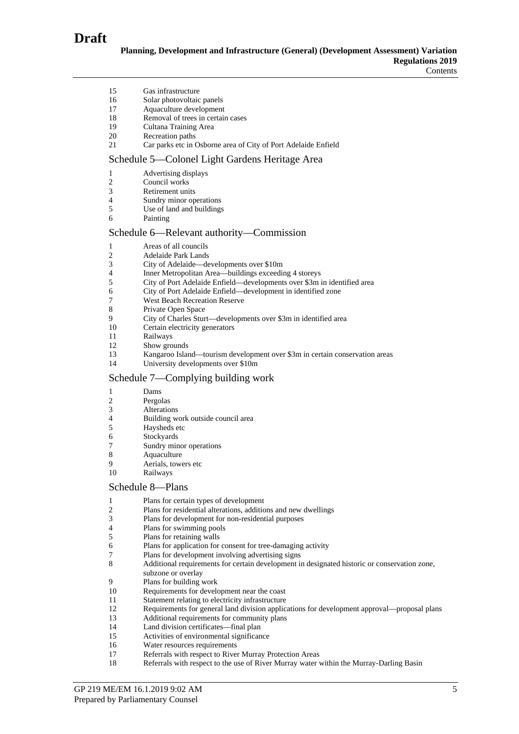

| 15<br>16<br>17<br>18<br>19<br>20<br>21          | Gas infrastructure<br>Solar photovoltaic panels<br>Aquaculture development<br>Removal of trees in certain cases<br>Cultana Training Area<br>Recreation paths<br>Car parks etc in Osborne area of City of Port Adelaide Enfield                                                                                                                                                                                                                                     |
|-------------------------------------------------|--------------------------------------------------------------------------------------------------------------------------------------------------------------------------------------------------------------------------------------------------------------------------------------------------------------------------------------------------------------------------------------------------------------------------------------------------------------------|
|                                                 | Schedule 5—Colonel Light Gardens Heritage Area                                                                                                                                                                                                                                                                                                                                                                                                                     |
| 1<br>2<br>3<br>4<br>5<br>6                      | Advertising displays<br>Council works<br>Retirement units<br>Sundry minor operations<br>Use of land and buildings<br>Painting                                                                                                                                                                                                                                                                                                                                      |
|                                                 | Schedule 6-Relevant authority-Commission                                                                                                                                                                                                                                                                                                                                                                                                                           |
| 1<br>2<br>3<br>4<br>5<br>6<br>7<br>8<br>9       | Areas of all councils<br><b>Adelaide Park Lands</b><br>City of Adelaide—developments over \$10m<br>Inner Metropolitan Area-buildings exceeding 4 storeys<br>City of Port Adelaide Enfield-developments over \$3m in identified area<br>City of Port Adelaide Enfield-development in identified zone<br><b>West Beach Recreation Reserve</b><br>Private Open Space<br>City of Charles Sturt—developments over \$3m in identified area                               |
| 10                                              | Certain electricity generators                                                                                                                                                                                                                                                                                                                                                                                                                                     |
| 11<br>12                                        | Railways<br>Show grounds                                                                                                                                                                                                                                                                                                                                                                                                                                           |
| 13<br>14                                        | Kangaroo Island—tourism development over \$3m in certain conservation areas<br>University developments over \$10m                                                                                                                                                                                                                                                                                                                                                  |
|                                                 | Schedule 7—Complying building work                                                                                                                                                                                                                                                                                                                                                                                                                                 |
| 1<br>2<br>3<br>4<br>5<br>6<br>7<br>8<br>9<br>10 | Dams<br>Pergolas<br>Alterations<br>Building work outside council area<br>Haysheds etc<br>Stockyards<br>Sundry minor operations<br>Aquaculture<br>Aerials, towers etc<br>Railways                                                                                                                                                                                                                                                                                   |
|                                                 | Schedule 8-Plans                                                                                                                                                                                                                                                                                                                                                                                                                                                   |
| 1<br>2<br>3<br>4<br>5<br>6<br>7<br>8            | Plans for certain types of development<br>Plans for residential alterations, additions and new dwellings<br>Plans for development for non-residential purposes<br>Plans for swimming pools<br>Plans for retaining walls<br>Plans for application for consent for tree-damaging activity<br>Plans for development involving advertising signs<br>Additional requirements for certain development in designated historic or conservation zone,<br>subzone or overlay |
| 9                                               | Plans for building work                                                                                                                                                                                                                                                                                                                                                                                                                                            |
| 10                                              | Requirements for development near the coast                                                                                                                                                                                                                                                                                                                                                                                                                        |
| 11<br>12                                        | Statement relating to electricity infrastructure<br>Requirements for general land division applications for development approval—proposal plans                                                                                                                                                                                                                                                                                                                    |
| 13                                              | Additional requirements for community plans                                                                                                                                                                                                                                                                                                                                                                                                                        |
| 14                                              | Land division certificates-final plan                                                                                                                                                                                                                                                                                                                                                                                                                              |
| 15<br>16                                        | Activities of environmental significance<br>Water resources requirements                                                                                                                                                                                                                                                                                                                                                                                           |
| 17                                              | Referrals with respect to River Murray Protection Areas                                                                                                                                                                                                                                                                                                                                                                                                            |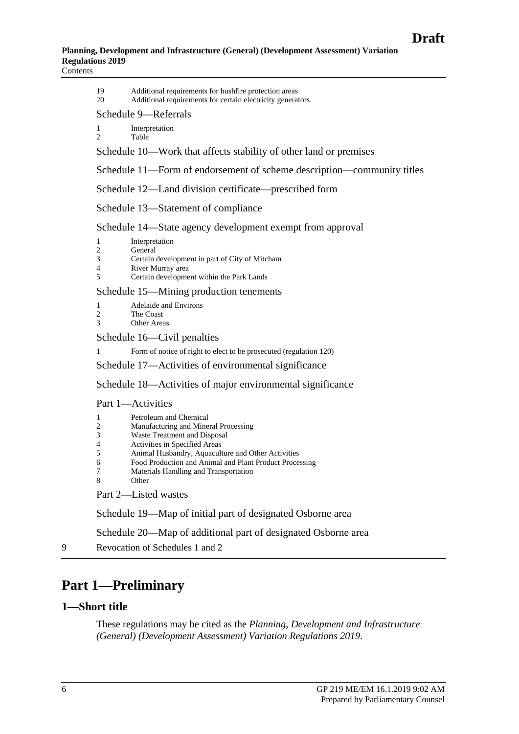19 Additional requirements for bushfire protection areas

20 Additional requirements for certain electricity generators

#### Schedule 9—Referrals

1 Interpretation 2 Table

Schedule 10—Work that affects stability of other land or premises

Schedule 11—Form of endorsement of scheme description—community titles

Schedule 12—Land division certificate—prescribed form

Schedule 13—Statement of compliance

Schedule 14—State agency development exempt from approval

| Interpretation |
|----------------|
|                |

- 2 General<br>3 Certain  $\frac{3}{4}$  Certain development in part of City of Mitcham
- 
- 4 River Murray area<br>5 Certain developme 5 Certain development within the Park Lands

Schedule 15—Mining production tenements

1 Adelaide and Environs

- 2 The Coast<br>3 Other Area
- **Other Areas**

Schedule 16—Civil penalties

1 Form of notice of right to elect to be prosecuted (regulation 120)

Schedule 17—Activities of environmental significance

Schedule 18—Activities of major environmental significance

#### Part 1—Activities

|   | Petroleum and Chemical               |
|---|--------------------------------------|
| 2 | Manufacturing and Mineral Processing |
| 3 | Waste Treatment and Disposal         |
|   | Activities in Specified Areas        |
|   | Animal Husbandry. Aquaculture and C  |

- 5 Animal Husbandry, Aquaculture and Other Activities
- 6 Food Production and Animal and Plant Product Processing
- 7 Materials Handling and Transportation

**Other** 

Part 2—Listed wastes

Schedule 19—Map of initial part of designated Osborne area

Schedule 20—Map of additional part of designated Osborne area

9 [Revocation of Schedules 1 and 2](#page-196-0)

# <span id="page-5-0"></span>**Part 1—Preliminary**

#### <span id="page-5-1"></span>**1—Short title**

These regulations may be cited as the *Planning, Development and Infrastructure (General) (Development Assessment) Variation Regulations 2019*.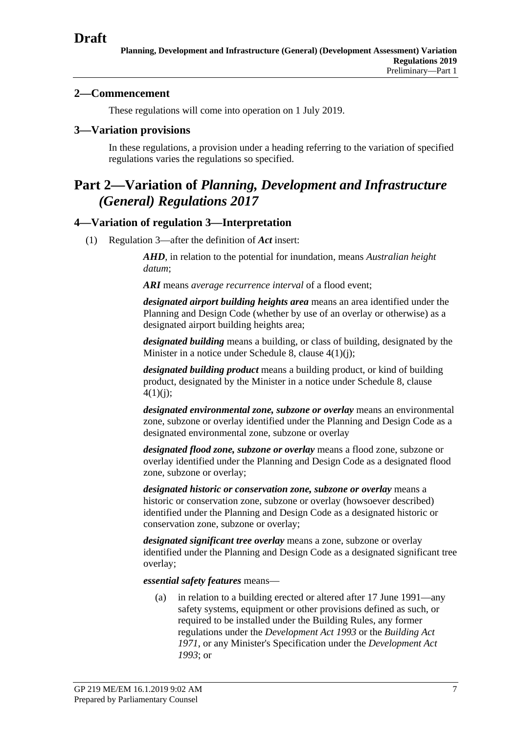## <span id="page-6-0"></span>**2—Commencement**

These regulations will come into operation on 1 July 2019.

#### <span id="page-6-1"></span>**3—Variation provisions**

In these regulations, a provision under a heading referring to the variation of specified regulations varies the regulations so specified.

# <span id="page-6-2"></span>**Part 2—Variation of** *Planning, Development and Infrastructure (General) Regulations 2017*

## <span id="page-6-3"></span>**4—Variation of regulation 3—Interpretation**

(1) Regulation 3—after the definition of *Act* insert:

*AHD*, in relation to the potential for inundation, means *Australian height datum*;

*ARI* means *average recurrence interval* of a flood event;

*designated airport building heights area* means an area identified under the Planning and Design Code (whether by use of an overlay or otherwise) as a designated airport building heights area;

*designated building* means a building, or class of building, designated by the Minister in a notice under Schedule 8, clause 4(1)(j);

*designated building product* means a building product, or kind of building product, designated by the Minister in a notice under Schedule 8, clause  $4(1)(i)$ ;

*designated environmental zone, subzone or overlay* means an environmental zone, subzone or overlay identified under the Planning and Design Code as a designated environmental zone, subzone or overlay

*designated flood zone, subzone or overlay* means a flood zone, subzone or overlay identified under the Planning and Design Code as a designated flood zone, subzone or overlay;

*designated historic or conservation zone, subzone or overlay* means a historic or conservation zone, subzone or overlay (howsoever described) identified under the Planning and Design Code as a designated historic or conservation zone, subzone or overlay;

*designated significant tree overlay* means a zone, subzone or overlay identified under the Planning and Design Code as a designated significant tree overlay;

*essential safety features* means—

(a) in relation to a building erected or altered after 17 June 1991—any safety systems, equipment or other provisions defined as such, or required to be installed under the Building Rules, any former regulations under the *[Development Act 1993](http://www.legislation.sa.gov.au/index.aspx?action=legref&type=act&legtitle=Development%20Act%201993)* or the *[Building Act](http://www.legislation.sa.gov.au/index.aspx?action=legref&type=act&legtitle=Building%20Act%201971)  [1971](http://www.legislation.sa.gov.au/index.aspx?action=legref&type=act&legtitle=Building%20Act%201971)*, or any Minister's Specification under the *[Development Act](http://www.legislation.sa.gov.au/index.aspx?action=legref&type=act&legtitle=Development%20Act%201993)  [1993](http://www.legislation.sa.gov.au/index.aspx?action=legref&type=act&legtitle=Development%20Act%201993)*; or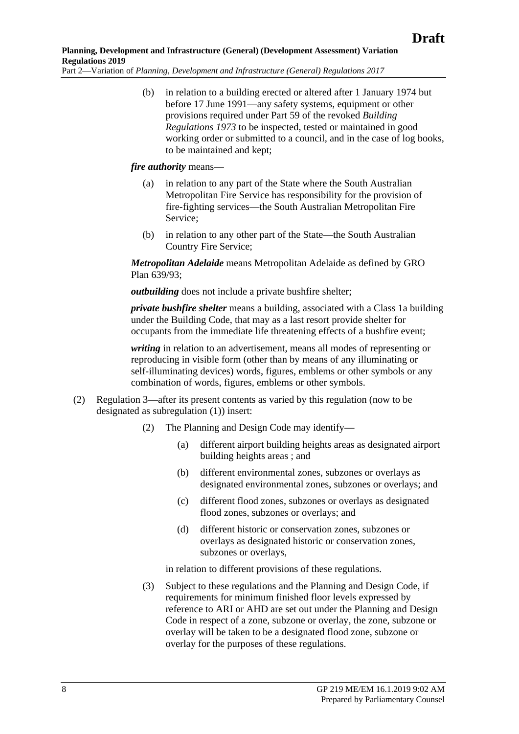(b) in relation to a building erected or altered after 1 January 1974 but before 17 June 1991—any safety systems, equipment or other provisions required under Part 59 of the revoked *[Building](http://www.legislation.sa.gov.au/index.aspx?action=legref&type=act&legtitle=Building%20Regulations%201973)  [Regulations 1973](http://www.legislation.sa.gov.au/index.aspx?action=legref&type=act&legtitle=Building%20Regulations%201973)* to be inspected, tested or maintained in good working order or submitted to a council, and in the case of log books, to be maintained and kept;

#### *fire authority* means—

- (a) in relation to any part of the State where the South Australian Metropolitan Fire Service has responsibility for the provision of fire-fighting services—the South Australian Metropolitan Fire Service;
- (b) in relation to any other part of the State—the South Australian Country Fire Service;

*Metropolitan Adelaide* means Metropolitan Adelaide as defined by GRO Plan 639/93;

*outbuilding* does not include a private bushfire shelter;

*private bushfire shelter* means a building, associated with a Class 1a building under the Building Code, that may as a last resort provide shelter for occupants from the immediate life threatening effects of a bushfire event;

*writing* in relation to an advertisement, means all modes of representing or reproducing in visible form (other than by means of any illuminating or self-illuminating devices) words, figures, emblems or other symbols or any combination of words, figures, emblems or other symbols.

- (2) Regulation 3—after its present contents as varied by this regulation (now to be designated as subregulation (1)) insert:
	- (2) The Planning and Design Code may identify—
		- (a) different airport building heights areas as designated airport building heights areas ; and
		- (b) different environmental zones, subzones or overlays as designated environmental zones, subzones or overlays; and
		- (c) different flood zones, subzones or overlays as designated flood zones, subzones or overlays; and
		- (d) different historic or conservation zones, subzones or overlays as designated historic or conservation zones, subzones or overlays,

in relation to different provisions of these regulations.

(3) Subject to these regulations and the Planning and Design Code, if requirements for minimum finished floor levels expressed by reference to ARI or AHD are set out under the Planning and Design Code in respect of a zone, subzone or overlay, the zone, subzone or overlay will be taken to be a designated flood zone, subzone or overlay for the purposes of these regulations.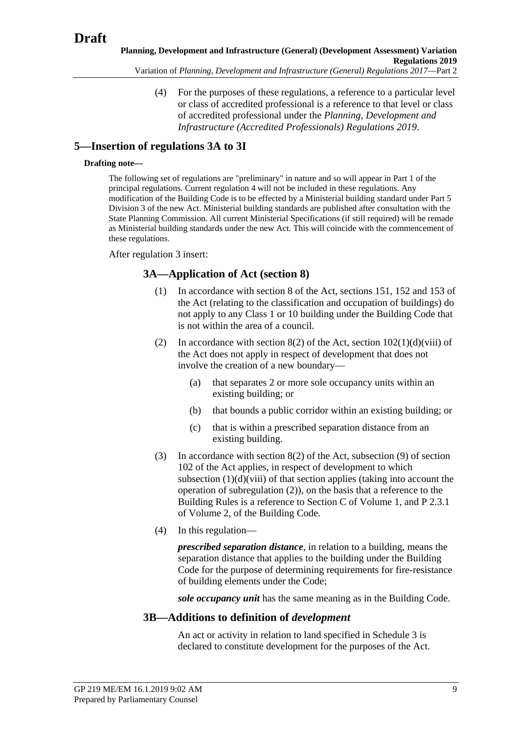(4) For the purposes of these regulations, a reference to a particular level or class of accredited professional is a reference to that level or class of accredited professional under the *[Planning, Development and](http://www.legislation.sa.gov.au/index.aspx?action=legref&type=act&legtitle=Planning%20Development%20and%20Infrastructure%20(Accredited%20Professionals)%20Regulations%202019)  [Infrastructure \(Accredited Professionals\) Regulations 2019](http://www.legislation.sa.gov.au/index.aspx?action=legref&type=act&legtitle=Planning%20Development%20and%20Infrastructure%20(Accredited%20Professionals)%20Regulations%202019)*.

## <span id="page-8-0"></span>**5—Insertion of regulations 3A to 3I**

#### **Drafting note—**

The following set of regulations are "preliminary" in nature and so will appear in Part 1 of the principal regulations. Current regulation 4 will not be included in these regulations. Any modification of the Building Code is to be effected by a Ministerial building standard under Part 5 Division 3 of the new Act. Ministerial building standards are published after consultation with the State Planning Commission. All current Ministerial Specifications (if still required) will be remade as Ministerial building standards under the new Act. This will coincide with the commencement of these regulations.

After regulation 3 insert:

## **3A—Application of Act (section 8)**

- (1) In accordance with section 8 of the Act, sections 151, 152 and 153 of the Act (relating to the classification and occupation of buildings) do not apply to any Class 1 or 10 building under the Building Code that is not within the area of a council.
- <span id="page-8-1"></span>(2) In accordance with section 8(2) of the Act, section  $102(1)(d)(viii)$  of the Act does not apply in respect of development that does not involve the creation of a new boundary—
	- (a) that separates 2 or more sole occupancy units within an existing building; or
	- (b) that bounds a public corridor within an existing building; or
	- (c) that is within a prescribed separation distance from an existing building.
- (3) In accordance with section 8(2) of the Act, subsection (9) of section 102 of the Act applies, in respect of development to which subsection  $(1)(d)(viii)$  of that section applies (taking into account the operation of [subregulation](#page-8-1) (2)), on the basis that a reference to the Building Rules is a reference to Section C of Volume 1, and P 2.3.1 of Volume 2, of the Building Code.
- (4) In this regulation—

*prescribed separation distance*, in relation to a building, means the separation distance that applies to the building under the Building Code for the purpose of determining requirements for fire-resistance of building elements under the Code;

*sole occupancy unit* has the same meaning as in the Building Code.

## **3B—Additions to definition of** *development*

An act or activity in relation to land specified in Schedule 3 is declared to constitute development for the purposes of the Act.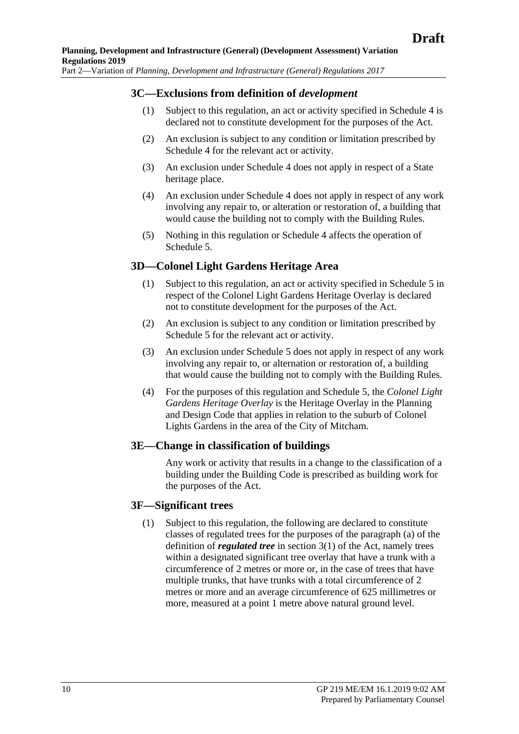#### **3C—Exclusions from definition of** *development*

- (1) Subject to this regulation, an act or activity specified in Schedule 4 is declared not to constitute development for the purposes of the Act.
- (2) An exclusion is subject to any condition or limitation prescribed by Schedule 4 for the relevant act or activity.
- (3) An exclusion under Schedule 4 does not apply in respect of a State heritage place.
- (4) An exclusion under Schedule 4 does not apply in respect of any work involving any repair to, or alteration or restoration of, a building that would cause the building not to comply with the Building Rules.
- (5) Nothing in this regulation or Schedule 4 affects the operation of Schedule 5.

#### **3D—Colonel Light Gardens Heritage Area**

- (1) Subject to this regulation, an act or activity specified in Schedule 5 in respect of the Colonel Light Gardens Heritage Overlay is declared not to constitute development for the purposes of the Act.
- (2) An exclusion is subject to any condition or limitation prescribed by Schedule 5 for the relevant act or activity.
- (3) An exclusion under Schedule 5 does not apply in respect of any work involving any repair to, or alternation or restoration of, a building that would cause the building not to comply with the Building Rules.
- (4) For the purposes of this regulation and Schedule 5, the *Colonel Light Gardens Heritage Overlay* is the Heritage Overlay in the Planning and Design Code that applies in relation to the suburb of Colonel Lights Gardens in the area of the City of Mitcham.

#### **3E—Change in classification of buildings**

Any work or activity that results in a change to the classification of a building under the Building Code is prescribed as building work for the purposes of the Act.

#### <span id="page-9-0"></span>**3F—Significant trees**

(1) Subject to this regulation, the following are declared to constitute classes of regulated trees for the purposes of the paragraph (a) of the definition of *regulated tree* in section 3(1) of the Act, namely trees within a designated significant tree overlay that have a trunk with a circumference of 2 metres or more or, in the case of trees that have multiple trunks, that have trunks with a total circumference of 2 metres or more and an average circumference of 625 millimetres or more, measured at a point 1 metre above natural ground level.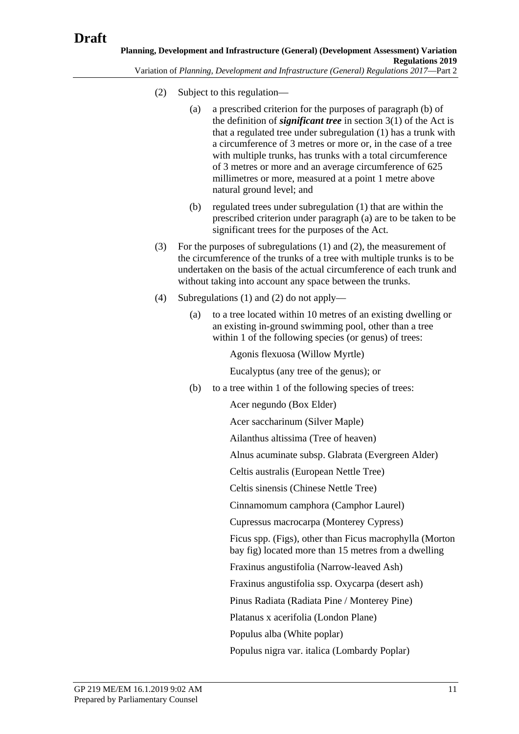- <span id="page-10-0"></span>(2) Subject to this regulation—
	- (a) a prescribed criterion for the purposes of paragraph (b) of the definition of *significant tree* in section 3(1) of the Act is that a regulated tree under [subregulation](#page-9-0) (1) has a trunk with a circumference of 3 metres or more or, in the case of a tree with multiple trunks, has trunks with a total circumference of 3 metres or more and an average circumference of 625 millimetres or more, measured at a point 1 metre above natural ground level; and
	- (b) regulated trees under [subregulation](#page-9-0) (1) that are within the prescribed criterion under paragraph (a) are to be taken to be significant trees for the purposes of the Act.
- (3) For the purposes of [subregulations](#page-9-0) (1) and [\(2\),](#page-10-0) the measurement of the circumference of the trunks of a tree with multiple trunks is to be undertaken on the basis of the actual circumference of each trunk and without taking into account any space between the trunks.
- <span id="page-10-1"></span>(4) [Subregulations](#page-9-0) (1) and [\(2\)](#page-10-0) do not apply—
	- (a) to a tree located within 10 metres of an existing dwelling or an existing in-ground swimming pool, other than a tree within 1 of the following species (or genus) of trees:

Agonis flexuosa (Willow Myrtle)

Eucalyptus (any tree of the genus); or

(b) to a tree within 1 of the following species of trees:

Acer negundo (Box Elder)

Acer saccharinum (Silver Maple)

Ailanthus altissima (Tree of heaven)

Alnus acuminate subsp. Glabrata (Evergreen Alder)

Celtis australis (European Nettle Tree)

Celtis sinensis (Chinese Nettle Tree)

Cinnamomum camphora (Camphor Laurel)

Cupressus macrocarpa (Monterey Cypress)

Ficus spp. (Figs), other than Ficus macrophylla (Morton bay fig) located more than 15 metres from a dwelling

Fraxinus angustifolia (Narrow-leaved Ash)

Fraxinus angustifolia ssp. Oxycarpa (desert ash)

Pinus Radiata (Radiata Pine / Monterey Pine)

Platanus x acerifolia (London Plane)

Populus alba (White poplar)

Populus nigra var. italica (Lombardy Poplar)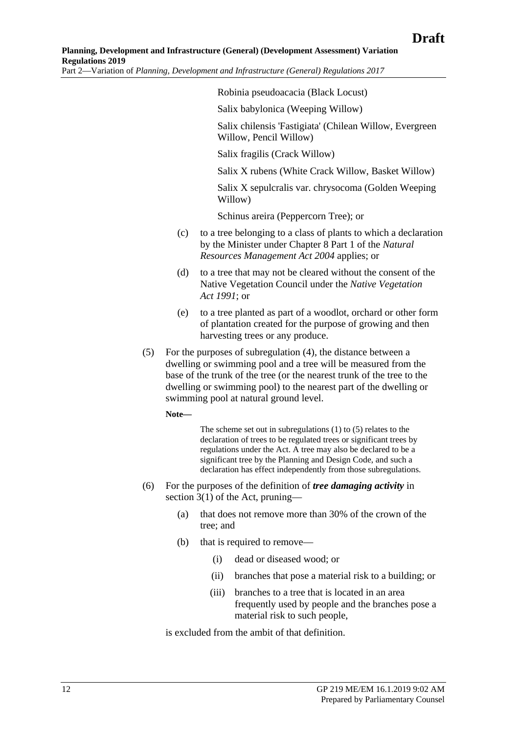Robinia pseudoacacia (Black Locust)

Salix babylonica (Weeping Willow)

Salix chilensis 'Fastigiata' (Chilean Willow, Evergreen Willow, Pencil Willow)

Salix fragilis (Crack Willow)

Salix X rubens (White Crack Willow, Basket Willow)

Salix X sepulcralis var. chrysocoma (Golden Weeping Willow)

Schinus areira (Peppercorn Tree); or

- (c) to a tree belonging to a class of plants to which a declaration by the Minister under Chapter 8 Part 1 of the *[Natural](http://www.legislation.sa.gov.au/index.aspx?action=legref&type=act&legtitle=Natural%20Resources%20Management%20Act%202004)  [Resources Management Act](http://www.legislation.sa.gov.au/index.aspx?action=legref&type=act&legtitle=Natural%20Resources%20Management%20Act%202004) 2004* applies; or
- (d) to a tree that may not be cleared without the consent of the Native Vegetation Council under the *[Native Vegetation](http://www.legislation.sa.gov.au/index.aspx?action=legref&type=act&legtitle=Native%20Vegetation%20Act%201991)  Act [1991](http://www.legislation.sa.gov.au/index.aspx?action=legref&type=act&legtitle=Native%20Vegetation%20Act%201991)*; or
- (e) to a tree planted as part of a woodlot, orchard or other form of plantation created for the purpose of growing and then harvesting trees or any produce.
- <span id="page-11-0"></span>(5) For the purposes of [subregulation](#page-10-1) (4), the distance between a dwelling or swimming pool and a tree will be measured from the base of the trunk of the tree (or the nearest trunk of the tree to the dwelling or swimming pool) to the nearest part of the dwelling or swimming pool at natural ground level.

**Note—**

The scheme set out in [subregulations](#page-9-0) (1) t[o \(5\)](#page-11-0) relates to the declaration of trees to be regulated trees or significant trees by regulations under the Act. A tree may also be declared to be a significant tree by the Planning and Design Code, and such a declaration has effect independently from those subregulations.

- (6) For the purposes of the definition of *tree damaging activity* in section 3(1) of the Act, pruning—
	- (a) that does not remove more than 30% of the crown of the tree; and
	- (b) that is required to remove—
		- (i) dead or diseased wood; or
		- (ii) branches that pose a material risk to a building; or
		- (iii) branches to a tree that is located in an area frequently used by people and the branches pose a material risk to such people,

is excluded from the ambit of that definition.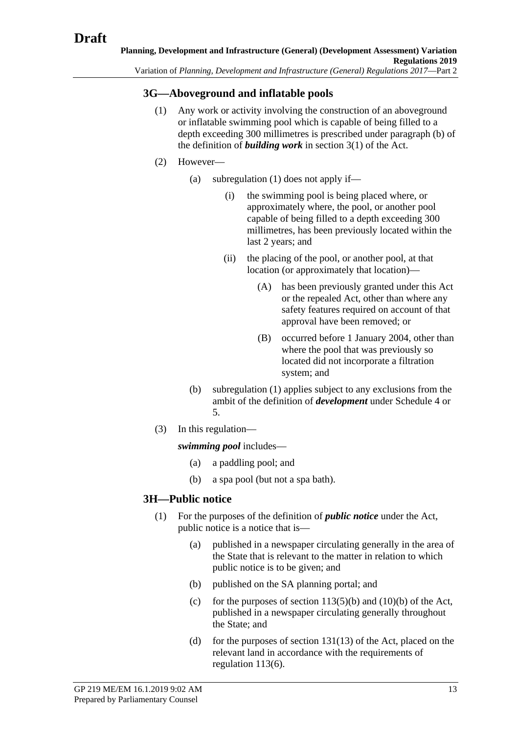## <span id="page-12-0"></span>**3G—Aboveground and inflatable pools**

- (1) Any work or activity involving the construction of an aboveground or inflatable swimming pool which is capable of being filled to a depth exceeding 300 millimetres is prescribed under paragraph (b) of the definition of *building work* in section 3(1) of the Act.
- (2) However—
	- (a) [subregulation](#page-12-0) (1) does not apply if—
		- (i) the swimming pool is being placed where, or approximately where, the pool, or another pool capable of being filled to a depth exceeding 300 millimetres, has been previously located within the last 2 years; and
		- (ii) the placing of the pool, or another pool, at that location (or approximately that location)—
			- (A) has been previously granted under this Act or the repealed Act, other than where any safety features required on account of that approval have been removed; or
			- (B) occurred before 1 January 2004, other than where the pool that was previously so located did not incorporate a filtration system; and
	- (b) [subregulation](#page-12-0) (1) applies subject to any exclusions from the ambit of the definition of *development* under Schedule 4 or 5.
- (3) In this regulation—

*swimming pool* includes—

- (a) a paddling pool; and
- (b) a spa pool (but not a spa bath).

## **3H—Public notice**

- <span id="page-12-1"></span>(1) For the purposes of the definition of *public notice* under the Act, public notice is a notice that is—
	- (a) published in a newspaper circulating generally in the area of the State that is relevant to the matter in relation to which public notice is to be given; and
	- (b) published on the SA planning portal; and
	- (c) for the purposes of section  $113(5)(b)$  and  $(10)(b)$  of the Act, published in a newspaper circulating generally throughout the State; and
	- (d) for the purposes of section  $131(13)$  of the Act, placed on the relevant land in accordance with the requirements of regulation 113(6).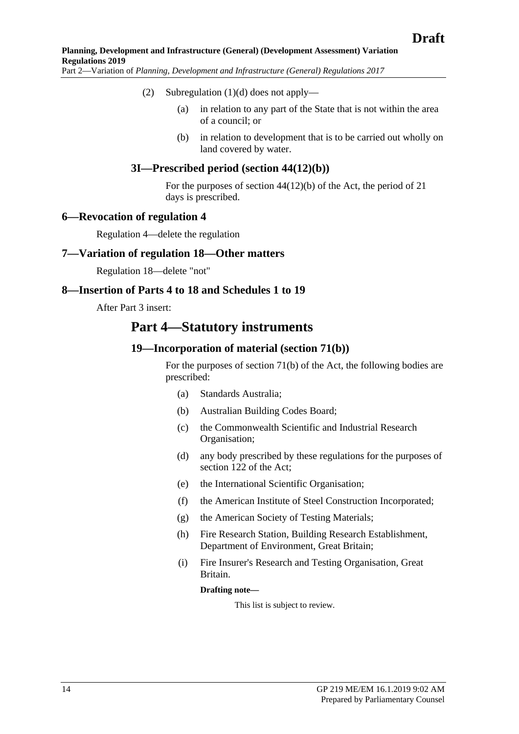- (2) [Subregulation](#page-12-1)  $(1)(d)$  does not apply—
	- (a) in relation to any part of the State that is not within the area of a council; or
	- (b) in relation to development that is to be carried out wholly on land covered by water.

#### **3I—Prescribed period (section 44(12)(b))**

For the purposes of section 44(12)(b) of the Act, the period of 21 days is prescribed.

#### <span id="page-13-0"></span>**6—Revocation of regulation 4**

Regulation 4—delete the regulation

#### <span id="page-13-1"></span>**7—Variation of regulation 18—Other matters**

Regulation 18—delete "not"

#### <span id="page-13-2"></span>**8—Insertion of Parts 4 to 18 and Schedules 1 to 19**

After Part 3 insert:

## **Part 4—Statutory instruments**

#### **19—Incorporation of material (section 71(b))**

For the purposes of section 71(b) of the Act, the following bodies are prescribed:

- (a) Standards Australia;
- (b) Australian Building Codes Board;
- (c) the Commonwealth Scientific and Industrial Research Organisation;
- (d) any body prescribed by these regulations for the purposes of section 122 of the Act;
- (e) the International Scientific Organisation;
- (f) the American Institute of Steel Construction Incorporated;
- (g) the American Society of Testing Materials;
- (h) Fire Research Station, Building Research Establishment, Department of Environment, Great Britain;
- (i) Fire Insurer's Research and Testing Organisation, Great Britain.

**Drafting note—**

This list is subject to review.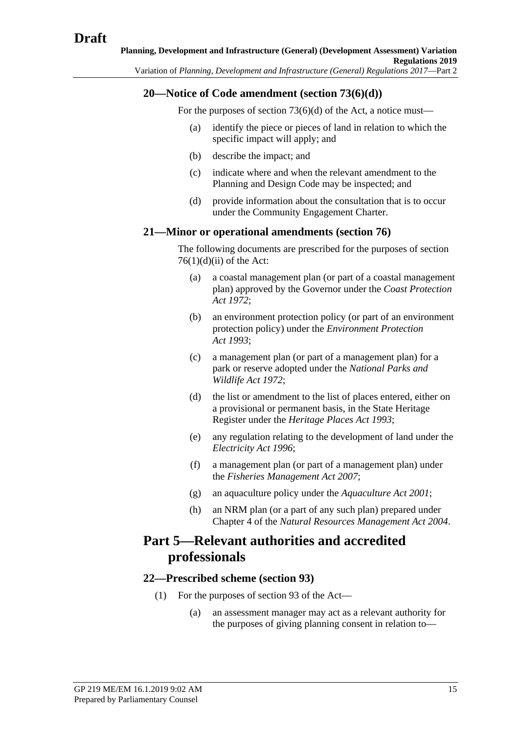## **20—Notice of Code amendment (section 73(6)(d))**

For the purposes of section 73(6)(d) of the Act, a notice must—

- (a) identify the piece or pieces of land in relation to which the specific impact will apply; and
- (b) describe the impact; and
- (c) indicate where and when the relevant amendment to the Planning and Design Code may be inspected; and
- (d) provide information about the consultation that is to occur under the Community Engagement Charter.

## **21—Minor or operational amendments (section 76)**

The following documents are prescribed for the purposes of section  $76(1)(d)(ii)$  of the Act:

- (a) a coastal management plan (or part of a coastal management plan) approved by the Governor under the *[Coast Protection](http://www.legislation.sa.gov.au/index.aspx?action=legref&type=act&legtitle=Coast%20Protection%20Act%201972)  Act [1972](http://www.legislation.sa.gov.au/index.aspx?action=legref&type=act&legtitle=Coast%20Protection%20Act%201972)*;
- (b) an environment protection policy (or part of an environment protection policy) under the *[Environment Protection](http://www.legislation.sa.gov.au/index.aspx?action=legref&type=act&legtitle=Environment%20Protection%20Act%201993)  Act [1993](http://www.legislation.sa.gov.au/index.aspx?action=legref&type=act&legtitle=Environment%20Protection%20Act%201993)*;
- (c) a management plan (or part of a management plan) for a park or reserve adopted under the *[National Parks and](http://www.legislation.sa.gov.au/index.aspx?action=legref&type=act&legtitle=National%20Parks%20and%20Wildlife%20Act%201972)  [Wildlife Act](http://www.legislation.sa.gov.au/index.aspx?action=legref&type=act&legtitle=National%20Parks%20and%20Wildlife%20Act%201972) 1972*;
- (d) the list or amendment to the list of places entered, either on a provisional or permanent basis, in the State Heritage Register under the *[Heritage Places Act](http://www.legislation.sa.gov.au/index.aspx?action=legref&type=act&legtitle=Heritage%20Places%20Act%201993) 1993*;
- (e) any regulation relating to the development of land under the *[Electricity Act](http://www.legislation.sa.gov.au/index.aspx?action=legref&type=act&legtitle=Electricity%20Act%201996) 1996*;
- (f) a management plan (or part of a management plan) under the *[Fisheries Management Act](http://www.legislation.sa.gov.au/index.aspx?action=legref&type=act&legtitle=Fisheries%20Management%20Act%202007) 2007*;
- (g) an aquaculture policy under the *[Aquaculture Act](http://www.legislation.sa.gov.au/index.aspx?action=legref&type=act&legtitle=Aquaculture%20Act%202001) 2001*;
- (h) an NRM plan (or a part of any such plan) prepared under Chapter 4 of the *[Natural Resources Management Act](http://www.legislation.sa.gov.au/index.aspx?action=legref&type=act&legtitle=Natural%20Resources%20Management%20Act%202004) 2004*.

# **Part 5—Relevant authorities and accredited professionals**

## **22—Prescribed scheme (section 93)**

- (1) For the purposes of section 93 of the Act—
	- (a) an assessment manager may act as a relevant authority for the purposes of giving planning consent in relation to—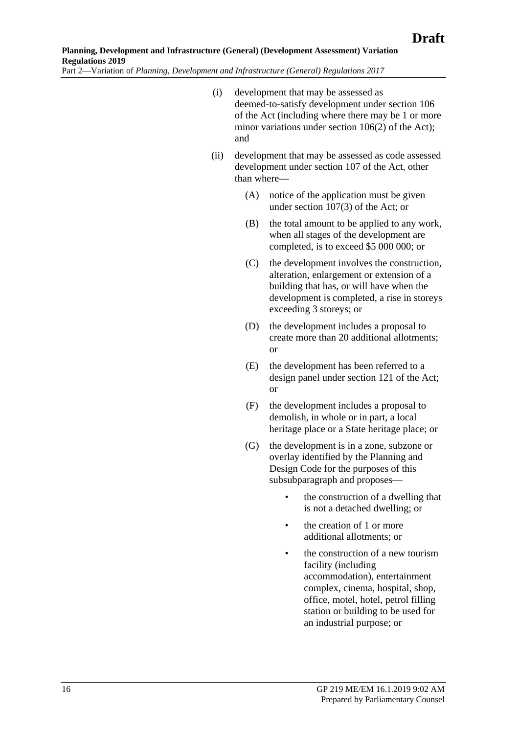- (i) development that may be assessed as deemed-to-satisfy development under section 106 of the Act (including where there may be 1 or more minor variations under section 106(2) of the Act); and
- <span id="page-15-0"></span>(ii) development that may be assessed as code assessed development under section 107 of the Act, other than where—
	- (A) notice of the application must be given under section 107(3) of the Act; or
	- (B) the total amount to be applied to any work, when all stages of the development are completed, is to exceed \$5 000 000; or
	- (C) the development involves the construction, alteration, enlargement or extension of a building that has, or will have when the development is completed, a rise in storeys exceeding 3 storeys; or
	- (D) the development includes a proposal to create more than 20 additional allotments; or
	- (E) the development has been referred to a design panel under section 121 of the Act; or
	- (F) the development includes a proposal to demolish, in whole or in part, a local heritage place or a State heritage place; or
	- (G) the development is in a zone, subzone or overlay identified by the Planning and Design Code for the purposes of this subsubparagraph and proposes—
		- the construction of a dwelling that is not a detached dwelling; or
		- the creation of 1 or more additional allotments; or
		- the construction of a new tourism facility (including accommodation), entertainment complex, cinema, hospital, shop, office, motel, hotel, petrol filling station or building to be used for an industrial purpose; or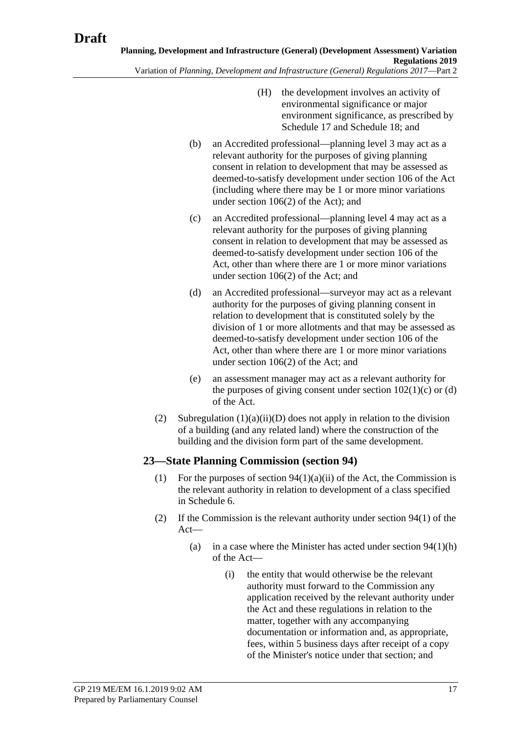- (H) the development involves an activity of environmental significance or major environment significance, as prescribed by Schedule 17 and Schedule 18; and
- (b) an Accredited professional—planning level 3 may act as a relevant authority for the purposes of giving planning consent in relation to development that may be assessed as deemed-to-satisfy development under section 106 of the Act (including where there may be 1 or more minor variations under section 106(2) of the Act); and
- (c) an Accredited professional—planning level 4 may act as a relevant authority for the purposes of giving planning consent in relation to development that may be assessed as deemed-to-satisfy development under section 106 of the Act, other than where there are 1 or more minor variations under section 106(2) of the Act; and
- (d) an Accredited professional—surveyor may act as a relevant authority for the purposes of giving planning consent in relation to development that is constituted solely by the division of 1 or more allotments and that may be assessed as deemed-to-satisfy development under section 106 of the Act, other than where there are 1 or more minor variations under section 106(2) of the Act; and
- (e) an assessment manager may act as a relevant authority for the purposes of giving consent under section  $102(1)(c)$  or (d) of the Act.
- (2) [Subregulation](#page-15-0)  $(1)(a)(ii)(D)$  does not apply in relation to the division of a building (and any related land) where the construction of the building and the division form part of the same development.

## **23—State Planning Commission (section 94)**

- (1) For the purposes of section  $94(1)(a)(ii)$  of the Act, the Commission is the relevant authority in relation to development of a class specified in Schedule 6.
- (2) If the Commission is the relevant authority under section 94(1) of the Act—
	- (a) in a case where the Minister has acted under section  $94(1)(h)$ of the Act—
		- (i) the entity that would otherwise be the relevant authority must forward to the Commission any application received by the relevant authority under the Act and these regulations in relation to the matter, together with any accompanying documentation or information and, as appropriate, fees, within 5 business days after receipt of a copy of the Minister's notice under that section; and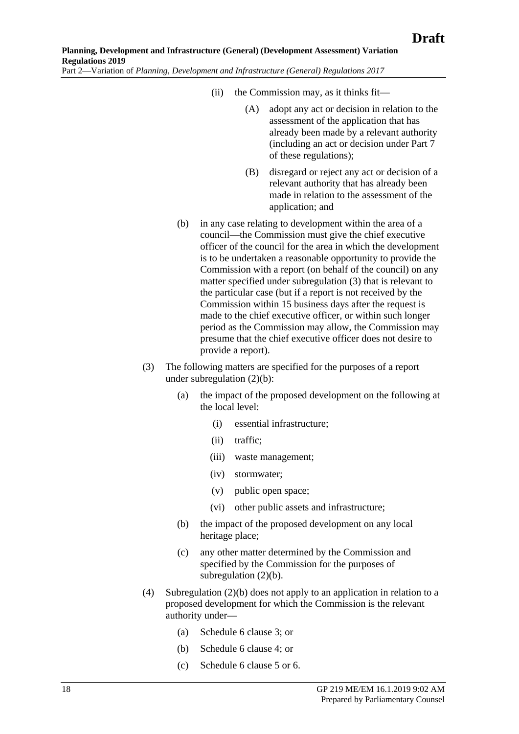- (ii) the Commission may, as it thinks fit—
	- (A) adopt any act or decision in relation to the assessment of the application that has already been made by a relevant authority (including an act or decision under Part 7 of these regulations);
	- (B) disregard or reject any act or decision of a relevant authority that has already been made in relation to the assessment of the application; and
- <span id="page-17-1"></span>(b) in any case relating to development within the area of a council—the Commission must give the chief executive officer of the council for the area in which the development is to be undertaken a reasonable opportunity to provide the Commission with a report (on behalf of the council) on any matter specified under [subregulation](#page-17-0) (3) that is relevant to the particular case (but if a report is not received by the Commission within 15 business days after the request is made to the chief executive officer, or within such longer period as the Commission may allow, the Commission may presume that the chief executive officer does not desire to provide a report).
- <span id="page-17-0"></span>(3) The following matters are specified for the purposes of a report under [subregulation](#page-17-1) (2)(b):
	- (a) the impact of the proposed development on the following at the local level:
		- (i) essential infrastructure;
		- (ii) traffic;
		- (iii) waste management;
		- (iv) stormwater;
		- (v) public open space;
		- (vi) other public assets and infrastructure;
	- (b) the impact of the proposed development on any local heritage place;
	- (c) any other matter determined by the Commission and specified by the Commission for the purposes of [subregulation](#page-17-1) (2)(b).
- (4) [Subregulation](#page-17-1) (2)(b) does not apply to an application in relation to a proposed development for which the Commission is the relevant authority under—
	- (a) Schedule 6 clause 3; or
	- (b) Schedule 6 clause 4; or
	- (c) Schedule 6 clause 5 or 6.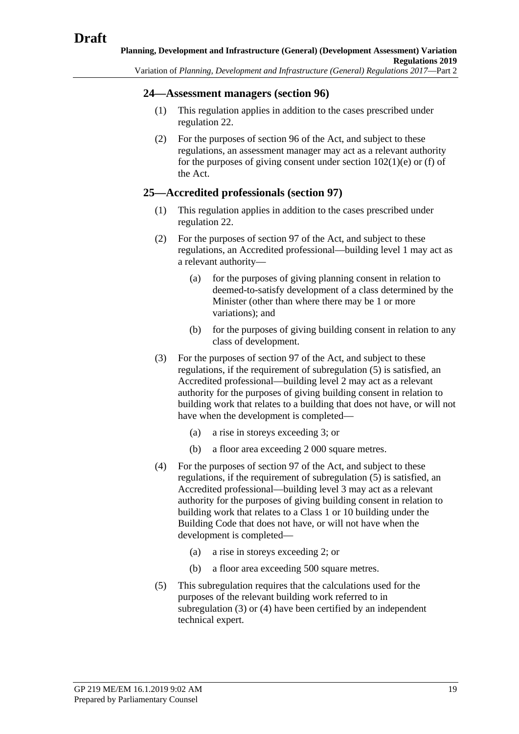#### **24—Assessment managers (section 96)**

- (1) This regulation applies in addition to the cases prescribed under regulation 22.
- (2) For the purposes of section 96 of the Act, and subject to these regulations, an assessment manager may act as a relevant authority for the purposes of giving consent under section  $102(1)(e)$  or (f) of the Act.

## **25—Accredited professionals (section 97)**

- (1) This regulation applies in addition to the cases prescribed under regulation 22.
- (2) For the purposes of section 97 of the Act, and subject to these regulations, an Accredited professional—building level 1 may act as a relevant authority—
	- (a) for the purposes of giving planning consent in relation to deemed-to-satisfy development of a class determined by the Minister (other than where there may be 1 or more variations); and
	- (b) for the purposes of giving building consent in relation to any class of development.
- <span id="page-18-1"></span>(3) For the purposes of section 97 of the Act, and subject to these regulations, if the requirement of [subregulation](#page-18-0) (5) is satisfied, an Accredited professional—building level 2 may act as a relevant authority for the purposes of giving building consent in relation to building work that relates to a building that does not have, or will not have when the development is completed—
	- (a) a rise in storeys exceeding 3; or
	- (b) a floor area exceeding 2 000 square metres.
- <span id="page-18-2"></span>(4) For the purposes of section 97 of the Act, and subject to these regulations, if the requirement of [subregulation](#page-18-0) (5) is satisfied, an Accredited professional—building level 3 may act as a relevant authority for the purposes of giving building consent in relation to building work that relates to a Class 1 or 10 building under the Building Code that does not have, or will not have when the development is completed—
	- (a) a rise in storeys exceeding 2; or
	- (b) a floor area exceeding 500 square metres.
- <span id="page-18-0"></span>(5) This subregulation requires that the calculations used for the purposes of the relevant building work referred to in [subregulation](#page-18-1) (3) or [\(4\)](#page-18-2) have been certified by an independent technical expert.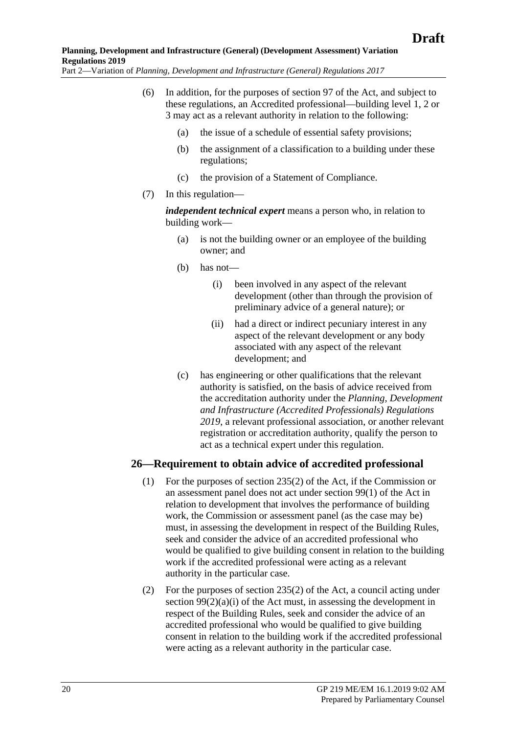- (6) In addition, for the purposes of section 97 of the Act, and subject to these regulations, an Accredited professional—building level 1, 2 or 3 may act as a relevant authority in relation to the following:
	- (a) the issue of a schedule of essential safety provisions;
	- (b) the assignment of a classification to a building under these regulations;
	- (c) the provision of a Statement of Compliance.
	- (7) In this regulation—

*independent technical expert* means a person who, in relation to building work—

- (a) is not the building owner or an employee of the building owner; and
- (b) has not—
	- (i) been involved in any aspect of the relevant development (other than through the provision of preliminary advice of a general nature); or
	- (ii) had a direct or indirect pecuniary interest in any aspect of the relevant development or any body associated with any aspect of the relevant development; and
- (c) has engineering or other qualifications that the relevant authority is satisfied, on the basis of advice received from the accreditation authority under the *[Planning, Development](http://www.legislation.sa.gov.au/index.aspx?action=legref&type=act&legtitle=Planning%20Development%20and%20Infrastructure%20(Accredited%20Professionals)%20Regulations%202019)  [and Infrastructure \(Accredited Professionals\) Regulations](http://www.legislation.sa.gov.au/index.aspx?action=legref&type=act&legtitle=Planning%20Development%20and%20Infrastructure%20(Accredited%20Professionals)%20Regulations%202019)  [2019](http://www.legislation.sa.gov.au/index.aspx?action=legref&type=act&legtitle=Planning%20Development%20and%20Infrastructure%20(Accredited%20Professionals)%20Regulations%202019)*, a relevant professional association, or another relevant registration or accreditation authority, qualify the person to act as a technical expert under this regulation.

#### **26—Requirement to obtain advice of accredited professional**

- (1) For the purposes of section 235(2) of the Act, if the Commission or an assessment panel does not act under section 99(1) of the Act in relation to development that involves the performance of building work, the Commission or assessment panel (as the case may be) must, in assessing the development in respect of the Building Rules, seek and consider the advice of an accredited professional who would be qualified to give building consent in relation to the building work if the accredited professional were acting as a relevant authority in the particular case.
- (2) For the purposes of section 235(2) of the Act, a council acting under section  $99(2)(a)(i)$  of the Act must, in assessing the development in respect of the Building Rules, seek and consider the advice of an accredited professional who would be qualified to give building consent in relation to the building work if the accredited professional were acting as a relevant authority in the particular case.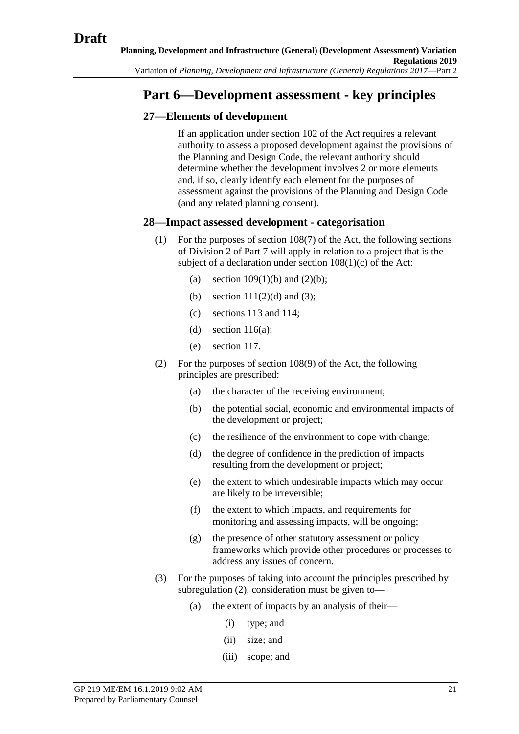# **Part 6—Development assessment - key principles**

## **27—Elements of development**

If an application under section 102 of the Act requires a relevant authority to assess a proposed development against the provisions of the Planning and Design Code, the relevant authority should determine whether the development involves 2 or more elements and, if so, clearly identify each element for the purposes of assessment against the provisions of the Planning and Design Code (and any related planning consent).

## **28—Impact assessed development - categorisation**

- (1) For the purposes of section 108(7) of the Act, the following sections of Division 2 of Part 7 will apply in relation to a project that is the subject of a declaration under section 108(1)(c) of the Act:
	- (a) section  $109(1)(b)$  and  $(2)(b)$ ;
	- (b) section  $111(2)(d)$  and (3);
	- (c) sections 113 and 114;
	- (d) section  $116(a)$ :
	- (e) section 117.
- <span id="page-20-0"></span>(2) For the purposes of section 108(9) of the Act, the following principles are prescribed:
	- (a) the character of the receiving environment;
	- (b) the potential social, economic and environmental impacts of the development or project;
	- (c) the resilience of the environment to cope with change;
	- (d) the degree of confidence in the prediction of impacts resulting from the development or project;
	- (e) the extent to which undesirable impacts which may occur are likely to be irreversible;
	- (f) the extent to which impacts, and requirements for monitoring and assessing impacts, will be ongoing;
	- (g) the presence of other statutory assessment or policy frameworks which provide other procedures or processes to address any issues of concern.
- (3) For the purposes of taking into account the principles prescribed by [subregulation](#page-20-0) (2), consideration must be given to—
	- (a) the extent of impacts by an analysis of their—
		- (i) type; and
		- (ii) size; and
		- (iii) scope; and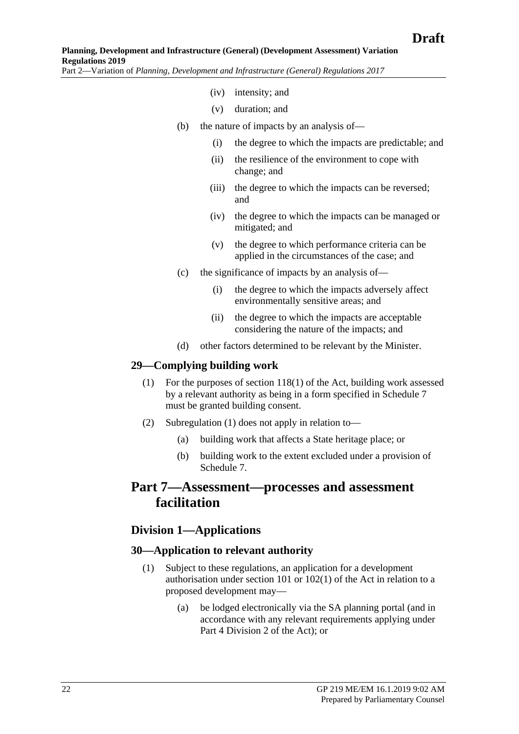- (iv) intensity; and
- (v) duration; and
- (b) the nature of impacts by an analysis of—
	- (i) the degree to which the impacts are predictable; and
	- (ii) the resilience of the environment to cope with change; and
	- (iii) the degree to which the impacts can be reversed; and
	- (iv) the degree to which the impacts can be managed or mitigated; and
	- (v) the degree to which performance criteria can be applied in the circumstances of the case; and
- (c) the significance of impacts by an analysis of—
	- (i) the degree to which the impacts adversely affect environmentally sensitive areas; and
	- (ii) the degree to which the impacts are acceptable considering the nature of the impacts; and
- (d) other factors determined to be relevant by the Minister.

#### <span id="page-21-0"></span>**29—Complying building work**

- (1) For the purposes of section 118(1) of the Act, building work assessed by a relevant authority as being in a form specified in Schedule 7 must be granted building consent.
- (2) [Subregulation](#page-21-0) (1) does not apply in relation to—
	- (a) building work that affects a State heritage place; or
	- (b) building work to the extent excluded under a provision of Schedule 7.

## **Part 7—Assessment—processes and assessment facilitation**

## **Division 1—Applications**

#### **30—Application to relevant authority**

- (1) Subject to these regulations, an application for a development authorisation under section 101 or 102(1) of the Act in relation to a proposed development may—
	- (a) be lodged electronically via the SA planning portal (and in accordance with any relevant requirements applying under Part 4 Division 2 of the Act); or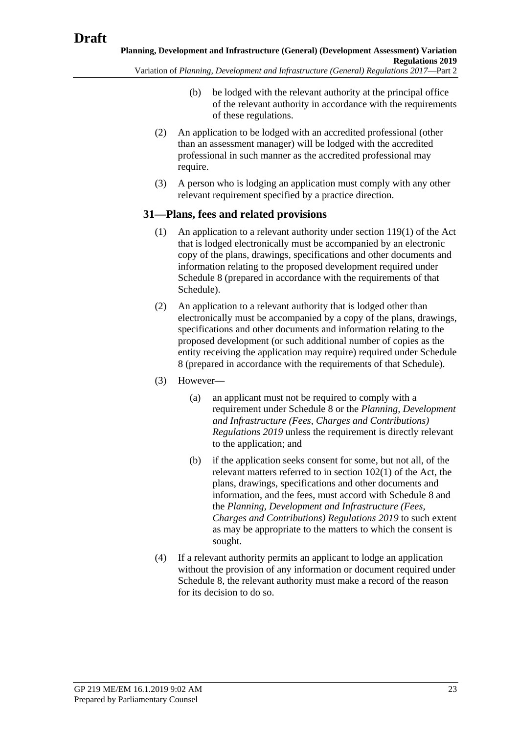<span id="page-22-0"></span>Variation of *Planning, Development and Infrastructure (General) Regulations 2017*—Part 2

- (b) be lodged with the relevant authority at the principal office of the relevant authority in accordance with the requirements of these regulations.
- <span id="page-22-1"></span>(2) An application to be lodged with an accredited professional (other than an assessment manager) will be lodged with the accredited professional in such manner as the accredited professional may require.
- (3) A person who is lodging an application must comply with any other relevant requirement specified by a practice direction.

## **31—Plans, fees and related provisions**

- (1) An application to a relevant authority under section 119(1) of the Act that is lodged electronically must be accompanied by an electronic copy of the plans, drawings, specifications and other documents and information relating to the proposed development required under Schedule 8 (prepared in accordance with the requirements of that Schedule).
- (2) An application to a relevant authority that is lodged other than electronically must be accompanied by a copy of the plans, drawings, specifications and other documents and information relating to the proposed development (or such additional number of copies as the entity receiving the application may require) required under Schedule 8 (prepared in accordance with the requirements of that Schedule).
- (3) However—
	- (a) an applicant must not be required to comply with a requirement under Schedule 8 or the *Planning, Development and Infrastructure (Fees, Charges and Contributions) Regulations 2019* unless the requirement is directly relevant to the application; and
	- (b) if the application seeks consent for some, but not all, of the relevant matters referred to in section 102(1) of the Act, the plans, drawings, specifications and other documents and information, and the fees, must accord with Schedule 8 and the *Planning, Development and Infrastructure (Fees, Charges and Contributions) Regulations 2019* to such extent as may be appropriate to the matters to which the consent is sought.
- (4) If a relevant authority permits an applicant to lodge an application without the provision of any information or document required under Schedule 8, the relevant authority must make a record of the reason for its decision to do so.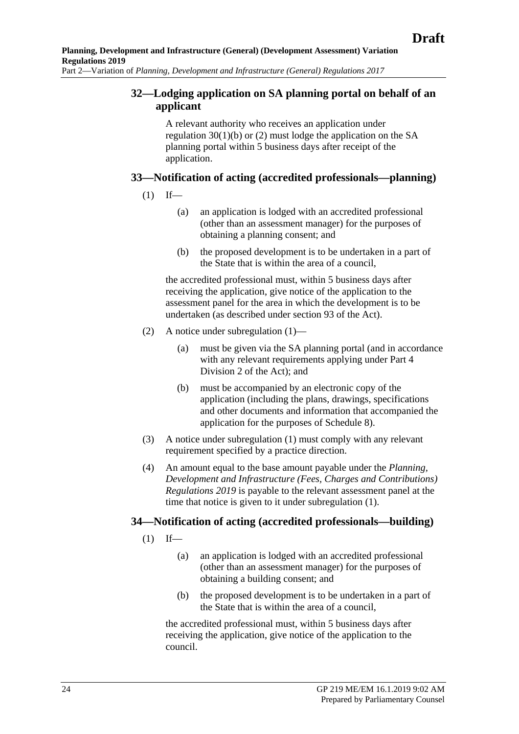## **32—Lodging application on SA planning portal on behalf of an applicant**

A relevant authority who receives an application under [regulation](#page-22-0) 30(1)(b) or [\(2\)](#page-22-1) must lodge the application on the SA planning portal within 5 business days after receipt of the application.

## <span id="page-23-0"></span>**33—Notification of acting (accredited professionals—planning)**

- $(1)$  If—
	- (a) an application is lodged with an accredited professional (other than an assessment manager) for the purposes of obtaining a planning consent; and
	- (b) the proposed development is to be undertaken in a part of the State that is within the area of a council,

the accredited professional must, within 5 business days after receiving the application, give notice of the application to the assessment panel for the area in which the development is to be undertaken (as described under section 93 of the Act).

- (2) A notice under [subregulation](#page-23-0) (1)—
	- (a) must be given via the SA planning portal (and in accordance with any relevant requirements applying under Part 4 Division 2 of the Act); and
	- (b) must be accompanied by an electronic copy of the application (including the plans, drawings, specifications and other documents and information that accompanied the application for the purposes of Schedule 8).
- (3) A notice under [subregulation](#page-23-0) (1) must comply with any relevant requirement specified by a practice direction.
- (4) An amount equal to the base amount payable under the *Planning, Development and Infrastructure (Fees, Charges and Contributions) Regulations 2019* is payable to the relevant assessment panel at the time that notice is given to it under [subregulation](#page-23-0) (1).

## <span id="page-23-1"></span>**34—Notification of acting (accredited professionals—building)**

- $(1)$  If—
	- (a) an application is lodged with an accredited professional (other than an assessment manager) for the purposes of obtaining a building consent; and
	- (b) the proposed development is to be undertaken in a part of the State that is within the area of a council,

the accredited professional must, within 5 business days after receiving the application, give notice of the application to the council.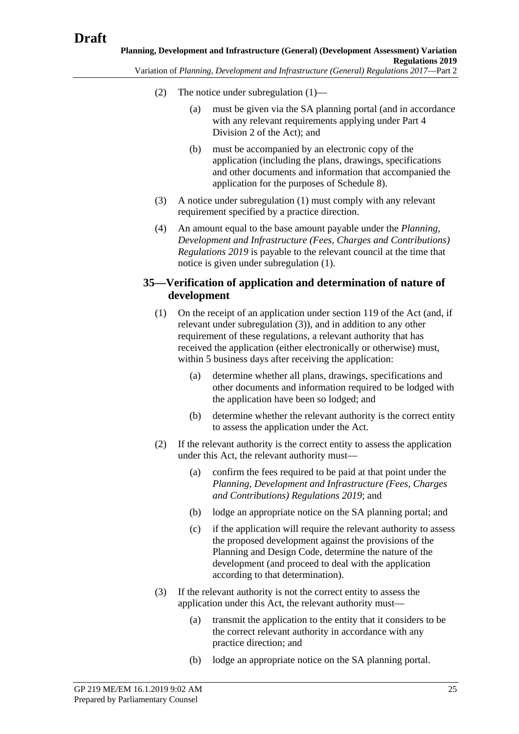- (2) The notice under [subregulation](#page-23-1) (1)—
	- (a) must be given via the SA planning portal (and in accordance with any relevant requirements applying under Part 4 Division 2 of the Act); and
	- (b) must be accompanied by an electronic copy of the application (including the plans, drawings, specifications and other documents and information that accompanied the application for the purposes of Schedule 8).
- (3) A notice under [subregulation](#page-23-1) (1) must comply with any relevant requirement specified by a practice direction.
- (4) An amount equal to the base amount payable under the *Planning, Development and Infrastructure (Fees, Charges and Contributions) Regulations 2019* is payable to the relevant council at the time that notice is given under [subregulation](#page-23-0) (1).

## **35—Verification of application and determination of nature of development**

- (1) On the receipt of an application under section 119 of the Act (and, if relevant under [subregulation](#page-24-0) (3)), and in addition to any other requirement of these regulations, a relevant authority that has received the application (either electronically or otherwise) must, within 5 business days after receiving the application:
	- (a) determine whether all plans, drawings, specifications and other documents and information required to be lodged with the application have been so lodged; and
	- (b) determine whether the relevant authority is the correct entity to assess the application under the Act.
- (2) If the relevant authority is the correct entity to assess the application under this Act, the relevant authority must—
	- (a) confirm the fees required to be paid at that point under the *Planning, Development and Infrastructure (Fees, Charges and Contributions) Regulations 2019*; and
	- (b) lodge an appropriate notice on the SA planning portal; and
	- (c) if the application will require the relevant authority to assess the proposed development against the provisions of the Planning and Design Code, determine the nature of the development (and proceed to deal with the application according to that determination).
- <span id="page-24-0"></span>(3) If the relevant authority is not the correct entity to assess the application under this Act, the relevant authority must—
	- (a) transmit the application to the entity that it considers to be the correct relevant authority in accordance with any practice direction; and
	- (b) lodge an appropriate notice on the SA planning portal.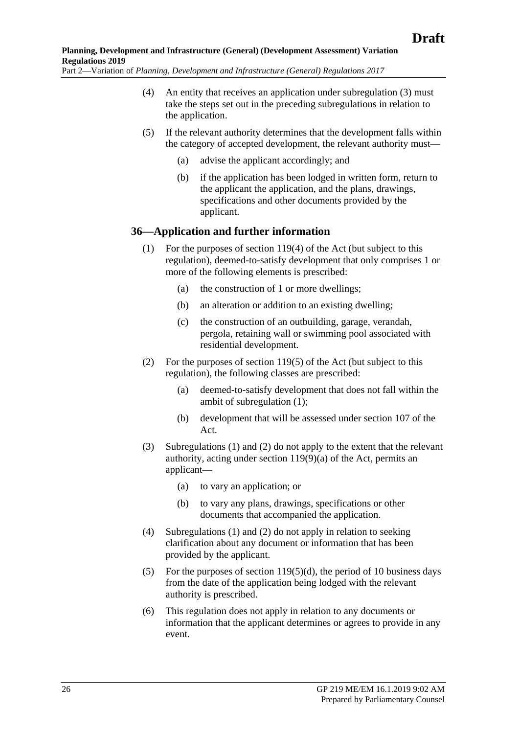- (4) An entity that receives an application under [subregulation](#page-24-0) (3) must take the steps set out in the preceding subregulations in relation to the application.
- (5) If the relevant authority determines that the development falls within the category of accepted development, the relevant authority must—
	- (a) advise the applicant accordingly; and
	- (b) if the application has been lodged in written form, return to the applicant the application, and the plans, drawings, specifications and other documents provided by the applicant.

#### <span id="page-25-0"></span>**36—Application and further information**

- (1) For the purposes of section 119(4) of the Act (but subject to this regulation), deemed-to-satisfy development that only comprises 1 or more of the following elements is prescribed:
	- (a) the construction of 1 or more dwellings;
	- (b) an alteration or addition to an existing dwelling;
	- (c) the construction of an outbuilding, garage, verandah, pergola, retaining wall or swimming pool associated with residential development.
- <span id="page-25-1"></span>(2) For the purposes of section 119(5) of the Act (but subject to this regulation), the following classes are prescribed:
	- (a) deemed-to-satisfy development that does not fall within the ambit of [subregulation](#page-25-0) (1);
	- (b) development that will be assessed under section 107 of the Act.
- (3) [Subregulations](#page-25-0) (1) and [\(2\)](#page-25-1) do not apply to the extent that the relevant authority, acting under section 119(9)(a) of the Act, permits an applicant—
	- (a) to vary an application; or
	- (b) to vary any plans, drawings, specifications or other documents that accompanied the application.
- (4) [Subregulations](#page-25-0) (1) and [\(2\)](#page-25-1) do not apply in relation to seeking clarification about any document or information that has been provided by the applicant.
- (5) For the purposes of section  $119(5)(d)$ , the period of 10 business days from the date of the application being lodged with the relevant authority is prescribed.
- (6) This regulation does not apply in relation to any documents or information that the applicant determines or agrees to provide in any event.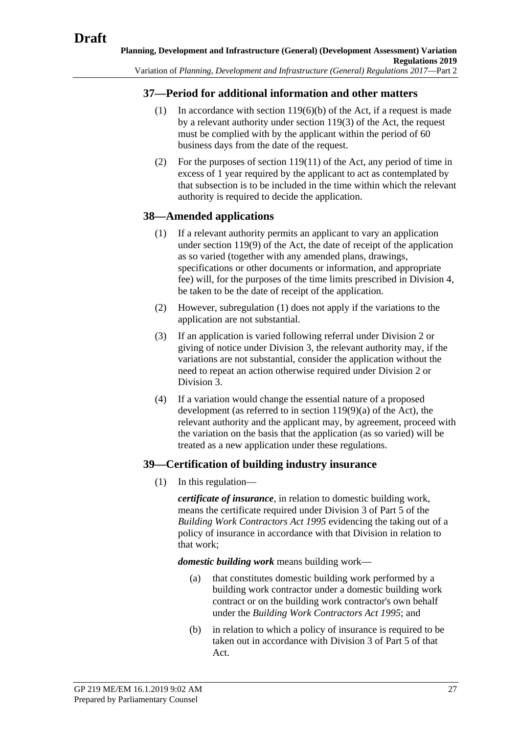## **37—Period for additional information and other matters**

- (1) In accordance with section 119(6)(b) of the Act, if a request is made by a relevant authority under section 119(3) of the Act, the request must be complied with by the applicant within the period of 60 business days from the date of the request.
- (2) For the purposes of section 119(11) of the Act, any period of time in excess of 1 year required by the applicant to act as contemplated by that subsection is to be included in the time within which the relevant authority is required to decide the application.

## <span id="page-26-0"></span>**38—Amended applications**

- (1) If a relevant authority permits an applicant to vary an application under section 119(9) of the Act, the date of receipt of the application as so varied (together with any amended plans, drawings, specifications or other documents or information, and appropriate fee) will, for the purposes of the time limits prescribed in Division 4, be taken to be the date of receipt of the application.
- (2) However, [subregulation](#page-26-0) (1) does not apply if the variations to the application are not substantial.
- (3) If an application is varied following referral under Division 2 or giving of notice under Division 3, the relevant authority may, if the variations are not substantial, consider the application without the need to repeat an action otherwise required under Division 2 or Division 3.
- (4) If a variation would change the essential nature of a proposed development (as referred to in section 119(9)(a) of the Act), the relevant authority and the applicant may, by agreement, proceed with the variation on the basis that the application (as so varied) will be treated as a new application under these regulations.

## **39—Certification of building industry insurance**

(1) In this regulation—

*certificate of insurance*, in relation to domestic building work, means the certificate required under Division 3 of Part 5 of the *[Building Work Contractors Act](http://www.legislation.sa.gov.au/index.aspx?action=legref&type=act&legtitle=Building%20Work%20Contractors%20Act%201995) 1995* evidencing the taking out of a policy of insurance in accordance with that Division in relation to that work;

*domestic building work* means building work—

- (a) that constitutes domestic building work performed by a building work contractor under a domestic building work contract or on the building work contractor's own behalf under the *[Building Work Contractors Act](http://www.legislation.sa.gov.au/index.aspx?action=legref&type=act&legtitle=Building%20Work%20Contractors%20Act%201995) 1995*; and
- (b) in relation to which a policy of insurance is required to be taken out in accordance with Division 3 of Part 5 of that Act.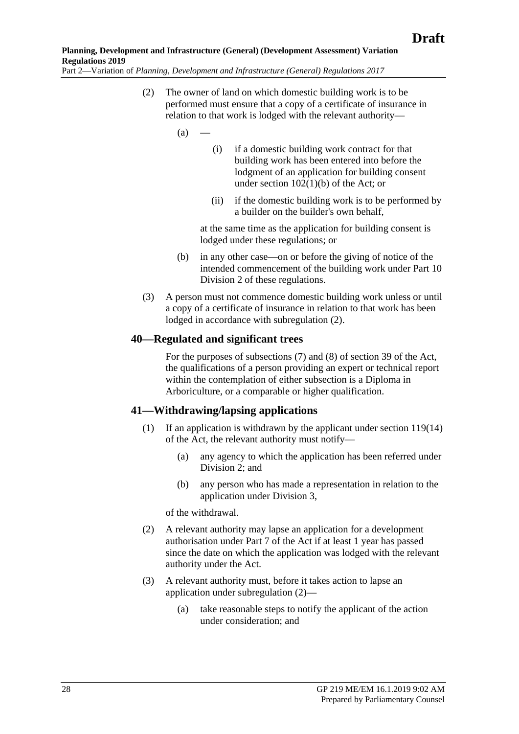<span id="page-27-0"></span>Part 2—Variation of *Planning, Development and Infrastructure (General) Regulations 2017*

- (2) The owner of land on which domestic building work is to be performed must ensure that a copy of a certificate of insurance in relation to that work is lodged with the relevant authority—
	- $(a)$
- (i) if a domestic building work contract for that building work has been entered into before the lodgment of an application for building consent under section 102(1)(b) of the Act; or
- (ii) if the domestic building work is to be performed by a builder on the builder's own behalf,

at the same time as the application for building consent is lodged under these regulations; or

- (b) in any other case—on or before the giving of notice of the intended commencement of the building work under Part 10 Division 2 of these regulations.
- (3) A person must not commence domestic building work unless or until a copy of a certificate of insurance in relation to that work has been lodged in accordance with [subregulation](#page-27-0) (2).

#### **40—Regulated and significant trees**

For the purposes of subsections (7) and (8) of section 39 of the Act, the qualifications of a person providing an expert or technical report within the contemplation of either subsection is a Diploma in Arboriculture, or a comparable or higher qualification.

#### **41—Withdrawing/lapsing applications**

- (1) If an application is withdrawn by the applicant under section 119(14) of the Act, the relevant authority must notify—
	- (a) any agency to which the application has been referred under Division 2; and
	- (b) any person who has made a representation in relation to the application under Division 3,

of the withdrawal.

- <span id="page-27-1"></span>(2) A relevant authority may lapse an application for a development authorisation under Part 7 of the Act if at least 1 year has passed since the date on which the application was lodged with the relevant authority under the Act.
- (3) A relevant authority must, before it takes action to lapse an application under [subregulation](#page-27-1) (2)—
	- (a) take reasonable steps to notify the applicant of the action under consideration; and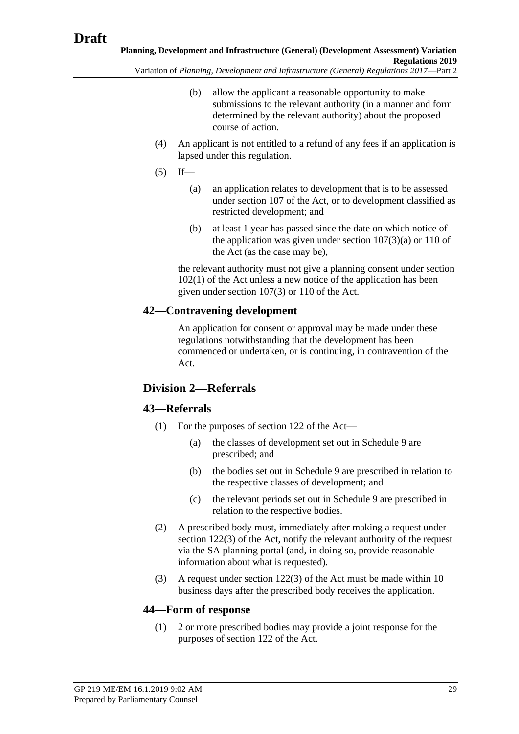- Variation of *Planning, Development and Infrastructure (General) Regulations 2017*—Part 2
	- (b) allow the applicant a reasonable opportunity to make submissions to the relevant authority (in a manner and form determined by the relevant authority) about the proposed course of action.
	- (4) An applicant is not entitled to a refund of any fees if an application is lapsed under this regulation.
	- $(5)$  If—
		- (a) an application relates to development that is to be assessed under section 107 of the Act, or to development classified as restricted development; and
		- (b) at least 1 year has passed since the date on which notice of the application was given under section  $107(3)(a)$  or  $110$  of the Act (as the case may be),

the relevant authority must not give a planning consent under section 102(1) of the Act unless a new notice of the application has been given under section 107(3) or 110 of the Act.

## **42—Contravening development**

An application for consent or approval may be made under these regulations notwithstanding that the development has been commenced or undertaken, or is continuing, in contravention of the Act.

## **Division 2—Referrals**

## **43—Referrals**

- (1) For the purposes of section 122 of the Act—
	- (a) the classes of development set out in Schedule 9 are prescribed; and
	- (b) the bodies set out in Schedule 9 are prescribed in relation to the respective classes of development; and
	- (c) the relevant periods set out in Schedule 9 are prescribed in relation to the respective bodies.
- (2) A prescribed body must, immediately after making a request under section 122(3) of the Act, notify the relevant authority of the request via the SA planning portal (and, in doing so, provide reasonable information about what is requested).
- (3) A request under section 122(3) of the Act must be made within 10 business days after the prescribed body receives the application.

#### **44—Form of response**

(1) 2 or more prescribed bodies may provide a joint response for the purposes of section 122 of the Act.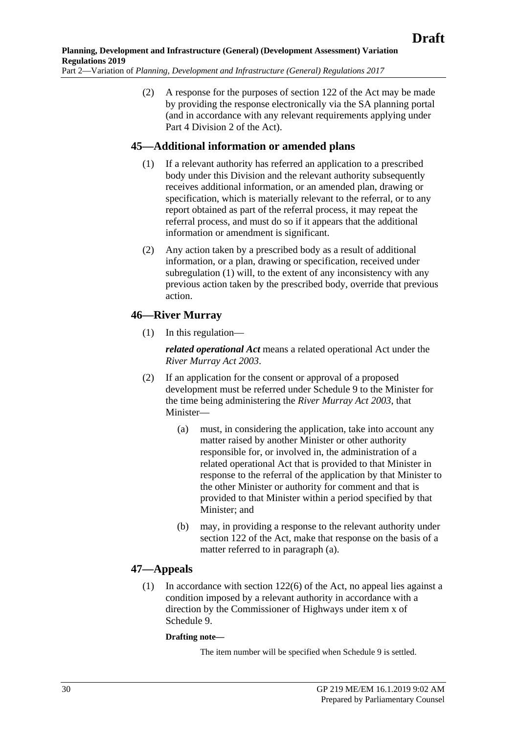(2) A response for the purposes of section 122 of the Act may be made by providing the response electronically via the SA planning portal (and in accordance with any relevant requirements applying under Part 4 Division 2 of the Act).

#### <span id="page-29-0"></span>**45—Additional information or amended plans**

- (1) If a relevant authority has referred an application to a prescribed body under this Division and the relevant authority subsequently receives additional information, or an amended plan, drawing or specification, which is materially relevant to the referral, or to any report obtained as part of the referral process, it may repeat the referral process, and must do so if it appears that the additional information or amendment is significant.
- (2) Any action taken by a prescribed body as a result of additional information, or a plan, drawing or specification, received under [subregulation](#page-29-0) (1) will, to the extent of any inconsistency with any previous action taken by the prescribed body, override that previous action.

## **46—River Murray**

(1) In this regulation—

*related operational Act* means a related operational Act under the *[River Murray Act](http://www.legislation.sa.gov.au/index.aspx?action=legref&type=act&legtitle=River%20Murray%20Act%202003) 2003*.

- <span id="page-29-1"></span>(2) If an application for the consent or approval of a proposed development must be referred under Schedule 9 to the Minister for the time being administering the *[River Murray Act](http://www.legislation.sa.gov.au/index.aspx?action=legref&type=act&legtitle=River%20Murray%20Act%202003) 2003*, that Minister—
	- (a) must, in considering the application, take into account any matter raised by another Minister or other authority responsible for, or involved in, the administration of a related operational Act that is provided to that Minister in response to the referral of the application by that Minister to the other Minister or authority for comment and that is provided to that Minister within a period specified by that Minister; and
	- (b) may, in providing a response to the relevant authority under section 122 of the Act, make that response on the basis of a matter referred to in [paragraph](#page-29-1) (a).

## **47—Appeals**

(1) In accordance with section 122(6) of the Act, no appeal lies against a condition imposed by a relevant authority in accordance with a direction by the Commissioner of Highways under item x of Schedule 9.

#### **Drafting note—**

The item number will be specified when Schedule 9 is settled.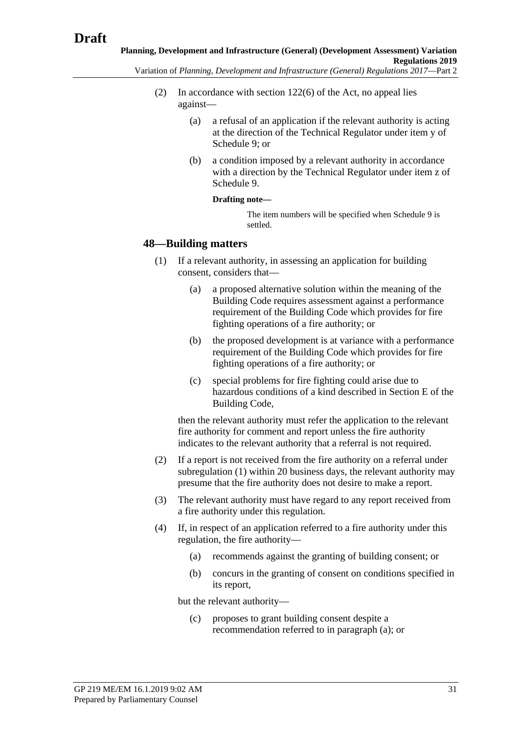- (2) In accordance with section 122(6) of the Act, no appeal lies against—
	- (a) a refusal of an application if the relevant authority is acting at the direction of the Technical Regulator under item y of Schedule 9; or
	- (b) a condition imposed by a relevant authority in accordance with a direction by the Technical Regulator under item z of Schedule 9.

#### **Drafting note—**

The item numbers will be specified when Schedule 9 is settled.

#### <span id="page-30-0"></span>**48—Building matters**

- (1) If a relevant authority, in assessing an application for building consent, considers that—
	- (a) a proposed alternative solution within the meaning of the Building Code requires assessment against a performance requirement of the Building Code which provides for fire fighting operations of a fire authority; or
	- (b) the proposed development is at variance with a performance requirement of the Building Code which provides for fire fighting operations of a fire authority; or
	- (c) special problems for fire fighting could arise due to hazardous conditions of a kind described in Section E of the Building Code,

then the relevant authority must refer the application to the relevant fire authority for comment and report unless the fire authority indicates to the relevant authority that a referral is not required.

- (2) If a report is not received from the fire authority on a referral under [subregulation](#page-30-0) (1) within 20 business days, the relevant authority may presume that the fire authority does not desire to make a report.
- (3) The relevant authority must have regard to any report received from a fire authority under this regulation.
- <span id="page-30-2"></span><span id="page-30-1"></span>(4) If, in respect of an application referred to a fire authority under this regulation, the fire authority—
	- (a) recommends against the granting of building consent; or
	- (b) concurs in the granting of consent on conditions specified in its report,

but the relevant authority—

(c) proposes to grant building consent despite a recommendation referred to in [paragraph](#page-30-1) (a); or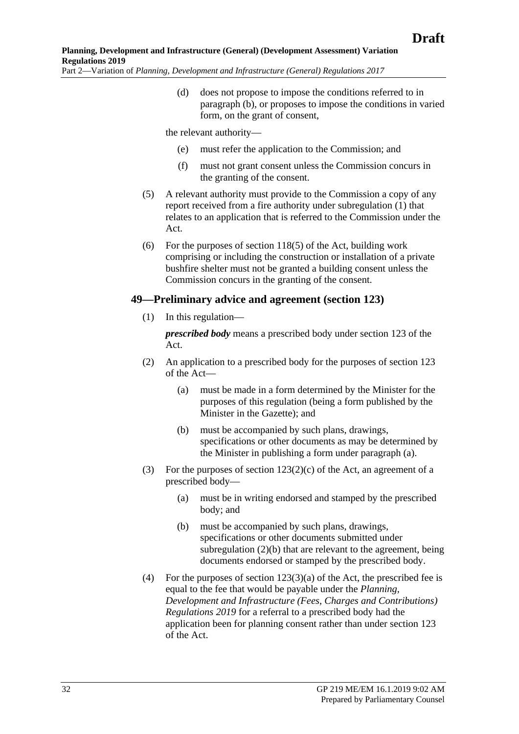(d) does not propose to impose the conditions referred to in [paragraph](#page-30-2) (b), or proposes to impose the conditions in varied form, on the grant of consent,

the relevant authority—

- (e) must refer the application to the Commission; and
- (f) must not grant consent unless the Commission concurs in the granting of the consent.
- (5) A relevant authority must provide to the Commission a copy of any report received from a fire authority under [subregulation](#page-30-0) (1) that relates to an application that is referred to the Commission under the Act.
- (6) For the purposes of section 118(5) of the Act, building work comprising or including the construction or installation of a private bushfire shelter must not be granted a building consent unless the Commission concurs in the granting of the consent.

#### **49—Preliminary advice and agreement (section 123)**

(1) In this regulation—

*prescribed body* means a prescribed body under section 123 of the Act.

- <span id="page-31-0"></span>(2) An application to a prescribed body for the purposes of section 123 of the Act—
	- (a) must be made in a form determined by the Minister for the purposes of this regulation (being a form published by the Minister in the Gazette); and
	- (b) must be accompanied by such plans, drawings, specifications or other documents as may be determined by the Minister in publishing a form under [paragraph](#page-31-0) (a).
- <span id="page-31-2"></span><span id="page-31-1"></span>(3) For the purposes of section  $123(2)(c)$  of the Act, an agreement of a prescribed body—
	- (a) must be in writing endorsed and stamped by the prescribed body; and
	- (b) must be accompanied by such plans, drawings, specifications or other documents submitted under [subregulation](#page-31-1) (2)(b) that are relevant to the agreement, being documents endorsed or stamped by the prescribed body.
- (4) For the purposes of section  $123(3)(a)$  of the Act, the prescribed fee is equal to the fee that would be payable under the *Planning, Development and Infrastructure (Fees, Charges and Contributions) Regulations 2019* for a referral to a prescribed body had the application been for planning consent rather than under section 123 of the Act.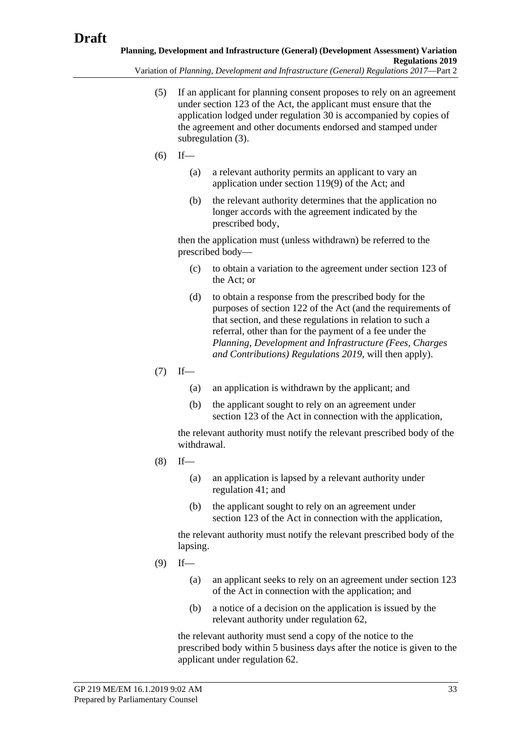Variation of *Planning, Development and Infrastructure (General) Regulations 2017*—Part 2

- (5) If an applicant for planning consent proposes to rely on an agreement under section 123 of the Act, the applicant must ensure that the application lodged under regulation 30 is accompanied by copies of the agreement and other documents endorsed and stamped under [subregulation](#page-31-2) (3).
- $(6)$  If—
	- (a) a relevant authority permits an applicant to vary an application under section 119(9) of the Act; and
	- (b) the relevant authority determines that the application no longer accords with the agreement indicated by the prescribed body,

then the application must (unless withdrawn) be referred to the prescribed body—

- (c) to obtain a variation to the agreement under section 123 of the Act; or
- (d) to obtain a response from the prescribed body for the purposes of section 122 of the Act (and the requirements of that section, and these regulations in relation to such a referral, other than for the payment of a fee under the *Planning, Development and Infrastructure (Fees, Charges and Contributions) Regulations 2019*, will then apply).
- $(7)$  If—
	- (a) an application is withdrawn by the applicant; and
	- (b) the applicant sought to rely on an agreement under section 123 of the Act in connection with the application,

the relevant authority must notify the relevant prescribed body of the withdrawal.

- $(8)$  If—
	- (a) an application is lapsed by a relevant authority under regulation 41; and
	- (b) the applicant sought to rely on an agreement under section 123 of the Act in connection with the application,

the relevant authority must notify the relevant prescribed body of the lapsing.

- $(9)$  If—
	- (a) an applicant seeks to rely on an agreement under section 123 of the Act in connection with the application; and
	- (b) a notice of a decision on the application is issued by the relevant authority under regulation 62,

the relevant authority must send a copy of the notice to the prescribed body within 5 business days after the notice is given to the applicant under regulation 62.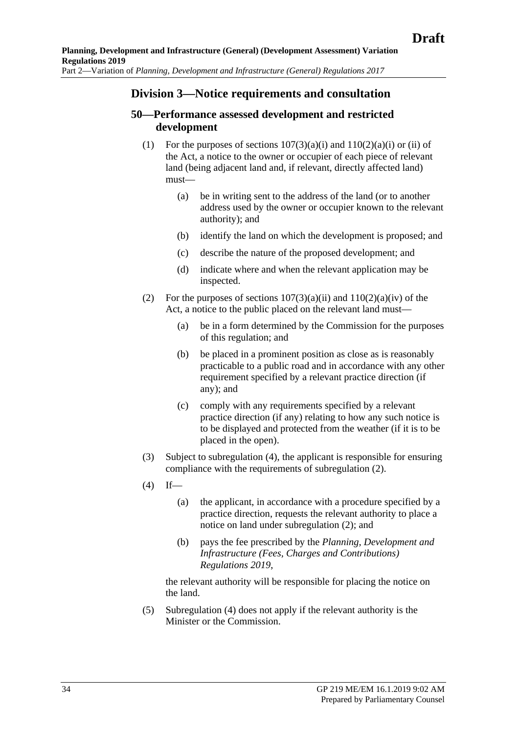## **Division 3—Notice requirements and consultation**

## **50—Performance assessed development and restricted development**

- (1) For the purposes of sections  $107(3)(a)(i)$  and  $110(2)(a)(i)$  or (ii) of the Act, a notice to the owner or occupier of each piece of relevant land (being adjacent land and, if relevant, directly affected land) must—
	- (a) be in writing sent to the address of the land (or to another address used by the owner or occupier known to the relevant authority); and
	- (b) identify the land on which the development is proposed; and
	- (c) describe the nature of the proposed development; and
	- (d) indicate where and when the relevant application may be inspected.
- <span id="page-33-1"></span>(2) For the purposes of sections  $107(3)(a)(ii)$  and  $110(2)(a)(iv)$  of the Act, a notice to the public placed on the relevant land must—
	- (a) be in a form determined by the Commission for the purposes of this regulation; and
	- (b) be placed in a prominent position as close as is reasonably practicable to a public road and in accordance with any other requirement specified by a relevant practice direction (if any); and
	- (c) comply with any requirements specified by a relevant practice direction (if any) relating to how any such notice is to be displayed and protected from the weather (if it is to be placed in the open).
- (3) Subject to [subregulation](#page-33-0) (4), the applicant is responsible for ensuring compliance with the requirements of [subregulation](#page-33-1) (2).
- <span id="page-33-0"></span> $(4)$  If—
	- (a) the applicant, in accordance with a procedure specified by a practice direction, requests the relevant authority to place a notice on land under [subregulation](#page-33-1) (2); and
	- (b) pays the fee prescribed by the *Planning, Development and Infrastructure (Fees, Charges and Contributions) Regulations 2019*,

the relevant authority will be responsible for placing the notice on the land.

(5) [Subregulation](#page-33-0) (4) does not apply if the relevant authority is the Minister or the Commission.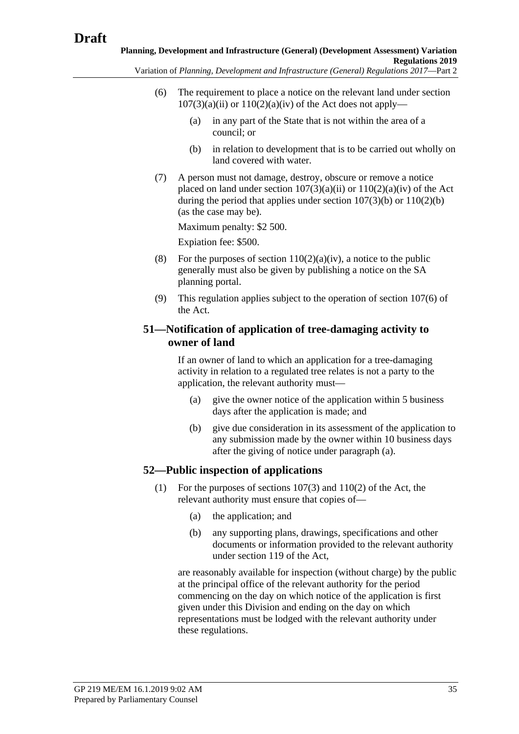- (6) The requirement to place a notice on the relevant land under section  $107(3)(a)(ii)$  or  $110(2)(a)(iv)$  of the Act does not apply—
	- (a) in any part of the State that is not within the area of a council; or
	- (b) in relation to development that is to be carried out wholly on land covered with water.
- (7) A person must not damage, destroy, obscure or remove a notice placed on land under section  $107(3)(a)(ii)$  or  $110(2)(a)(iv)$  of the Act during the period that applies under section 107(3)(b) or 110(2)(b) (as the case may be).

Maximum penalty: \$2 500.

Expiation fee: \$500.

- (8) For the purposes of section  $110(2)(a)(iv)$ , a notice to the public generally must also be given by publishing a notice on the SA planning portal.
- (9) This regulation applies subject to the operation of section 107(6) of the Act.

## <span id="page-34-0"></span>**51—Notification of application of tree-damaging activity to owner of land**

If an owner of land to which an application for a tree-damaging activity in relation to a regulated tree relates is not a party to the application, the relevant authority must—

- (a) give the owner notice of the application within 5 business days after the application is made; and
- (b) give due consideration in its assessment of the application to any submission made by the owner within 10 business days after the giving of notice under [paragraph](#page-34-0) (a).

## <span id="page-34-1"></span>**52—Public inspection of applications**

- (1) For the purposes of sections 107(3) and 110(2) of the Act, the relevant authority must ensure that copies of—
	- (a) the application; and
	- (b) any supporting plans, drawings, specifications and other documents or information provided to the relevant authority under section 119 of the Act,

are reasonably available for inspection (without charge) by the public at the principal office of the relevant authority for the period commencing on the day on which notice of the application is first given under this Division and ending on the day on which representations must be lodged with the relevant authority under these regulations.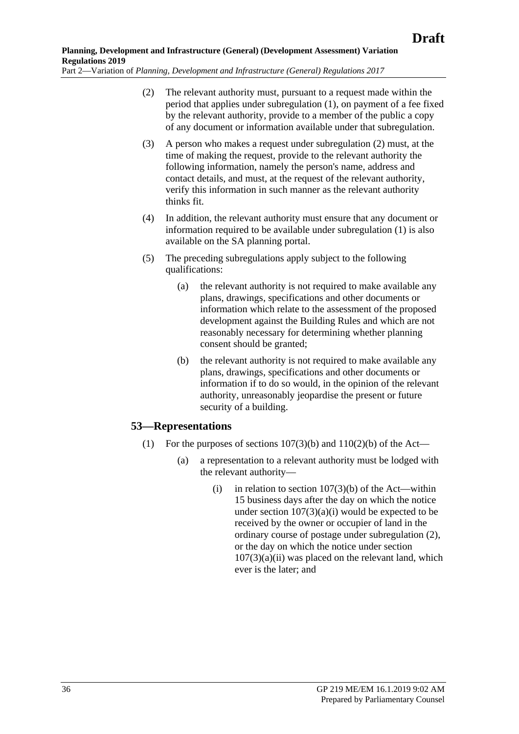- <span id="page-35-0"></span>(2) The relevant authority must, pursuant to a request made within the period that applies under [subregulation](#page-34-1) (1), on payment of a fee fixed by the relevant authority, provide to a member of the public a copy of any document or information available under that subregulation.
- (3) A person who makes a request under [subregulation](#page-35-0) (2) must, at the time of making the request, provide to the relevant authority the following information, namely the person's name, address and contact details, and must, at the request of the relevant authority, verify this information in such manner as the relevant authority thinks fit.
- (4) In addition, the relevant authority must ensure that any document or information required to be available under [subregulation](#page-34-1) (1) is also available on the SA planning portal.
- (5) The preceding subregulations apply subject to the following qualifications:
	- (a) the relevant authority is not required to make available any plans, drawings, specifications and other documents or information which relate to the assessment of the proposed development against the Building Rules and which are not reasonably necessary for determining whether planning consent should be granted;
	- (b) the relevant authority is not required to make available any plans, drawings, specifications and other documents or information if to do so would, in the opinion of the relevant authority, unreasonably jeopardise the present or future security of a building.

## **53—Representations**

- (1) For the purposes of sections  $107(3)(b)$  and  $110(2)(b)$  of the Act—
	- (a) a representation to a relevant authority must be lodged with the relevant authority—
		- (i) in relation to section  $107(3)(b)$  of the Act—within 15 business days after the day on which the notice under section  $107(3)(a)(i)$  would be expected to be received by the owner or occupier of land in the ordinary course of postage under [subregulation](#page-36-0) (2), or the day on which the notice under section  $107(3)(a)(ii)$  was placed on the relevant land, which ever is the later; and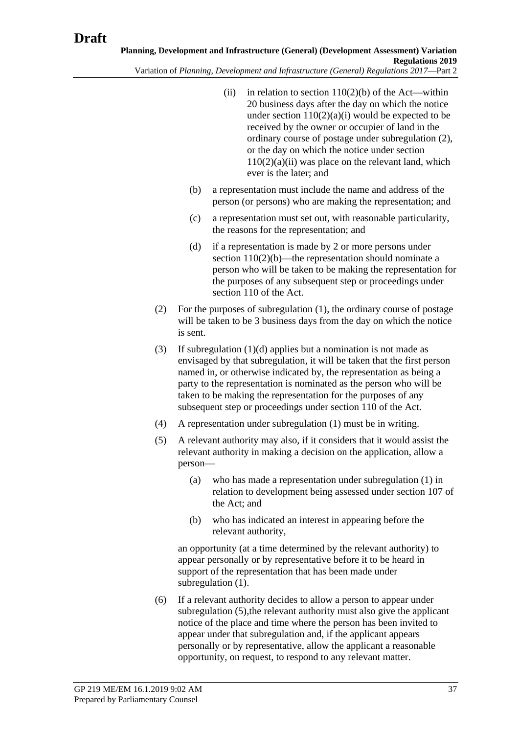- <span id="page-36-1"></span><span id="page-36-0"></span>Variation of *Planning, Development and Infrastructure (General) Regulations 2017*—Part 2
	- (ii) in relation to section  $110(2)(b)$  of the Act—within 20 business days after the day on which the notice under section  $110(2)(a)(i)$  would be expected to be received by the owner or occupier of land in the ordinary course of postage under [subregulation](#page-36-0) (2), or the day on which the notice under section  $110(2)(a)(ii)$  was place on the relevant land, which ever is the later; and
	- (b) a representation must include the name and address of the person (or persons) who are making the representation; and
	- (c) a representation must set out, with reasonable particularity, the reasons for the representation; and
	- (d) if a representation is made by 2 or more persons under section 110(2)(b)—the representation should nominate a person who will be taken to be making the representation for the purposes of any subsequent step or proceedings under section 110 of the Act.
	- (2) For the purposes of [subregulation](#page-35-0) (1), the ordinary course of postage will be taken to be 3 business days from the day on which the notice is sent.
	- (3) If [subregulation](#page-36-1) (1)(d) applies but a nomination is not made as envisaged by that subregulation, it will be taken that the first person named in, or otherwise indicated by, the representation as being a party to the representation is nominated as the person who will be taken to be making the representation for the purposes of any subsequent step or proceedings under section 110 of the Act.
	- (4) A representation under [subregulation](#page-35-0) (1) must be in writing.
	- (5) A relevant authority may also, if it considers that it would assist the relevant authority in making a decision on the application, allow a person—
		- (a) who has made a representation under [subregulation](#page-35-0) (1) in relation to development being assessed under section 107 of the Act; and
		- (b) who has indicated an interest in appearing before the relevant authority,

<span id="page-36-2"></span>an opportunity (at a time determined by the relevant authority) to appear personally or by representative before it to be heard in support of the representation that has been made under [subregulation](#page-35-0)  $(1)$ .

(6) If a relevant authority decides to allow a person to appear under [subregulation](#page-36-2) (5), the relevant authority must also give the applicant notice of the place and time where the person has been invited to appear under that subregulation and, if the applicant appears personally or by representative, allow the applicant a reasonable opportunity, on request, to respond to any relevant matter.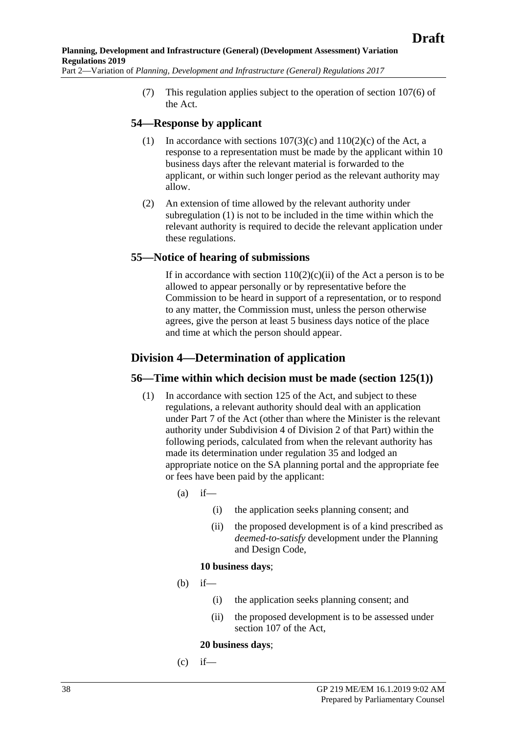(7) This regulation applies subject to the operation of section 107(6) of the Act.

### <span id="page-37-0"></span>**54—Response by applicant**

- (1) In accordance with sections  $107(3)(c)$  and  $110(2)(c)$  of the Act, a response to a representation must be made by the applicant within 10 business days after the relevant material is forwarded to the applicant, or within such longer period as the relevant authority may allow.
- (2) An extension of time allowed by the relevant authority under [subregulation](#page-37-0) (1) is not to be included in the time within which the relevant authority is required to decide the relevant application under these regulations.

### **55—Notice of hearing of submissions**

If in accordance with section  $110(2)(c)(ii)$  of the Act a person is to be allowed to appear personally or by representative before the Commission to be heard in support of a representation, or to respond to any matter, the Commission must, unless the person otherwise agrees, give the person at least 5 business days notice of the place and time at which the person should appear.

## **Division 4—Determination of application**

### **56—Time within which decision must be made (section 125(1))**

- (1) In accordance with section 125 of the Act, and subject to these regulations, a relevant authority should deal with an application under Part 7 of the Act (other than where the Minister is the relevant authority under Subdivision 4 of Division 2 of that Part) within the following periods, calculated from when the relevant authority has made its determination under regulation 35 and lodged an appropriate notice on the SA planning portal and the appropriate fee or fees have been paid by the applicant:
	- $(a)$  if—
		- (i) the application seeks planning consent; and
		- (ii) the proposed development is of a kind prescribed as *deemed-to-satisfy* development under the Planning and Design Code,

#### **10 business days**;

- (b) if—
	- (i) the application seeks planning consent; and
	- (ii) the proposed development is to be assessed under section 107 of the Act,

#### **20 business days**;

 $(c)$  if—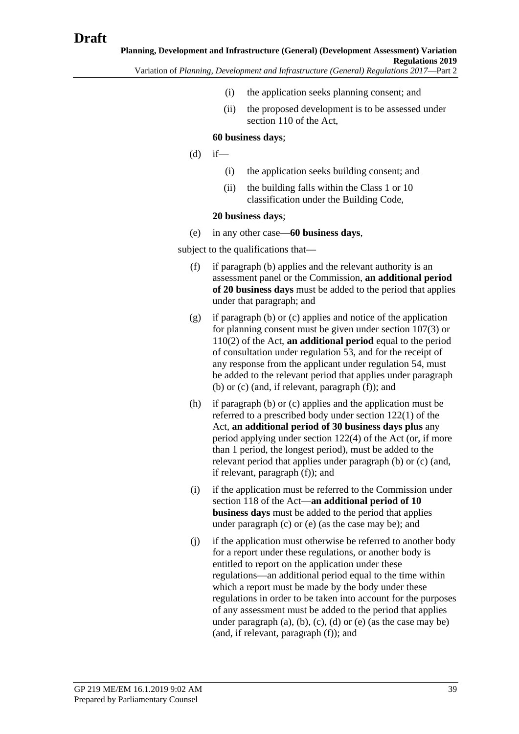- (i) the application seeks planning consent; and
- (ii) the proposed development is to be assessed under section 110 of the Act,

#### **60 business days**;

- $(d)$  if—
	- (i) the application seeks building consent; and
	- (ii) the building falls within the Class 1 or 10 classification under the Building Code,

#### **20 business days**;

(e) in any other case—**60 business days**,

subject to the qualifications that—

- (f) if paragraph (b) applies and the relevant authority is an assessment panel or the Commission, **an additional period of 20 business days** must be added to the period that applies under that paragraph; and
- (g) if paragraph (b) or (c) applies and notice of the application for planning consent must be given under section 107(3) or 110(2) of the Act, **an additional period** equal to the period of consultation under regulation 53, and for the receipt of any response from the applicant under regulation 54, must be added to the relevant period that applies under paragraph (b) or (c) (and, if relevant, paragraph (f)); and
- (h) if paragraph (b) or (c) applies and the application must be referred to a prescribed body under section 122(1) of the Act, **an additional period of 30 business days plus** any period applying under section 122(4) of the Act (or, if more than 1 period, the longest period), must be added to the relevant period that applies under paragraph (b) or (c) (and, if relevant, paragraph (f)); and
- (i) if the application must be referred to the Commission under section 118 of the Act—**an additional period of 10 business days** must be added to the period that applies under paragraph (c) or (e) (as the case may be); and
- (j) if the application must otherwise be referred to another body for a report under these regulations, or another body is entitled to report on the application under these regulations—an additional period equal to the time within which a report must be made by the body under these regulations in order to be taken into account for the purposes of any assessment must be added to the period that applies under paragraph  $(a)$ ,  $(b)$ ,  $(c)$ ,  $(d)$  or  $(e)$  (as the case may be) (and, if relevant, paragraph (f)); and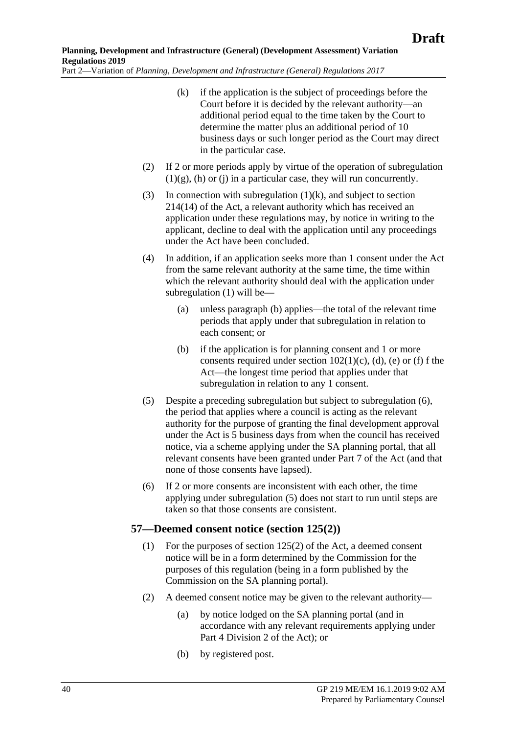- (k) if the application is the subject of proceedings before the Court before it is decided by the relevant authority—an additional period equal to the time taken by the Court to determine the matter plus an additional period of 10 business days or such longer period as the Court may direct in the particular case.
- <span id="page-39-0"></span>(2) If 2 or more periods apply by virtue of the operation of subregulation  $(1)(g)$ , (h) or (j) in a particular case, they will run concurrently.
- (3) In connection with [subregulation](#page-39-0)  $(1)(k)$ , and subject to section 214(14) of the Act, a relevant authority which has received an application under these regulations may, by notice in writing to the applicant, decline to deal with the application until any proceedings under the Act have been concluded.
- (4) In addition, if an application seeks more than 1 consent under the Act from the same relevant authority at the same time, the time within which the relevant authority should deal with the application under subregulation (1) will be—
	- (a) unless paragraph (b) applies—the total of the relevant time periods that apply under that subregulation in relation to each consent; or
	- (b) if the application is for planning consent and 1 or more consents required under section  $102(1)(c)$ , (d), (e) or (f) f the Act—the longest time period that applies under that subregulation in relation to any 1 consent.
- (5) Despite a preceding subregulation but subject to subregulation (6), the period that applies where a council is acting as the relevant authority for the purpose of granting the final development approval under the Act is 5 business days from when the council has received notice, via a scheme applying under the SA planning portal, that all relevant consents have been granted under Part 7 of the Act (and that none of those consents have lapsed).
- (6) If 2 or more consents are inconsistent with each other, the time applying under subregulation (5) does not start to run until steps are taken so that those consents are consistent.

## **57—Deemed consent notice (section 125(2))**

- (1) For the purposes of section 125(2) of the Act, a deemed consent notice will be in a form determined by the Commission for the purposes of this regulation (being in a form published by the Commission on the SA planning portal).
- (2) A deemed consent notice may be given to the relevant authority—
	- (a) by notice lodged on the SA planning portal (and in accordance with any relevant requirements applying under Part 4 Division 2 of the Act); or
	- (b) by registered post.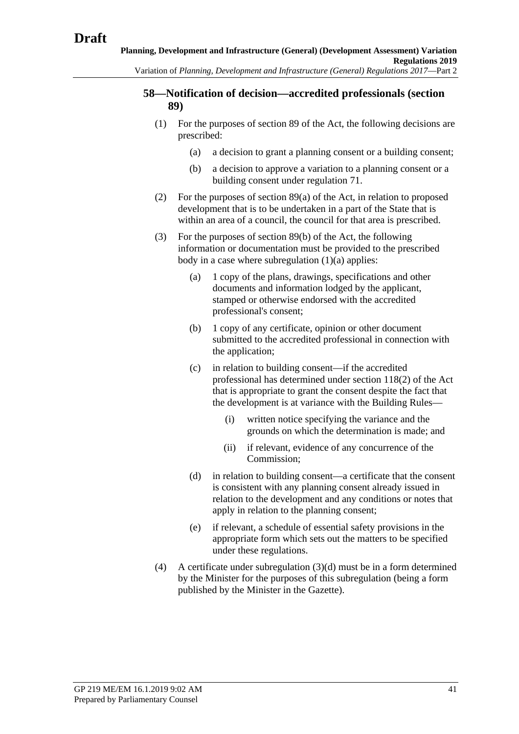### **58—Notification of decision—accredited professionals (section 89)**

- <span id="page-40-0"></span>(1) For the purposes of section 89 of the Act, the following decisions are prescribed:
	- (a) a decision to grant a planning consent or a building consent;
	- (b) a decision to approve a variation to a planning consent or a building consent under regulation 71.
- (2) For the purposes of section 89(a) of the Act, in relation to proposed development that is to be undertaken in a part of the State that is within an area of a council, the council for that area is prescribed.
- (3) For the purposes of section 89(b) of the Act, the following information or documentation must be provided to the prescribed body in a case where [subregulation](#page-40-0)  $(1)(a)$  applies:
	- (a) 1 copy of the plans, drawings, specifications and other documents and information lodged by the applicant, stamped or otherwise endorsed with the accredited professional's consent;
	- (b) 1 copy of any certificate, opinion or other document submitted to the accredited professional in connection with the application;
	- (c) in relation to building consent—if the accredited professional has determined under section 118(2) of the Act that is appropriate to grant the consent despite the fact that the development is at variance with the Building Rules—
		- (i) written notice specifying the variance and the grounds on which the determination is made; and
		- (ii) if relevant, evidence of any concurrence of the Commission;
	- (d) in relation to building consent—a certificate that the consent is consistent with any planning consent already issued in relation to the development and any conditions or notes that apply in relation to the planning consent;
	- (e) if relevant, a schedule of essential safety provisions in the appropriate form which sets out the matters to be specified under these regulations.
- <span id="page-40-1"></span>(4) A certificate under [subregulation](#page-40-1) (3)(d) must be in a form determined by the Minister for the purposes of this subregulation (being a form published by the Minister in the Gazette).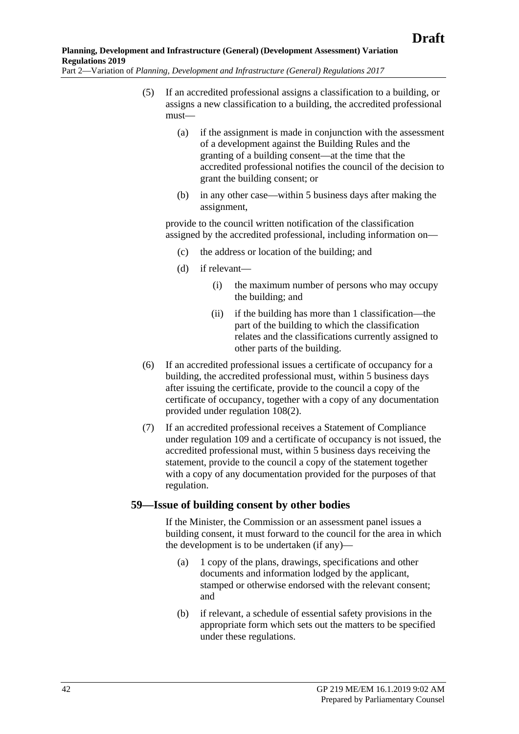- (5) If an accredited professional assigns a classification to a building, or assigns a new classification to a building, the accredited professional must—
	- (a) if the assignment is made in conjunction with the assessment of a development against the Building Rules and the granting of a building consent—at the time that the accredited professional notifies the council of the decision to grant the building consent; or
	- (b) in any other case—within 5 business days after making the assignment,

provide to the council written notification of the classification assigned by the accredited professional, including information on—

- (c) the address or location of the building; and
- (d) if relevant—
	- (i) the maximum number of persons who may occupy the building; and
	- (ii) if the building has more than 1 classification—the part of the building to which the classification relates and the classifications currently assigned to other parts of the building.
- (6) If an accredited professional issues a certificate of occupancy for a building, the accredited professional must, within 5 business days after issuing the certificate, provide to the council a copy of the certificate of occupancy, together with a copy of any documentation provided under [regulation](#page-68-0) 108(2).
- (7) If an accredited professional receives a Statement of Compliance under regulation 109 and a certificate of occupancy is not issued, the accredited professional must, within 5 business days receiving the statement, provide to the council a copy of the statement together with a copy of any documentation provided for the purposes of that regulation.

### **59—Issue of building consent by other bodies**

If the Minister, the Commission or an assessment panel issues a building consent, it must forward to the council for the area in which the development is to be undertaken (if any)—

- (a) 1 copy of the plans, drawings, specifications and other documents and information lodged by the applicant, stamped or otherwise endorsed with the relevant consent; and
- (b) if relevant, a schedule of essential safety provisions in the appropriate form which sets out the matters to be specified under these regulations.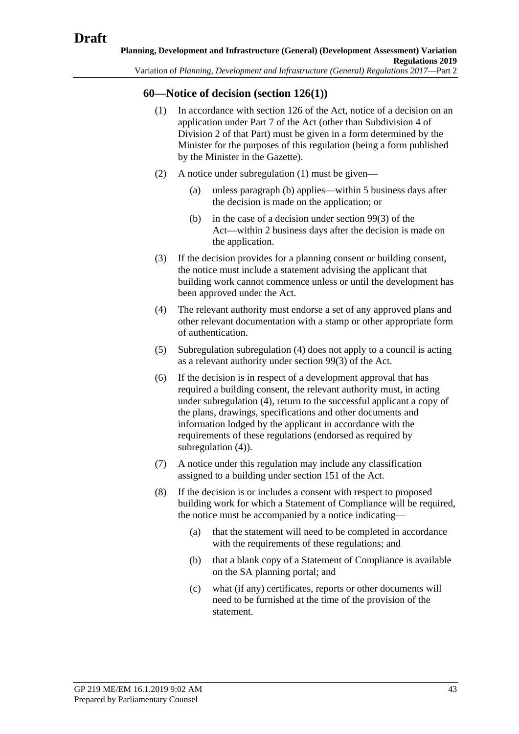## <span id="page-42-0"></span>**60—Notice of decision (section 126(1))**

- (1) In accordance with section 126 of the Act, notice of a decision on an application under Part 7 of the Act (other than Subdivision 4 of Division 2 of that Part) must be given in a form determined by the Minister for the purposes of this regulation (being a form published by the Minister in the Gazette).
- <span id="page-42-1"></span>(2) A notice under [subregulation](#page-42-0) (1) must be given—
	- (a) unless [paragraph](#page-42-1) (b) applies—within 5 business days after the decision is made on the application; or
	- (b) in the case of a decision under section 99(3) of the Act—within 2 business days after the decision is made on the application.
- (3) If the decision provides for a planning consent or building consent, the notice must include a statement advising the applicant that building work cannot commence unless or until the development has been approved under the Act.
- <span id="page-42-2"></span>(4) The relevant authority must endorse a set of any approved plans and other relevant documentation with a stamp or other appropriate form of authentication.
- (5) Subregulation [subregulation](#page-42-2) (4) does not apply to a council is acting as a relevant authority under section 99(3) of the Act.
- (6) If the decision is in respect of a development approval that has required a building consent, the relevant authority must, in acting under [subregulation](#page-42-2) (4), return to the successful applicant a copy of the plans, drawings, specifications and other documents and information lodged by the applicant in accordance with the requirements of these regulations (endorsed as required by [subregulation](#page-42-2) (4)).
- (7) A notice under this regulation may include any classification assigned to a building under section 151 of the Act.
- <span id="page-42-3"></span>(8) If the decision is or includes a consent with respect to proposed building work for which a Statement of Compliance will be required, the notice must be accompanied by a notice indicating—
	- (a) that the statement will need to be completed in accordance with the requirements of these regulations; and
	- (b) that a blank copy of a Statement of Compliance is available on the SA planning portal; and
	- (c) what (if any) certificates, reports or other documents will need to be furnished at the time of the provision of the statement.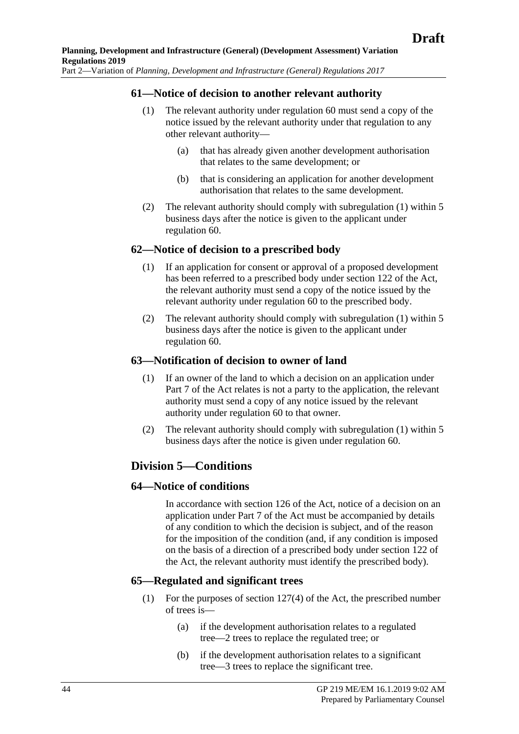### <span id="page-43-0"></span>**61—Notice of decision to another relevant authority**

- (1) The relevant authority under regulation 60 must send a copy of the notice issued by the relevant authority under that regulation to any other relevant authority—
	- (a) that has already given another development authorisation that relates to the same development; or
	- (b) that is considering an application for another development authorisation that relates to the same development.
- (2) The relevant authority should comply with [subregulation](#page-43-0) (1) within 5 business days after the notice is given to the applicant under regulation 60.

### <span id="page-43-1"></span>**62—Notice of decision to a prescribed body**

- (1) If an application for consent or approval of a proposed development has been referred to a prescribed body under section 122 of the Act, the relevant authority must send a copy of the notice issued by the relevant authority under regulation 60 to the prescribed body.
- (2) The relevant authority should comply with [subregulation](#page-43-1) (1) within 5 business days after the notice is given to the applicant under regulation 60.

### <span id="page-43-2"></span>**63—Notification of decision to owner of land**

- (1) If an owner of the land to which a decision on an application under Part 7 of the Act relates is not a party to the application, the relevant authority must send a copy of any notice issued by the relevant authority under regulation 60 to that owner.
- (2) The relevant authority should comply with [subregulation](#page-43-2) (1) within 5 business days after the notice is given under regulation 60.

# **Division 5—Conditions**

### **64—Notice of conditions**

In accordance with section 126 of the Act, notice of a decision on an application under Part 7 of the Act must be accompanied by details of any condition to which the decision is subject, and of the reason for the imposition of the condition (and, if any condition is imposed on the basis of a direction of a prescribed body under section 122 of the Act, the relevant authority must identify the prescribed body).

## **65—Regulated and significant trees**

- (1) For the purposes of section 127(4) of the Act, the prescribed number of trees is—
	- (a) if the development authorisation relates to a regulated tree—2 trees to replace the regulated tree; or
	- (b) if the development authorisation relates to a significant tree—3 trees to replace the significant tree.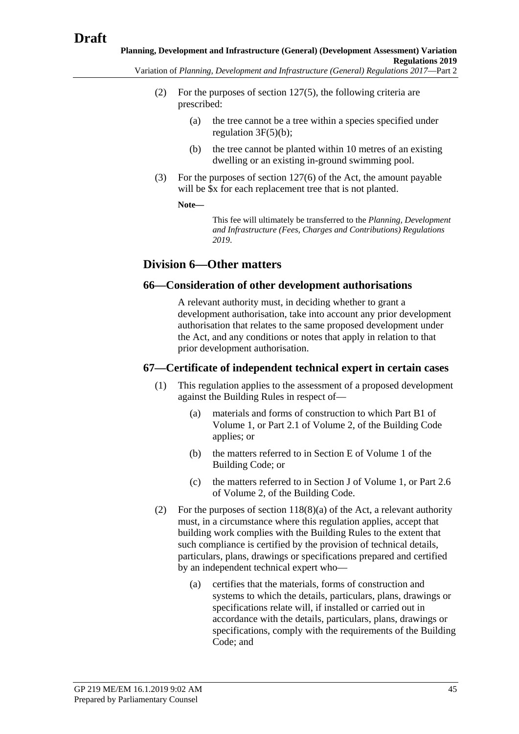- (2) For the purposes of section 127(5), the following criteria are prescribed:
	- (a) the tree cannot be a tree within a species specified under regulation 3F(5)(b);
	- (b) the tree cannot be planted within 10 metres of an existing dwelling or an existing in-ground swimming pool.
- (3) For the purposes of section 127(6) of the Act, the amount payable will be  $x$  for each replacement tree that is not planted.

**Note—**

This fee will ultimately be transferred to the *Planning, Development and Infrastructure (Fees, Charges and Contributions) Regulations 2019*.

# **Division 6—Other matters**

### **66—Consideration of other development authorisations**

A relevant authority must, in deciding whether to grant a development authorisation, take into account any prior development authorisation that relates to the same proposed development under the Act, and any conditions or notes that apply in relation to that prior development authorisation.

### **67—Certificate of independent technical expert in certain cases**

- (1) This regulation applies to the assessment of a proposed development against the Building Rules in respect of—
	- (a) materials and forms of construction to which Part B1 of Volume 1, or Part 2.1 of Volume 2, of the Building Code applies; or
	- (b) the matters referred to in Section E of Volume 1 of the Building Code; or
	- (c) the matters referred to in Section J of Volume 1, or Part 2.6 of Volume 2, of the Building Code.
- (2) For the purposes of section 118(8)(a) of the Act, a relevant authority must, in a circumstance where this regulation applies, accept that building work complies with the Building Rules to the extent that such compliance is certified by the provision of technical details, particulars, plans, drawings or specifications prepared and certified by an independent technical expert who—
	- (a) certifies that the materials, forms of construction and systems to which the details, particulars, plans, drawings or specifications relate will, if installed or carried out in accordance with the details, particulars, plans, drawings or specifications, comply with the requirements of the Building Code; and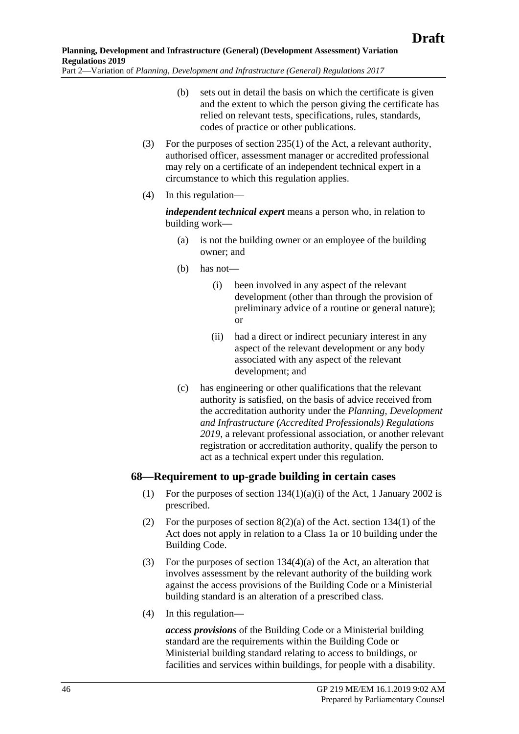- (b) sets out in detail the basis on which the certificate is given and the extent to which the person giving the certificate has relied on relevant tests, specifications, rules, standards, codes of practice or other publications.
- (3) For the purposes of section 235(1) of the Act, a relevant authority, authorised officer, assessment manager or accredited professional may rely on a certificate of an independent technical expert in a circumstance to which this regulation applies.
- (4) In this regulation—

*independent technical expert* means a person who, in relation to building work—

- (a) is not the building owner or an employee of the building owner; and
- (b) has not—
	- (i) been involved in any aspect of the relevant development (other than through the provision of preliminary advice of a routine or general nature); or
	- (ii) had a direct or indirect pecuniary interest in any aspect of the relevant development or any body associated with any aspect of the relevant development; and
- (c) has engineering or other qualifications that the relevant authority is satisfied, on the basis of advice received from the accreditation authority under the *[Planning, Development](http://www.legislation.sa.gov.au/index.aspx?action=legref&type=act&legtitle=Planning%20Development%20and%20Infrastructure%20(Accredited%20Professionals)%20Regulations%202019)  [and Infrastructure \(Accredited Professionals\) Regulations](http://www.legislation.sa.gov.au/index.aspx?action=legref&type=act&legtitle=Planning%20Development%20and%20Infrastructure%20(Accredited%20Professionals)%20Regulations%202019)  [2019](http://www.legislation.sa.gov.au/index.aspx?action=legref&type=act&legtitle=Planning%20Development%20and%20Infrastructure%20(Accredited%20Professionals)%20Regulations%202019)*, a relevant professional association, or another relevant registration or accreditation authority, qualify the person to act as a technical expert under this regulation.

## **68—Requirement to up-grade building in certain cases**

- (1) For the purposes of section  $134(1)(a)(i)$  of the Act, 1 January 2002 is prescribed.
- (2) For the purposes of section  $8(2)(a)$  of the Act. section 134(1) of the Act does not apply in relation to a Class 1a or 10 building under the Building Code.
- (3) For the purposes of section 134(4)(a) of the Act, an alteration that involves assessment by the relevant authority of the building work against the access provisions of the Building Code or a Ministerial building standard is an alteration of a prescribed class.
- (4) In this regulation—

*access provisions* of the Building Code or a Ministerial building standard are the requirements within the Building Code or Ministerial building standard relating to access to buildings, or facilities and services within buildings, for people with a disability.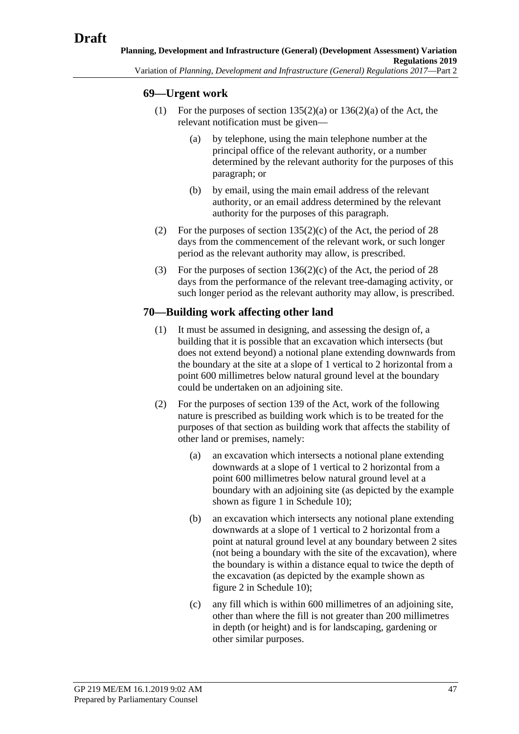## **69—Urgent work**

- (1) For the purposes of section  $135(2)(a)$  or  $136(2)(a)$  of the Act, the relevant notification must be given—
	- (a) by telephone, using the main telephone number at the principal office of the relevant authority, or a number determined by the relevant authority for the purposes of this paragraph; or
	- (b) by email, using the main email address of the relevant authority, or an email address determined by the relevant authority for the purposes of this paragraph.
- (2) For the purposes of section  $135(2)(c)$  of the Act, the period of 28 days from the commencement of the relevant work, or such longer period as the relevant authority may allow, is prescribed.
- (3) For the purposes of section  $136(2)(c)$  of the Act, the period of 28 days from the performance of the relevant tree-damaging activity, or such longer period as the relevant authority may allow, is prescribed.

## **70—Building work affecting other land**

- (1) It must be assumed in designing, and assessing the design of, a building that it is possible that an excavation which intersects (but does not extend beyond) a notional plane extending downwards from the boundary at the site at a slope of 1 vertical to 2 horizontal from a point 600 millimetres below natural ground level at the boundary could be undertaken on an adjoining site.
- (2) For the purposes of section 139 of the Act, work of the following nature is prescribed as building work which is to be treated for the purposes of that section as building work that affects the stability of other land or premises, namely:
	- (a) an excavation which intersects a notional plane extending downwards at a slope of 1 vertical to 2 horizontal from a point 600 millimetres below natural ground level at a boundary with an adjoining site (as depicted by the example shown as figure 1 in Schedule 10);
	- (b) an excavation which intersects any notional plane extending downwards at a slope of 1 vertical to 2 horizontal from a point at natural ground level at any boundary between 2 sites (not being a boundary with the site of the excavation), where the boundary is within a distance equal to twice the depth of the excavation (as depicted by the example shown as figure 2 in Schedule 10);
	- (c) any fill which is within 600 millimetres of an adjoining site, other than where the fill is not greater than 200 millimetres in depth (or height) and is for landscaping, gardening or other similar purposes.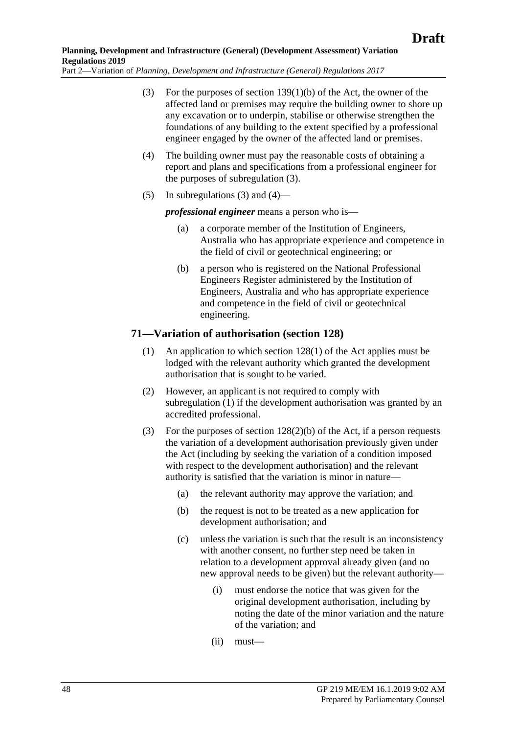- <span id="page-47-0"></span>(3) For the purposes of section 139(1)(b) of the Act, the owner of the affected land or premises may require the building owner to shore up any excavation or to underpin, stabilise or otherwise strengthen the foundations of any building to the extent specified by a professional engineer engaged by the owner of the affected land or premises.
- <span id="page-47-1"></span>(4) The building owner must pay the reasonable costs of obtaining a report and plans and specifications from a professional engineer for the purposes of [subregulation](#page-47-0) (3).
- (5) In [subregulations](#page-47-0) (3) and [\(4\)—](#page-47-1)

*professional engineer* means a person who is—

- (a) a corporate member of the Institution of Engineers, Australia who has appropriate experience and competence in the field of civil or geotechnical engineering; or
- (b) a person who is registered on the National Professional Engineers Register administered by the Institution of Engineers, Australia and who has appropriate experience and competence in the field of civil or geotechnical engineering.

## <span id="page-47-2"></span>**71—Variation of authorisation (section 128)**

- (1) An application to which section 128(1) of the Act applies must be lodged with the relevant authority which granted the development authorisation that is sought to be varied.
- (2) However, an applicant is not required to comply with [subregulation](#page-47-2) (1) if the development authorisation was granted by an accredited professional.
- <span id="page-47-3"></span>(3) For the purposes of section 128(2)(b) of the Act, if a person requests the variation of a development authorisation previously given under the Act (including by seeking the variation of a condition imposed with respect to the development authorisation) and the relevant authority is satisfied that the variation is minor in nature—
	- (a) the relevant authority may approve the variation; and
	- (b) the request is not to be treated as a new application for development authorisation; and
	- (c) unless the variation is such that the result is an inconsistency with another consent, no further step need be taken in relation to a development approval already given (and no new approval needs to be given) but the relevant authority—
		- (i) must endorse the notice that was given for the original development authorisation, including by noting the date of the minor variation and the nature of the variation; and
		- (ii) must—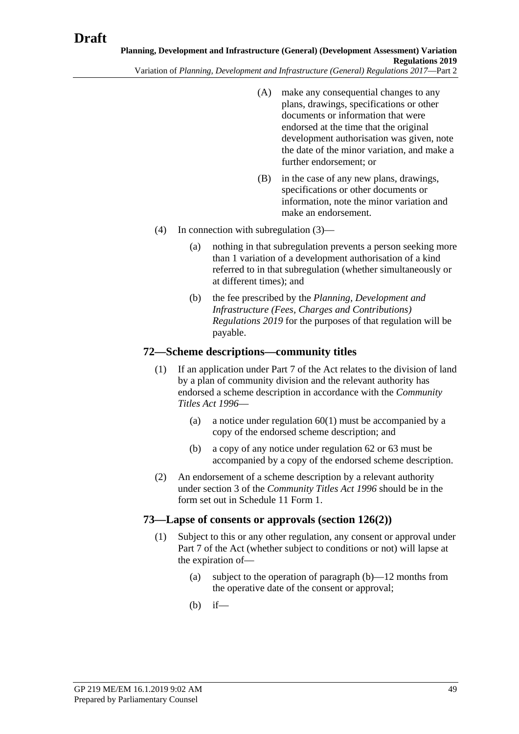- (A) make any consequential changes to any plans, drawings, specifications or other documents or information that were endorsed at the time that the original development authorisation was given, note the date of the minor variation, and make a further endorsement; or
- (B) in the case of any new plans, drawings, specifications or other documents or information, note the minor variation and make an endorsement.
- (4) In connection with [subregulation](#page-47-3) (3)—
	- (a) nothing in that subregulation prevents a person seeking more than 1 variation of a development authorisation of a kind referred to in that subregulation (whether simultaneously or at different times); and
	- (b) the fee prescribed by the *[Planning, Development and](http://www.legislation.sa.gov.au/index.aspx?action=legref&type=act&legtitle=Planning%20Development%20and%20Infrastructure%20(Fees%20Charges%20and%20Contributions)%20Regulations%202019)  [Infrastructure \(Fees, Charges and Contributions\)](http://www.legislation.sa.gov.au/index.aspx?action=legref&type=act&legtitle=Planning%20Development%20and%20Infrastructure%20(Fees%20Charges%20and%20Contributions)%20Regulations%202019)  [Regulations 2019](http://www.legislation.sa.gov.au/index.aspx?action=legref&type=act&legtitle=Planning%20Development%20and%20Infrastructure%20(Fees%20Charges%20and%20Contributions)%20Regulations%202019)* for the purposes of that regulation will be payable.

### **72—Scheme descriptions—community titles**

- (1) If an application under Part 7 of the Act relates to the division of land by a plan of community division and the relevant authority has endorsed a scheme description in accordance with the *[Community](http://www.legislation.sa.gov.au/index.aspx?action=legref&type=act&legtitle=Community%20Titles%20Act%201996)  [Titles Act](http://www.legislation.sa.gov.au/index.aspx?action=legref&type=act&legtitle=Community%20Titles%20Act%201996) 1996*—
	- (a) a notice under [regulation](#page-42-0) 60(1) must be accompanied by a copy of the endorsed scheme description; and
	- (b) a copy of any notice under regulation 62 or 63 must be accompanied by a copy of the endorsed scheme description.
- (2) An endorsement of a scheme description by a relevant authority under section 3 of the *[Community Titles Act](http://www.legislation.sa.gov.au/index.aspx?action=legref&type=act&legtitle=Community%20Titles%20Act%201996) 1996* should be in the form set out in Schedule 11 Form 1.

## **73—Lapse of consents or approvals (section 126(2))**

- <span id="page-48-0"></span>(1) Subject to this or any other regulation, any consent or approval under Part 7 of the Act (whether subject to conditions or not) will lapse at the expiration of—
	- (a) subject to the operation of [paragraph](#page-48-0) (b)—12 months from the operative date of the consent or approval;
	- (b) if—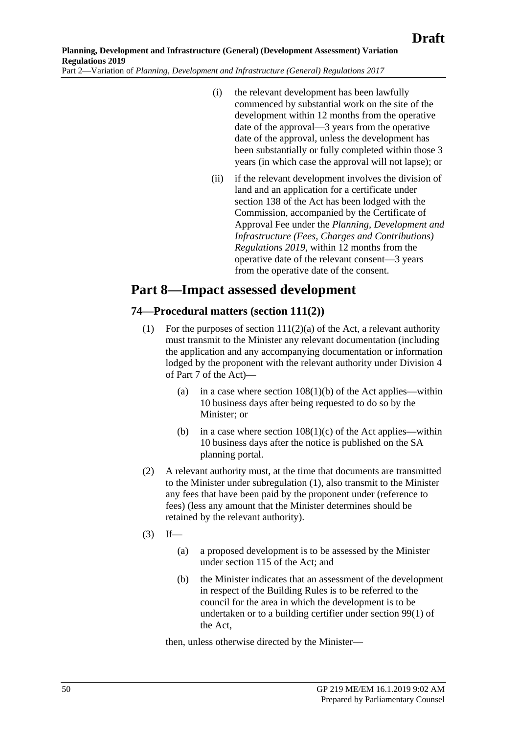- (i) the relevant development has been lawfully commenced by substantial work on the site of the development within 12 months from the operative date of the approval—3 years from the operative date of the approval, unless the development has been substantially or fully completed within those 3 years (in which case the approval will not lapse); or
- (ii) if the relevant development involves the division of land and an application for a certificate under section 138 of the Act has been lodged with the Commission, accompanied by the Certificate of Approval Fee under the *Planning, Development and Infrastructure (Fees, Charges and Contributions) Regulations 2019*, within 12 months from the operative date of the relevant consent—3 years from the operative date of the consent.

# **Part 8—Impact assessed development**

# <span id="page-49-0"></span>**74—Procedural matters (section 111(2))**

- (1) For the purposes of section  $111(2)(a)$  of the Act, a relevant authority must transmit to the Minister any relevant documentation (including the application and any accompanying documentation or information lodged by the proponent with the relevant authority under Division 4 of Part 7 of the Act)—
	- (a) in a case where section  $108(1)(b)$  of the Act applies—within 10 business days after being requested to do so by the Minister; or
	- (b) in a case where section  $108(1)(c)$  of the Act applies—within 10 business days after the notice is published on the SA planning portal.
- (2) A relevant authority must, at the time that documents are transmitted to the Minister under [subregulation](#page-49-0) (1), also transmit to the Minister any fees that have been paid by the proponent under (reference to fees) (less any amount that the Minister determines should be retained by the relevant authority).
- $(3)$  If—
	- (a) a proposed development is to be assessed by the Minister under section 115 of the Act; and
	- (b) the Minister indicates that an assessment of the development in respect of the Building Rules is to be referred to the council for the area in which the development is to be undertaken or to a building certifier under section 99(1) of the Act,

then, unless otherwise directed by the Minister—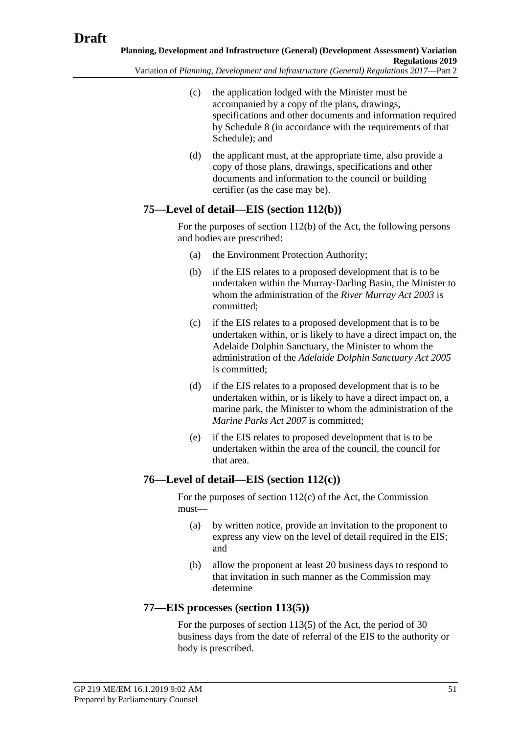- Variation of *Planning, Development and Infrastructure (General) Regulations 2017*—Part 2
	- (c) the application lodged with the Minister must be accompanied by a copy of the plans, drawings, specifications and other documents and information required by Schedule 8 (in accordance with the requirements of that Schedule); and
	- (d) the applicant must, at the appropriate time, also provide a copy of those plans, drawings, specifications and other documents and information to the council or building certifier (as the case may be).

# **75—Level of detail—EIS (section 112(b))**

For the purposes of section 112(b) of the Act, the following persons and bodies are prescribed:

- (a) the Environment Protection Authority;
- (b) if the EIS relates to a proposed development that is to be undertaken within the Murray-Darling Basin, the Minister to whom the administration of the *[River Murray Act 2003](http://www.legislation.sa.gov.au/index.aspx?action=legref&type=act&legtitle=River%20Murray%20Act%202003)* is committed;
- (c) if the EIS relates to a proposed development that is to be undertaken within, or is likely to have a direct impact on, the Adelaide Dolphin Sanctuary, the Minister to whom the administration of the *[Adelaide Dolphin Sanctuary Act 2005](http://www.legislation.sa.gov.au/index.aspx?action=legref&type=act&legtitle=Adelaide%20Dolphin%20Sanctuary%20Act%202005)* is committed;
- (d) if the EIS relates to a proposed development that is to be undertaken within, or is likely to have a direct impact on, a marine park, the Minister to whom the administration of the *[Marine Parks Act 2007](http://www.legislation.sa.gov.au/index.aspx?action=legref&type=act&legtitle=Marine%20Parks%20Act%202007)* is committed;
- (e) if the EIS relates to proposed development that is to be undertaken within the area of the council, the council for that area.

# **76—Level of detail—EIS (section 112(c))**

For the purposes of section 112(c) of the Act, the Commission must—

- (a) by written notice, provide an invitation to the proponent to express any view on the level of detail required in the EIS; and
- (b) allow the proponent at least 20 business days to respond to that invitation in such manner as the Commission may determine

# **77—EIS processes (section 113(5))**

For the purposes of section 113(5) of the Act, the period of 30 business days from the date of referral of the EIS to the authority or body is prescribed.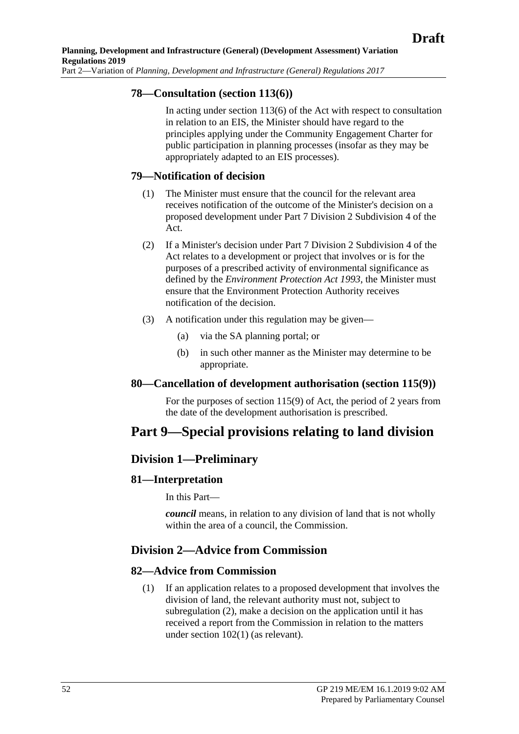## **78—Consultation (section 113(6))**

In acting under section 113(6) of the Act with respect to consultation in relation to an EIS, the Minister should have regard to the principles applying under the Community Engagement Charter for public participation in planning processes (insofar as they may be appropriately adapted to an EIS processes).

### **79—Notification of decision**

- (1) The Minister must ensure that the council for the relevant area receives notification of the outcome of the Minister's decision on a proposed development under Part 7 Division 2 Subdivision 4 of the Act.
- (2) If a Minister's decision under Part 7 Division 2 Subdivision 4 of the Act relates to a development or project that involves or is for the purposes of a prescribed activity of environmental significance as defined by the *[Environment Protection Act](http://www.legislation.sa.gov.au/index.aspx?action=legref&type=act&legtitle=Environment%20Protection%20Act%201993) 1993*, the Minister must ensure that the Environment Protection Authority receives notification of the decision.
- (3) A notification under this regulation may be given—
	- (a) via the SA planning portal; or
	- (b) in such other manner as the Minister may determine to be appropriate.

### **80—Cancellation of development authorisation (section 115(9))**

For the purposes of section 115(9) of Act, the period of 2 years from the date of the development authorisation is prescribed.

# **Part 9—Special provisions relating to land division**

## **Division 1—Preliminary**

### **81—Interpretation**

In this Part—

*council* means, in relation to any division of land that is not wholly within the area of a council, the Commission.

# **Division 2—Advice from Commission**

## **82—Advice from Commission**

(1) If an application relates to a proposed development that involves the division of land, the relevant authority must not, subject to [subregulation](#page-52-0) (2), make a decision on the application until it has received a report from the Commission in relation to the matters under section 102(1) (as relevant).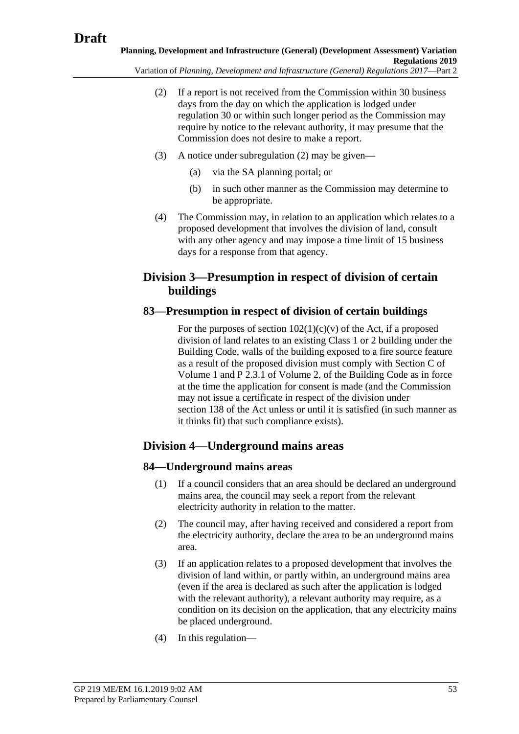<span id="page-52-0"></span>Variation of *Planning, Development and Infrastructure (General) Regulations 2017*—Part 2

- (2) If a report is not received from the Commission within 30 business days from the day on which the application is lodged under regulation 30 or within such longer period as the Commission may require by notice to the relevant authority, it may presume that the Commission does not desire to make a report.
- (3) A notice under [subregulation](#page-52-0) (2) may be given—
	- (a) via the SA planning portal; or
	- (b) in such other manner as the Commission may determine to be appropriate.
- (4) The Commission may, in relation to an application which relates to a proposed development that involves the division of land, consult with any other agency and may impose a time limit of 15 business days for a response from that agency.

# **Division 3—Presumption in respect of division of certain buildings**

# **83—Presumption in respect of division of certain buildings**

For the purposes of section  $102(1)(c)(v)$  of the Act, if a proposed division of land relates to an existing Class 1 or 2 building under the Building Code, walls of the building exposed to a fire source feature as a result of the proposed division must comply with Section C of Volume 1 and P 2.3.1 of Volume 2, of the Building Code as in force at the time the application for consent is made (and the Commission may not issue a certificate in respect of the division under section 138 of the Act unless or until it is satisfied (in such manner as it thinks fit) that such compliance exists).

# **Division 4—Underground mains areas**

# **84—Underground mains areas**

- (1) If a council considers that an area should be declared an underground mains area, the council may seek a report from the relevant electricity authority in relation to the matter.
- (2) The council may, after having received and considered a report from the electricity authority, declare the area to be an underground mains area.
- (3) If an application relates to a proposed development that involves the division of land within, or partly within, an underground mains area (even if the area is declared as such after the application is lodged with the relevant authority), a relevant authority may require, as a condition on its decision on the application, that any electricity mains be placed underground.
- (4) In this regulation—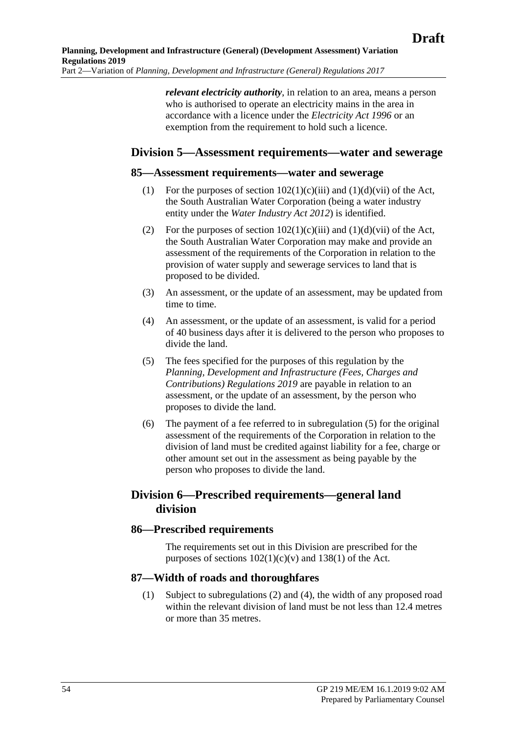*relevant electricity authority*, in relation to an area, means a person who is authorised to operate an electricity mains in the area in accordance with a licence under the *[Electricity Act](http://www.legislation.sa.gov.au/index.aspx?action=legref&type=act&legtitle=Electricity%20Act%201996) 1996* or an exemption from the requirement to hold such a licence.

## **Division 5—Assessment requirements—water and sewerage**

#### **85—Assessment requirements—water and sewerage**

- (1) For the purposes of section  $102(1)(c)(iii)$  and  $(1)(d)(vii)$  of the Act, the South Australian Water Corporation (being a water industry entity under the *[Water Industry Act](http://www.legislation.sa.gov.au/index.aspx?action=legref&type=act&legtitle=Water%20Industry%20Act%202012) 2012*) is identified.
- (2) For the purposes of section  $102(1)(c)(iii)$  and  $(1)(d)(vii)$  of the Act, the South Australian Water Corporation may make and provide an assessment of the requirements of the Corporation in relation to the provision of water supply and sewerage services to land that is proposed to be divided.
- (3) An assessment, or the update of an assessment, may be updated from time to time.
- (4) An assessment, or the update of an assessment, is valid for a period of 40 business days after it is delivered to the person who proposes to divide the land.
- <span id="page-53-0"></span>(5) The fees specified for the purposes of this regulation by the *Planning, Development and Infrastructure (Fees, Charges and Contributions) Regulations 2019* are payable in relation to an assessment, or the update of an assessment, by the person who proposes to divide the land.
- (6) The payment of a fee referred to in [subregulation](#page-53-0) (5) for the original assessment of the requirements of the Corporation in relation to the division of land must be credited against liability for a fee, charge or other amount set out in the assessment as being payable by the person who proposes to divide the land.

# **Division 6—Prescribed requirements—general land division**

### **86—Prescribed requirements**

The requirements set out in this Division are prescribed for the purposes of sections  $102(1)(c)(v)$  and  $138(1)$  of the Act.

### <span id="page-53-1"></span>**87—Width of roads and thoroughfares**

(1) Subject to [subregulations](#page-54-0) (2) and [\(4\),](#page-54-1) the width of any proposed road within the relevant division of land must be not less than 12.4 metres or more than 35 metres.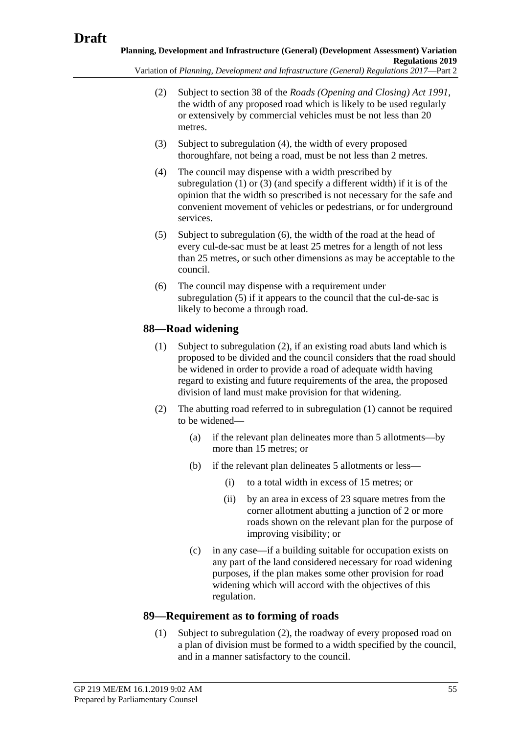<span id="page-54-0"></span>Variation of *Planning, Development and Infrastructure (General) Regulations 2017*—Part 2

- (2) Subject to section 38 of the *[Roads \(Opening and Closing\) Act](http://www.legislation.sa.gov.au/index.aspx?action=legref&type=act&legtitle=Roads%20(Opening%20and%20Closing)%20Act%201991) 1991*, the width of any proposed road which is likely to be used regularly or extensively by commercial vehicles must be not less than 20 metres.
- <span id="page-54-2"></span>(3) Subject to [subregulation](#page-54-1) (4), the width of every proposed thoroughfare, not being a road, must be not less than 2 metres.
- <span id="page-54-1"></span>(4) The council may dispense with a width prescribed by [subregulation](#page-53-1) (1) or [\(3\)](#page-54-2) (and specify a different width) if it is of the opinion that the width so prescribed is not necessary for the safe and convenient movement of vehicles or pedestrians, or for underground services.
- <span id="page-54-4"></span>(5) Subject to [subregulation](#page-54-3) (6), the width of the road at the head of every cul-de-sac must be at least 25 metres for a length of not less than 25 metres, or such other dimensions as may be acceptable to the council.
- <span id="page-54-3"></span>(6) The council may dispense with a requirement under [subregulation](#page-54-4) (5) if it appears to the council that the cul-de-sac is likely to become a through road.

# <span id="page-54-6"></span>**88—Road widening**

- (1) Subject to [subregulation](#page-54-5) (2), if an existing road abuts land which is proposed to be divided and the council considers that the road should be widened in order to provide a road of adequate width having regard to existing and future requirements of the area, the proposed division of land must make provision for that widening.
- <span id="page-54-5"></span>(2) The abutting road referred to in [subregulation](#page-54-6) (1) cannot be required to be widened—
	- (a) if the relevant plan delineates more than 5 allotments—by more than 15 metres; or
	- (b) if the relevant plan delineates 5 allotments or less—
		- (i) to a total width in excess of 15 metres; or
		- (ii) by an area in excess of 23 square metres from the corner allotment abutting a junction of 2 or more roads shown on the relevant plan for the purpose of improving visibility; or
	- (c) in any case—if a building suitable for occupation exists on any part of the land considered necessary for road widening purposes, if the plan makes some other provision for road widening which will accord with the objectives of this regulation.

# <span id="page-54-7"></span>**89—Requirement as to forming of roads**

(1) Subject to [subregulation](#page-55-0) (2), the roadway of every proposed road on a plan of division must be formed to a width specified by the council, and in a manner satisfactory to the council.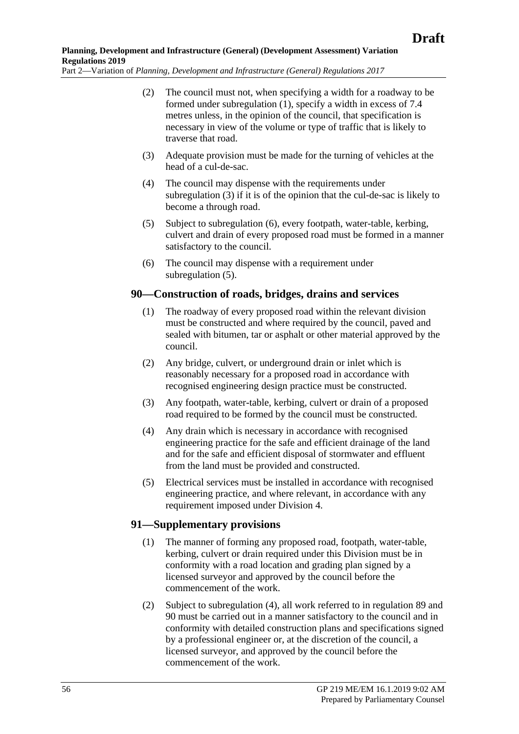- <span id="page-55-0"></span>(2) The council must not, when specifying a width for a roadway to be formed under [subregulation](#page-54-7) (1), specify a width in excess of 7.4 metres unless, in the opinion of the council, that specification is necessary in view of the volume or type of traffic that is likely to traverse that road.
- <span id="page-55-1"></span>(3) Adequate provision must be made for the turning of vehicles at the head of a cul-de-sac.
- (4) The council may dispense with the requirements under [subregulation](#page-55-1) (3) if it is of the opinion that the cul-de-sac is likely to become a through road.
- <span id="page-55-3"></span>(5) Subject to [subregulation](#page-55-2) (6), every footpath, water-table, kerbing, culvert and drain of every proposed road must be formed in a manner satisfactory to the council.
- (6) The council may dispense with a requirement under [subregulation](#page-55-3) (5).

### <span id="page-55-2"></span>**90—Construction of roads, bridges, drains and services**

- (1) The roadway of every proposed road within the relevant division must be constructed and where required by the council, paved and sealed with bitumen, tar or asphalt or other material approved by the council.
- (2) Any bridge, culvert, or underground drain or inlet which is reasonably necessary for a proposed road in accordance with recognised engineering design practice must be constructed.
- (3) Any footpath, water-table, kerbing, culvert or drain of a proposed road required to be formed by the council must be constructed.
- (4) Any drain which is necessary in accordance with recognised engineering practice for the safe and efficient drainage of the land and for the safe and efficient disposal of stormwater and effluent from the land must be provided and constructed.
- <span id="page-55-5"></span>(5) Electrical services must be installed in accordance with recognised engineering practice, and where relevant, in accordance with any requirement imposed under Division 4.

## **91—Supplementary provisions**

- (1) The manner of forming any proposed road, footpath, water-table, kerbing, culvert or drain required under this Division must be in conformity with a road location and grading plan signed by a licensed surveyor and approved by the council before the commencement of the work.
- <span id="page-55-4"></span>(2) Subject to [subregulation](#page-56-0) (4), all work referred to in regulation 89 and 90 must be carried out in a manner satisfactory to the council and in conformity with detailed construction plans and specifications signed by a professional engineer or, at the discretion of the council, a licensed surveyor, and approved by the council before the commencement of the work.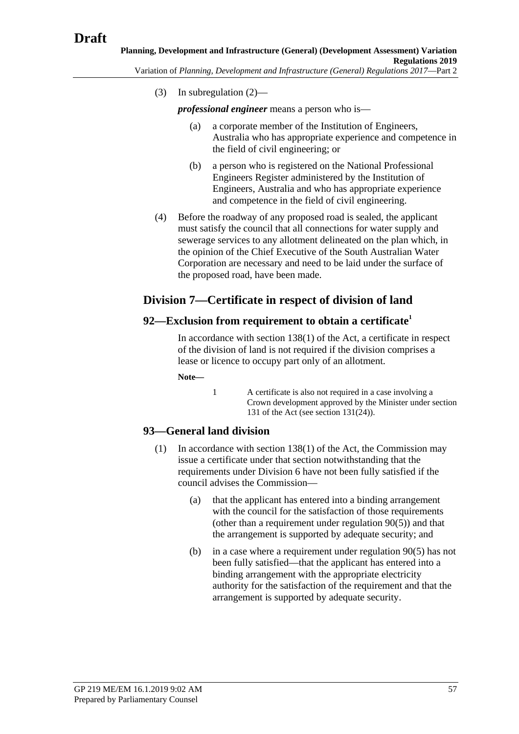(3) In [subregulation](#page-55-4) (2)—

*professional engineer* means a person who is—

- (a) a corporate member of the Institution of Engineers, Australia who has appropriate experience and competence in the field of civil engineering; or
- (b) a person who is registered on the National Professional Engineers Register administered by the Institution of Engineers, Australia and who has appropriate experience and competence in the field of civil engineering.
- <span id="page-56-0"></span>(4) Before the roadway of any proposed road is sealed, the applicant must satisfy the council that all connections for water supply and sewerage services to any allotment delineated on the plan which, in the opinion of the Chief Executive of the South Australian Water Corporation are necessary and need to be laid under the surface of the proposed road, have been made.

# **Division 7—Certificate in respect of division of land**

### **92—Exclusion from requirement to obtain a certificate<sup>1</sup>**

In accordance with section 138(1) of the Act, a certificate in respect of the division of land is not required if the division comprises a lease or licence to occupy part only of an allotment.

**Note—**

1 A certificate is also not required in a case involving a Crown development approved by the Minister under section 131 of the Act (see section 131(24)).

## <span id="page-56-1"></span>**93—General land division**

- (1) In accordance with section 138(1) of the Act, the Commission may issue a certificate under that section notwithstanding that the requirements under Division 6 have not been fully satisfied if the council advises the Commission—
	- (a) that the applicant has entered into a binding arrangement with the council for the satisfaction of those requirements (other than a requirement under [regulation](#page-55-5) 90(5)) and that the arrangement is supported by adequate security; and
	- (b) in a case where a requirement under [regulation](#page-55-5) 90(5) has not been fully satisfied—that the applicant has entered into a binding arrangement with the appropriate electricity authority for the satisfaction of the requirement and that the arrangement is supported by adequate security.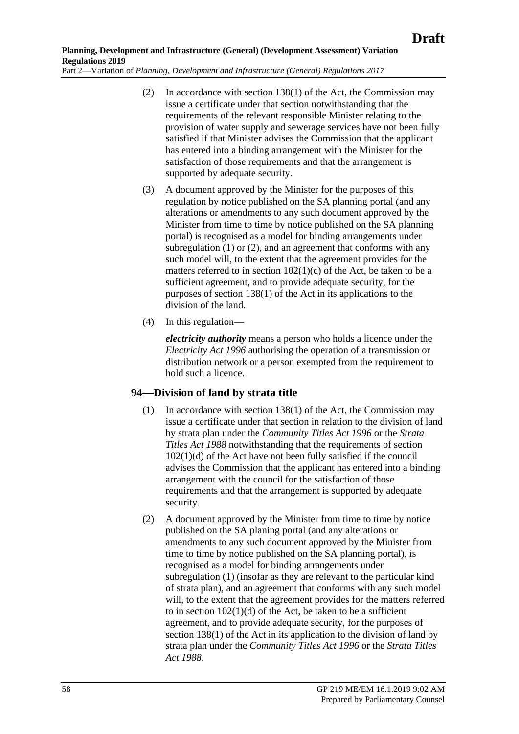- <span id="page-57-0"></span>(2) In accordance with section 138(1) of the Act, the Commission may issue a certificate under that section notwithstanding that the requirements of the relevant responsible Minister relating to the provision of water supply and sewerage services have not been fully satisfied if that Minister advises the Commission that the applicant has entered into a binding arrangement with the Minister for the satisfaction of those requirements and that the arrangement is supported by adequate security.
- (3) A document approved by the Minister for the purposes of this regulation by notice published on the SA planning portal (and any alterations or amendments to any such document approved by the Minister from time to time by notice published on the SA planning portal) is recognised as a model for binding arrangements under [subregulation](#page-56-1) (1) or [\(2\),](#page-57-0) and an agreement that conforms with any such model will, to the extent that the agreement provides for the matters referred to in section 102(1)(c) of the Act, be taken to be a sufficient agreement, and to provide adequate security, for the purposes of section 138(1) of the Act in its applications to the division of the land.
- (4) In this regulation—

*electricity authority* means a person who holds a licence under the *[Electricity Act](http://www.legislation.sa.gov.au/index.aspx?action=legref&type=act&legtitle=Electricity%20Act%201996) 1996* authorising the operation of a transmission or distribution network or a person exempted from the requirement to hold such a licence.

## <span id="page-57-1"></span>**94—Division of land by strata title**

- (1) In accordance with section 138(1) of the Act, the Commission may issue a certificate under that section in relation to the division of land by strata plan under the *[Community Titles Act](http://www.legislation.sa.gov.au/index.aspx?action=legref&type=act&legtitle=Community%20Titles%20Act%201996) 1996* or the *[Strata](http://www.legislation.sa.gov.au/index.aspx?action=legref&type=act&legtitle=Strata%20Titles%20Act%201988)  [Titles Act](http://www.legislation.sa.gov.au/index.aspx?action=legref&type=act&legtitle=Strata%20Titles%20Act%201988) 1988* notwithstanding that the requirements of section 102(1)(d) of the Act have not been fully satisfied if the council advises the Commission that the applicant has entered into a binding arrangement with the council for the satisfaction of those requirements and that the arrangement is supported by adequate security.
- (2) A document approved by the Minister from time to time by notice published on the SA planing portal (and any alterations or amendments to any such document approved by the Minister from time to time by notice published on the SA planning portal), is recognised as a model for binding arrangements under [subregulation](#page-57-1) (1) (insofar as they are relevant to the particular kind of strata plan), and an agreement that conforms with any such model will, to the extent that the agreement provides for the matters referred to in section  $102(1)(d)$  of the Act, be taken to be a sufficient agreement, and to provide adequate security, for the purposes of section 138(1) of the Act in its application to the division of land by strata plan under the *[Community Titles](http://www.legislation.sa.gov.au/index.aspx?action=legref&type=act&legtitle=Community%20Titles%20Act%201996) Act 1996* or the *[Strata Titles](http://www.legislation.sa.gov.au/index.aspx?action=legref&type=act&legtitle=Strata%20Titles%20Act%201988)  Act [1988](http://www.legislation.sa.gov.au/index.aspx?action=legref&type=act&legtitle=Strata%20Titles%20Act%201988)*.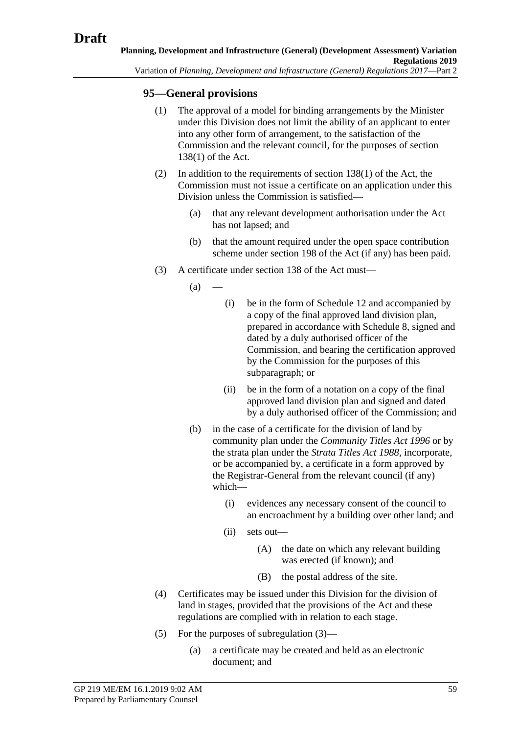## **95—General provisions**

- (1) The approval of a model for binding arrangements by the Minister under this Division does not limit the ability of an applicant to enter into any other form of arrangement, to the satisfaction of the Commission and the relevant council, for the purposes of section 138(1) of the Act.
- (2) In addition to the requirements of section 138(1) of the Act, the Commission must not issue a certificate on an application under this Division unless the Commission is satisfied—
	- (a) that any relevant development authorisation under the Act has not lapsed; and
	- (b) that the amount required under the open space contribution scheme under section 198 of the Act (if any) has been paid.
- <span id="page-58-0"></span>(3) A certificate under section 138 of the Act must—
	- $(a)$
- (i) be in the form of Schedule 12 and accompanied by a copy of the final approved land division plan, prepared in accordance with Schedule 8, signed and dated by a duly authorised officer of the Commission, and bearing the certification approved by the Commission for the purposes of this subparagraph; or
- (ii) be in the form of a notation on a copy of the final approved land division plan and signed and dated by a duly authorised officer of the Commission; and
- (b) in the case of a certificate for the division of land by community plan under the *[Community Titles Act](http://www.legislation.sa.gov.au/index.aspx?action=legref&type=act&legtitle=Community%20Titles%20Act%201996) 1996* or by the strata plan under the *[Strata Titles Act](http://www.legislation.sa.gov.au/index.aspx?action=legref&type=act&legtitle=Strata%20Titles%20Act%201988) 1988*, incorporate, or be accompanied by, a certificate in a form approved by the Registrar-General from the relevant council (if any) which—
	- (i) evidences any necessary consent of the council to an encroachment by a building over other land; and
	- (ii) sets out—
		- (A) the date on which any relevant building was erected (if known); and
		- (B) the postal address of the site.
- (4) Certificates may be issued under this Division for the division of land in stages, provided that the provisions of the Act and these regulations are complied with in relation to each stage.
- (5) For the purposes of [subregulation](#page-58-0) (3)—
	- (a) a certificate may be created and held as an electronic document; and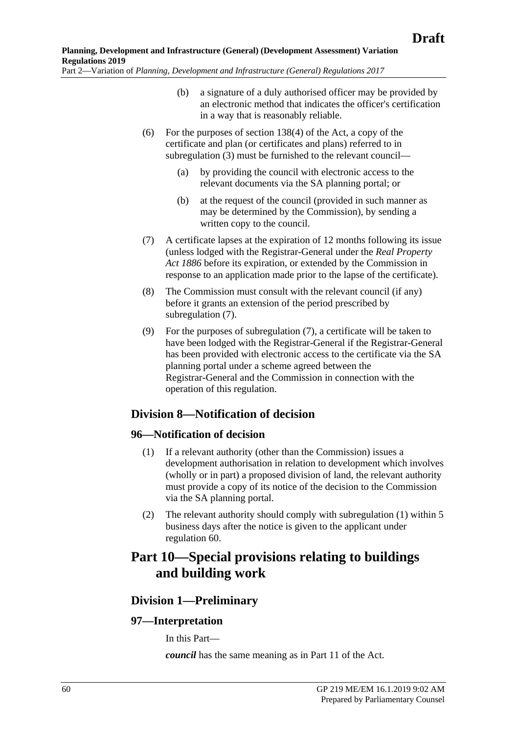- (b) a signature of a duly authorised officer may be provided by an electronic method that indicates the officer's certification in a way that is reasonably reliable.
- (6) For the purposes of section 138(4) of the Act, a copy of the certificate and plan (or certificates and plans) referred to in [subregulation](#page-58-0) (3) must be furnished to the relevant council—
	- (a) by providing the council with electronic access to the relevant documents via the SA planning portal; or
	- (b) at the request of the council (provided in such manner as may be determined by the Commission), by sending a written copy to the council.
- <span id="page-59-0"></span>(7) A certificate lapses at the expiration of 12 months following its issue (unless lodged with the Registrar-General under the *[Real Property](http://www.legislation.sa.gov.au/index.aspx?action=legref&type=act&legtitle=Real%20Property%20Act%201886)  Act [1886](http://www.legislation.sa.gov.au/index.aspx?action=legref&type=act&legtitle=Real%20Property%20Act%201886)* before its expiration, or extended by the Commission in response to an application made prior to the lapse of the certificate).
- (8) The Commission must consult with the relevant council (if any) before it grants an extension of the period prescribed by [subregulation](#page-59-0) (7).
- (9) For the purposes of [subregulation](#page-59-0) (7), a certificate will be taken to have been lodged with the Registrar-General if the Registrar-General has been provided with electronic access to the certificate via the SA planning portal under a scheme agreed between the Registrar-General and the Commission in connection with the operation of this regulation.

# **Division 8—Notification of decision**

## <span id="page-59-1"></span>**96—Notification of decision**

- (1) If a relevant authority (other than the Commission) issues a development authorisation in relation to development which involves (wholly or in part) a proposed division of land, the relevant authority must provide a copy of its notice of the decision to the Commission via the SA planning portal.
- (2) The relevant authority should comply with [subregulation](#page-59-1) (1) within 5 business days after the notice is given to the applicant under regulation 60.

# **Part 10—Special provisions relating to buildings and building work**

# **Division 1—Preliminary**

## **97—Interpretation**

In this Part—

*council* has the same meaning as in Part 11 of the Act.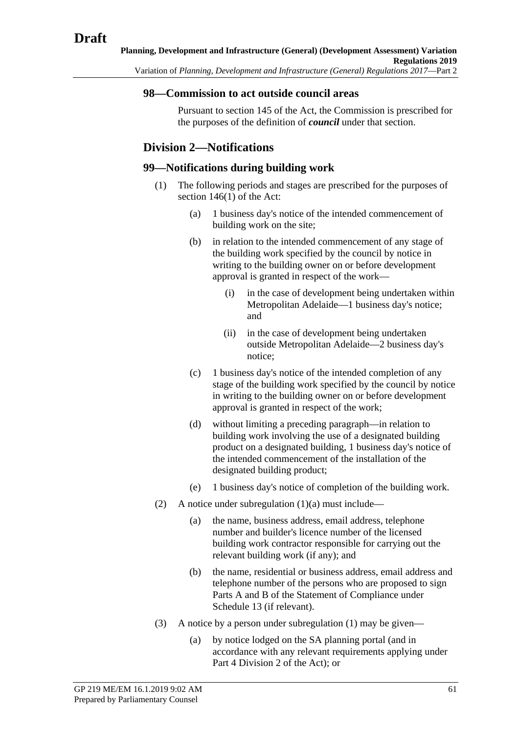### **98—Commission to act outside council areas**

Pursuant to section 145 of the Act, the Commission is prescribed for the purposes of the definition of *council* under that section.

# **Division 2—Notifications**

### <span id="page-60-1"></span><span id="page-60-0"></span>**99—Notifications during building work**

- (1) The following periods and stages are prescribed for the purposes of section 146(1) of the Act:
	- (a) 1 business day's notice of the intended commencement of building work on the site;
	- (b) in relation to the intended commencement of any stage of the building work specified by the council by notice in writing to the building owner on or before development approval is granted in respect of the work—
		- (i) in the case of development being undertaken within Metropolitan Adelaide—1 business day's notice; and
		- (ii) in the case of development being undertaken outside Metropolitan Adelaide—2 business day's notice;
	- (c) 1 business day's notice of the intended completion of any stage of the building work specified by the council by notice in writing to the building owner on or before development approval is granted in respect of the work;
	- (d) without limiting a preceding paragraph—in relation to building work involving the use of a designated building product on a designated building, 1 business day's notice of the intended commencement of the installation of the designated building product;
	- (e) 1 business day's notice of completion of the building work.
- <span id="page-60-3"></span><span id="page-60-2"></span>(2) A notice under [subregulation](#page-60-0)  $(1)(a)$  must include—
	- (a) the name, business address, email address, telephone number and builder's licence number of the licensed building work contractor responsible for carrying out the relevant building work (if any); and
	- (b) the name, residential or business address, email address and telephone number of the persons who are proposed to sign Parts A and B of the Statement of Compliance under Schedule 13 (if relevant).
- (3) A notice by a person under [subregulation](#page-60-1) (1) may be given—
	- (a) by notice lodged on the SA planning portal (and in accordance with any relevant requirements applying under Part 4 Division 2 of the Act); or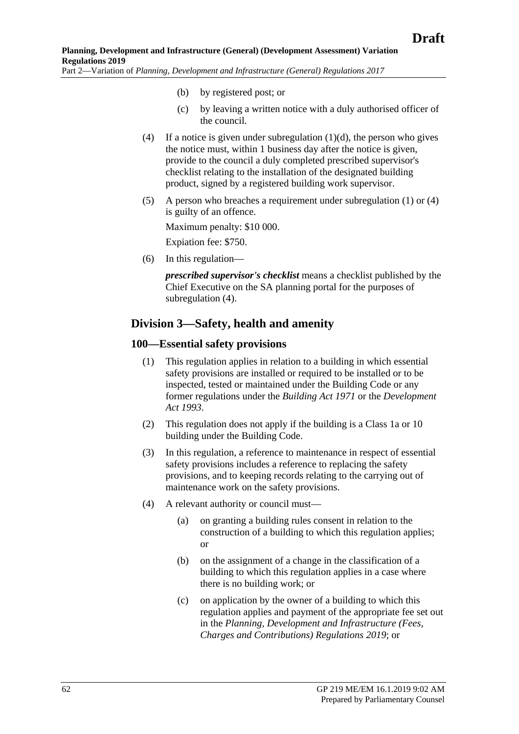- (b) by registered post; or
- (c) by leaving a written notice with a duly authorised officer of the council.
- <span id="page-61-0"></span>(4) If a notice is given under [subregulation](#page-60-2)  $(1)(d)$ , the person who gives the notice must, within 1 business day after the notice is given, provide to the council a duly completed prescribed supervisor's checklist relating to the installation of the designated building product, signed by a registered building work supervisor.
- (5) A person who breaches a requirement under [subregulation](#page-60-1) (1) or [\(4\)](#page-61-0) is guilty of an offence.

Maximum penalty: \$10 000.

Expiation fee: \$750.

(6) In this regulation—

*prescribed supervisor's checklist* means a checklist published by the Chief Executive on the SA planning portal for the purposes of [subregulation](#page-61-0)  $(4)$ .

## **Division 3—Safety, health and amenity**

### **100—Essential safety provisions**

- (1) This regulation applies in relation to a building in which essential safety provisions are installed or required to be installed or to be inspected, tested or maintained under the Building Code or any former regulations under the *[Building Act](http://www.legislation.sa.gov.au/index.aspx?action=legref&type=act&legtitle=Building%20Act%201971) 1971* or the *[Development](http://www.legislation.sa.gov.au/index.aspx?action=legref&type=act&legtitle=Development%20Act%201993)  [Act 1993](http://www.legislation.sa.gov.au/index.aspx?action=legref&type=act&legtitle=Development%20Act%201993)*.
- (2) This regulation does not apply if the building is a Class 1a or 10 building under the Building Code.
- (3) In this regulation, a reference to maintenance in respect of essential safety provisions includes a reference to replacing the safety provisions, and to keeping records relating to the carrying out of maintenance work on the safety provisions.
- (4) A relevant authority or council must—
	- (a) on granting a building rules consent in relation to the construction of a building to which this regulation applies; or
	- (b) on the assignment of a change in the classification of a building to which this regulation applies in a case where there is no building work; or
	- (c) on application by the owner of a building to which this regulation applies and payment of the appropriate fee set out in the *Planning, Development and Infrastructure (Fees, Charges and Contributions) Regulations 2019*; or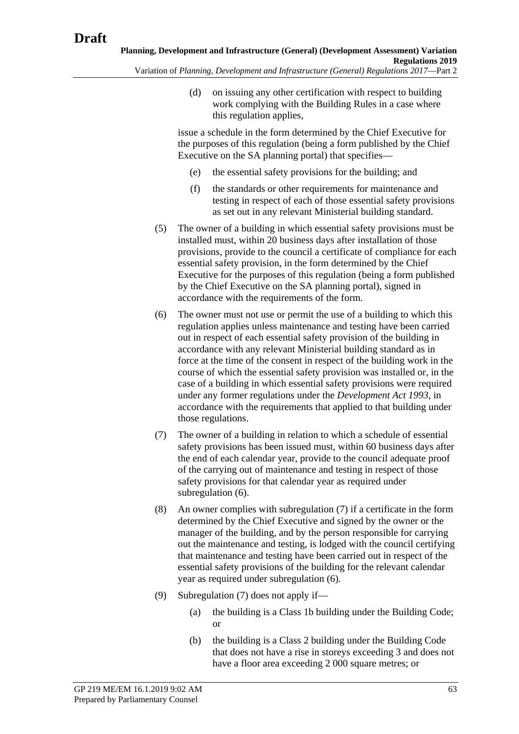(d) on issuing any other certification with respect to building work complying with the Building Rules in a case where this regulation applies,

issue a schedule in the form determined by the Chief Executive for the purposes of this regulation (being a form published by the Chief Executive on the SA planning portal) that specifies—

- (e) the essential safety provisions for the building; and
- (f) the standards or other requirements for maintenance and testing in respect of each of those essential safety provisions as set out in any relevant Ministerial building standard.
- <span id="page-62-3"></span>(5) The owner of a building in which essential safety provisions must be installed must, within 20 business days after installation of those provisions, provide to the council a certificate of compliance for each essential safety provision, in the form determined by the Chief Executive for the purposes of this regulation (being a form published by the Chief Executive on the SA planning portal), signed in accordance with the requirements of the form.
- <span id="page-62-0"></span>(6) The owner must not use or permit the use of a building to which this regulation applies unless maintenance and testing have been carried out in respect of each essential safety provision of the building in accordance with any relevant Ministerial building standard as in force at the time of the consent in respect of the building work in the course of which the essential safety provision was installed or, in the case of a building in which essential safety provisions were required under any former regulations under the *[Development Act](http://www.legislation.sa.gov.au/index.aspx?action=legref&type=act&legtitle=Development%20Act%201993) 1993*, in accordance with the requirements that applied to that building under those regulations.
- <span id="page-62-1"></span>(7) The owner of a building in relation to which a schedule of essential safety provisions has been issued must, within 60 business days after the end of each calendar year, provide to the council adequate proof of the carrying out of maintenance and testing in respect of those safety provisions for that calendar year as required under [subregulation](#page-62-0) (6).
- <span id="page-62-4"></span>(8) An owner complies with [subregulation](#page-62-1) (7) if a certificate in the form determined by the Chief Executive and signed by the owner or the manager of the building, and by the person responsible for carrying out the maintenance and testing, is lodged with the council certifying that maintenance and testing have been carried out in respect of the essential safety provisions of the building for the relevant calendar year as required under [subregulation](#page-62-0) (6).
- <span id="page-62-2"></span>(9) [Subregulation](#page-62-1) (7) does not apply if—
	- (a) the building is a Class 1b building under the Building Code; or
	- (b) the building is a Class 2 building under the Building Code that does not have a rise in storeys exceeding 3 and does not have a floor area exceeding 2 000 square metres; or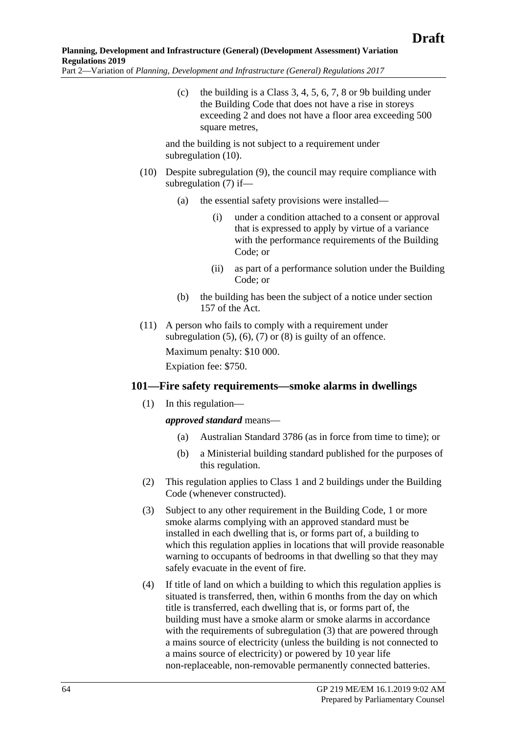(c) the building is a Class 3, 4, 5, 6, 7, 8 or 9b building under the Building Code that does not have a rise in storeys exceeding 2 and does not have a floor area exceeding 500 square metres.

and the building is not subject to a requirement under [subregulation](#page-63-0) (10).

- <span id="page-63-0"></span>(10) Despite [subregulation](#page-62-2) (9), the council may require compliance with [subregulation](#page-62-1) (7) if—
	- (a) the essential safety provisions were installed—
		- (i) under a condition attached to a consent or approval that is expressed to apply by virtue of a variance with the performance requirements of the Building Code; or
		- (ii) as part of a performance solution under the Building Code; or
	- (b) the building has been the subject of a notice under section 157 of the Act.
- (11) A person who fails to comply with a requirement under [subregulation](#page-62-3)  $(5)$ ,  $(6)$ ,  $(7)$  or  $(8)$  is guilty of an offence. Maximum penalty: \$10 000. Expiation fee: \$750.

## **101—Fire safety requirements—smoke alarms in dwellings**

(1) In this regulation—

*approved standard* means—

- (a) Australian Standard 3786 (as in force from time to time); or
- (b) a Ministerial building standard published for the purposes of this regulation.
- (2) This regulation applies to Class 1 and 2 buildings under the Building Code (whenever constructed).
- <span id="page-63-1"></span>(3) Subject to any other requirement in the Building Code, 1 or more smoke alarms complying with an approved standard must be installed in each dwelling that is, or forms part of, a building to which this regulation applies in locations that will provide reasonable warning to occupants of bedrooms in that dwelling so that they may safely evacuate in the event of fire.
- (4) If title of land on which a building to which this regulation applies is situated is transferred, then, within 6 months from the day on which title is transferred, each dwelling that is, or forms part of, the building must have a smoke alarm or smoke alarms in accordance with the requirements of [subregulation](#page-63-1) (3) that are powered through a mains source of electricity (unless the building is not connected to a mains source of electricity) or powered by 10 year life non-replaceable, non-removable permanently connected batteries.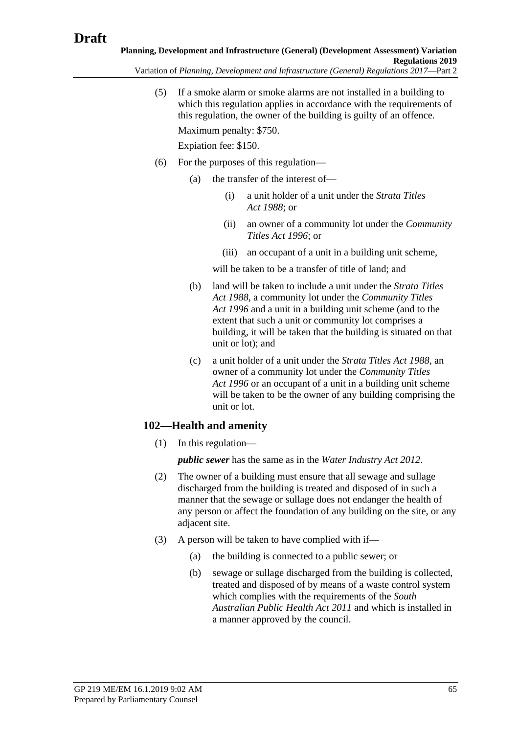Variation of *Planning, Development and Infrastructure (General) Regulations 2017*—Part 2

(5) If a smoke alarm or smoke alarms are not installed in a building to which this regulation applies in accordance with the requirements of this regulation, the owner of the building is guilty of an offence. Maximum penalty: \$750.

Expiation fee: \$150.

- (6) For the purposes of this regulation—
	- (a) the transfer of the interest of—
		- (i) a unit holder of a unit under the *[Strata Titles](http://www.legislation.sa.gov.au/index.aspx?action=legref&type=act&legtitle=Strata%20Titles%20Act%201988)  Act [1988](http://www.legislation.sa.gov.au/index.aspx?action=legref&type=act&legtitle=Strata%20Titles%20Act%201988)*; or
		- (ii) an owner of a community lot under the *[Community](http://www.legislation.sa.gov.au/index.aspx?action=legref&type=act&legtitle=Community%20Titles%20Act%201996)  [Titles Act](http://www.legislation.sa.gov.au/index.aspx?action=legref&type=act&legtitle=Community%20Titles%20Act%201996) 1996*; or
		- (iii) an occupant of a unit in a building unit scheme,

will be taken to be a transfer of title of land; and

- (b) land will be taken to include a unit under the *[Strata Titles](http://www.legislation.sa.gov.au/index.aspx?action=legref&type=act&legtitle=Strata%20Titles%20Act%201988)  Act [1988](http://www.legislation.sa.gov.au/index.aspx?action=legref&type=act&legtitle=Strata%20Titles%20Act%201988)*, a community lot under the *[Community Titles](http://www.legislation.sa.gov.au/index.aspx?action=legref&type=act&legtitle=Community%20Titles%20Act%201996)  Act [1996](http://www.legislation.sa.gov.au/index.aspx?action=legref&type=act&legtitle=Community%20Titles%20Act%201996)* and a unit in a building unit scheme (and to the extent that such a unit or community lot comprises a building, it will be taken that the building is situated on that unit or lot); and
- (c) a unit holder of a unit under the *[Strata Titles Act](http://www.legislation.sa.gov.au/index.aspx?action=legref&type=act&legtitle=Strata%20Titles%20Act%201988) 1988*, an owner of a community lot under the *[Community Titles](http://www.legislation.sa.gov.au/index.aspx?action=legref&type=act&legtitle=Community%20Titles%20Act%201996)  Act [1996](http://www.legislation.sa.gov.au/index.aspx?action=legref&type=act&legtitle=Community%20Titles%20Act%201996)* or an occupant of a unit in a building unit scheme will be taken to be the owner of any building comprising the unit or lot.

# **102—Health and amenity**

(1) In this regulation—

*public sewer* has the same as in the *[Water Industry Act 2012](http://www.legislation.sa.gov.au/index.aspx?action=legref&type=act&legtitle=Water%20Industry%20Act%202012)*.

- (2) The owner of a building must ensure that all sewage and sullage discharged from the building is treated and disposed of in such a manner that the sewage or sullage does not endanger the health of any person or affect the foundation of any building on the site, or any adjacent site.
- (3) A person will be taken to have complied with if—
	- (a) the building is connected to a public sewer; or
	- (b) sewage or sullage discharged from the building is collected, treated and disposed of by means of a waste control system which complies with the requirements of the *[South](http://www.legislation.sa.gov.au/index.aspx?action=legref&type=act&legtitle=South%20Australian%20Public%20Health%20Act%202011)  [Australian Public Health Act 2011](http://www.legislation.sa.gov.au/index.aspx?action=legref&type=act&legtitle=South%20Australian%20Public%20Health%20Act%202011)* and which is installed in a manner approved by the council.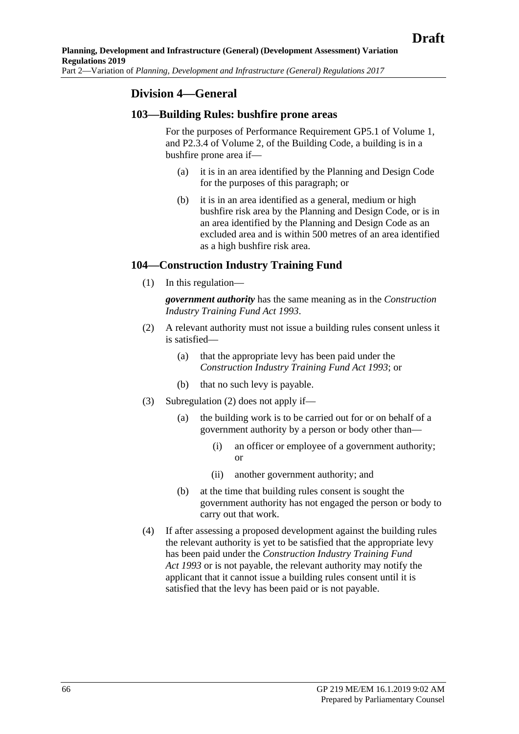## **Division 4—General**

### **103—Building Rules: bushfire prone areas**

For the purposes of Performance Requirement GP5.1 of Volume 1, and P2.3.4 of Volume 2, of the Building Code, a building is in a bushfire prone area if—

- (a) it is in an area identified by the Planning and Design Code for the purposes of this paragraph; or
- (b) it is in an area identified as a general, medium or high bushfire risk area by the Planning and Design Code, or is in an area identified by the Planning and Design Code as an excluded area and is within 500 metres of an area identified as a high bushfire risk area.

### **104—Construction Industry Training Fund**

(1) In this regulation—

*government authority* has the same meaning as in the *[Construction](http://www.legislation.sa.gov.au/index.aspx?action=legref&type=act&legtitle=Construction%20Industry%20Training%20Fund%20Act%201993)  [Industry Training Fund Act](http://www.legislation.sa.gov.au/index.aspx?action=legref&type=act&legtitle=Construction%20Industry%20Training%20Fund%20Act%201993) 1993*.

- <span id="page-65-0"></span>(2) A relevant authority must not issue a building rules consent unless it is satisfied—
	- (a) that the appropriate levy has been paid under the *[Construction Industry Training Fund Act](http://www.legislation.sa.gov.au/index.aspx?action=legref&type=act&legtitle=Construction%20Industry%20Training%20Fund%20Act%201993) 1993*; or
	- (b) that no such levy is payable.
- (3) [Subregulation](#page-65-0) (2) does not apply if—
	- (a) the building work is to be carried out for or on behalf of a government authority by a person or body other than—
		- (i) an officer or employee of a government authority; or
		- (ii) another government authority; and
	- (b) at the time that building rules consent is sought the government authority has not engaged the person or body to carry out that work.
- <span id="page-65-1"></span>(4) If after assessing a proposed development against the building rules the relevant authority is yet to be satisfied that the appropriate levy has been paid under the *[Construction Industry Training Fund](http://www.legislation.sa.gov.au/index.aspx?action=legref&type=act&legtitle=Construction%20Industry%20Training%20Fund%20Act%201993)  Act [1993](http://www.legislation.sa.gov.au/index.aspx?action=legref&type=act&legtitle=Construction%20Industry%20Training%20Fund%20Act%201993)* or is not payable, the relevant authority may notify the applicant that it cannot issue a building rules consent until it is satisfied that the levy has been paid or is not payable.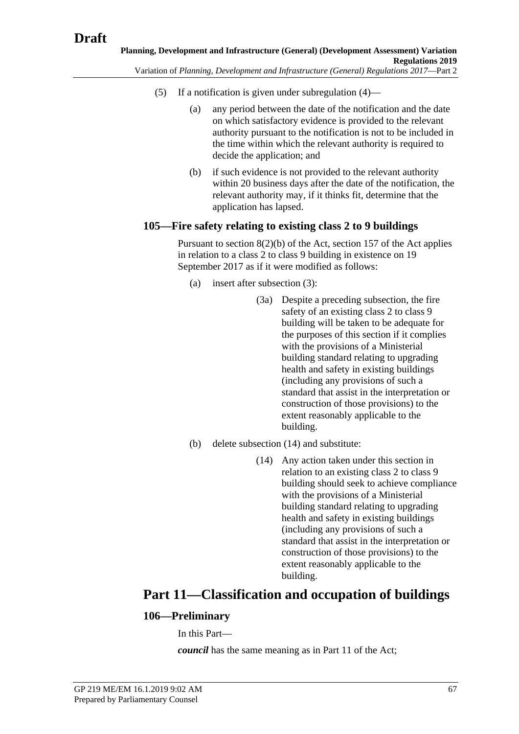- (5) If a notification is given under [subregulation](#page-65-1) (4)—
	- (a) any period between the date of the notification and the date on which satisfactory evidence is provided to the relevant authority pursuant to the notification is not to be included in the time within which the relevant authority is required to decide the application; and
	- (b) if such evidence is not provided to the relevant authority within 20 business days after the date of the notification, the relevant authority may, if it thinks fit, determine that the application has lapsed.

### **105—Fire safety relating to existing class 2 to 9 buildings**

Pursuant to section  $8(2)(b)$  of the Act, section 157 of the Act applies in relation to a class 2 to class 9 building in existence on 19 September 2017 as if it were modified as follows:

- (a) insert after subsection (3):
	- (3a) Despite a preceding subsection, the fire safety of an existing class 2 to class 9 building will be taken to be adequate for the purposes of this section if it complies with the provisions of a Ministerial building standard relating to upgrading health and safety in existing buildings (including any provisions of such a standard that assist in the interpretation or construction of those provisions) to the extent reasonably applicable to the building.
- (b) delete subsection (14) and substitute:
	- (14) Any action taken under this section in relation to an existing class 2 to class 9 building should seek to achieve compliance with the provisions of a Ministerial building standard relating to upgrading health and safety in existing buildings (including any provisions of such a standard that assist in the interpretation or construction of those provisions) to the extent reasonably applicable to the building.

# **Part 11—Classification and occupation of buildings**

## **106—Preliminary**

In this Part—

*council* has the same meaning as in Part 11 of the Act;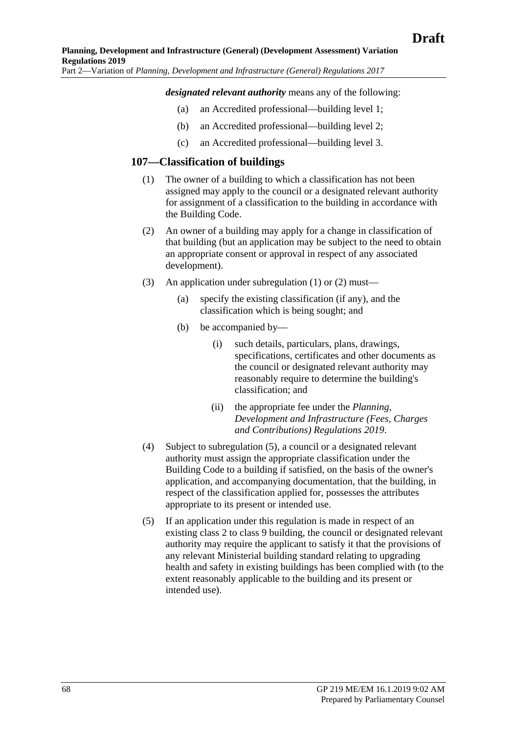#### *designated relevant authority* means any of the following:

- (a) an Accredited professional—building level 1;
- (b) an Accredited professional—building level 2;
- (c) an Accredited professional—building level 3.

### <span id="page-67-0"></span>**107—Classification of buildings**

- (1) The owner of a building to which a classification has not been assigned may apply to the council or a designated relevant authority for assignment of a classification to the building in accordance with the Building Code.
- <span id="page-67-1"></span>(2) An owner of a building may apply for a change in classification of that building (but an application may be subject to the need to obtain an appropriate consent or approval in respect of any associated development).
- (3) An application under [subregulation](#page-67-0) (1) or [\(2\)](#page-67-1) must—
	- (a) specify the existing classification (if any), and the classification which is being sought; and
	- (b) be accompanied by—
		- (i) such details, particulars, plans, drawings, specifications, certificates and other documents as the council or designated relevant authority may reasonably require to determine the building's classification; and
		- (ii) the appropriate fee under the *Planning, Development and Infrastructure (Fees, Charges and Contributions) Regulations 2019*.
- (4) Subject to [subregulation](#page-67-2) (5), a council or a designated relevant authority must assign the appropriate classification under the Building Code to a building if satisfied, on the basis of the owner's application, and accompanying documentation, that the building, in respect of the classification applied for, possesses the attributes appropriate to its present or intended use.
- <span id="page-67-2"></span>(5) If an application under this regulation is made in respect of an existing class 2 to class 9 building, the council or designated relevant authority may require the applicant to satisfy it that the provisions of any relevant Ministerial building standard relating to upgrading health and safety in existing buildings has been complied with (to the extent reasonably applicable to the building and its present or intended use).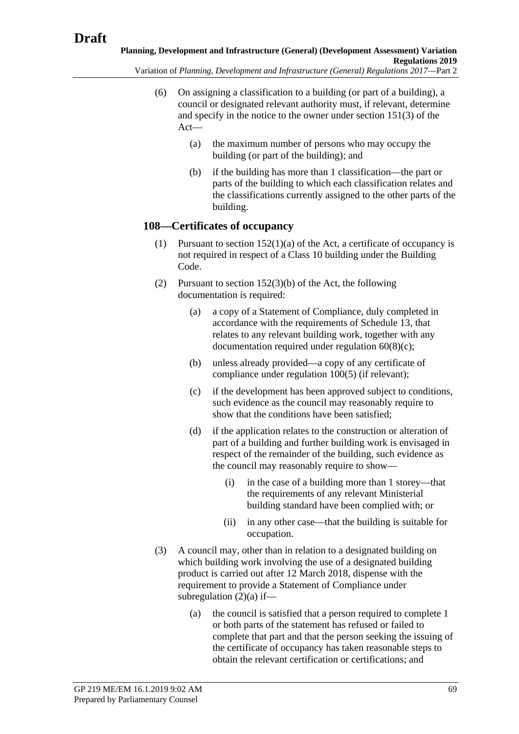Variation of *Planning, Development and Infrastructure (General) Regulations 2017*—Part 2

- (6) On assigning a classification to a building (or part of a building), a council or designated relevant authority must, if relevant, determine and specify in the notice to the owner under section 151(3) of the Act—
	- (a) the maximum number of persons who may occupy the building (or part of the building); and
	- (b) if the building has more than 1 classification—the part or parts of the building to which each classification relates and the classifications currently assigned to the other parts of the building.

## **108—Certificates of occupancy**

- (1) Pursuant to section  $152(1)(a)$  of the Act, a certificate of occupancy is not required in respect of a Class 10 building under the Building Code.
- <span id="page-68-1"></span><span id="page-68-0"></span>(2) Pursuant to section 152(3)(b) of the Act, the following documentation is required:
	- (a) a copy of a Statement of Compliance, duly completed in accordance with the requirements of Schedule 13, that relates to any relevant building work, together with any documentation required under [regulation](#page-42-3) 60(8)(c);
	- (b) unless already provided—a copy of any certificate of compliance under [regulation](#page-62-3) 100(5) (if relevant);
	- (c) if the development has been approved subject to conditions, such evidence as the council may reasonably require to show that the conditions have been satisfied;
	- (d) if the application relates to the construction or alteration of part of a building and further building work is envisaged in respect of the remainder of the building, such evidence as the council may reasonably require to show—
		- (i) in the case of a building more than 1 storey—that the requirements of any relevant Ministerial building standard have been complied with; or
		- (ii) in any other case—that the building is suitable for occupation.
- <span id="page-68-2"></span>(3) A council may, other than in relation to a designated building on which building work involving the use of a designated building product is carried out after 12 March 2018, dispense with the requirement to provide a Statement of Compliance under [subregulation](#page-68-1)  $(2)(a)$  if—
	- (a) the council is satisfied that a person required to complete 1 or both parts of the statement has refused or failed to complete that part and that the person seeking the issuing of the certificate of occupancy has taken reasonable steps to obtain the relevant certification or certifications; and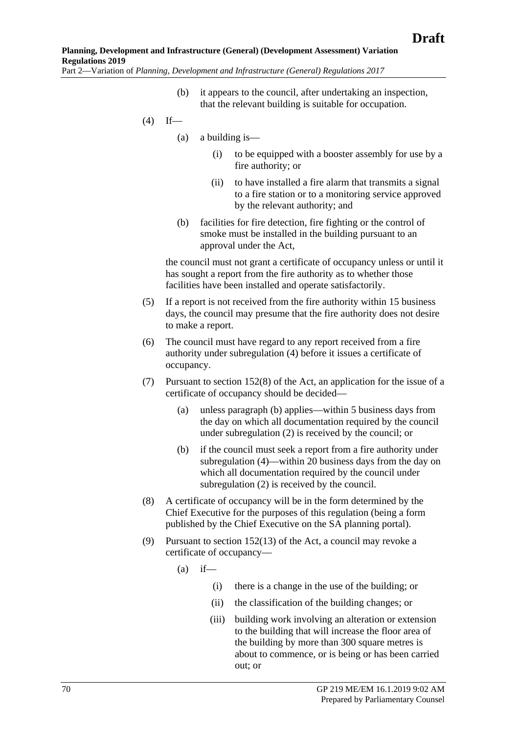- (b) it appears to the council, after undertaking an inspection, that the relevant building is suitable for occupation.
- <span id="page-69-0"></span> $(4)$  If—
	- (a) a building is—
		- (i) to be equipped with a booster assembly for use by a fire authority; or
		- (ii) to have installed a fire alarm that transmits a signal to a fire station or to a monitoring service approved by the relevant authority; and
	- (b) facilities for fire detection, fire fighting or the control of smoke must be installed in the building pursuant to an approval under the Act,

the council must not grant a certificate of occupancy unless or until it has sought a report from the fire authority as to whether those facilities have been installed and operate satisfactorily.

- (5) If a report is not received from the fire authority within 15 business days, the council may presume that the fire authority does not desire to make a report.
- (6) The council must have regard to any report received from a fire authority under [subregulation](#page-69-0) (4) before it issues a certificate of occupancy.
- (7) Pursuant to section 152(8) of the Act, an application for the issue of a certificate of occupancy should be decided—
	- (a) unless [paragraph](#page-69-1) (b) applies—within 5 business days from the day on which all documentation required by the council under [subregulation](#page-68-0) (2) is received by the council; or
	- (b) if the council must seek a report from a fire authority under [subregulation](#page-69-0) (4)—within 20 business days from the day on which all documentation required by the council under [subregulation](#page-68-0) (2) is received by the council.
- <span id="page-69-1"></span>(8) A certificate of occupancy will be in the form determined by the Chief Executive for the purposes of this regulation (being a form published by the Chief Executive on the SA planning portal).
- <span id="page-69-2"></span>(9) Pursuant to section 152(13) of the Act, a council may revoke a certificate of occupancy—
	- $(a)$  if—
		- (i) there is a change in the use of the building; or
		- (ii) the classification of the building changes; or
		- (iii) building work involving an alteration or extension to the building that will increase the floor area of the building by more than 300 square metres is about to commence, or is being or has been carried out; or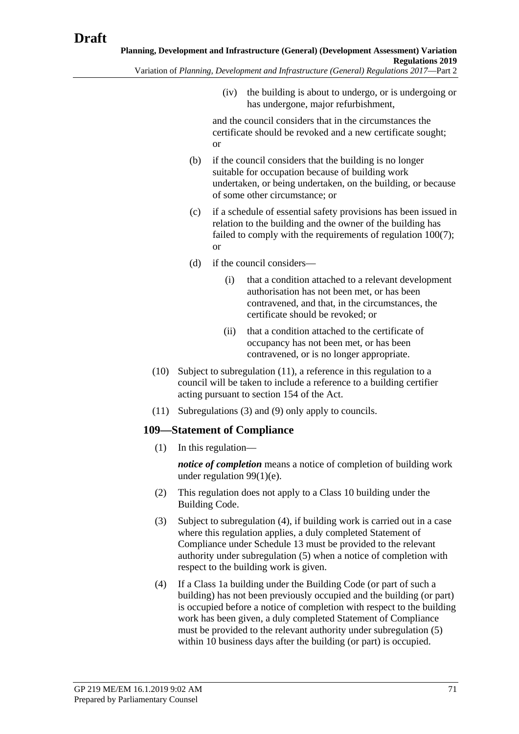(iv) the building is about to undergo, or is undergoing or

has undergone, major refurbishment,

and the council considers that in the circumstances the certificate should be revoked and a new certificate sought; or

- (b) if the council considers that the building is no longer suitable for occupation because of building work undertaken, or being undertaken, on the building, or because of some other circumstance; or
- (c) if a schedule of essential safety provisions has been issued in relation to the building and the owner of the building has failed to comply with the requirements of [regulation](#page-62-1) 100(7); or
- (d) if the council considers—
	- (i) that a condition attached to a relevant development authorisation has not been met, or has been contravened, and that, in the circumstances, the certificate should be revoked; or
	- (ii) that a condition attached to the certificate of occupancy has not been met, or has been contravened, or is no longer appropriate.
- (10) Subject to [subregulation](#page-70-0) (11), a reference in this regulation to a council will be taken to include a reference to a building certifier acting pursuant to section 154 of the Act.
- (11) [Subregulations](#page-68-2) (3) and [\(9\)](#page-69-2) only apply to councils.

## <span id="page-70-0"></span>**109—Statement of Compliance**

(1) In this regulation—

*notice of completion* means a notice of completion of building work under [regulation](#page-60-3) 99(1)(e).

- (2) This regulation does not apply to a Class 10 building under the Building Code.
- <span id="page-70-2"></span>(3) Subject to [subregulation](#page-70-1) (4), if building work is carried out in a case where this regulation applies, a duly completed Statement of Compliance under Schedule 13 must be provided to the relevant authority under [subregulation](#page-71-0) (5) when a notice of completion with respect to the building work is given.
- <span id="page-70-1"></span>(4) If a Class 1a building under the Building Code (or part of such a building) has not been previously occupied and the building (or part) is occupied before a notice of completion with respect to the building work has been given, a duly completed Statement of Compliance must be provided to the relevant authority under [subregulation](#page-71-0) (5) within 10 business days after the building (or part) is occupied.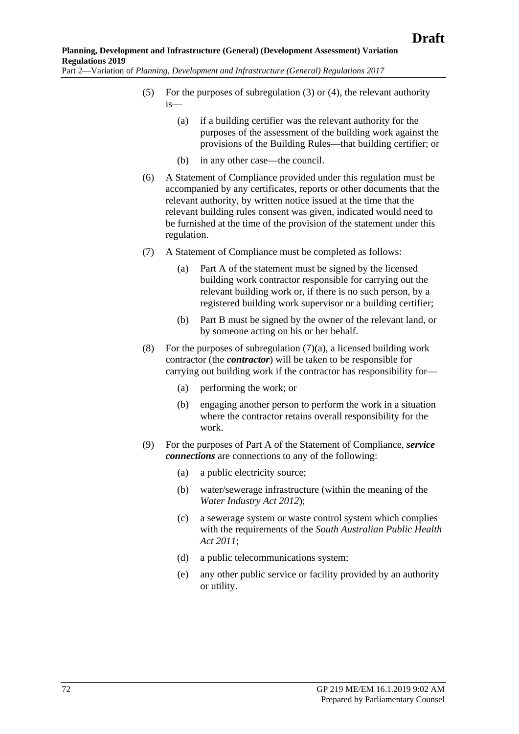- <span id="page-71-0"></span>(5) For the purposes of [subregulation](#page-70-2) (3) or [\(4\),](#page-70-1) the relevant authority is—
	- (a) if a building certifier was the relevant authority for the purposes of the assessment of the building work against the provisions of the Building Rules—that building certifier; or
	- (b) in any other case—the council.
- (6) A Statement of Compliance provided under this regulation must be accompanied by any certificates, reports or other documents that the relevant authority, by written notice issued at the time that the relevant building rules consent was given, indicated would need to be furnished at the time of the provision of the statement under this regulation.
- <span id="page-71-1"></span>(7) A Statement of Compliance must be completed as follows:
	- (a) Part A of the statement must be signed by the licensed building work contractor responsible for carrying out the relevant building work or, if there is no such person, by a registered building work supervisor or a building certifier;
	- (b) Part B must be signed by the owner of the relevant land, or by someone acting on his or her behalf.
- (8) For the purposes of [subregulation](#page-71-1)  $(7)(a)$ , a licensed building work contractor (the *contractor*) will be taken to be responsible for carrying out building work if the contractor has responsibility for—
	- (a) performing the work; or
	- (b) engaging another person to perform the work in a situation where the contractor retains overall responsibility for the work.
- (9) For the purposes of Part A of the Statement of Compliance, *service connections* are connections to any of the following:
	- (a) a public electricity source;
	- (b) water/sewerage infrastructure (within the meaning of the *[Water Industry Act](http://www.legislation.sa.gov.au/index.aspx?action=legref&type=act&legtitle=Water%20Industry%20Act%202012) 2012*);
	- (c) a sewerage system or waste control system which complies with the requirements of the *[South Australian Public Health](http://www.legislation.sa.gov.au/index.aspx?action=legref&type=act&legtitle=South%20Australian%20Public%20Health%20Act%202011)  Act [2011](http://www.legislation.sa.gov.au/index.aspx?action=legref&type=act&legtitle=South%20Australian%20Public%20Health%20Act%202011)*;
	- (d) a public telecommunications system;
	- (e) any other public service or facility provided by an authority or utility.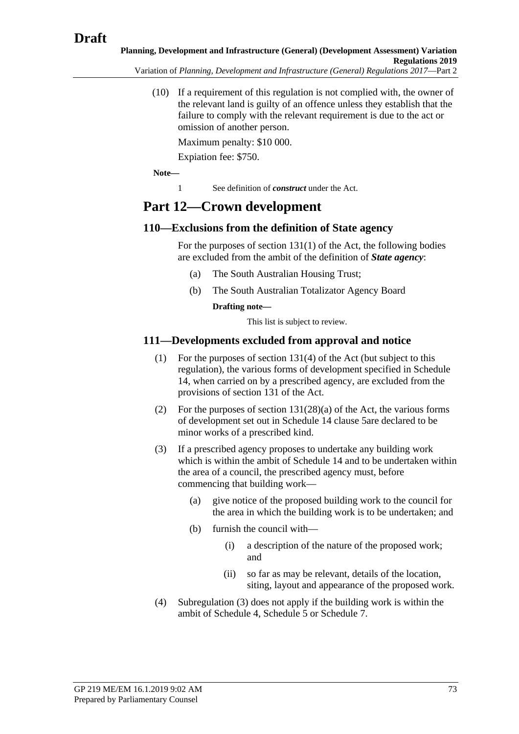(10) If a requirement of this regulation is not complied with, the owner of the relevant land is guilty of an offence unless they establish that the failure to comply with the relevant requirement is due to the act or omission of another person.

Maximum penalty: \$10 000.

Expiation fee: \$750.

**Note—**

1 See definition of *construct* under the Act.

# **Part 12—Crown development**

### **110—Exclusions from the definition of State agency**

For the purposes of section 131(1) of the Act, the following bodies are excluded from the ambit of the definition of *State agency*:

- (a) The South Australian Housing Trust;
- (b) The South Australian Totalizator Agency Board

**Drafting note—**

This list is subject to review.

### **111—Developments excluded from approval and notice**

- (1) For the purposes of section 131(4) of the Act (but subject to this regulation), the various forms of development specified in Schedule 14, when carried on by a prescribed agency, are excluded from the provisions of section 131 of the Act.
- (2) For the purposes of section 131(28)(a) of the Act, the various forms of development set out in Schedule 14 clause 5are declared to be minor works of a prescribed kind.
- <span id="page-72-0"></span>(3) If a prescribed agency proposes to undertake any building work which is within the ambit of Schedule 14 and to be undertaken within the area of a council, the prescribed agency must, before commencing that building work—
	- (a) give notice of the proposed building work to the council for the area in which the building work is to be undertaken; and
	- (b) furnish the council with—
		- (i) a description of the nature of the proposed work; and
		- (ii) so far as may be relevant, details of the location, siting, layout and appearance of the proposed work.
- (4) [Subregulation](#page-72-0) (3) does not apply if the building work is within the ambit of Schedule 4, Schedule 5 or Schedule 7.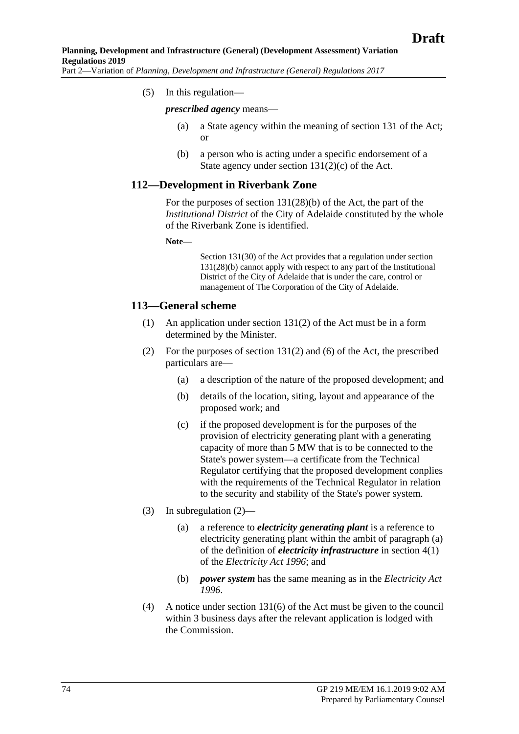(5) In this regulation—

*prescribed agency* means—

- (a) a State agency within the meaning of section 131 of the Act; or
- (b) a person who is acting under a specific endorsement of a State agency under section  $131(2)(c)$  of the Act.

#### **112—Development in Riverbank Zone**

For the purposes of section 131(28)(b) of the Act, the part of the *Institutional District* of the City of Adelaide constituted by the whole of the Riverbank Zone is identified.

**Note—**

Section 131(30) of the Act provides that a regulation under section 131(28)(b) cannot apply with respect to any part of the Institutional District of the City of Adelaide that is under the care, control or management of The Corporation of the City of Adelaide.

#### <span id="page-73-0"></span>**113—General scheme**

- (1) An application under section 131(2) of the Act must be in a form determined by the Minister.
- (2) For the purposes of section 131(2) and (6) of the Act, the prescribed particulars are—
	- (a) a description of the nature of the proposed development; and
	- (b) details of the location, siting, layout and appearance of the proposed work; and
	- (c) if the proposed development is for the purposes of the provision of electricity generating plant with a generating capacity of more than 5 MW that is to be connected to the State's power system—a certificate from the Technical Regulator certifying that the proposed development conplies with the requirements of the Technical Regulator in relation to the security and stability of the State's power system.
- (3) In [subregulation](#page-73-0) (2)—
	- (a) a reference to *electricity generating plant* is a reference to electricity generating plant within the ambit of paragraph (a) of the definition of *electricity infrastructure* in section 4(1) of the *[Electricity Act 1996](http://www.legislation.sa.gov.au/index.aspx?action=legref&type=act&legtitle=Electricity%20Act%201996)*; and
	- (b) *power system* has the same meaning as in the *[Electricity Act](http://www.legislation.sa.gov.au/index.aspx?action=legref&type=act&legtitle=Electricity%20Act%201996)  [1996](http://www.legislation.sa.gov.au/index.aspx?action=legref&type=act&legtitle=Electricity%20Act%201996)*.
- (4) A notice under section 131(6) of the Act must be given to the council within 3 business days after the relevant application is lodged with the Commission.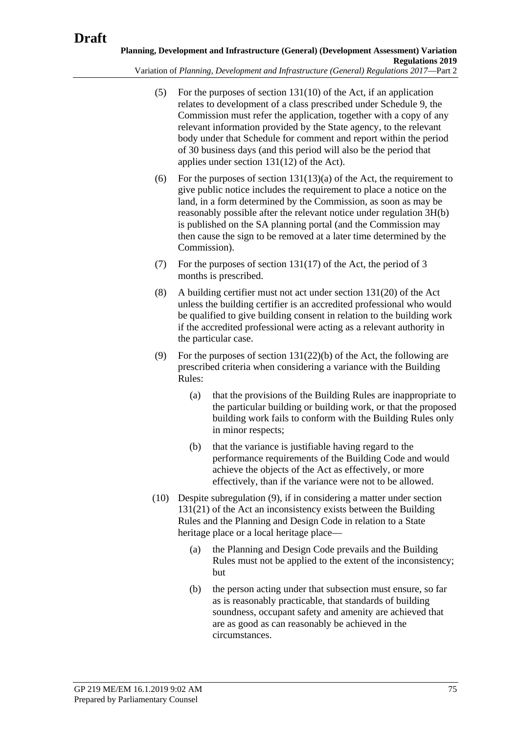- (5) For the purposes of section 131(10) of the Act, if an application relates to development of a class prescribed under Schedule 9, the Commission must refer the application, together with a copy of any relevant information provided by the State agency, to the relevant body under that Schedule for comment and report within the period of 30 business days (and this period will also be the period that applies under section 131(12) of the Act).
- (6) For the purposes of section  $131(13)(a)$  of the Act, the requirement to give public notice includes the requirement to place a notice on the land, in a form determined by the Commission, as soon as may be reasonably possible after the relevant notice under regulation 3H(b) is published on the SA planning portal (and the Commission may then cause the sign to be removed at a later time determined by the Commission).
- (7) For the purposes of section 131(17) of the Act, the period of 3 months is prescribed.
- (8) A building certifier must not act under section 131(20) of the Act unless the building certifier is an accredited professional who would be qualified to give building consent in relation to the building work if the accredited professional were acting as a relevant authority in the particular case.
- <span id="page-74-0"></span>(9) For the purposes of section 131(22)(b) of the Act, the following are prescribed criteria when considering a variance with the Building Rules:
	- (a) that the provisions of the Building Rules are inappropriate to the particular building or building work, or that the proposed building work fails to conform with the Building Rules only in minor respects;
	- (b) that the variance is justifiable having regard to the performance requirements of the Building Code and would achieve the objects of the Act as effectively, or more effectively, than if the variance were not to be allowed.
- (10) Despite [subregulation](#page-74-0) (9), if in considering a matter under section 131(21) of the Act an inconsistency exists between the Building Rules and the Planning and Design Code in relation to a State heritage place or a local heritage place—
	- (a) the Planning and Design Code prevails and the Building Rules must not be applied to the extent of the inconsistency; but
	- (b) the person acting under that subsection must ensure, so far as is reasonably practicable, that standards of building soundness, occupant safety and amenity are achieved that are as good as can reasonably be achieved in the circumstances.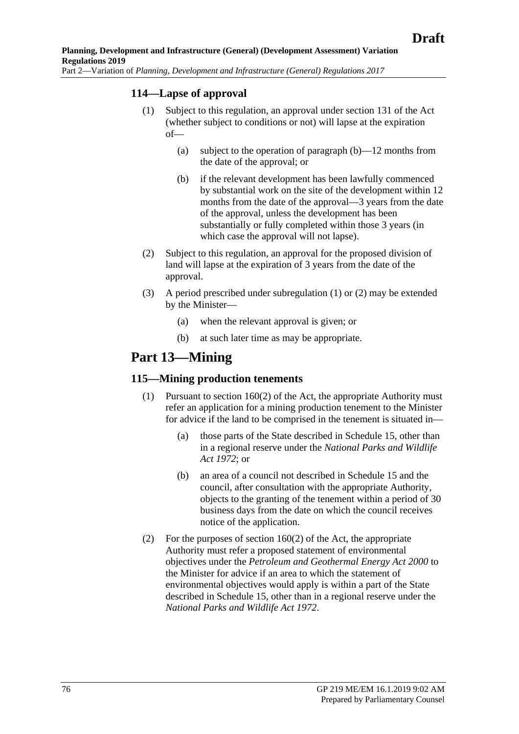### <span id="page-75-1"></span>**114—Lapse of approval**

- <span id="page-75-0"></span>(1) Subject to this regulation, an approval under section 131 of the Act (whether subject to conditions or not) will lapse at the expiration of—
	- (a) subject to the operation of [paragraph](#page-75-0) (b)—12 months from the date of the approval; or
	- (b) if the relevant development has been lawfully commenced by substantial work on the site of the development within 12 months from the date of the approval—3 years from the date of the approval, unless the development has been substantially or fully completed within those 3 years (in which case the approval will not lapse).
- <span id="page-75-2"></span>(2) Subject to this regulation, an approval for the proposed division of land will lapse at the expiration of 3 years from the date of the approval.
- (3) A period prescribed under [subregulation](#page-75-1) (1) or [\(2\)](#page-75-2) may be extended by the Minister—
	- (a) when the relevant approval is given; or
	- (b) at such later time as may be appropriate.

## **Part 13—Mining**

#### <span id="page-75-5"></span><span id="page-75-3"></span>**115—Mining production tenements**

- (1) Pursuant to section 160(2) of the Act, the appropriate Authority must refer an application for a mining production tenement to the Minister for advice if the land to be comprised in the tenement is situated in—
	- (a) those parts of the State described in Schedule 15, other than in a regional reserve under the *[National Parks and Wildlife](http://www.legislation.sa.gov.au/index.aspx?action=legref&type=act&legtitle=National%20Parks%20and%20Wildlife%20Act%201972)  Act [1972](http://www.legislation.sa.gov.au/index.aspx?action=legref&type=act&legtitle=National%20Parks%20and%20Wildlife%20Act%201972)*; or
	- (b) an area of a council not described in Schedule 15 and the council, after consultation with the appropriate Authority, objects to the granting of the tenement within a period of 30 business days from the date on which the council receives notice of the application.
- <span id="page-75-6"></span><span id="page-75-4"></span>(2) For the purposes of section 160(2) of the Act, the appropriate Authority must refer a proposed statement of environmental objectives under the *[Petroleum and Geothermal Energy Act](http://www.legislation.sa.gov.au/index.aspx?action=legref&type=act&legtitle=Petroleum%20and%20Geothermal%20Energy%20Act%202000) 2000* to the Minister for advice if an area to which the statement of environmental objectives would apply is within a part of the State described in Schedule 15, other than in a regional reserve under the *[National Parks and Wildlife Act](http://www.legislation.sa.gov.au/index.aspx?action=legref&type=act&legtitle=National%20Parks%20and%20Wildlife%20Act%201972) 1972*.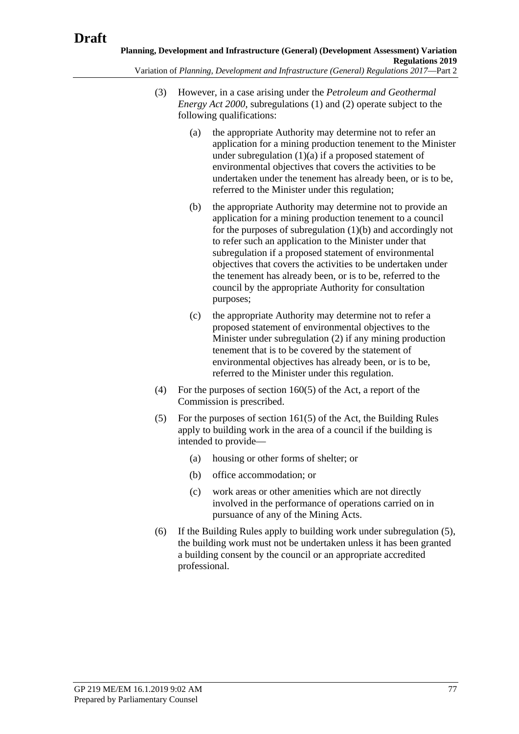- <span id="page-76-0"></span>(3) However, in a case arising under the *[Petroleum and Geothermal](http://www.legislation.sa.gov.au/index.aspx?action=legref&type=act&legtitle=Petroleum%20and%20Geothermal%20Energy%20Act%202000)  [Energy Act](http://www.legislation.sa.gov.au/index.aspx?action=legref&type=act&legtitle=Petroleum%20and%20Geothermal%20Energy%20Act%202000) 2000*, [subregulations](#page-75-3) (1) and [\(2\)](#page-75-4) operate subject to the
	- following qualifications: (a) the appropriate Authority may determine not to refer an application for a mining production tenement to the Minister under [subregulation](#page-75-5)  $(1)(a)$  if a proposed statement of environmental objectives that covers the activities to be undertaken under the tenement has already been, or is to be, referred to the Minister under this regulation;
		- (b) the appropriate Authority may determine not to provide an application for a mining production tenement to a council for the purposes of [subregulation](#page-75-6) (1)(b) and accordingly not to refer such an application to the Minister under that subregulation if a proposed statement of environmental objectives that covers the activities to be undertaken under the tenement has already been, or is to be, referred to the council by the appropriate Authority for consultation purposes;
		- (c) the appropriate Authority may determine not to refer a proposed statement of environmental objectives to the Minister under [subregulation](#page-75-4) (2) if any mining production tenement that is to be covered by the statement of environmental objectives has already been, or is to be, referred to the Minister under this regulation.
	- (4) For the purposes of section 160(5) of the Act, a report of the Commission is prescribed.
	- (5) For the purposes of section 161(5) of the Act, the Building Rules apply to building work in the area of a council if the building is intended to provide—
		- (a) housing or other forms of shelter; or
		- (b) office accommodation; or
		- (c) work areas or other amenities which are not directly involved in the performance of operations carried on in pursuance of any of the Mining Acts.
	- (6) If the Building Rules apply to building work under [subregulation](#page-76-0) (5), the building work must not be undertaken unless it has been granted a building consent by the council or an appropriate accredited professional.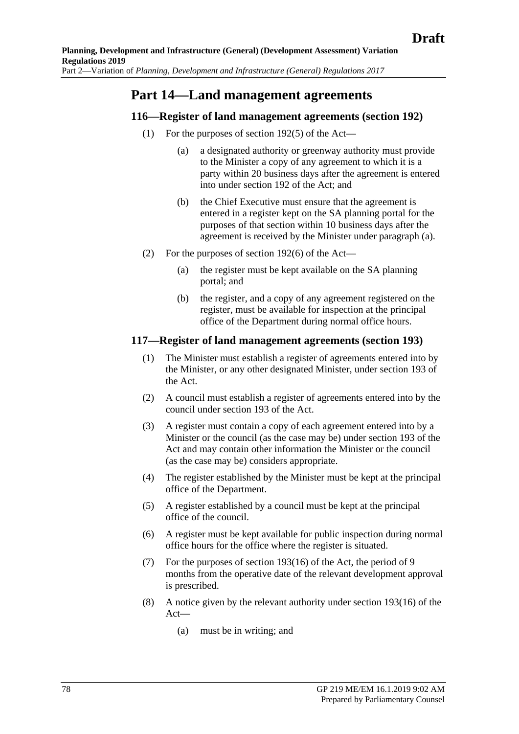## **Part 14—Land management agreements**

#### <span id="page-77-0"></span>**116—Register of land management agreements (section 192)**

- (1) For the purposes of section 192(5) of the Act—
	- (a) a designated authority or greenway authority must provide to the Minister a copy of any agreement to which it is a party within 20 business days after the agreement is entered into under section 192 of the Act; and
	- (b) the Chief Executive must ensure that the agreement is entered in a register kept on the SA planning portal for the purposes of that section within 10 business days after the agreement is received by the Minister under [paragraph](#page-77-0) (a).
- (2) For the purposes of section 192(6) of the Act—
	- (a) the register must be kept available on the SA planning portal; and
	- (b) the register, and a copy of any agreement registered on the register, must be available for inspection at the principal office of the Department during normal office hours.

#### **117—Register of land management agreements (section 193)**

- (1) The Minister must establish a register of agreements entered into by the Minister, or any other designated Minister, under section 193 of the Act.
- (2) A council must establish a register of agreements entered into by the council under section 193 of the Act.
- (3) A register must contain a copy of each agreement entered into by a Minister or the council (as the case may be) under section 193 of the Act and may contain other information the Minister or the council (as the case may be) considers appropriate.
- (4) The register established by the Minister must be kept at the principal office of the Department.
- (5) A register established by a council must be kept at the principal office of the council.
- (6) A register must be kept available for public inspection during normal office hours for the office where the register is situated.
- <span id="page-77-1"></span>(7) For the purposes of section 193(16) of the Act, the period of 9 months from the operative date of the relevant development approval is prescribed.
- <span id="page-77-2"></span>(8) A notice given by the relevant authority under section 193(16) of the Act—
	- (a) must be in writing; and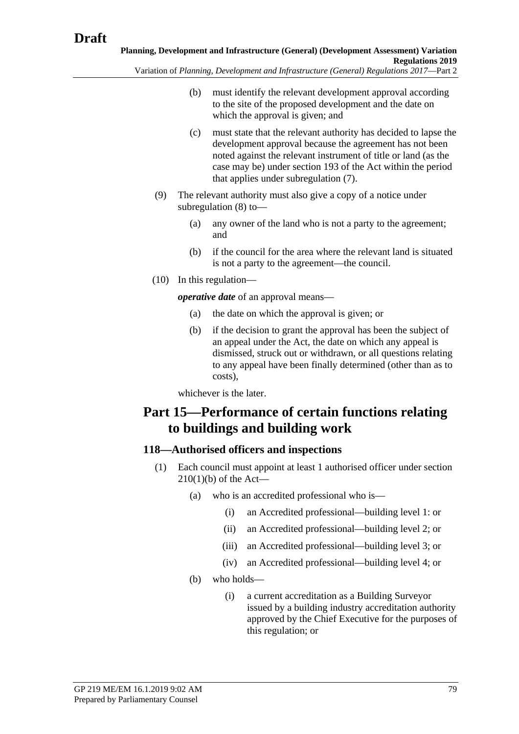- (b) must identify the relevant development approval according to the site of the proposed development and the date on which the approval is given; and
- (c) must state that the relevant authority has decided to lapse the development approval because the agreement has not been noted against the relevant instrument of title or land (as the case may be) under section 193 of the Act within the period that applies under [subregulation](#page-77-1) (7).
- (9) The relevant authority must also give a copy of a notice under [subregulation](#page-77-2) (8) to—
	- (a) any owner of the land who is not a party to the agreement; and
	- (b) if the council for the area where the relevant land is situated is not a party to the agreement—the council.
- (10) In this regulation—

*operative date* of an approval means—

- (a) the date on which the approval is given; or
- (b) if the decision to grant the approval has been the subject of an appeal under the Act, the date on which any appeal is dismissed, struck out or withdrawn, or all questions relating to any appeal have been finally determined (other than as to costs),

whichever is the later.

# **Part 15—Performance of certain functions relating to buildings and building work**

## <span id="page-78-0"></span>**118—Authorised officers and inspections**

- (1) Each council must appoint at least 1 authorised officer under section  $210(1)(b)$  of the Act-
	- (a) who is an accredited professional who is—
		- (i) an Accredited professional—building level 1: or
		- (ii) an Accredited professional—building level 2; or
		- (iii) an Accredited professional—building level 3; or
		- (iv) an Accredited professional—building level 4; or
	- (b) who holds—
		- (i) a current accreditation as a Building Surveyor issued by a building industry accreditation authority approved by the Chief Executive for the purposes of this regulation; or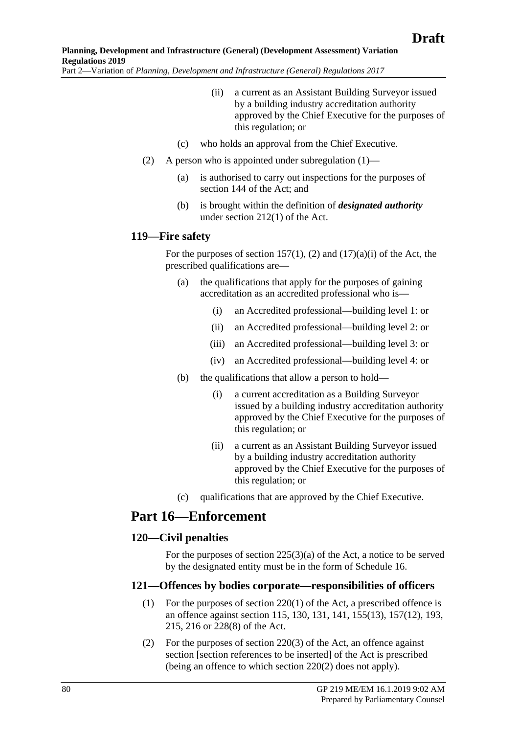- (ii) a current as an Assistant Building Surveyor issued by a building industry accreditation authority approved by the Chief Executive for the purposes of this regulation; or
- (c) who holds an approval from the Chief Executive.
- (2) A person who is appointed under [subregulation](#page-78-0)  $(1)$ 
	- (a) is authorised to carry out inspections for the purposes of section 144 of the Act; and
	- (b) is brought within the definition of *designated authority* under section 212(1) of the Act.

#### **119—Fire safety**

For the purposes of section 157(1), (2) and  $(17)(a)(i)$  of the Act, the prescribed qualifications are—

- (a) the qualifications that apply for the purposes of gaining accreditation as an accredited professional who is—
	- (i) an Accredited professional—building level 1: or
	- (ii) an Accredited professional—building level 2: or
	- (iii) an Accredited professional—building level 3: or
	- (iv) an Accredited professional—building level 4: or
- (b) the qualifications that allow a person to hold—
	- (i) a current accreditation as a Building Surveyor issued by a building industry accreditation authority approved by the Chief Executive for the purposes of this regulation; or
	- (ii) a current as an Assistant Building Surveyor issued by a building industry accreditation authority approved by the Chief Executive for the purposes of this regulation; or
- (c) qualifications that are approved by the Chief Executive.

### **Part 16—Enforcement**

#### **120—Civil penalties**

For the purposes of section  $225(3)(a)$  of the Act, a notice to be served by the designated entity must be in the form of Schedule 16.

#### **121—Offences by bodies corporate—responsibilities of officers**

- (1) For the purposes of section 220(1) of the Act, a prescribed offence is an offence against section 115, 130, 131, 141, 155(13), 157(12), 193, 215, 216 or 228(8) of the Act.
- (2) For the purposes of section 220(3) of the Act, an offence against section [section references to be inserted] of the Act is prescribed (being an offence to which section 220(2) does not apply).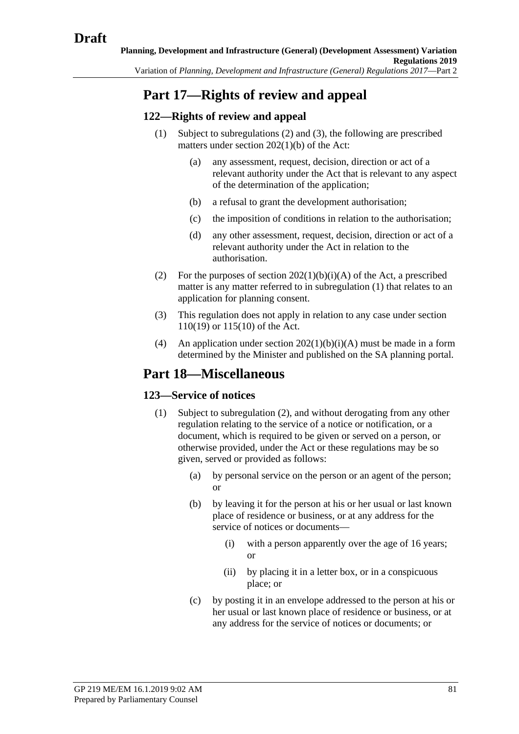# **Part 17—Rights of review and appeal**

### <span id="page-80-2"></span>**122—Rights of review and appeal**

- (1) Subject to [subregulations](#page-80-0) (2) and [\(3\),](#page-80-1) the following are prescribed matters under section 202(1)(b) of the Act:
	- (a) any assessment, request, decision, direction or act of a relevant authority under the Act that is relevant to any aspect of the determination of the application;
	- (b) a refusal to grant the development authorisation;
	- (c) the imposition of conditions in relation to the authorisation;
	- (d) any other assessment, request, decision, direction or act of a relevant authority under the Act in relation to the authorisation.
- <span id="page-80-0"></span>(2) For the purposes of section  $202(1)(b)(i)(A)$  of the Act, a prescribed matter is any matter referred to in [subregulation](#page-80-2) (1) that relates to an application for planning consent.
- <span id="page-80-1"></span>(3) This regulation does not apply in relation to any case under section 110(19) or 115(10) of the Act.
- (4) An application under section  $202(1)(b)(i)(A)$  must be made in a form determined by the Minister and published on the SA planning portal.

## **Part 18—Miscellaneous**

#### <span id="page-80-3"></span>**123—Service of notices**

- (1) Subject to [subregulation](#page-81-0) (2), and without derogating from any other regulation relating to the service of a notice or notification, or a document, which is required to be given or served on a person, or otherwise provided, under the Act or these regulations may be so given, served or provided as follows:
	- (a) by personal service on the person or an agent of the person; or
	- (b) by leaving it for the person at his or her usual or last known place of residence or business, or at any address for the service of notices or documents—
		- (i) with a person apparently over the age of 16 years; or
		- (ii) by placing it in a letter box, or in a conspicuous place; or
	- (c) by posting it in an envelope addressed to the person at his or her usual or last known place of residence or business, or at any address for the service of notices or documents; or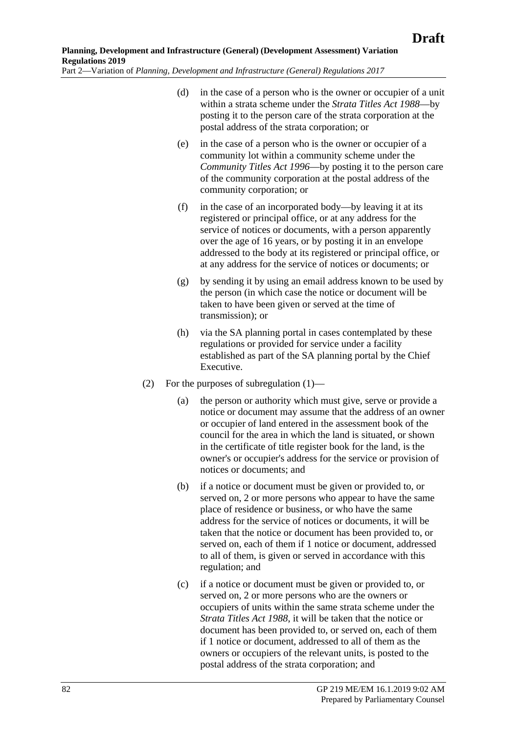- (d) in the case of a person who is the owner or occupier of a unit within a strata scheme under the *[Strata Titles Act](http://www.legislation.sa.gov.au/index.aspx?action=legref&type=act&legtitle=Strata%20Titles%20Act%201988) 1988*—by posting it to the person care of the strata corporation at the postal address of the strata corporation; or
	- (e) in the case of a person who is the owner or occupier of a community lot within a community scheme under the *[Community Titles Act](http://www.legislation.sa.gov.au/index.aspx?action=legref&type=act&legtitle=Community%20Titles%20Act%201996) 1996*—by posting it to the person care of the community corporation at the postal address of the community corporation; or
	- (f) in the case of an incorporated body—by leaving it at its registered or principal office, or at any address for the service of notices or documents, with a person apparently over the age of 16 years, or by posting it in an envelope addressed to the body at its registered or principal office, or at any address for the service of notices or documents; or
	- (g) by sending it by using an email address known to be used by the person (in which case the notice or document will be taken to have been given or served at the time of transmission); or
	- (h) via the SA planning portal in cases contemplated by these regulations or provided for service under a facility established as part of the SA planning portal by the Chief Executive.
- <span id="page-81-0"></span>(2) For the purposes of [subregulation](#page-80-3) (1)—
	- (a) the person or authority which must give, serve or provide a notice or document may assume that the address of an owner or occupier of land entered in the assessment book of the council for the area in which the land is situated, or shown in the certificate of title register book for the land, is the owner's or occupier's address for the service or provision of notices or documents; and
	- (b) if a notice or document must be given or provided to, or served on, 2 or more persons who appear to have the same place of residence or business, or who have the same address for the service of notices or documents, it will be taken that the notice or document has been provided to, or served on, each of them if 1 notice or document, addressed to all of them, is given or served in accordance with this regulation; and
	- (c) if a notice or document must be given or provided to, or served on, 2 or more persons who are the owners or occupiers of units within the same strata scheme under the *[Strata Titles Act](http://www.legislation.sa.gov.au/index.aspx?action=legref&type=act&legtitle=Strata%20Titles%20Act%201988) 1988*, it will be taken that the notice or document has been provided to, or served on, each of them if 1 notice or document, addressed to all of them as the owners or occupiers of the relevant units, is posted to the postal address of the strata corporation; and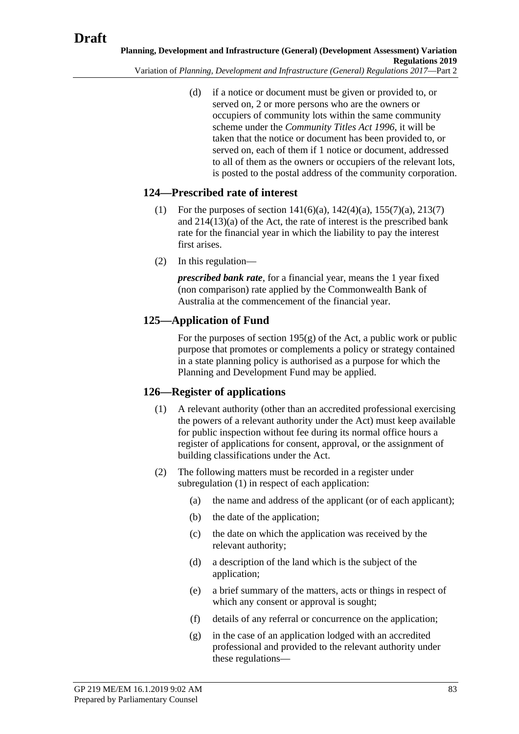(d) if a notice or document must be given or provided to, or served on, 2 or more persons who are the owners or occupiers of community lots within the same community scheme under the *[Community Titles Act](http://www.legislation.sa.gov.au/index.aspx?action=legref&type=act&legtitle=Community%20Titles%20Act%201996) 1996*, it will be taken that the notice or document has been provided to, or served on, each of them if 1 notice or document, addressed to all of them as the owners or occupiers of the relevant lots, is posted to the postal address of the community corporation.

### **124—Prescribed rate of interest**

- (1) For the purposes of section  $141(6)(a)$ ,  $142(4)(a)$ ,  $155(7)(a)$ ,  $213(7)$ and 214(13)(a) of the Act, the rate of interest is the prescribed bank rate for the financial year in which the liability to pay the interest first arises.
- (2) In this regulation—

*prescribed bank rate*, for a financial year, means the 1 year fixed (non comparison) rate applied by the Commonwealth Bank of Australia at the commencement of the financial year.

### **125—Application of Fund**

For the purposes of section  $195(g)$  of the Act, a public work or public purpose that promotes or complements a policy or strategy contained in a state planning policy is authorised as a purpose for which the Planning and Development Fund may be applied.

### <span id="page-82-0"></span>**126—Register of applications**

- (1) A relevant authority (other than an accredited professional exercising the powers of a relevant authority under the Act) must keep available for public inspection without fee during its normal office hours a register of applications for consent, approval, or the assignment of building classifications under the Act.
- <span id="page-82-2"></span><span id="page-82-1"></span>(2) The following matters must be recorded in a register under [subregulation](#page-82-0) (1) in respect of each application:
	- (a) the name and address of the applicant (or of each applicant);
	- (b) the date of the application;
	- (c) the date on which the application was received by the relevant authority;
	- (d) a description of the land which is the subject of the application;
	- (e) a brief summary of the matters, acts or things in respect of which any consent or approval is sought;
	- (f) details of any referral or concurrence on the application;
	- (g) in the case of an application lodged with an accredited professional and provided to the relevant authority under these regulations—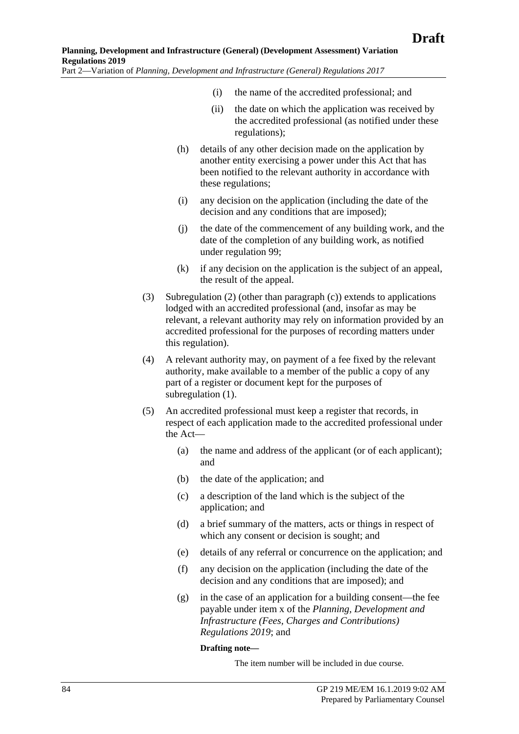- (i) the name of the accredited professional; and
- (ii) the date on which the application was received by the accredited professional (as notified under these regulations);
- (h) details of any other decision made on the application by another entity exercising a power under this Act that has been notified to the relevant authority in accordance with these regulations;
- (i) any decision on the application (including the date of the decision and any conditions that are imposed);
- (j) the date of the commencement of any building work, and the date of the completion of any building work, as notified under regulation 99;
- (k) if any decision on the application is the subject of an appeal, the result of the appeal.
- (3) [Subregulation](#page-82-1) (2) (other than [paragraph](#page-82-2) (c)) extends to applications lodged with an accredited professional (and, insofar as may be relevant, a relevant authority may rely on information provided by an accredited professional for the purposes of recording matters under this regulation).
- (4) A relevant authority may, on payment of a fee fixed by the relevant authority, make available to a member of the public a copy of any part of a register or document kept for the purposes of [subregulation](#page-82-0) (1).
- <span id="page-83-0"></span>(5) An accredited professional must keep a register that records, in respect of each application made to the accredited professional under the Act—
	- (a) the name and address of the applicant (or of each applicant); and
	- (b) the date of the application; and
	- (c) a description of the land which is the subject of the application; and
	- (d) a brief summary of the matters, acts or things in respect of which any consent or decision is sought; and
	- (e) details of any referral or concurrence on the application; and
	- (f) any decision on the application (including the date of the decision and any conditions that are imposed); and
	- (g) in the case of an application for a building consent—the fee payable under item x of the *Planning, Development and Infrastructure (Fees, Charges and Contributions) Regulations 2019*; and

#### **Drafting note—**

The item number will be included in due course.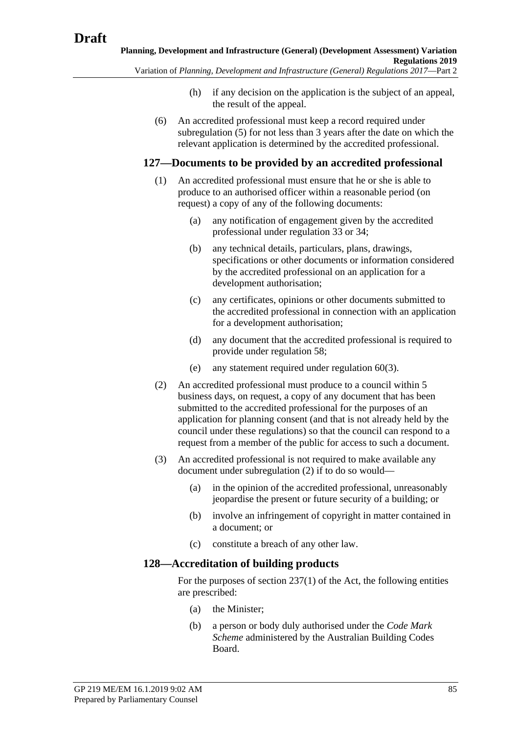- (h) if any decision on the application is the subject of an appeal, the result of the appeal.
- (6) An accredited professional must keep a record required under [subregulation](#page-83-0) (5) for not less than 3 years after the date on which the relevant application is determined by the accredited professional.

#### **127—Documents to be provided by an accredited professional**

- (1) An accredited professional must ensure that he or she is able to produce to an authorised officer within a reasonable period (on request) a copy of any of the following documents:
	- (a) any notification of engagement given by the accredited professional under regulation 33 or 34;
	- (b) any technical details, particulars, plans, drawings, specifications or other documents or information considered by the accredited professional on an application for a development authorisation;
	- (c) any certificates, opinions or other documents submitted to the accredited professional in connection with an application for a development authorisation;
	- (d) any document that the accredited professional is required to provide under regulation 58;
	- (e) any statement required under [regulation](#page-42-0) 60(3).
- <span id="page-84-0"></span>(2) An accredited professional must produce to a council within 5 business days, on request, a copy of any document that has been submitted to the accredited professional for the purposes of an application for planning consent (and that is not already held by the council under these regulations) so that the council can respond to a request from a member of the public for access to such a document.
- (3) An accredited professional is not required to make available any document under [subregulation](#page-84-0) (2) if to do so would—
	- (a) in the opinion of the accredited professional, unreasonably jeopardise the present or future security of a building; or
	- (b) involve an infringement of copyright in matter contained in a document; or
	- (c) constitute a breach of any other law.

#### **128—Accreditation of building products**

For the purposes of section 237(1) of the Act, the following entities are prescribed:

- (a) the Minister;
- (b) a person or body duly authorised under the *Code Mark Scheme* administered by the Australian Building Codes Board.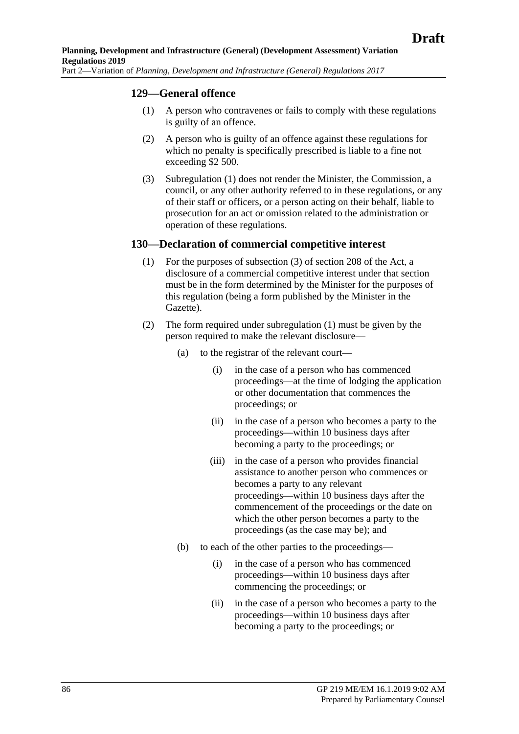#### <span id="page-85-0"></span>**129—General offence**

- (1) A person who contravenes or fails to comply with these regulations is guilty of an offence.
- (2) A person who is guilty of an offence against these regulations for which no penalty is specifically prescribed is liable to a fine not exceeding \$2 500.
- (3) [Subregulation](#page-85-0) (1) does not render the Minister, the Commission, a council, or any other authority referred to in these regulations, or any of their staff or officers, or a person acting on their behalf, liable to prosecution for an act or omission related to the administration or operation of these regulations.

#### <span id="page-85-1"></span>**130—Declaration of commercial competitive interest**

- (1) For the purposes of subsection (3) of section 208 of the Act, a disclosure of a commercial competitive interest under that section must be in the form determined by the Minister for the purposes of this regulation (being a form published by the Minister in the Gazette).
- (2) The form required under [subregulation](#page-85-1) (1) must be given by the person required to make the relevant disclosure—
	- (a) to the registrar of the relevant court—
		- (i) in the case of a person who has commenced proceedings—at the time of lodging the application or other documentation that commences the proceedings; or
		- (ii) in the case of a person who becomes a party to the proceedings—within 10 business days after becoming a party to the proceedings; or
		- (iii) in the case of a person who provides financial assistance to another person who commences or becomes a party to any relevant proceedings—within 10 business days after the commencement of the proceedings or the date on which the other person becomes a party to the proceedings (as the case may be); and
	- (b) to each of the other parties to the proceedings—
		- (i) in the case of a person who has commenced proceedings—within 10 business days after commencing the proceedings; or
		- (ii) in the case of a person who becomes a party to the proceedings—within 10 business days after becoming a party to the proceedings; or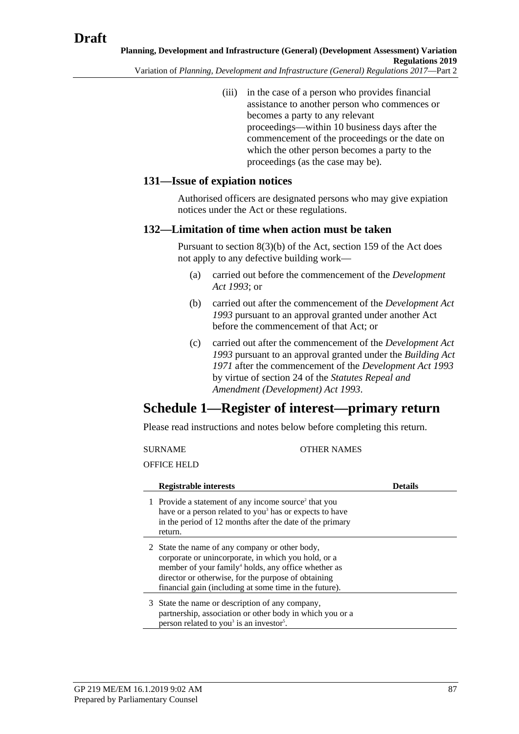(iii) in the case of a person who provides financial assistance to another person who commences or becomes a party to any relevant proceedings—within 10 business days after the commencement of the proceedings or the date on which the other person becomes a party to the proceedings (as the case may be).

#### **131—Issue of expiation notices**

Authorised officers are designated persons who may give expiation notices under the Act or these regulations.

#### **132—Limitation of time when action must be taken**

Pursuant to section 8(3)(b) of the Act, section 159 of the Act does not apply to any defective building work—

- (a) carried out before the commencement of the *[Development](http://www.legislation.sa.gov.au/index.aspx?action=legref&type=act&legtitle=Development%20Act%201993)  [Act 1993](http://www.legislation.sa.gov.au/index.aspx?action=legref&type=act&legtitle=Development%20Act%201993)*; or
- (b) carried out after the commencement of the *[Development Act](http://www.legislation.sa.gov.au/index.aspx?action=legref&type=act&legtitle=Development%20Act%201993)  [1993](http://www.legislation.sa.gov.au/index.aspx?action=legref&type=act&legtitle=Development%20Act%201993)* pursuant to an approval granted under another Act before the commencement of that Act; or
- (c) carried out after the commencement of the *[Development Act](http://www.legislation.sa.gov.au/index.aspx?action=legref&type=act&legtitle=Development%20Act%201993)  [1993](http://www.legislation.sa.gov.au/index.aspx?action=legref&type=act&legtitle=Development%20Act%201993)* pursuant to an approval granted under the *Building Act 1971* after the commencement of the *[Development Act 1993](http://www.legislation.sa.gov.au/index.aspx?action=legref&type=act&legtitle=Development%20Act%201993)* by virtue of section 24 of the *Statutes Repeal and Amendment (Development) Act 1993*.

## **Schedule 1—Register of interest—primary return**

Please read instructions and notes below before completing this return.

SURNAME OTHER NAMES OFFICE HELD **Registrable interests Details** 1 Provide a statement of any income source<sup>2</sup> that you have or a person related to you<sup>3</sup> has or expects to have in the period of 12 months after the date of the primary return. 2 State the name of any company or other body, corporate or unincorporate, in which you hold, or a member of your family<sup>4</sup> holds, any office whether as director or otherwise, for the purpose of obtaining financial gain (including at some time in the future). 3 State the name or description of any company, partnership, association or other body in which you or a person related to you<sup>3</sup> is an investor<sup>5</sup>.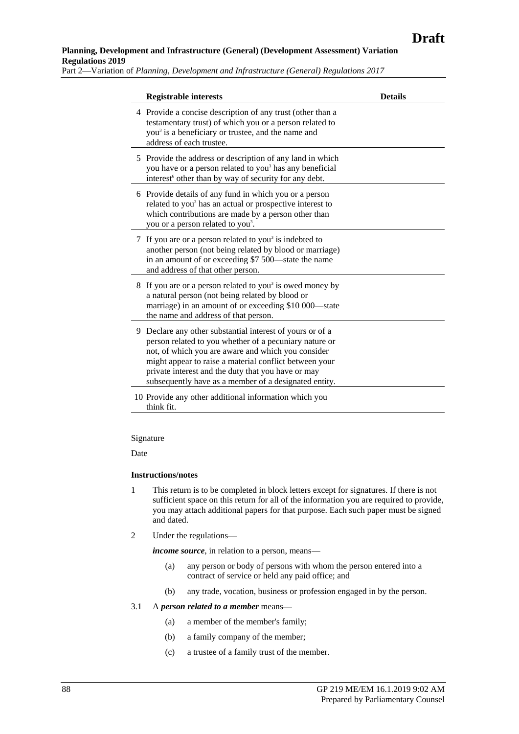#### **Planning, Development and Infrastructure (General) (Development Assessment) Variation Regulations 2019**

Part 2—Variation of *Planning, Development and Infrastructure (General) Regulations 2017*

|   | <b>Registrable interests</b>                                                                                                                                                                                                                                                                                                                     | <b>Details</b> |
|---|--------------------------------------------------------------------------------------------------------------------------------------------------------------------------------------------------------------------------------------------------------------------------------------------------------------------------------------------------|----------------|
|   | 4 Provide a concise description of any trust (other than a<br>testamentary trust) of which you or a person related to<br>you <sup>3</sup> is a beneficiary or trustee, and the name and<br>address of each trustee.                                                                                                                              |                |
|   | 5 Provide the address or description of any land in which<br>you have or a person related to you <sup>3</sup> has any beneficial<br>interest <sup>6</sup> other than by way of security for any debt.                                                                                                                                            |                |
|   | 6 Provide details of any fund in which you or a person<br>related to you <sup>3</sup> has an actual or prospective interest to<br>which contributions are made by a person other than<br>you or a person related to you <sup>3</sup> .                                                                                                           |                |
|   | 7 If you are or a person related to you <sup>3</sup> is indebted to<br>another person (not being related by blood or marriage)<br>in an amount of or exceeding \$7 500—state the name<br>and address of that other person.                                                                                                                       |                |
|   | 8 If you are or a person related to you <sup>3</sup> is owed money by<br>a natural person (not being related by blood or<br>marriage) in an amount of or exceeding \$10 000—state<br>the name and address of that person.                                                                                                                        |                |
| 9 | Declare any other substantial interest of yours or of a<br>person related to you whether of a pecuniary nature or<br>not, of which you are aware and which you consider<br>might appear to raise a material conflict between your<br>private interest and the duty that you have or may<br>subsequently have as a member of a designated entity. |                |
|   | 10 Provide any other additional information which you<br>think fit.                                                                                                                                                                                                                                                                              |                |

Signature

Date

#### **Instructions/notes**

- 1 This return is to be completed in block letters except for signatures. If there is not sufficient space on this return for all of the information you are required to provide, you may attach additional papers for that purpose. Each such paper must be signed and dated.
- 2 Under the regulations—

*income source*, in relation to a person, means—

- (a) any person or body of persons with whom the person entered into a contract of service or held any paid office; and
- (b) any trade, vocation, business or profession engaged in by the person.

#### 3.1 A *person related to a member* means—

- (a) a member of the member's family;
- (b) a family company of the member;
- (c) a trustee of a family trust of the member.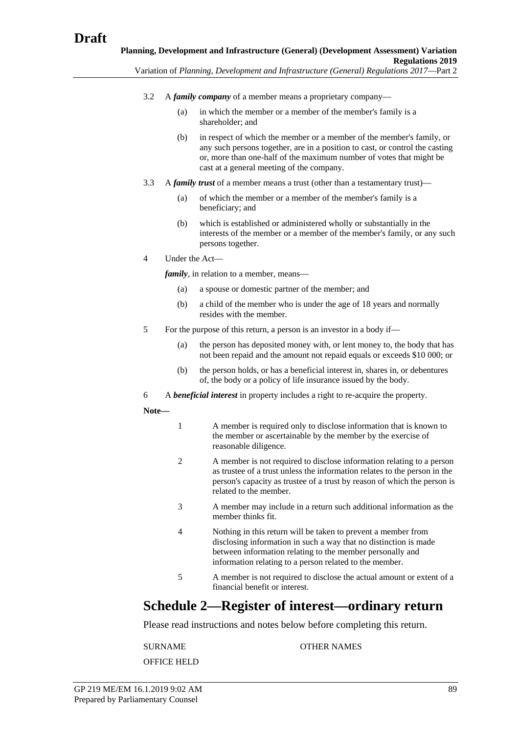- 3.2 A *family company* of a member means a proprietary company—
	- (a) in which the member or a member of the member's family is a shareholder; and
	- (b) in respect of which the member or a member of the member's family, or any such persons together, are in a position to cast, or control the casting or, more than one-half of the maximum number of votes that might be cast at a general meeting of the company.
- 3.3 A *family trust* of a member means a trust (other than a testamentary trust)—
	- (a) of which the member or a member of the member's family is a beneficiary; and
	- (b) which is established or administered wholly or substantially in the interests of the member or a member of the member's family, or any such persons together.
- 4 Under the Act—

*family*, in relation to a member, means–

- (a) a spouse or domestic partner of the member; and
- (b) a child of the member who is under the age of 18 years and normally resides with the member.
- 5 For the purpose of this return, a person is an investor in a body if—
	- (a) the person has deposited money with, or lent money to, the body that has not been repaid and the amount not repaid equals or exceeds \$10 000; or
	- (b) the person holds, or has a beneficial interest in, shares in, or debentures of, the body or a policy of life insurance issued by the body.
- 6 A *beneficial interest* in property includes a right to re-acquire the property.

**Note—**

- 1 A member is required only to disclose information that is known to the member or ascertainable by the member by the exercise of reasonable diligence.
- 2 A member is not required to disclose information relating to a person as trustee of a trust unless the information relates to the person in the person's capacity as trustee of a trust by reason of which the person is related to the member.
- 3 A member may include in a return such additional information as the member thinks fit.
- 4 Nothing in this return will be taken to prevent a member from disclosing information in such a way that no distinction is made between information relating to the member personally and information relating to a person related to the member.
- 5 A member is not required to disclose the actual amount or extent of a financial benefit or interest.

## **Schedule 2—Register of interest—ordinary return**

Please read instructions and notes below before completing this return.

SURNAME OTHER NAMES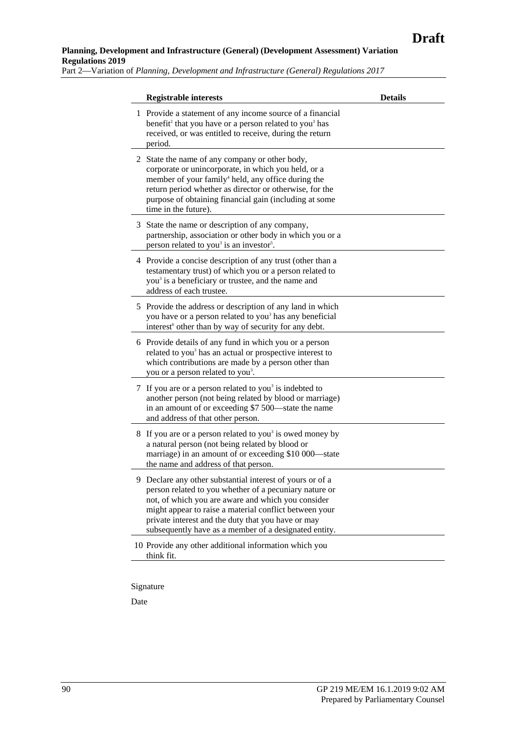#### **Planning, Development and Infrastructure (General) (Development Assessment) Variation Regulations 2019**

Part 2—Variation of *Planning, Development and Infrastructure (General) Regulations 2017*

| <b>Registrable interests</b>                                                                                                                                                                                                                                                                                                                       | <b>Details</b> |
|----------------------------------------------------------------------------------------------------------------------------------------------------------------------------------------------------------------------------------------------------------------------------------------------------------------------------------------------------|----------------|
| 1 Provide a statement of any income source of a financial<br>benefit <sup>2</sup> that you have or a person related to you <sup>3</sup> has<br>received, or was entitled to receive, during the return<br>period.                                                                                                                                  |                |
| 2 State the name of any company or other body,<br>corporate or unincorporate, in which you held, or a<br>member of your family <sup>4</sup> held, any office during the<br>return period whether as director or otherwise, for the<br>purpose of obtaining financial gain (including at some<br>time in the future).                               |                |
| 3 State the name or description of any company,<br>partnership, association or other body in which you or a<br>person related to you <sup>3</sup> is an investor <sup>5</sup> .                                                                                                                                                                    |                |
| 4 Provide a concise description of any trust (other than a<br>testamentary trust) of which you or a person related to<br>you <sup>3</sup> is a beneficiary or trustee, and the name and<br>address of each trustee.                                                                                                                                |                |
| 5 Provide the address or description of any land in which<br>you have or a person related to you <sup>3</sup> has any beneficial<br>interest <sup>6</sup> other than by way of security for any debt.                                                                                                                                              |                |
| 6 Provide details of any fund in which you or a person<br>related to you <sup>3</sup> has an actual or prospective interest to<br>which contributions are made by a person other than<br>you or a person related to you <sup>3</sup> .                                                                                                             |                |
| 7 If you are or a person related to you <sup>3</sup> is indebted to<br>another person (not being related by blood or marriage)<br>in an amount of or exceeding \$7 500—state the name<br>and address of that other person.                                                                                                                         |                |
| 8 If you are or a person related to you <sup>3</sup> is owed money by<br>a natural person (not being related by blood or<br>marriage) in an amount of or exceeding \$10 000—state<br>the name and address of that person.                                                                                                                          |                |
| 9 Declare any other substantial interest of yours or of a<br>person related to you whether of a pecuniary nature or<br>not, of which you are aware and which you consider<br>might appear to raise a material conflict between your<br>private interest and the duty that you have or may<br>subsequently have as a member of a designated entity. |                |
| 10 Provide any other additional information which you<br>think fit.                                                                                                                                                                                                                                                                                |                |

Signature

Date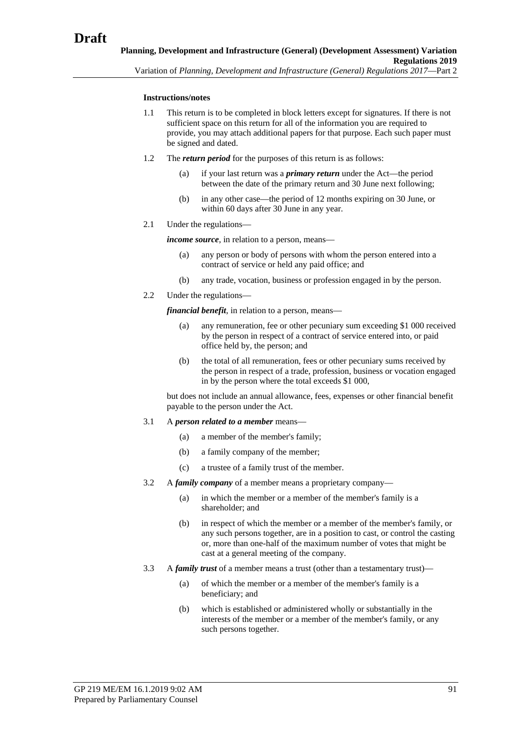#### **Instructions/notes**

- 1.1 This return is to be completed in block letters except for signatures. If there is not sufficient space on this return for all of the information you are required to provide, you may attach additional papers for that purpose. Each such paper must be signed and dated.
- 1.2 The *return period* for the purposes of this return is as follows:
	- (a) if your last return was a *primary return* under the Act—the period between the date of the primary return and 30 June next following;
	- (b) in any other case—the period of 12 months expiring on 30 June, or within 60 days after 30 June in any year.
- 2.1 Under the regulations—

*income source*, in relation to a person, means—

- (a) any person or body of persons with whom the person entered into a contract of service or held any paid office; and
- (b) any trade, vocation, business or profession engaged in by the person.
- 2.2 Under the regulations—

*financial benefit*, in relation to a person, means—

- (a) any remuneration, fee or other pecuniary sum exceeding \$1 000 received by the person in respect of a contract of service entered into, or paid office held by, the person; and
- (b) the total of all remuneration, fees or other pecuniary sums received by the person in respect of a trade, profession, business or vocation engaged in by the person where the total exceeds \$1 000,

but does not include an annual allowance, fees, expenses or other financial benefit payable to the person under the Act.

- 3.1 A *person related to a member* means—
	- (a) a member of the member's family;
	- (b) a family company of the member;
	- (c) a trustee of a family trust of the member.
- 3.2 A *family company* of a member means a proprietary company—
	- (a) in which the member or a member of the member's family is a shareholder; and
	- (b) in respect of which the member or a member of the member's family, or any such persons together, are in a position to cast, or control the casting or, more than one-half of the maximum number of votes that might be cast at a general meeting of the company.
- 3.3 A *family trust* of a member means a trust (other than a testamentary trust)—
	- (a) of which the member or a member of the member's family is a beneficiary; and
	- (b) which is established or administered wholly or substantially in the interests of the member or a member of the member's family, or any such persons together.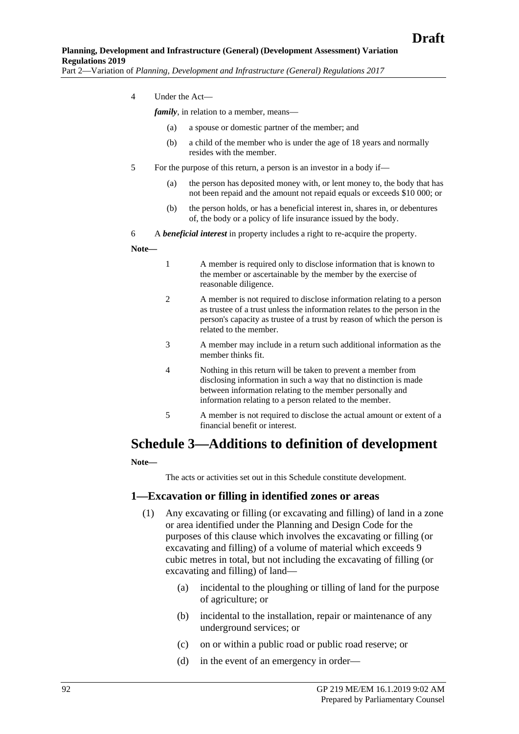4 Under the Act—

*family*, in relation to a member, means—

- (a) a spouse or domestic partner of the member; and
- (b) a child of the member who is under the age of 18 years and normally resides with the member.
- 5 For the purpose of this return, a person is an investor in a body if—
	- (a) the person has deposited money with, or lent money to, the body that has not been repaid and the amount not repaid equals or exceeds \$10 000; or
	- (b) the person holds, or has a beneficial interest in, shares in, or debentures of, the body or a policy of life insurance issued by the body.
- 6 A *beneficial interest* in property includes a right to re-acquire the property.

#### **Note—**

- 1 A member is required only to disclose information that is known to the member or ascertainable by the member by the exercise of reasonable diligence.
- 2 A member is not required to disclose information relating to a person as trustee of a trust unless the information relates to the person in the person's capacity as trustee of a trust by reason of which the person is related to the member.
- 3 A member may include in a return such additional information as the member thinks fit.
- 4 Nothing in this return will be taken to prevent a member from disclosing information in such a way that no distinction is made between information relating to the member personally and information relating to a person related to the member.
- 5 A member is not required to disclose the actual amount or extent of a financial benefit or interest.

### **Schedule 3—Additions to definition of development**

**Note—**

The acts or activities set out in this Schedule constitute development.

#### **1—Excavation or filling in identified zones or areas**

- (1) Any excavating or filling (or excavating and filling) of land in a zone or area identified under the Planning and Design Code for the purposes of this clause which involves the excavating or filling (or excavating and filling) of a volume of material which exceeds 9 cubic metres in total, but not including the excavating of filling (or excavating and filling) of land—
	- (a) incidental to the ploughing or tilling of land for the purpose of agriculture; or
	- (b) incidental to the installation, repair or maintenance of any underground services; or
	- (c) on or within a public road or public road reserve; or
	- (d) in the event of an emergency in order—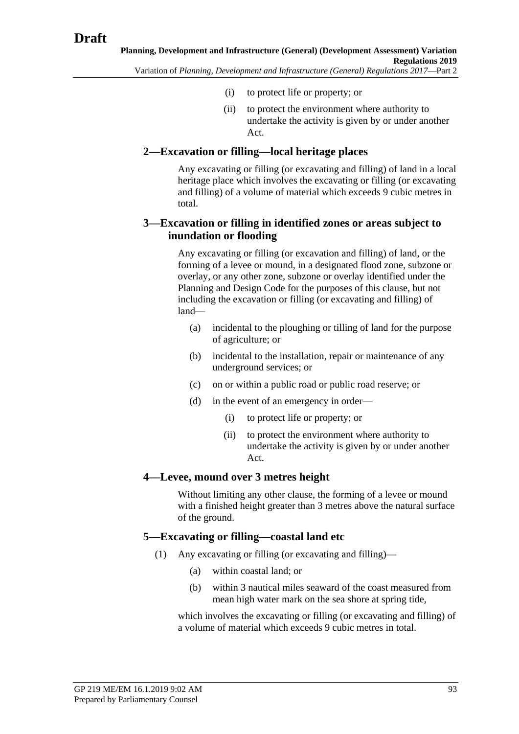- (i) to protect life or property; or
- (ii) to protect the environment where authority to undertake the activity is given by or under another Act.

#### **2—Excavation or filling—local heritage places**

Any excavating or filling (or excavating and filling) of land in a local heritage place which involves the excavating or filling (or excavating and filling) of a volume of material which exceeds 9 cubic metres in total.

#### **3—Excavation or filling in identified zones or areas subject to inundation or flooding**

Any excavating or filling (or excavation and filling) of land, or the forming of a levee or mound, in a designated flood zone, subzone or overlay, or any other zone, subzone or overlay identified under the Planning and Design Code for the purposes of this clause, but not including the excavation or filling (or excavating and filling) of land—

- (a) incidental to the ploughing or tilling of land for the purpose of agriculture; or
- (b) incidental to the installation, repair or maintenance of any underground services; or
- (c) on or within a public road or public road reserve; or
- (d) in the event of an emergency in order—
	- (i) to protect life or property; or
	- (ii) to protect the environment where authority to undertake the activity is given by or under another Act.

#### **4—Levee, mound over 3 metres height**

Without limiting any other clause, the forming of a levee or mound with a finished height greater than 3 metres above the natural surface of the ground.

#### **5—Excavating or filling—coastal land etc**

- (1) Any excavating or filling (or excavating and filling)—
	- (a) within coastal land; or
	- (b) within 3 nautical miles seaward of the coast measured from mean high water mark on the sea shore at spring tide,

which involves the excavating or filling (or excavating and filling) of a volume of material which exceeds 9 cubic metres in total.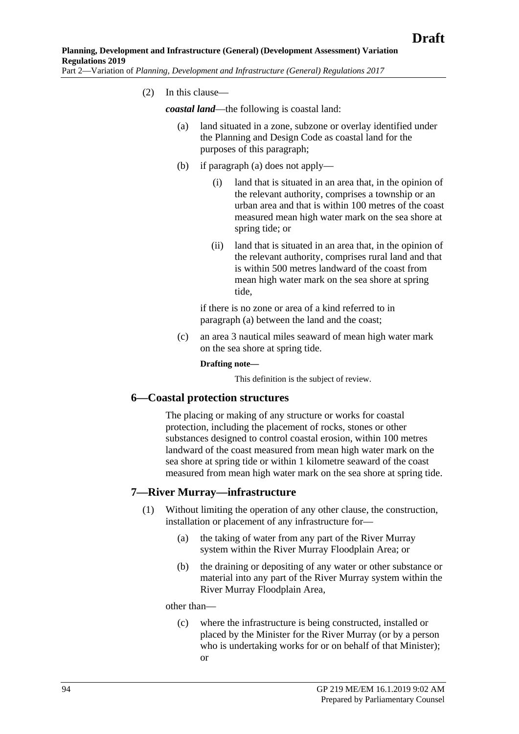<span id="page-93-0"></span>(2) In this clause—

*coastal land*—the following is coastal land:

- (a) land situated in a zone, subzone or overlay identified under the Planning and Design Code as coastal land for the purposes of this paragraph;
- (b) if [paragraph](#page-93-0) (a) does not apply—
	- (i) land that is situated in an area that, in the opinion of the relevant authority, comprises a township or an urban area and that is within 100 metres of the coast measured mean high water mark on the sea shore at spring tide; or
	- (ii) land that is situated in an area that, in the opinion of the relevant authority, comprises rural land and that is within 500 metres landward of the coast from mean high water mark on the sea shore at spring tide,

if there is no zone or area of a kind referred to in [paragraph](#page-93-0) (a) between the land and the coast;

(c) an area 3 nautical miles seaward of mean high water mark on the sea shore at spring tide.

#### **Drafting note—**

This definition is the subject of review.

#### **6—Coastal protection structures**

The placing or making of any structure or works for coastal protection, including the placement of rocks, stones or other substances designed to control coastal erosion, within 100 metres landward of the coast measured from mean high water mark on the sea shore at spring tide or within 1 kilometre seaward of the coast measured from mean high water mark on the sea shore at spring tide.

#### <span id="page-93-1"></span>**7—River Murray—infrastructure**

- (1) Without limiting the operation of any other clause, the construction, installation or placement of any infrastructure for—
	- (a) the taking of water from any part of the River Murray system within the River Murray Floodplain Area; or
	- (b) the draining or depositing of any water or other substance or material into any part of the River Murray system within the River Murray Floodplain Area,

other than—

(c) where the infrastructure is being constructed, installed or placed by the Minister for the River Murray (or by a person who is undertaking works for or on behalf of that Minister); or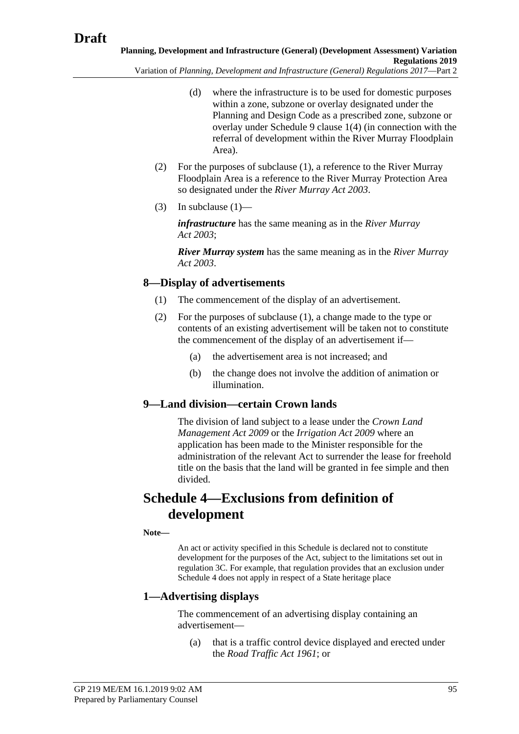- (d) where the infrastructure is to be used for domestic purposes within a zone, subzone or overlay designated under the Planning and Design Code as a prescribed zone, subzone or overlay under [Schedule 9 clause](#page-160-0) 1(4) (in connection with the referral of development within the River Murray Floodplain Area).
- (2) For the purposes of [subclause](#page-93-1) (1), a reference to the River Murray Floodplain Area is a reference to the River Murray Protection Area so designated under the *[River Murray Act](http://www.legislation.sa.gov.au/index.aspx?action=legref&type=act&legtitle=River%20Murray%20Act%202003) 2003*.
- (3) In [subclause](#page-93-1)  $(1)$ —

*infrastructure* has the same meaning as in the *[River Murray](http://www.legislation.sa.gov.au/index.aspx?action=legref&type=act&legtitle=River%20Murray%20Act%202003)  Act [2003](http://www.legislation.sa.gov.au/index.aspx?action=legref&type=act&legtitle=River%20Murray%20Act%202003)*;

*River Murray system* has the same meaning as in the *[River Murray](http://www.legislation.sa.gov.au/index.aspx?action=legref&type=act&legtitle=River%20Murray%20Act%202003)  Act [2003](http://www.legislation.sa.gov.au/index.aspx?action=legref&type=act&legtitle=River%20Murray%20Act%202003)*.

## <span id="page-94-0"></span>**8—Display of advertisements**

- (1) The commencement of the display of an advertisement.
- (2) For the purposes of [subclause](#page-94-0) (1), a change made to the type or contents of an existing advertisement will be taken not to constitute the commencement of the display of an advertisement if—
	- (a) the advertisement area is not increased; and
	- (b) the change does not involve the addition of animation or illumination.

## **9—Land division—certain Crown lands**

The division of land subject to a lease under the *[Crown Land](http://www.legislation.sa.gov.au/index.aspx?action=legref&type=act&legtitle=Crown%20Land%20Management%20Act%202009)  [Management Act](http://www.legislation.sa.gov.au/index.aspx?action=legref&type=act&legtitle=Crown%20Land%20Management%20Act%202009) 2009* or the *[Irrigation Act](http://www.legislation.sa.gov.au/index.aspx?action=legref&type=act&legtitle=Irrigation%20Act%202009) 2009* where an application has been made to the Minister responsible for the administration of the relevant Act to surrender the lease for freehold title on the basis that the land will be granted in fee simple and then divided.

# **Schedule 4—Exclusions from definition of development**

**Note—**

An act or activity specified in this Schedule is declared not to constitute development for the purposes of the Act, subject to the limitations set out in regulation 3C. For example, that regulation provides that an exclusion under Schedule 4 does not apply in respect of a State heritage place

## **1—Advertising displays**

The commencement of an advertising display containing an advertisement—

(a) that is a traffic control device displayed and erected under the *[Road Traffic Act](http://www.legislation.sa.gov.au/index.aspx?action=legref&type=act&legtitle=Road%20Traffic%20Act%201961) 1961*; or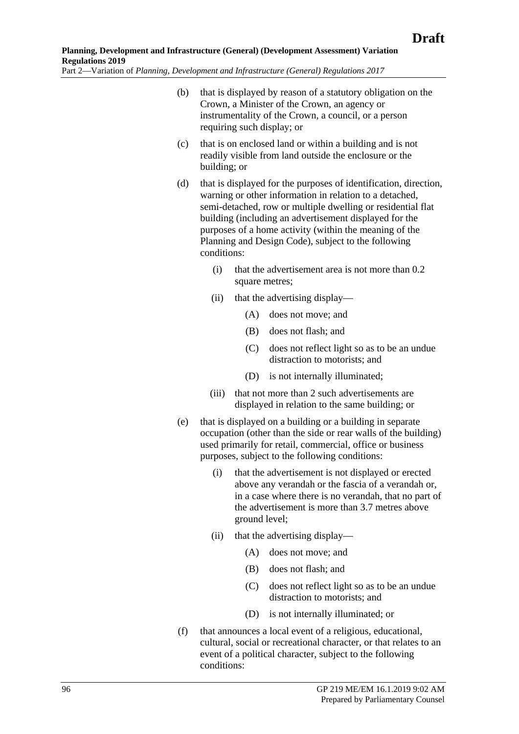- (b) that is displayed by reason of a statutory obligation on the Crown, a Minister of the Crown, an agency or instrumentality of the Crown, a council, or a person requiring such display; or
- (c) that is on enclosed land or within a building and is not readily visible from land outside the enclosure or the building; or
- (d) that is displayed for the purposes of identification, direction, warning or other information in relation to a detached, semi-detached, row or multiple dwelling or residential flat building (including an advertisement displayed for the purposes of a home activity (within the meaning of the Planning and Design Code), subject to the following conditions:
	- (i) that the advertisement area is not more than 0.2 square metres;
	- (ii) that the advertising display—
		- (A) does not move; and
		- (B) does not flash; and
		- (C) does not reflect light so as to be an undue distraction to motorists; and
		- (D) is not internally illuminated;
	- (iii) that not more than 2 such advertisements are displayed in relation to the same building; or
- (e) that is displayed on a building or a building in separate occupation (other than the side or rear walls of the building) used primarily for retail, commercial, office or business purposes, subject to the following conditions:
	- (i) that the advertisement is not displayed or erected above any verandah or the fascia of a verandah or, in a case where there is no verandah, that no part of the advertisement is more than 3.7 metres above ground level;
	- (ii) that the advertising display—
		- (A) does not move; and
		- (B) does not flash; and
		- (C) does not reflect light so as to be an undue distraction to motorists; and
		- (D) is not internally illuminated; or
- (f) that announces a local event of a religious, educational, cultural, social or recreational character, or that relates to an event of a political character, subject to the following conditions: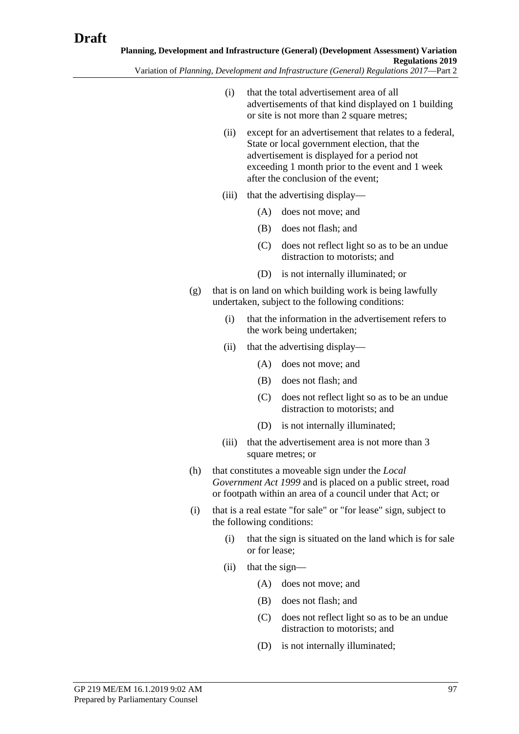- Variation of *Planning, Development and Infrastructure (General) Regulations 2017*—Part 2
	- (i) that the total advertisement area of all advertisements of that kind displayed on 1 building or site is not more than 2 square metres;
	- (ii) except for an advertisement that relates to a federal, State or local government election, that the advertisement is displayed for a period not exceeding 1 month prior to the event and 1 week after the conclusion of the event;
	- (iii) that the advertising display—
		- (A) does not move; and
		- (B) does not flash; and
		- (C) does not reflect light so as to be an undue distraction to motorists; and
		- (D) is not internally illuminated; or
	- (g) that is on land on which building work is being lawfully undertaken, subject to the following conditions:
		- (i) that the information in the advertisement refers to the work being undertaken;
		- (ii) that the advertising display—
			- (A) does not move; and
			- (B) does not flash; and
			- (C) does not reflect light so as to be an undue distraction to motorists; and
			- (D) is not internally illuminated;
		- (iii) that the advertisement area is not more than 3 square metres; or
	- (h) that constitutes a moveable sign under the *[Local](http://www.legislation.sa.gov.au/index.aspx?action=legref&type=act&legtitle=Local%20Government%20Act%201999)  [Government Act](http://www.legislation.sa.gov.au/index.aspx?action=legref&type=act&legtitle=Local%20Government%20Act%201999) 1999* and is placed on a public street, road or footpath within an area of a council under that Act; or
	- (i) that is a real estate "for sale" or "for lease" sign, subject to the following conditions:
		- (i) that the sign is situated on the land which is for sale or for lease;
		- (ii) that the sign—
			- (A) does not move; and
			- (B) does not flash; and
			- (C) does not reflect light so as to be an undue distraction to motorists; and
			- (D) is not internally illuminated;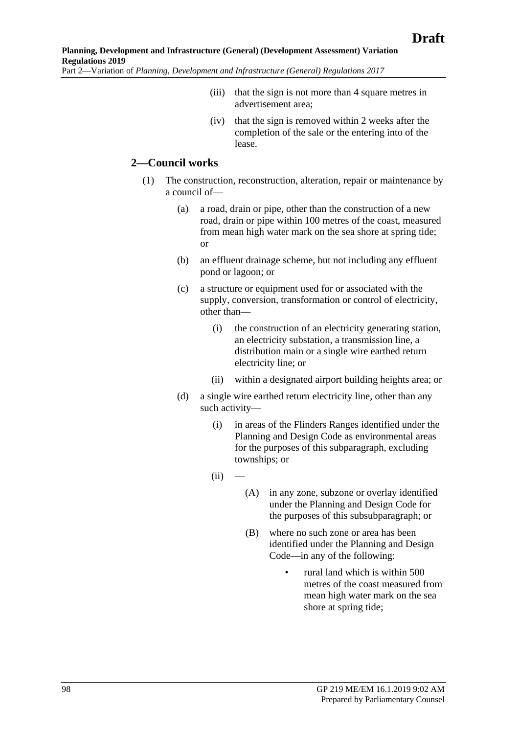- (iii) that the sign is not more than 4 square metres in advertisement area;
- (iv) that the sign is removed within 2 weeks after the completion of the sale or the entering into of the lease.

#### **2—Council works**

- (1) The construction, reconstruction, alteration, repair or maintenance by a council of—
	- (a) a road, drain or pipe, other than the construction of a new road, drain or pipe within 100 metres of the coast, measured from mean high water mark on the sea shore at spring tide; or
	- (b) an effluent drainage scheme, but not including any effluent pond or lagoon; or
	- (c) a structure or equipment used for or associated with the supply, conversion, transformation or control of electricity, other than—
		- (i) the construction of an electricity generating station, an electricity substation, a transmission line, a distribution main or a single wire earthed return electricity line; or
		- (ii) within a designated airport building heights area; or
	- (d) a single wire earthed return electricity line, other than any such activity—
		- (i) in areas of the Flinders Ranges identified under the Planning and Design Code as environmental areas for the purposes of this subparagraph, excluding townships; or
		- $(ii)$
- (A) in any zone, subzone or overlay identified under the Planning and Design Code for the purposes of this subsubparagraph; or
- (B) where no such zone or area has been identified under the Planning and Design Code—in any of the following:
	- rural land which is within 500 metres of the coast measured from mean high water mark on the sea shore at spring tide;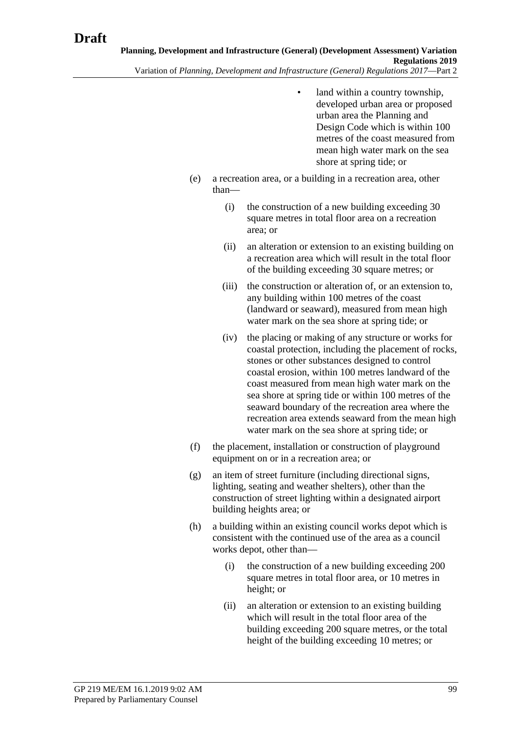- land within a country township. developed urban area or proposed urban area the Planning and Design Code which is within 100 metres of the coast measured from mean high water mark on the sea shore at spring tide; or
- (e) a recreation area, or a building in a recreation area, other than—
	- (i) the construction of a new building exceeding 30 square metres in total floor area on a recreation area; or
	- (ii) an alteration or extension to an existing building on a recreation area which will result in the total floor of the building exceeding 30 square metres; or
	- (iii) the construction or alteration of, or an extension to, any building within 100 metres of the coast (landward or seaward), measured from mean high water mark on the sea shore at spring tide; or
	- (iv) the placing or making of any structure or works for coastal protection, including the placement of rocks, stones or other substances designed to control coastal erosion, within 100 metres landward of the coast measured from mean high water mark on the sea shore at spring tide or within 100 metres of the seaward boundary of the recreation area where the recreation area extends seaward from the mean high water mark on the sea shore at spring tide; or
- (f) the placement, installation or construction of playground equipment on or in a recreation area; or
- (g) an item of street furniture (including directional signs, lighting, seating and weather shelters), other than the construction of street lighting within a designated airport building heights area; or
- (h) a building within an existing council works depot which is consistent with the continued use of the area as a council works depot, other than—
	- (i) the construction of a new building exceeding 200 square metres in total floor area, or 10 metres in height; or
	- (ii) an alteration or extension to an existing building which will result in the total floor area of the building exceeding 200 square metres, or the total height of the building exceeding 10 metres; or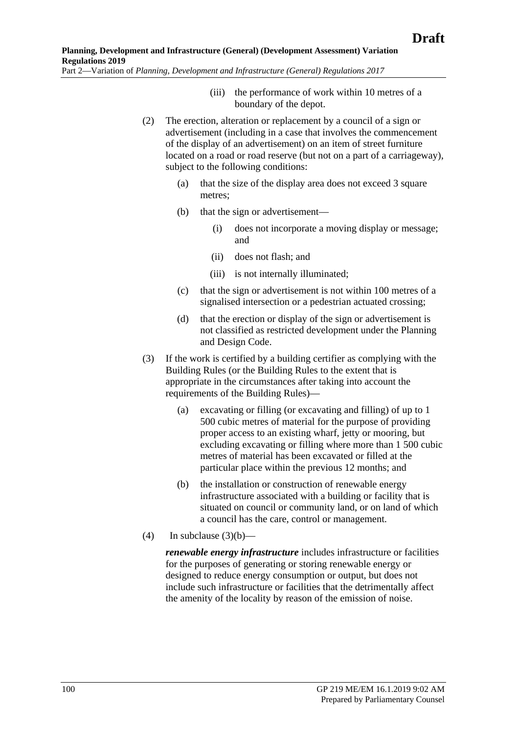- (iii) the performance of work within 10 metres of a boundary of the depot.
- (2) The erection, alteration or replacement by a council of a sign or advertisement (including in a case that involves the commencement of the display of an advertisement) on an item of street furniture located on a road or road reserve (but not on a part of a carriageway), subject to the following conditions:
	- (a) that the size of the display area does not exceed 3 square metres;
	- (b) that the sign or advertisement—
		- (i) does not incorporate a moving display or message; and
		- (ii) does not flash; and
		- (iii) is not internally illuminated;
	- (c) that the sign or advertisement is not within 100 metres of a signalised intersection or a pedestrian actuated crossing;
	- (d) that the erection or display of the sign or advertisement is not classified as restricted development under the Planning and Design Code.
- (3) If the work is certified by a building certifier as complying with the Building Rules (or the Building Rules to the extent that is appropriate in the circumstances after taking into account the requirements of the Building Rules)—
	- (a) excavating or filling (or excavating and filling) of up to 1 500 cubic metres of material for the purpose of providing proper access to an existing wharf, jetty or mooring, but excluding excavating or filling where more than 1 500 cubic metres of material has been excavated or filled at the particular place within the previous 12 months; and
	- (b) the installation or construction of renewable energy infrastructure associated with a building or facility that is situated on council or community land, or on land of which a council has the care, control or management.
- <span id="page-99-0"></span>(4) In [subclause](#page-99-0)  $(3)(b)$ —

*renewable energy infrastructure* includes infrastructure or facilities for the purposes of generating or storing renewable energy or designed to reduce energy consumption or output, but does not include such infrastructure or facilities that the detrimentally affect the amenity of the locality by reason of the emission of noise.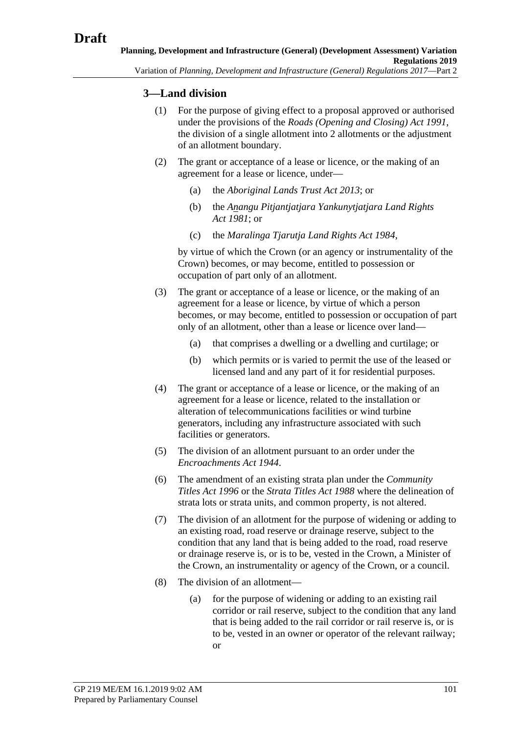### **3—Land division**

- (1) For the purpose of giving effect to a proposal approved or authorised under the provisions of the *[Roads \(Opening and Closing\) Act](http://www.legislation.sa.gov.au/index.aspx?action=legref&type=act&legtitle=Roads%20(Opening%20and%20Closing)%20Act%201991) 1991*, the division of a single allotment into 2 allotments or the adjustment of an allotment boundary.
- (2) The grant or acceptance of a lease or licence, or the making of an agreement for a lease or licence, under—
	- (a) the *[Aboriginal Lands Trust Act](http://www.legislation.sa.gov.au/index.aspx?action=legref&type=act&legtitle=Aboriginal%20Lands%20Trust%20Act%202013) 2013*; or
	- (b) the *[Anangu Pitjantjatjara Yankunytjatjara Land Rights](http://www.legislation.sa.gov.au/index.aspx?action=legref&type=act&legtitle=Anangu%20Pitjantjatjara%20Yankunytjatjara%20Land%20Rights%20Act%201981)  Act [1981](http://www.legislation.sa.gov.au/index.aspx?action=legref&type=act&legtitle=Anangu%20Pitjantjatjara%20Yankunytjatjara%20Land%20Rights%20Act%201981)*; or
	- (c) the *[Maralinga Tjarutja Land Rights Act](http://www.legislation.sa.gov.au/index.aspx?action=legref&type=act&legtitle=Maralinga%20Tjarutja%20Land%20Rights%20Act%201984) 1984*,

by virtue of which the Crown (or an agency or instrumentality of the Crown) becomes, or may become, entitled to possession or occupation of part only of an allotment.

- (3) The grant or acceptance of a lease or licence, or the making of an agreement for a lease or licence, by virtue of which a person becomes, or may become, entitled to possession or occupation of part only of an allotment, other than a lease or licence over land—
	- (a) that comprises a dwelling or a dwelling and curtilage; or
	- (b) which permits or is varied to permit the use of the leased or licensed land and any part of it for residential purposes.
- (4) The grant or acceptance of a lease or licence, or the making of an agreement for a lease or licence, related to the installation or alteration of telecommunications facilities or wind turbine generators, including any infrastructure associated with such facilities or generators.
- (5) The division of an allotment pursuant to an order under the *[Encroachments Act](http://www.legislation.sa.gov.au/index.aspx?action=legref&type=act&legtitle=Encroachments%20Act%201944) 1944*.
- (6) The amendment of an existing strata plan under the *[Community](http://www.legislation.sa.gov.au/index.aspx?action=legref&type=act&legtitle=Community%20Titles%20Act%201996)  [Titles Act](http://www.legislation.sa.gov.au/index.aspx?action=legref&type=act&legtitle=Community%20Titles%20Act%201996) 1996* or the *[Strata Titles Act](http://www.legislation.sa.gov.au/index.aspx?action=legref&type=act&legtitle=Strata%20Titles%20Act%201988) 1988* where the delineation of strata lots or strata units, and common property, is not altered.
- (7) The division of an allotment for the purpose of widening or adding to an existing road, road reserve or drainage reserve, subject to the condition that any land that is being added to the road, road reserve or drainage reserve is, or is to be, vested in the Crown, a Minister of the Crown, an instrumentality or agency of the Crown, or a council.
- (8) The division of an allotment—
	- (a) for the purpose of widening or adding to an existing rail corridor or rail reserve, subject to the condition that any land that is being added to the rail corridor or rail reserve is, or is to be, vested in an owner or operator of the relevant railway; or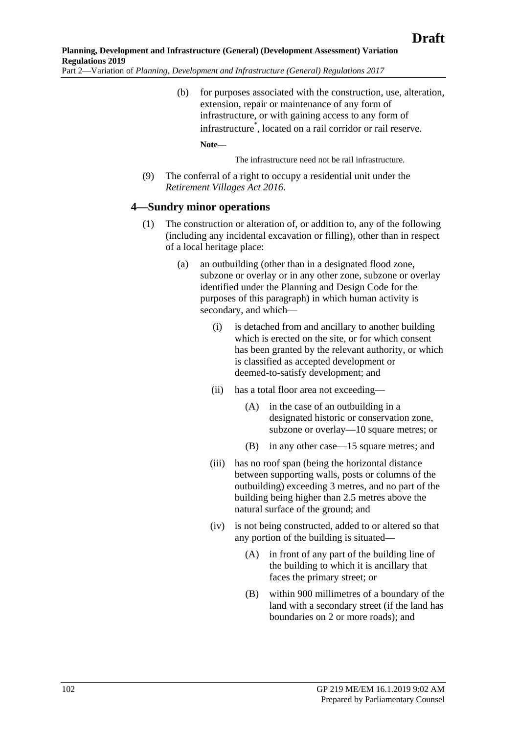(b) for purposes associated with the construction, use, alteration, extension, repair or maintenance of any form of infrastructure, or with gaining access to any form of infrastructure\* , located on a rail corridor or rail reserve.

**Note—**

The infrastructure need not be rail infrastructure.

(9) The conferral of a right to occupy a residential unit under the *[Retirement Villages Act](http://www.legislation.sa.gov.au/index.aspx?action=legref&type=act&legtitle=Retirement%20Villages%20Act%202016) 2016*.

#### **4—Sundry minor operations**

- (1) The construction or alteration of, or addition to, any of the following (including any incidental excavation or filling), other than in respect of a local heritage place:
	- (a) an outbuilding (other than in a designated flood zone, subzone or overlay or in any other zone, subzone or overlay identified under the Planning and Design Code for the purposes of this paragraph) in which human activity is secondary, and which—
		- (i) is detached from and ancillary to another building which is erected on the site, or for which consent has been granted by the relevant authority, or which is classified as accepted development or deemed-to-satisfy development; and
		- (ii) has a total floor area not exceeding—
			- (A) in the case of an outbuilding in a designated historic or conservation zone, subzone or overlay—10 square metres; or
			- (B) in any other case—15 square metres; and
		- (iii) has no roof span (being the horizontal distance between supporting walls, posts or columns of the outbuilding) exceeding 3 metres, and no part of the building being higher than 2.5 metres above the natural surface of the ground; and
		- (iv) is not being constructed, added to or altered so that any portion of the building is situated—
			- (A) in front of any part of the building line of the building to which it is ancillary that faces the primary street; or
			- (B) within 900 millimetres of a boundary of the land with a secondary street (if the land has boundaries on 2 or more roads); and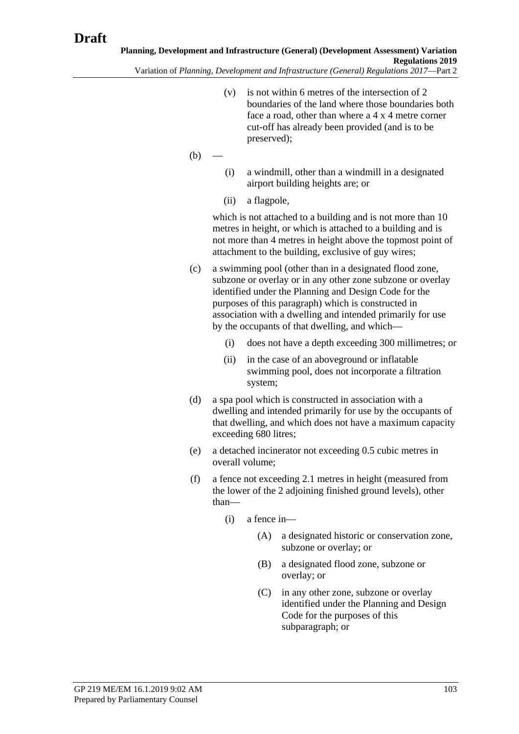- Variation of *Planning, Development and Infrastructure (General) Regulations 2017*—Part 2
	- (v) is not within 6 metres of the intersection of 2 boundaries of the land where those boundaries both face a road, other than where a 4 x 4 metre corner cut-off has already been provided (and is to be preserved);
	- $(b)$
- (i) a windmill, other than a windmill in a designated airport building heights are; or
- (ii) a flagpole,

which is not attached to a building and is not more than 10 metres in height, or which is attached to a building and is not more than 4 metres in height above the topmost point of attachment to the building, exclusive of guy wires;

- (c) a swimming pool (other than in a designated flood zone, subzone or overlay or in any other zone subzone or overlay identified under the Planning and Design Code for the purposes of this paragraph) which is constructed in association with a dwelling and intended primarily for use by the occupants of that dwelling, and which—
	- (i) does not have a depth exceeding 300 millimetres; or
	- (ii) in the case of an aboveground or inflatable swimming pool, does not incorporate a filtration system;
- (d) a spa pool which is constructed in association with a dwelling and intended primarily for use by the occupants of that dwelling, and which does not have a maximum capacity exceeding 680 litres;
- (e) a detached incinerator not exceeding 0.5 cubic metres in overall volume;
- (f) a fence not exceeding 2.1 metres in height (measured from the lower of the 2 adjoining finished ground levels), other than—
	- (i) a fence in—
		- (A) a designated historic or conservation zone, subzone or overlay; or
		- (B) a designated flood zone, subzone or overlay; or
		- (C) in any other zone, subzone or overlay identified under the Planning and Design Code for the purposes of this subparagraph; or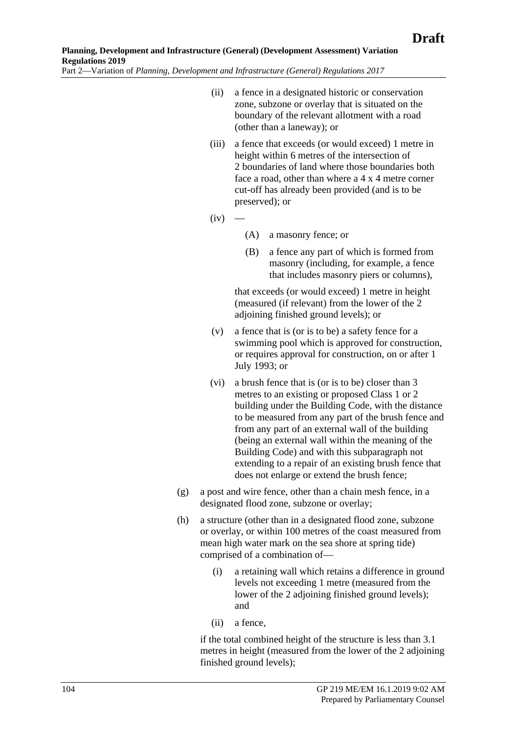- (ii) a fence in a designated historic or conservation zone, subzone or overlay that is situated on the boundary of the relevant allotment with a road (other than a laneway); or
- (iii) a fence that exceeds (or would exceed) 1 metre in height within 6 metres of the intersection of 2 boundaries of land where those boundaries both face a road, other than where a 4 x 4 metre corner cut-off has already been provided (and is to be preserved); or
- $(iv)$  –
- (A) a masonry fence; or
- (B) a fence any part of which is formed from masonry (including, for example, a fence that includes masonry piers or columns),

that exceeds (or would exceed) 1 metre in height (measured (if relevant) from the lower of the 2 adjoining finished ground levels); or

- (v) a fence that is (or is to be) a safety fence for a swimming pool which is approved for construction, or requires approval for construction, on or after 1 July 1993; or
- (vi) a brush fence that is (or is to be) closer than 3 metres to an existing or proposed Class 1 or 2 building under the Building Code, with the distance to be measured from any part of the brush fence and from any part of an external wall of the building (being an external wall within the meaning of the Building Code) and with this subparagraph not extending to a repair of an existing brush fence that does not enlarge or extend the brush fence;
- (g) a post and wire fence, other than a chain mesh fence, in a designated flood zone, subzone or overlay;
- (h) a structure (other than in a designated flood zone, subzone or overlay, or within 100 metres of the coast measured from mean high water mark on the sea shore at spring tide) comprised of a combination of—
	- (i) a retaining wall which retains a difference in ground levels not exceeding 1 metre (measured from the lower of the 2 adjoining finished ground levels); and
	- (ii) a fence,

if the total combined height of the structure is less than 3.1 metres in height (measured from the lower of the 2 adjoining finished ground levels);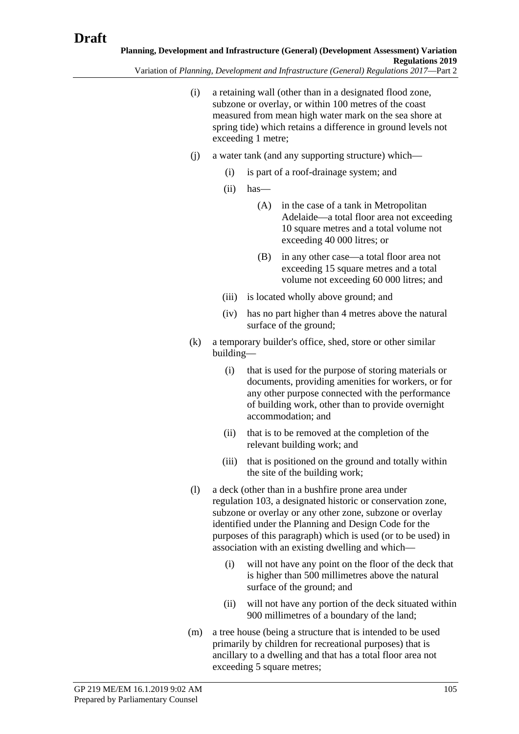- (i) a retaining wall (other than in a designated flood zone, subzone or overlay, or within 100 metres of the coast measured from mean high water mark on the sea shore at spring tide) which retains a difference in ground levels not exceeding 1 metre;
- (j) a water tank (and any supporting structure) which—
	- (i) is part of a roof-drainage system; and
	- (ii) has—
		- (A) in the case of a tank in Metropolitan Adelaide—a total floor area not exceeding 10 square metres and a total volume not exceeding 40 000 litres; or
		- (B) in any other case—a total floor area not exceeding 15 square metres and a total volume not exceeding 60 000 litres; and
	- (iii) is located wholly above ground; and
	- (iv) has no part higher than 4 metres above the natural surface of the ground;
- (k) a temporary builder's office, shed, store or other similar building—
	- (i) that is used for the purpose of storing materials or documents, providing amenities for workers, or for any other purpose connected with the performance of building work, other than to provide overnight accommodation; and
	- (ii) that is to be removed at the completion of the relevant building work; and
	- (iii) that is positioned on the ground and totally within the site of the building work;
- (l) a deck (other than in a bushfire prone area under regulation 103, a designated historic or conservation zone, subzone or overlay or any other zone, subzone or overlay identified under the Planning and Design Code for the purposes of this paragraph) which is used (or to be used) in association with an existing dwelling and which—
	- (i) will not have any point on the floor of the deck that is higher than 500 millimetres above the natural surface of the ground; and
	- (ii) will not have any portion of the deck situated within 900 millimetres of a boundary of the land;
- (m) a tree house (being a structure that is intended to be used primarily by children for recreational purposes) that is ancillary to a dwelling and that has a total floor area not exceeding 5 square metres;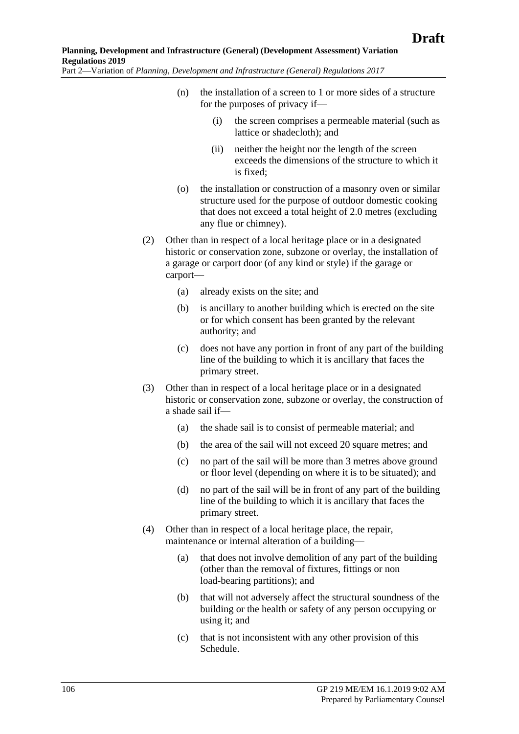- (n) the installation of a screen to 1 or more sides of a structure for the purposes of privacy if—
	- (i) the screen comprises a permeable material (such as lattice or shadecloth); and
	- (ii) neither the height nor the length of the screen exceeds the dimensions of the structure to which it is fixed;
- (o) the installation or construction of a masonry oven or similar structure used for the purpose of outdoor domestic cooking that does not exceed a total height of 2.0 metres (excluding any flue or chimney).
- (2) Other than in respect of a local heritage place or in a designated historic or conservation zone, subzone or overlay, the installation of a garage or carport door (of any kind or style) if the garage or carport—
	- (a) already exists on the site; and
	- (b) is ancillary to another building which is erected on the site or for which consent has been granted by the relevant authority; and
	- (c) does not have any portion in front of any part of the building line of the building to which it is ancillary that faces the primary street.
- (3) Other than in respect of a local heritage place or in a designated historic or conservation zone, subzone or overlay, the construction of a shade sail if—
	- (a) the shade sail is to consist of permeable material; and
	- (b) the area of the sail will not exceed 20 square metres; and
	- (c) no part of the sail will be more than 3 metres above ground or floor level (depending on where it is to be situated); and
	- (d) no part of the sail will be in front of any part of the building line of the building to which it is ancillary that faces the primary street.
- (4) Other than in respect of a local heritage place, the repair, maintenance or internal alteration of a building—
	- (a) that does not involve demolition of any part of the building (other than the removal of fixtures, fittings or non load-bearing partitions); and
	- (b) that will not adversely affect the structural soundness of the building or the health or safety of any person occupying or using it; and
	- (c) that is not inconsistent with any other provision of this Schedule.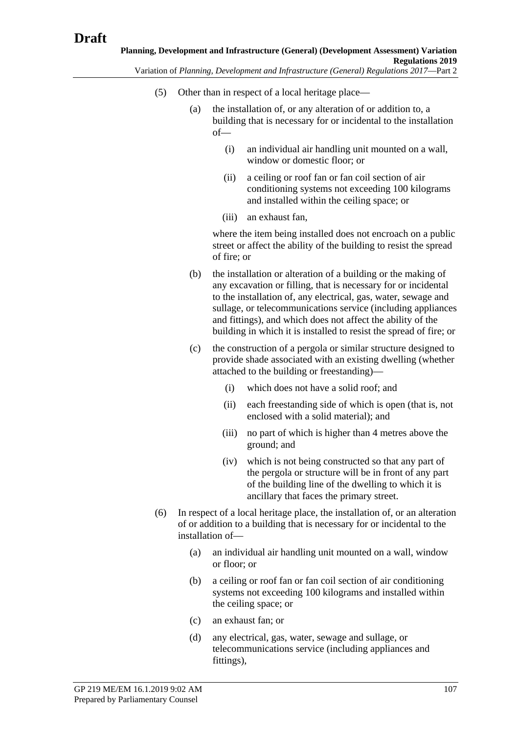- (5) Other than in respect of a local heritage place—
	- (a) the installation of, or any alteration of or addition to, a building that is necessary for or incidental to the installation of—
		- (i) an individual air handling unit mounted on a wall, window or domestic floor; or
		- (ii) a ceiling or roof fan or fan coil section of air conditioning systems not exceeding 100 kilograms and installed within the ceiling space; or
		- (iii) an exhaust fan,

where the item being installed does not encroach on a public street or affect the ability of the building to resist the spread of fire; or

- (b) the installation or alteration of a building or the making of any excavation or filling, that is necessary for or incidental to the installation of, any electrical, gas, water, sewage and sullage, or telecommunications service (including appliances and fittings), and which does not affect the ability of the building in which it is installed to resist the spread of fire; or
- (c) the construction of a pergola or similar structure designed to provide shade associated with an existing dwelling (whether attached to the building or freestanding)—
	- (i) which does not have a solid roof; and
	- (ii) each freestanding side of which is open (that is, not enclosed with a solid material); and
	- (iii) no part of which is higher than 4 metres above the ground; and
	- (iv) which is not being constructed so that any part of the pergola or structure will be in front of any part of the building line of the dwelling to which it is ancillary that faces the primary street.
- (6) In respect of a local heritage place, the installation of, or an alteration of or addition to a building that is necessary for or incidental to the installation of—
	- (a) an individual air handling unit mounted on a wall, window or floor; or
	- (b) a ceiling or roof fan or fan coil section of air conditioning systems not exceeding 100 kilograms and installed within the ceiling space; or
	- (c) an exhaust fan; or
	- (d) any electrical, gas, water, sewage and sullage, or telecommunications service (including appliances and fittings),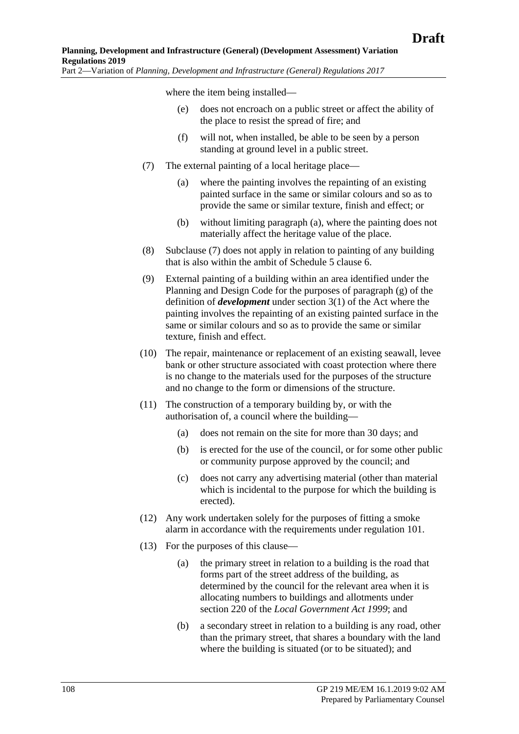where the item being installed—

- (e) does not encroach on a public street or affect the ability of the place to resist the spread of fire; and
- (f) will not, when installed, be able to be seen by a person standing at ground level in a public street.
- <span id="page-107-1"></span><span id="page-107-0"></span>(7) The external painting of a local heritage place—
	- (a) where the painting involves the repainting of an existing painted surface in the same or similar colours and so as to provide the same or similar texture, finish and effect; or
	- (b) without limiting [paragraph](#page-107-0) (a), where the painting does not materially affect the heritage value of the place.
- (8) [Subclause](#page-107-1) (7) does not apply in relation to painting of any building that is also within the ambit of Schedule 5 clause 6.
- (9) External painting of a building within an area identified under the Planning and Design Code for the purposes of paragraph (g) of the definition of *development* under section 3(1) of the Act where the painting involves the repainting of an existing painted surface in the same or similar colours and so as to provide the same or similar texture, finish and effect.
- (10) The repair, maintenance or replacement of an existing seawall, levee bank or other structure associated with coast protection where there is no change to the materials used for the purposes of the structure and no change to the form or dimensions of the structure.
- (11) The construction of a temporary building by, or with the authorisation of, a council where the building—
	- (a) does not remain on the site for more than 30 days; and
	- (b) is erected for the use of the council, or for some other public or community purpose approved by the council; and
	- (c) does not carry any advertising material (other than material which is incidental to the purpose for which the building is erected).
- (12) Any work undertaken solely for the purposes of fitting a smoke alarm in accordance with the requirements under regulation 101.
- (13) For the purposes of this clause—
	- (a) the primary street in relation to a building is the road that forms part of the street address of the building, as determined by the council for the relevant area when it is allocating numbers to buildings and allotments under section 220 of the *[Local Government Act](http://www.legislation.sa.gov.au/index.aspx?action=legref&type=act&legtitle=Local%20Government%20Act%201999) 1999*; and
	- (b) a secondary street in relation to a building is any road, other than the primary street, that shares a boundary with the land where the building is situated (or to be situated); and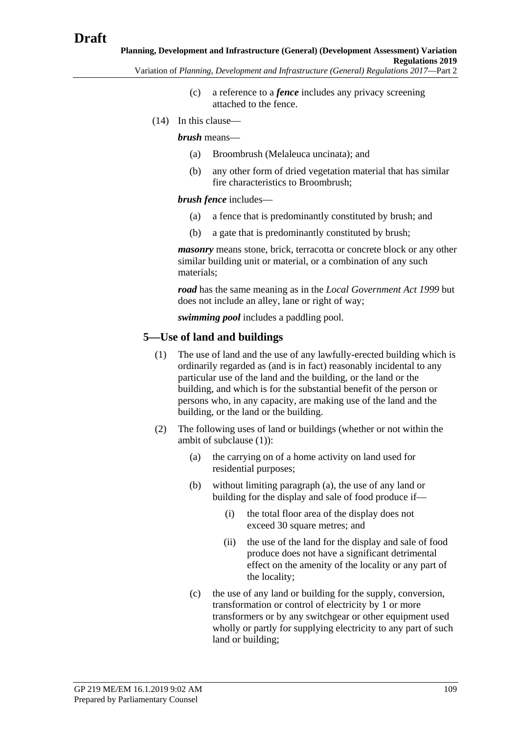- - (c) a reference to a *fence* includes any privacy screening attached to the fence.
- (14) In this clause—

*brush* means—

- (a) Broombrush (Melaleuca uncinata); and
- (b) any other form of dried vegetation material that has similar fire characteristics to Broombrush;

*brush fence* includes—

- (a) a fence that is predominantly constituted by brush; and
- (b) a gate that is predominantly constituted by brush;

*masonry* means stone, brick, terracotta or concrete block or any other similar building unit or material, or a combination of any such materials;

*road* has the same meaning as in the *[Local Government Act](http://www.legislation.sa.gov.au/index.aspx?action=legref&type=act&legtitle=Local%20Government%20Act%201999) 1999* but does not include an alley, lane or right of way;

*swimming pool* includes a paddling pool.

#### <span id="page-108-0"></span>**5—Use of land and buildings**

- (1) The use of land and the use of any lawfully-erected building which is ordinarily regarded as (and is in fact) reasonably incidental to any particular use of the land and the building, or the land or the building, and which is for the substantial benefit of the person or persons who, in any capacity, are making use of the land and the building, or the land or the building.
- <span id="page-108-1"></span>(2) The following uses of land or buildings (whether or not within the ambit of [subclause](#page-108-0) (1)):
	- (a) the carrying on of a home activity on land used for residential purposes;
	- (b) without limiting [paragraph](#page-108-1) (a), the use of any land or building for the display and sale of food produce if—
		- (i) the total floor area of the display does not exceed 30 square metres; and
		- (ii) the use of the land for the display and sale of food produce does not have a significant detrimental effect on the amenity of the locality or any part of the locality;
	- (c) the use of any land or building for the supply, conversion, transformation or control of electricity by 1 or more transformers or by any switchgear or other equipment used wholly or partly for supplying electricity to any part of such land or building;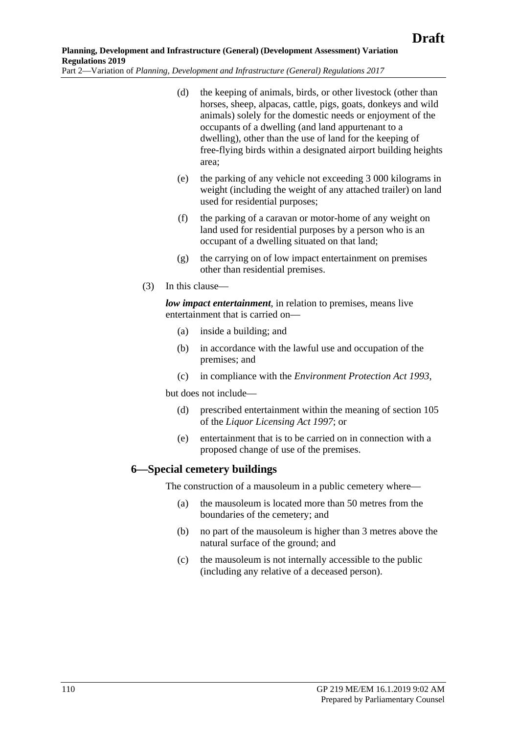(d) the keeping of animals, birds, or other livestock (other than horses, sheep, alpacas, cattle, pigs, goats, donkeys and wild animals) solely for the domestic needs or enjoyment of the occupants of a dwelling (and land appurtenant to a dwelling), other than the use of land for the keeping of free-flying birds within a designated airport building heights area;

- (e) the parking of any vehicle not exceeding 3 000 kilograms in weight (including the weight of any attached trailer) on land used for residential purposes;
- (f) the parking of a caravan or motor-home of any weight on land used for residential purposes by a person who is an occupant of a dwelling situated on that land;
- (g) the carrying on of low impact entertainment on premises other than residential premises.
- (3) In this clause—

*low impact entertainment*, in relation to premises, means live entertainment that is carried on—

- (a) inside a building; and
- (b) in accordance with the lawful use and occupation of the premises; and
- (c) in compliance with the *[Environment Protection Act](http://www.legislation.sa.gov.au/index.aspx?action=legref&type=act&legtitle=Environment%20Protection%20Act%201993) 1993*,

but does not include—

- (d) prescribed entertainment within the meaning of section 105 of the *[Liquor Licensing Act](http://www.legislation.sa.gov.au/index.aspx?action=legref&type=act&legtitle=Liquor%20Licensing%20Act%201997) 1997*; or
- (e) entertainment that is to be carried on in connection with a proposed change of use of the premises.

#### **6—Special cemetery buildings**

The construction of a mausoleum in a public cemetery where—

- (a) the mausoleum is located more than 50 metres from the boundaries of the cemetery; and
- (b) no part of the mausoleum is higher than 3 metres above the natural surface of the ground; and
- (c) the mausoleum is not internally accessible to the public (including any relative of a deceased person).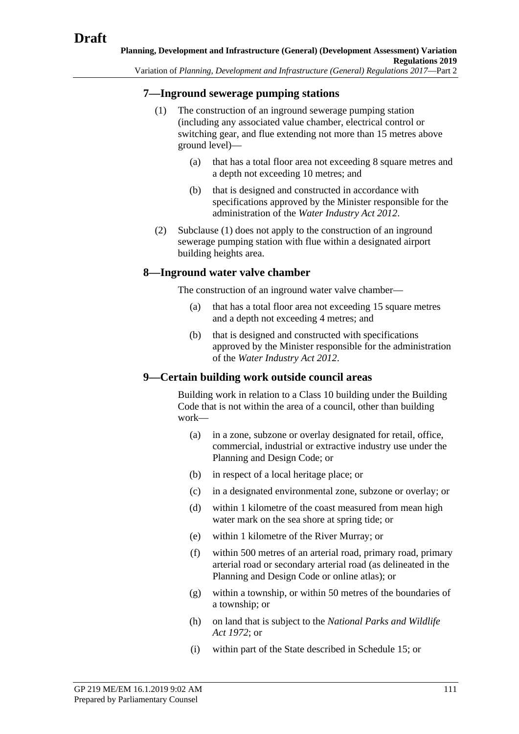#### <span id="page-110-0"></span>**7—Inground sewerage pumping stations**

- (1) The construction of an inground sewerage pumping station (including any associated value chamber, electrical control or switching gear, and flue extending not more than 15 metres above ground level)—
	- (a) that has a total floor area not exceeding 8 square metres and a depth not exceeding 10 metres; and
	- (b) that is designed and constructed in accordance with specifications approved by the Minister responsible for the administration of the *[Water Industry Act](http://www.legislation.sa.gov.au/index.aspx?action=legref&type=act&legtitle=Water%20Industry%20Act%202012) 2012*.
- (2) [Subclause](#page-110-0) (1) does not apply to the construction of an inground sewerage pumping station with flue within a designated airport building heights area.

#### **8—Inground water valve chamber**

The construction of an inground water valve chamber—

- (a) that has a total floor area not exceeding 15 square metres and a depth not exceeding 4 metres; and
- (b) that is designed and constructed with specifications approved by the Minister responsible for the administration of the *[Water Industry Act](http://www.legislation.sa.gov.au/index.aspx?action=legref&type=act&legtitle=Water%20Industry%20Act%202012) 2012*.

# **9—Certain building work outside council areas**

Building work in relation to a Class 10 building under the Building Code that is not within the area of a council, other than building work—

- (a) in a zone, subzone or overlay designated for retail, office, commercial, industrial or extractive industry use under the Planning and Design Code; or
- (b) in respect of a local heritage place; or
- (c) in a designated environmental zone, subzone or overlay; or
- (d) within 1 kilometre of the coast measured from mean high water mark on the sea shore at spring tide; or
- (e) within 1 kilometre of the River Murray; or
- (f) within 500 metres of an arterial road, primary road, primary arterial road or secondary arterial road (as delineated in the Planning and Design Code or online atlas); or
- (g) within a township, or within 50 metres of the boundaries of a township; or
- (h) on land that is subject to the *[National Parks and Wildlife](http://www.legislation.sa.gov.au/index.aspx?action=legref&type=act&legtitle=National%20Parks%20and%20Wildlife%20Act%201972)  Act [1972](http://www.legislation.sa.gov.au/index.aspx?action=legref&type=act&legtitle=National%20Parks%20and%20Wildlife%20Act%201972)*; or
- (i) within part of the State described in Schedule 15; or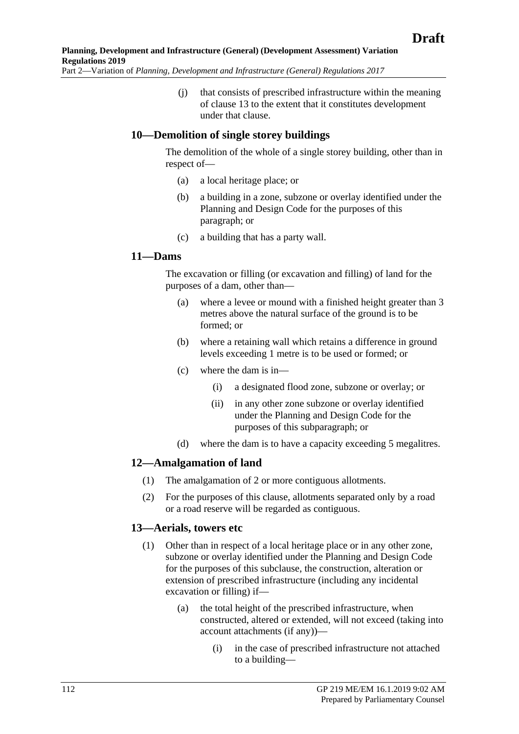(j) that consists of prescribed infrastructure within the meaning of clause 13 to the extent that it constitutes development under that clause.

#### **10—Demolition of single storey buildings**

The demolition of the whole of a single storey building, other than in respect of—

- (a) a local heritage place; or
- (b) a building in a zone, subzone or overlay identified under the Planning and Design Code for the purposes of this paragraph; or
- (c) a building that has a party wall.

#### **11—Dams**

The excavation or filling (or excavation and filling) of land for the purposes of a dam, other than—

- (a) where a levee or mound with a finished height greater than 3 metres above the natural surface of the ground is to be formed; or
- (b) where a retaining wall which retains a difference in ground levels exceeding 1 metre is to be used or formed; or
- (c) where the dam is in—
	- (i) a designated flood zone, subzone or overlay; or
	- (ii) in any other zone subzone or overlay identified under the Planning and Design Code for the purposes of this subparagraph; or
- (d) where the dam is to have a capacity exceeding 5 megalitres.

#### **12—Amalgamation of land**

- (1) The amalgamation of 2 or more contiguous allotments.
- (2) For the purposes of this clause, allotments separated only by a road or a road reserve will be regarded as contiguous.

#### **13—Aerials, towers etc**

- (1) Other than in respect of a local heritage place or in any other zone, subzone or overlay identified under the Planning and Design Code for the purposes of this subclause, the construction, alteration or extension of prescribed infrastructure (including any incidental excavation or filling) if—
	- (a) the total height of the prescribed infrastructure, when constructed, altered or extended, will not exceed (taking into account attachments (if any))—
		- (i) in the case of prescribed infrastructure not attached to a building—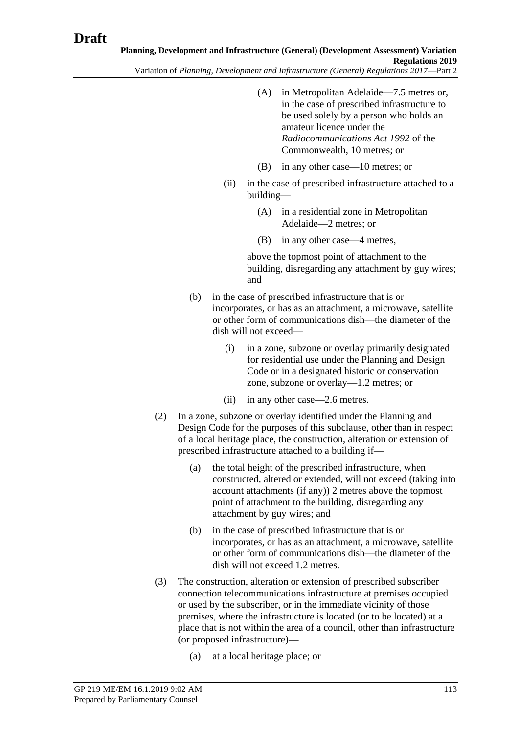- Variation of *Planning, Development and Infrastructure (General) Regulations 2017*—Part 2
	- (A) in Metropolitan Adelaide—7.5 metres or, in the case of prescribed infrastructure to be used solely by a person who holds an amateur licence under the *Radiocommunications Act 1992* of the Commonwealth, 10 metres; or
	- (B) in any other case—10 metres; or
	- (ii) in the case of prescribed infrastructure attached to a building—
		- (A) in a residential zone in Metropolitan Adelaide—2 metres; or
		- (B) in any other case—4 metres,

above the topmost point of attachment to the building, disregarding any attachment by guy wires; and

- (b) in the case of prescribed infrastructure that is or incorporates, or has as an attachment, a microwave, satellite or other form of communications dish—the diameter of the dish will not exceed—
	- (i) in a zone, subzone or overlay primarily designated for residential use under the Planning and Design Code or in a designated historic or conservation zone, subzone or overlay—1.2 metres; or
	- (ii) in any other case—2.6 metres.
- (2) In a zone, subzone or overlay identified under the Planning and Design Code for the purposes of this subclause, other than in respect of a local heritage place, the construction, alteration or extension of prescribed infrastructure attached to a building if—
	- (a) the total height of the prescribed infrastructure, when constructed, altered or extended, will not exceed (taking into account attachments (if any)) 2 metres above the topmost point of attachment to the building, disregarding any attachment by guy wires; and
	- (b) in the case of prescribed infrastructure that is or incorporates, or has as an attachment, a microwave, satellite or other form of communications dish—the diameter of the dish will not exceed 1.2 metres.
- (3) The construction, alteration or extension of prescribed subscriber connection telecommunications infrastructure at premises occupied or used by the subscriber, or in the immediate vicinity of those premises, where the infrastructure is located (or to be located) at a place that is not within the area of a council, other than infrastructure (or proposed infrastructure)—
	- (a) at a local heritage place; or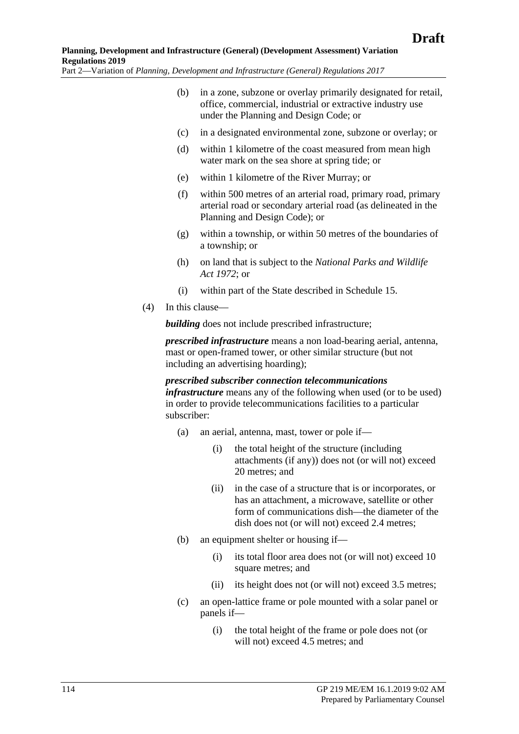- (b) in a zone, subzone or overlay primarily designated for retail, office, commercial, industrial or extractive industry use under the Planning and Design Code; or
- (c) in a designated environmental zone, subzone or overlay; or
- (d) within 1 kilometre of the coast measured from mean high water mark on the sea shore at spring tide; or
- (e) within 1 kilometre of the River Murray; or
- (f) within 500 metres of an arterial road, primary road, primary arterial road or secondary arterial road (as delineated in the Planning and Design Code); or
- (g) within a township, or within 50 metres of the boundaries of a township; or
- (h) on land that is subject to the *[National Parks and Wildlife](http://www.legislation.sa.gov.au/index.aspx?action=legref&type=act&legtitle=National%20Parks%20and%20Wildlife%20Act%201972)  Act [1972](http://www.legislation.sa.gov.au/index.aspx?action=legref&type=act&legtitle=National%20Parks%20and%20Wildlife%20Act%201972)*; or
- (i) within part of the State described in Schedule 15.
- (4) In this clause—

**building** does not include prescribed infrastructure;

*prescribed infrastructure* means a non load-bearing aerial, antenna, mast or open-framed tower, or other similar structure (but not including an advertising hoarding);

#### *prescribed subscriber connection telecommunications infrastructure* means any of the following when used (or to be used) in order to provide telecommunications facilities to a particular subscriber:

- (a) an aerial, antenna, mast, tower or pole if—
	- (i) the total height of the structure (including attachments (if any)) does not (or will not) exceed 20 metres; and
	- (ii) in the case of a structure that is or incorporates, or has an attachment, a microwave, satellite or other form of communications dish—the diameter of the dish does not (or will not) exceed 2.4 metres;
- (b) an equipment shelter or housing if—
	- (i) its total floor area does not (or will not) exceed 10 square metres; and
	- (ii) its height does not (or will not) exceed 3.5 metres;
- (c) an open-lattice frame or pole mounted with a solar panel or panels if—
	- (i) the total height of the frame or pole does not (or will not) exceed 4.5 metres; and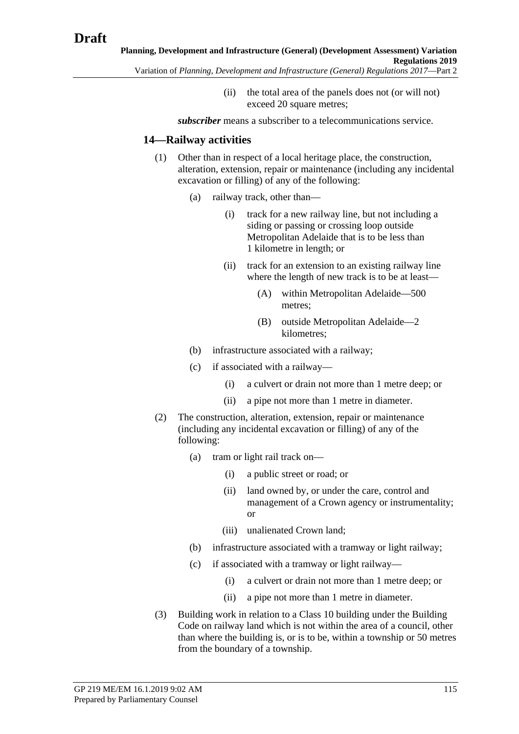(ii) the total area of the panels does not (or will not) exceed 20 square metres;

*subscriber* means a subscriber to a telecommunications service.

#### **14—Railway activities**

- (1) Other than in respect of a local heritage place, the construction, alteration, extension, repair or maintenance (including any incidental excavation or filling) of any of the following:
	- (a) railway track, other than—
		- (i) track for a new railway line, but not including a siding or passing or crossing loop outside Metropolitan Adelaide that is to be less than 1 kilometre in length; or
		- (ii) track for an extension to an existing railway line where the length of new track is to be at least—
			- (A) within Metropolitan Adelaide—500 metres;
			- (B) outside Metropolitan Adelaide—2 kilometres;
	- (b) infrastructure associated with a railway;
	- (c) if associated with a railway—
		- (i) a culvert or drain not more than 1 metre deep; or
		- (ii) a pipe not more than 1 metre in diameter.
- (2) The construction, alteration, extension, repair or maintenance (including any incidental excavation or filling) of any of the following:
	- (a) tram or light rail track on—
		- (i) a public street or road; or
		- (ii) land owned by, or under the care, control and management of a Crown agency or instrumentality; or
		- (iii) unalienated Crown land;
	- (b) infrastructure associated with a tramway or light railway;
	- (c) if associated with a tramway or light railway—
		- (i) a culvert or drain not more than 1 metre deep; or
		- (ii) a pipe not more than 1 metre in diameter.
- (3) Building work in relation to a Class 10 building under the Building Code on railway land which is not within the area of a council, other than where the building is, or is to be, within a township or 50 metres from the boundary of a township.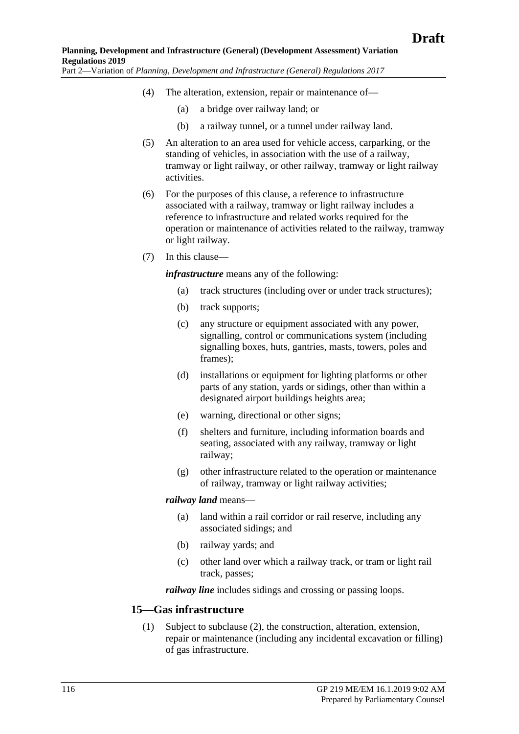- (4) The alteration, extension, repair or maintenance of—
	- (a) a bridge over railway land; or
	- (b) a railway tunnel, or a tunnel under railway land.
- (5) An alteration to an area used for vehicle access, carparking, or the standing of vehicles, in association with the use of a railway, tramway or light railway, or other railway, tramway or light railway activities.
- (6) For the purposes of this clause, a reference to infrastructure associated with a railway, tramway or light railway includes a reference to infrastructure and related works required for the operation or maintenance of activities related to the railway, tramway or light railway.
- <span id="page-115-1"></span>(7) In this clause—

*infrastructure* means any of the following:

- (a) track structures (including over or under track structures);
- (b) track supports;
- (c) any structure or equipment associated with any power, signalling, control or communications system (including signalling boxes, huts, gantries, masts, towers, poles and frames);
- (d) installations or equipment for lighting platforms or other parts of any station, yards or sidings, other than within a designated airport buildings heights area;
- (e) warning, directional or other signs;
- (f) shelters and furniture, including information boards and seating, associated with any railway, tramway or light railway;
- (g) other infrastructure related to the operation or maintenance of railway, tramway or light railway activities;

#### *railway land* means—

- (a) land within a rail corridor or rail reserve, including any associated sidings; and
- (b) railway yards; and
- (c) other land over which a railway track, or tram or light rail track, passes;

*railway line* includes sidings and crossing or passing loops.

#### <span id="page-115-0"></span>**15—Gas infrastructure**

(1) Subject to [subclause](#page-116-0) (2), the construction, alteration, extension, repair or maintenance (including any incidental excavation or filling) of gas infrastructure.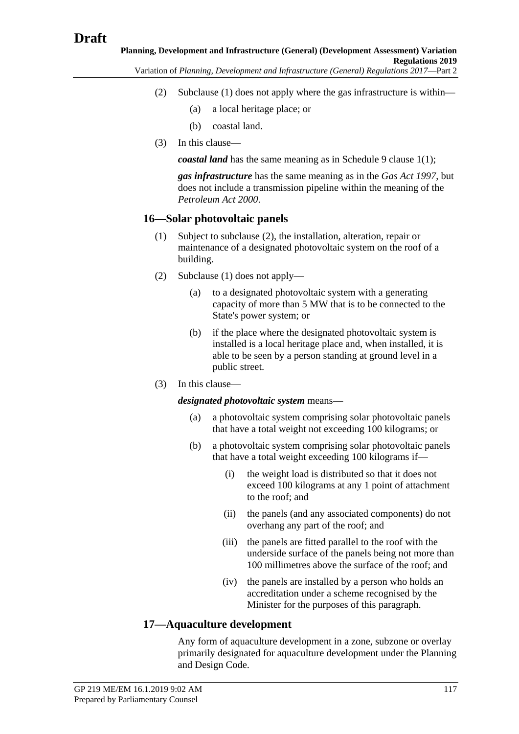<span id="page-116-0"></span>**Planning, Development and Infrastructure (General) (Development Assessment) Variation Regulations 2019**

Variation of *Planning, Development and Infrastructure (General) Regulations 2017*—Part 2

- (2) [Subclause](#page-115-0) (1) does not apply where the gas infrastructure is within—
	- (a) a local heritage place; or
	- (b) coastal land.
- (3) In this clause—

*coastal land* has the same meaning as in [Schedule 9 clause](#page-158-0) 1(1);

*gas infrastructure* has the same meaning as in the *[Gas Act](http://www.legislation.sa.gov.au/index.aspx?action=legref&type=act&legtitle=Gas%20Act%201997) 1997*, but does not include a transmission pipeline within the meaning of the *[Petroleum Act](http://www.legislation.sa.gov.au/index.aspx?action=legref&type=act&legtitle=Petroleum%20Act%202000) 2000*.

# <span id="page-116-2"></span>**16—Solar photovoltaic panels**

- (1) Subject to [subclause](#page-116-1) (2), the installation, alteration, repair or maintenance of a designated photovoltaic system on the roof of a building.
- <span id="page-116-1"></span>(2) [Subclause](#page-116-2) (1) does not apply—
	- (a) to a designated photovoltaic system with a generating capacity of more than 5 MW that is to be connected to the State's power system; or
	- (b) if the place where the designated photovoltaic system is installed is a local heritage place and, when installed, it is able to be seen by a person standing at ground level in a public street.
- (3) In this clause—

*designated photovoltaic system* means—

- (a) a photovoltaic system comprising solar photovoltaic panels that have a total weight not exceeding 100 kilograms; or
- (b) a photovoltaic system comprising solar photovoltaic panels that have a total weight exceeding 100 kilograms if—
	- (i) the weight load is distributed so that it does not exceed 100 kilograms at any 1 point of attachment to the roof; and
	- (ii) the panels (and any associated components) do not overhang any part of the roof; and
	- (iii) the panels are fitted parallel to the roof with the underside surface of the panels being not more than 100 millimetres above the surface of the roof; and
	- (iv) the panels are installed by a person who holds an accreditation under a scheme recognised by the Minister for the purposes of this paragraph.

# **17—Aquaculture development**

Any form of aquaculture development in a zone, subzone or overlay primarily designated for aquaculture development under the Planning and Design Code.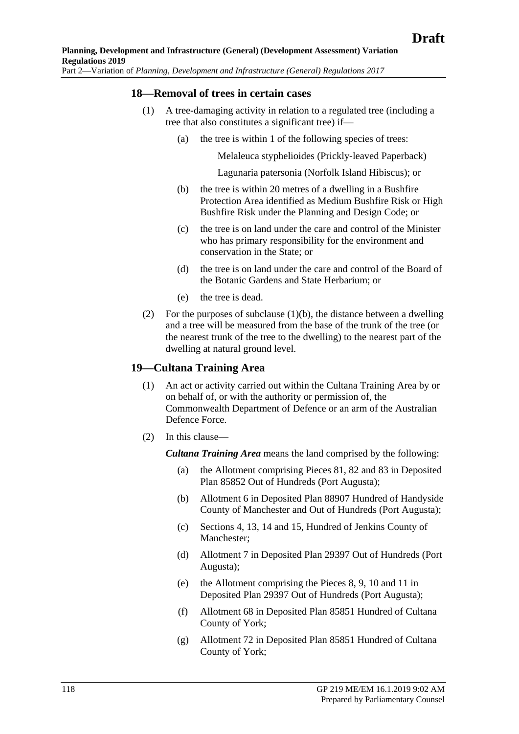#### **18—Removal of trees in certain cases**

- <span id="page-117-0"></span>(1) A tree-damaging activity in relation to a regulated tree (including a tree that also constitutes a significant tree) if—
	- (a) the tree is within 1 of the following species of trees:

Melaleuca styphelioides (Prickly-leaved Paperback)

Lagunaria patersonia (Norfolk Island Hibiscus); or

- (b) the tree is within 20 metres of a dwelling in a Bushfire Protection Area identified as Medium Bushfire Risk or High Bushfire Risk under the Planning and Design Code; or
- (c) the tree is on land under the care and control of the Minister who has primary responsibility for the environment and conservation in the State; or
- (d) the tree is on land under the care and control of the Board of the Botanic Gardens and State Herbarium; or
- (e) the tree is dead.
- (2) For the purposes of [subclause](#page-117-0)  $(1)(b)$ , the distance between a dwelling and a tree will be measured from the base of the trunk of the tree (or the nearest trunk of the tree to the dwelling) to the nearest part of the dwelling at natural ground level.

#### **19—Cultana Training Area**

- (1) An act or activity carried out within the Cultana Training Area by or on behalf of, or with the authority or permission of, the Commonwealth Department of Defence or an arm of the Australian Defence Force.
- (2) In this clause—

*Cultana Training Area* means the land comprised by the following:

- (a) the Allotment comprising Pieces 81, 82 and 83 in Deposited Plan 85852 Out of Hundreds (Port Augusta);
- (b) Allotment 6 in Deposited Plan 88907 Hundred of Handyside County of Manchester and Out of Hundreds (Port Augusta);
- (c) Sections 4, 13, 14 and 15, Hundred of Jenkins County of Manchester;
- (d) Allotment 7 in Deposited Plan 29397 Out of Hundreds (Port Augusta);
- (e) the Allotment comprising the Pieces 8, 9, 10 and 11 in Deposited Plan 29397 Out of Hundreds (Port Augusta);
- (f) Allotment 68 in Deposited Plan 85851 Hundred of Cultana County of York;
- (g) Allotment 72 in Deposited Plan 85851 Hundred of Cultana County of York;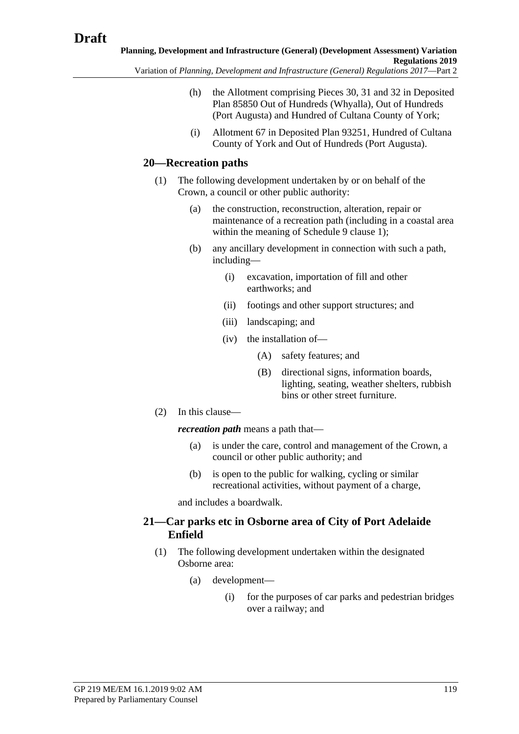- Variation of *Planning, Development and Infrastructure (General) Regulations 2017*—Part 2
	- (h) the Allotment comprising Pieces 30, 31 and 32 in Deposited Plan 85850 Out of Hundreds (Whyalla), Out of Hundreds (Port Augusta) and Hundred of Cultana County of York;
	- (i) Allotment 67 in Deposited Plan 93251, Hundred of Cultana County of York and Out of Hundreds (Port Augusta).

# **20—Recreation paths**

- (1) The following development undertaken by or on behalf of the Crown, a council or other public authority:
	- (a) the construction, reconstruction, alteration, repair or maintenance of a recreation path (including in a coastal area within the meaning of Schedule 9 clause 1);
	- (b) any ancillary development in connection with such a path, including—
		- (i) excavation, importation of fill and other earthworks; and
		- (ii) footings and other support structures; and
		- (iii) landscaping; and
		- (iv) the installation of—
			- (A) safety features; and
			- (B) directional signs, information boards, lighting, seating, weather shelters, rubbish bins or other street furniture.
- (2) In this clause—

*recreation path* means a path that—

- (a) is under the care, control and management of the Crown, a council or other public authority; and
- (b) is open to the public for walking, cycling or similar recreational activities, without payment of a charge,

and includes a boardwalk.

# **21—Car parks etc in Osborne area of City of Port Adelaide Enfield**

- <span id="page-118-0"></span>(1) The following development undertaken within the designated Osborne area:
	- (a) development—
		- (i) for the purposes of car parks and pedestrian bridges over a railway; and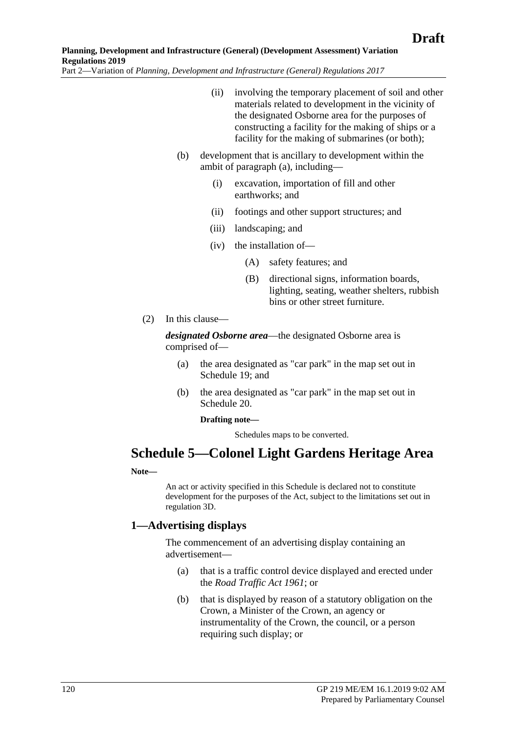- (ii) involving the temporary placement of soil and other materials related to development in the vicinity of the designated Osborne area for the purposes of constructing a facility for the making of ships or a facility for the making of submarines (or both);
- (b) development that is ancillary to development within the ambit of [paragraph](#page-118-0) (a), including—
	- (i) excavation, importation of fill and other earthworks; and
	- (ii) footings and other support structures; and
	- (iii) landscaping; and
	- (iv) the installation of—
		- (A) safety features; and
		- (B) directional signs, information boards, lighting, seating, weather shelters, rubbish bins or other street furniture.
- (2) In this clause—

*designated Osborne area*—the designated Osborne area is comprised of—

- (a) the area designated as "car park" in the map set out in Schedule 19; and
- (b) the area designated as "car park" in the map set out in Schedule 20.

#### **Drafting note—**

Schedules maps to be converted.

# **Schedule 5—Colonel Light Gardens Heritage Area**

#### **Note—**

An act or activity specified in this Schedule is declared not to constitute development for the purposes of the Act, subject to the limitations set out in regulation 3D.

#### **1—Advertising displays**

The commencement of an advertising display containing an advertisement—

- (a) that is a traffic control device displayed and erected under the *[Road Traffic Act](http://www.legislation.sa.gov.au/index.aspx?action=legref&type=act&legtitle=Road%20Traffic%20Act%201961) 1961*; or
- (b) that is displayed by reason of a statutory obligation on the Crown, a Minister of the Crown, an agency or instrumentality of the Crown, the council, or a person requiring such display; or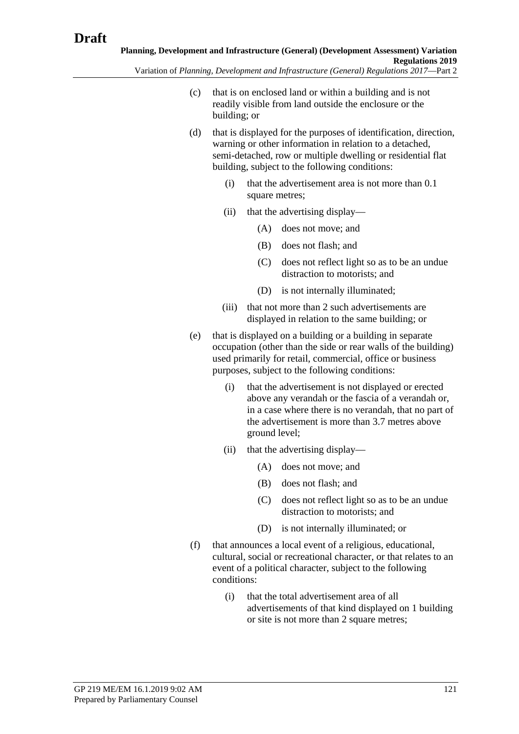- (c) that is on enclosed land or within a building and is not readily visible from land outside the enclosure or the building; or
- (d) that is displayed for the purposes of identification, direction, warning or other information in relation to a detached, semi-detached, row or multiple dwelling or residential flat building, subject to the following conditions:
	- (i) that the advertisement area is not more than 0.1 square metres;
	- (ii) that the advertising display—
		- (A) does not move; and
		- (B) does not flash; and
		- (C) does not reflect light so as to be an undue distraction to motorists; and
		- (D) is not internally illuminated;
	- (iii) that not more than 2 such advertisements are displayed in relation to the same building; or
- (e) that is displayed on a building or a building in separate occupation (other than the side or rear walls of the building) used primarily for retail, commercial, office or business purposes, subject to the following conditions:
	- (i) that the advertisement is not displayed or erected above any verandah or the fascia of a verandah or, in a case where there is no verandah, that no part of the advertisement is more than 3.7 metres above ground level;
	- (ii) that the advertising display—
		- (A) does not move; and
		- (B) does not flash; and
		- (C) does not reflect light so as to be an undue distraction to motorists; and
		- (D) is not internally illuminated; or
- (f) that announces a local event of a religious, educational, cultural, social or recreational character, or that relates to an event of a political character, subject to the following conditions:
	- (i) that the total advertisement area of all advertisements of that kind displayed on 1 building or site is not more than 2 square metres;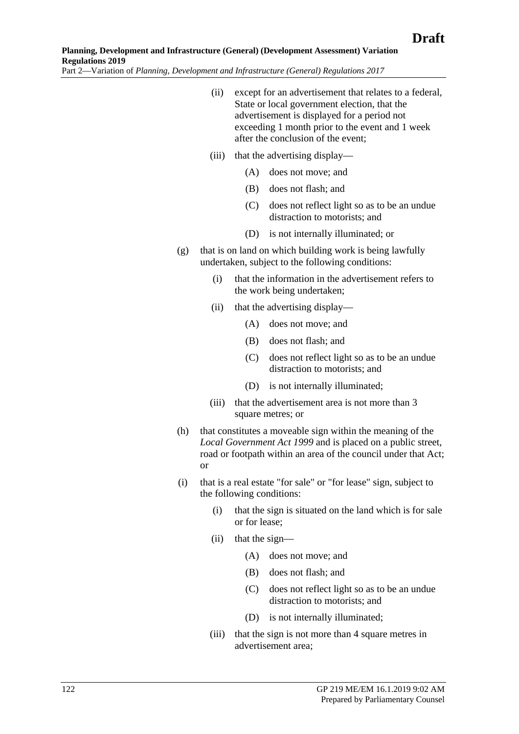- (ii) except for an advertisement that relates to a federal, State or local government election, that the advertisement is displayed for a period not exceeding 1 month prior to the event and 1 week after the conclusion of the event;
- (iii) that the advertising display—
	- (A) does not move; and
	- (B) does not flash; and
	- (C) does not reflect light so as to be an undue distraction to motorists; and
	- (D) is not internally illuminated; or
- (g) that is on land on which building work is being lawfully undertaken, subject to the following conditions:
	- (i) that the information in the advertisement refers to the work being undertaken;
	- (ii) that the advertising display—
		- (A) does not move; and
		- (B) does not flash; and
		- (C) does not reflect light so as to be an undue distraction to motorists; and
		- (D) is not internally illuminated;
	- (iii) that the advertisement area is not more than 3 square metres; or
- (h) that constitutes a moveable sign within the meaning of the *[Local Government Act](http://www.legislation.sa.gov.au/index.aspx?action=legref&type=act&legtitle=Local%20Government%20Act%201999) 1999* and is placed on a public street, road or footpath within an area of the council under that Act; or
- (i) that is a real estate "for sale" or "for lease" sign, subject to the following conditions:
	- (i) that the sign is situated on the land which is for sale or for lease;
	- (ii) that the sign—
		- (A) does not move; and
		- (B) does not flash; and
		- (C) does not reflect light so as to be an undue distraction to motorists; and
		- (D) is not internally illuminated;
	- (iii) that the sign is not more than 4 square metres in advertisement area;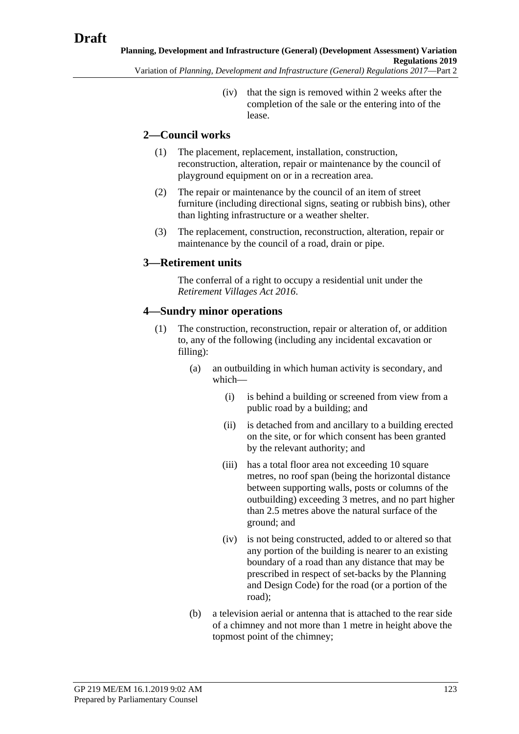(iv) that the sign is removed within 2 weeks after the completion of the sale or the entering into of the lease.

# **2—Council works**

- (1) The placement, replacement, installation, construction, reconstruction, alteration, repair or maintenance by the council of playground equipment on or in a recreation area.
- (2) The repair or maintenance by the council of an item of street furniture (including directional signs, seating or rubbish bins), other than lighting infrastructure or a weather shelter.
- (3) The replacement, construction, reconstruction, alteration, repair or maintenance by the council of a road, drain or pipe.

#### **3—Retirement units**

The conferral of a right to occupy a residential unit under the *[Retirement Villages Act](http://www.legislation.sa.gov.au/index.aspx?action=legref&type=act&legtitle=Retirement%20Villages%20Act%202016) 2016*.

# **4—Sundry minor operations**

- (1) The construction, reconstruction, repair or alteration of, or addition to, any of the following (including any incidental excavation or filling):
	- (a) an outbuilding in which human activity is secondary, and which—
		- (i) is behind a building or screened from view from a public road by a building; and
		- (ii) is detached from and ancillary to a building erected on the site, or for which consent has been granted by the relevant authority; and
		- (iii) has a total floor area not exceeding 10 square metres, no roof span (being the horizontal distance between supporting walls, posts or columns of the outbuilding) exceeding 3 metres, and no part higher than 2.5 metres above the natural surface of the ground; and
		- (iv) is not being constructed, added to or altered so that any portion of the building is nearer to an existing boundary of a road than any distance that may be prescribed in respect of set-backs by the Planning and Design Code) for the road (or a portion of the road);
	- (b) a television aerial or antenna that is attached to the rear side of a chimney and not more than 1 metre in height above the topmost point of the chimney;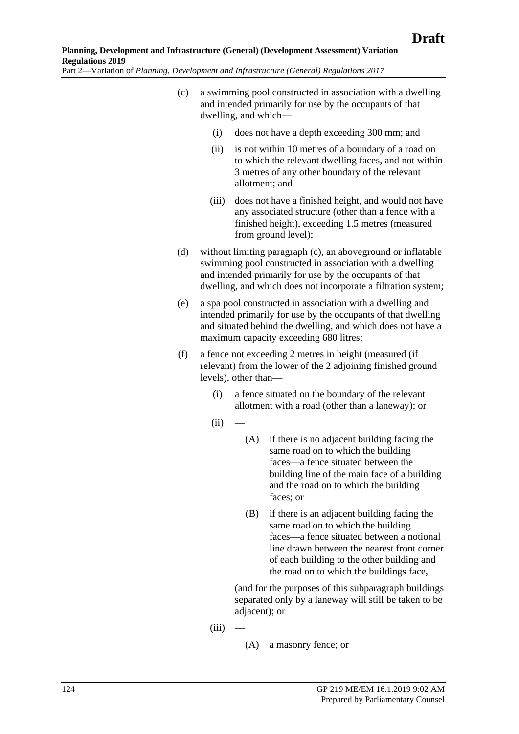- <span id="page-123-0"></span>(c) a swimming pool constructed in association with a dwelling and intended primarily for use by the occupants of that dwelling, and which—
	- (i) does not have a depth exceeding 300 mm; and
	- (ii) is not within 10 metres of a boundary of a road on to which the relevant dwelling faces, and not within 3 metres of any other boundary of the relevant allotment; and
	- (iii) does not have a finished height, and would not have any associated structure (other than a fence with a finished height), exceeding 1.5 metres (measured from ground level);
- (d) without limiting [paragraph](#page-123-0) (c), an aboveground or inflatable swimming pool constructed in association with a dwelling and intended primarily for use by the occupants of that dwelling, and which does not incorporate a filtration system;
- (e) a spa pool constructed in association with a dwelling and intended primarily for use by the occupants of that dwelling and situated behind the dwelling, and which does not have a maximum capacity exceeding 680 litres;
- (f) a fence not exceeding 2 metres in height (measured (if relevant) from the lower of the 2 adjoining finished ground levels), other than—
	- (i) a fence situated on the boundary of the relevant allotment with a road (other than a laneway); or
	- $(ii)$
- (A) if there is no adjacent building facing the same road on to which the building faces—a fence situated between the building line of the main face of a building and the road on to which the building faces; or
- (B) if there is an adjacent building facing the same road on to which the building faces—a fence situated between a notional line drawn between the nearest front corner of each building to the other building and the road on to which the buildings face,

(and for the purposes of this subparagraph buildings separated only by a laneway will still be taken to be adjacent); or

- $(iii)$
- (A) a masonry fence; or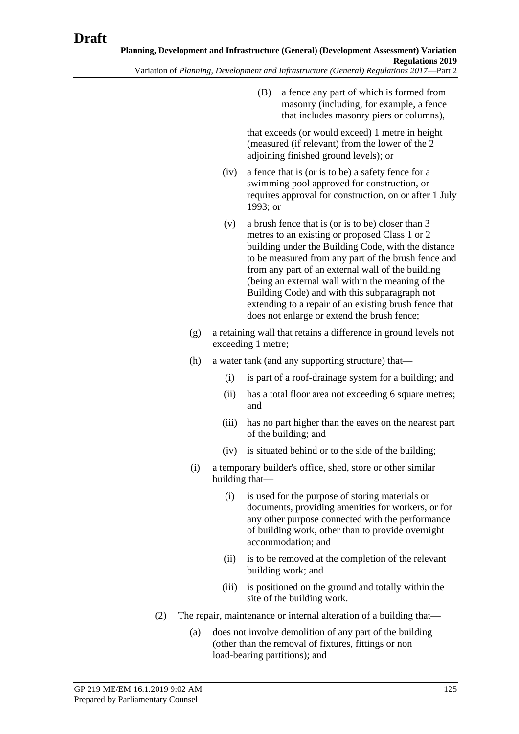(B) a fence any part of which is formed from masonry (including, for example, a fence that includes masonry piers or columns),

that exceeds (or would exceed) 1 metre in height (measured (if relevant) from the lower of the 2 adjoining finished ground levels); or

- (iv) a fence that is (or is to be) a safety fence for a swimming pool approved for construction, or requires approval for construction, on or after 1 July  $1993$ ; or
- (v) a brush fence that is (or is to be) closer than 3 metres to an existing or proposed Class 1 or 2 building under the Building Code, with the distance to be measured from any part of the brush fence and from any part of an external wall of the building (being an external wall within the meaning of the Building Code) and with this subparagraph not extending to a repair of an existing brush fence that does not enlarge or extend the brush fence;
- (g) a retaining wall that retains a difference in ground levels not exceeding 1 metre;
- (h) a water tank (and any supporting structure) that—
	- (i) is part of a roof-drainage system for a building; and
	- (ii) has a total floor area not exceeding 6 square metres; and
	- (iii) has no part higher than the eaves on the nearest part of the building; and
	- (iv) is situated behind or to the side of the building;
- (i) a temporary builder's office, shed, store or other similar building that—
	- (i) is used for the purpose of storing materials or documents, providing amenities for workers, or for any other purpose connected with the performance of building work, other than to provide overnight accommodation; and
	- (ii) is to be removed at the completion of the relevant building work; and
	- (iii) is positioned on the ground and totally within the site of the building work.
- (2) The repair, maintenance or internal alteration of a building that—
	- (a) does not involve demolition of any part of the building (other than the removal of fixtures, fittings or non load-bearing partitions); and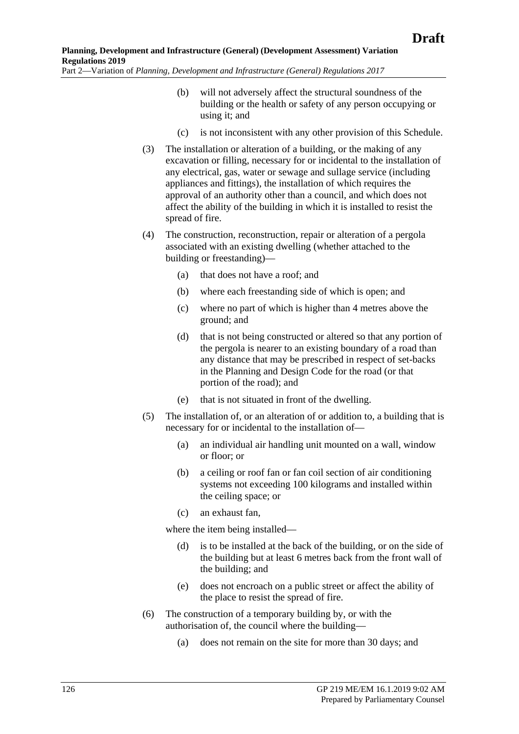- (b) will not adversely affect the structural soundness of the building or the health or safety of any person occupying or using it; and
- (c) is not inconsistent with any other provision of this Schedule.
- (3) The installation or alteration of a building, or the making of any excavation or filling, necessary for or incidental to the installation of any electrical, gas, water or sewage and sullage service (including appliances and fittings), the installation of which requires the approval of an authority other than a council, and which does not affect the ability of the building in which it is installed to resist the spread of fire.
- (4) The construction, reconstruction, repair or alteration of a pergola associated with an existing dwelling (whether attached to the building or freestanding)—
	- (a) that does not have a roof; and
	- (b) where each freestanding side of which is open; and
	- (c) where no part of which is higher than 4 metres above the ground; and
	- (d) that is not being constructed or altered so that any portion of the pergola is nearer to an existing boundary of a road than any distance that may be prescribed in respect of set-backs in the Planning and Design Code for the road (or that portion of the road); and
	- (e) that is not situated in front of the dwelling.
- (5) The installation of, or an alteration of or addition to, a building that is necessary for or incidental to the installation of—
	- (a) an individual air handling unit mounted on a wall, window or floor; or
	- (b) a ceiling or roof fan or fan coil section of air conditioning systems not exceeding 100 kilograms and installed within the ceiling space; or
	- (c) an exhaust fan,

where the item being installed—

- (d) is to be installed at the back of the building, or on the side of the building but at least 6 metres back from the front wall of the building; and
- (e) does not encroach on a public street or affect the ability of the place to resist the spread of fire.
- (6) The construction of a temporary building by, or with the authorisation of, the council where the building—
	- (a) does not remain on the site for more than 30 days; and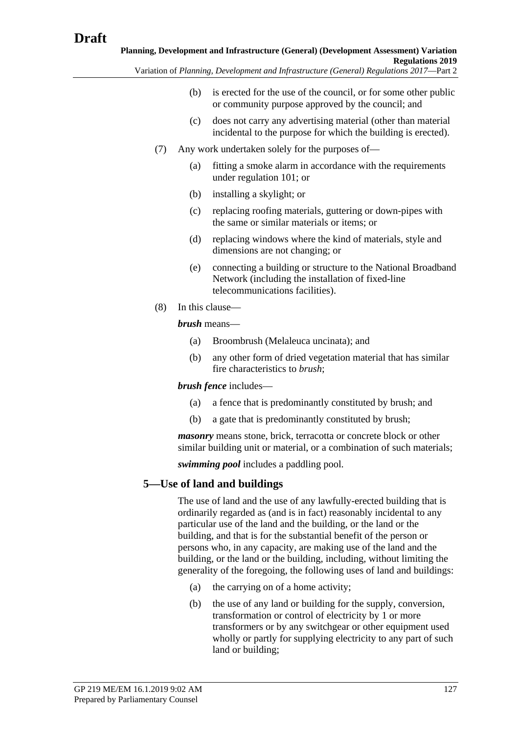Variation of *Planning, Development and Infrastructure (General) Regulations 2017*—Part 2

- (b) is erected for the use of the council, or for some other public or community purpose approved by the council; and
- (c) does not carry any advertising material (other than material incidental to the purpose for which the building is erected).
- (7) Any work undertaken solely for the purposes of—
	- (a) fitting a smoke alarm in accordance with the requirements under regulation 101; or
	- (b) installing a skylight; or
	- (c) replacing roofing materials, guttering or down-pipes with the same or similar materials or items; or
	- (d) replacing windows where the kind of materials, style and dimensions are not changing; or
	- (e) connecting a building or structure to the National Broadband Network (including the installation of fixed-line telecommunications facilities).
- (8) In this clause—

*brush* means—

- (a) Broombrush (Melaleuca uncinata); and
- (b) any other form of dried vegetation material that has similar fire characteristics to *brush*;

# *brush fence* includes—

- (a) a fence that is predominantly constituted by brush; and
- (b) a gate that is predominantly constituted by brush;

*masonry* means stone, brick, terracotta or concrete block or other similar building unit or material, or a combination of such materials;

*swimming pool* includes a paddling pool.

# **5—Use of land and buildings**

The use of land and the use of any lawfully-erected building that is ordinarily regarded as (and is in fact) reasonably incidental to any particular use of the land and the building, or the land or the building, and that is for the substantial benefit of the person or persons who, in any capacity, are making use of the land and the building, or the land or the building, including, without limiting the generality of the foregoing, the following uses of land and buildings:

- (a) the carrying on of a home activity;
- (b) the use of any land or building for the supply, conversion, transformation or control of electricity by 1 or more transformers or by any switchgear or other equipment used wholly or partly for supplying electricity to any part of such land or building;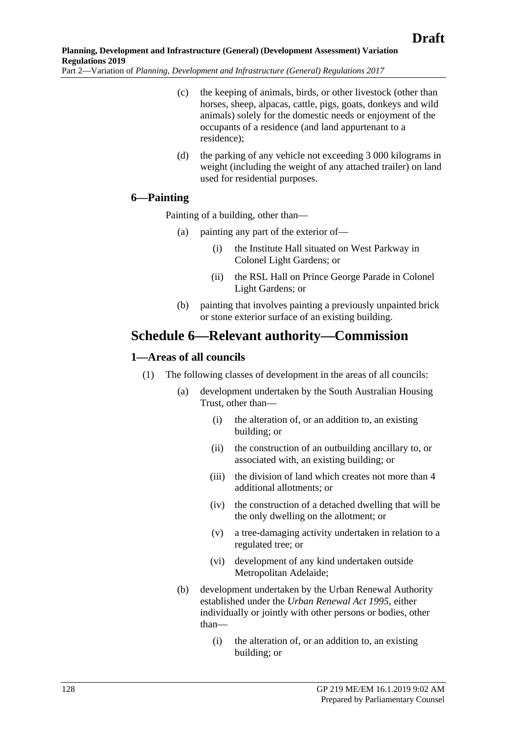- (c) the keeping of animals, birds, or other livestock (other than horses, sheep, alpacas, cattle, pigs, goats, donkeys and wild animals) solely for the domestic needs or enjoyment of the occupants of a residence (and land appurtenant to a residence);
- (d) the parking of any vehicle not exceeding 3 000 kilograms in weight (including the weight of any attached trailer) on land used for residential purposes.

# **6—Painting**

Painting of a building, other than—

- (a) painting any part of the exterior of—
	- (i) the Institute Hall situated on West Parkway in Colonel Light Gardens; or
	- (ii) the RSL Hall on Prince George Parade in Colonel Light Gardens; or
- (b) painting that involves painting a previously unpainted brick or stone exterior surface of an existing building.

# **Schedule 6—Relevant authority—Commission**

# **1—Areas of all councils**

- (1) The following classes of development in the areas of all councils:
	- (a) development undertaken by the South Australian Housing Trust, other than—
		- (i) the alteration of, or an addition to, an existing building; or
		- (ii) the construction of an outbuilding ancillary to, or associated with, an existing building; or
		- (iii) the division of land which creates not more than 4 additional allotments; or
		- (iv) the construction of a detached dwelling that will be the only dwelling on the allotment; or
		- (v) a tree-damaging activity undertaken in relation to a regulated tree; or
		- (vi) development of any kind undertaken outside Metropolitan Adelaide;
	- (b) development undertaken by the Urban Renewal Authority established under the *[Urban Renewal Act](http://www.legislation.sa.gov.au/index.aspx?action=legref&type=act&legtitle=Urban%20Renewal%20Act%201995) 1995*, either individually or jointly with other persons or bodies, other than—
		- (i) the alteration of, or an addition to, an existing building; or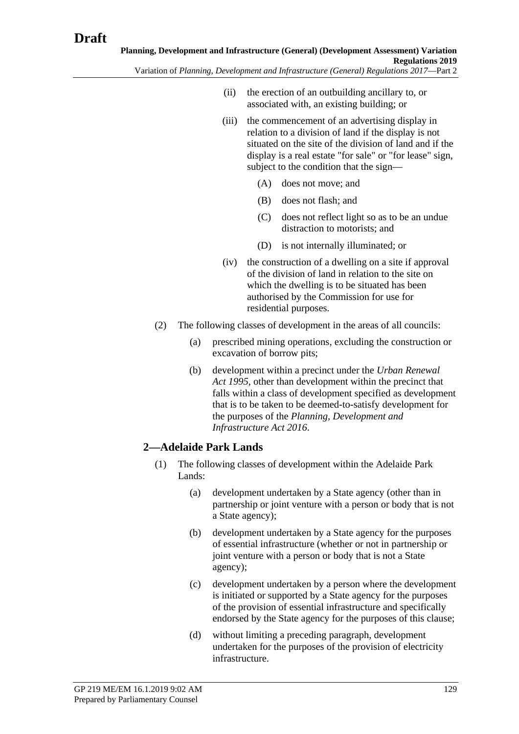- (ii) the erection of an outbuilding ancillary to, or associated with, an existing building; or
- (iii) the commencement of an advertising display in relation to a division of land if the display is not situated on the site of the division of land and if the display is a real estate "for sale" or "for lease" sign, subject to the condition that the sign—
	- (A) does not move; and
	- (B) does not flash; and
	- (C) does not reflect light so as to be an undue distraction to motorists; and
	- (D) is not internally illuminated; or
- (iv) the construction of a dwelling on a site if approval of the division of land in relation to the site on which the dwelling is to be situated has been authorised by the Commission for use for residential purposes.
- (2) The following classes of development in the areas of all councils:
	- (a) prescribed mining operations, excluding the construction or excavation of borrow pits;
	- (b) development within a precinct under the *[Urban Renewal](http://www.legislation.sa.gov.au/index.aspx?action=legref&type=act&legtitle=Urban%20Renewal%20Act%201995)  Act [1995](http://www.legislation.sa.gov.au/index.aspx?action=legref&type=act&legtitle=Urban%20Renewal%20Act%201995)*, other than development within the precinct that falls within a class of development specified as development that is to be taken to be deemed-to-satisfy development for the purposes of the *[Planning, Development and](http://www.legislation.sa.gov.au/index.aspx?action=legref&type=act&legtitle=Planning%20Development%20and%20Infrastructure%20Act%202016)  [Infrastructure Act 2016](http://www.legislation.sa.gov.au/index.aspx?action=legref&type=act&legtitle=Planning%20Development%20and%20Infrastructure%20Act%202016)*.

# <span id="page-128-0"></span>**2—Adelaide Park Lands**

- (1) The following classes of development within the Adelaide Park Lands:
	- (a) development undertaken by a State agency (other than in partnership or joint venture with a person or body that is not a State agency);
	- (b) development undertaken by a State agency for the purposes of essential infrastructure (whether or not in partnership or joint venture with a person or body that is not a State agency);
	- (c) development undertaken by a person where the development is initiated or supported by a State agency for the purposes of the provision of essential infrastructure and specifically endorsed by the State agency for the purposes of this clause;
	- (d) without limiting a preceding paragraph, development undertaken for the purposes of the provision of electricity infrastructure.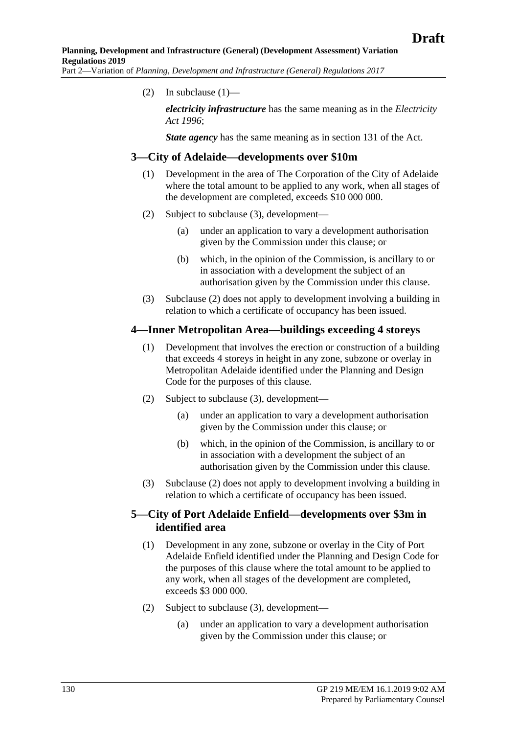(2) In [subclause](#page-128-0)  $(1)$ —

*electricity infrastructure* has the same meaning as in the *[Electricity](http://www.legislation.sa.gov.au/index.aspx?action=legref&type=act&legtitle=Electricity%20Act%201996)  Act [1996](http://www.legislation.sa.gov.au/index.aspx?action=legref&type=act&legtitle=Electricity%20Act%201996)*;

*State agency* has the same meaning as in section 131 of the Act.

#### **3—City of Adelaide—developments over \$10m**

- (1) Development in the area of The Corporation of the City of Adelaide where the total amount to be applied to any work, when all stages of the development are completed, exceeds \$10 000 000.
- <span id="page-129-1"></span>(2) Subject to [subclause](#page-129-0) (3), development—
	- (a) under an application to vary a development authorisation given by the Commission under this clause; or
	- (b) which, in the opinion of the Commission, is ancillary to or in association with a development the subject of an authorisation given by the Commission under this clause.
- (3) [Subclause](#page-129-1) (2) does not apply to development involving a building in relation to which a certificate of occupancy has been issued.

#### <span id="page-129-0"></span>**4—Inner Metropolitan Area—buildings exceeding 4 storeys**

- (1) Development that involves the erection or construction of a building that exceeds 4 storeys in height in any zone, subzone or overlay in Metropolitan Adelaide identified under the Planning and Design Code for the purposes of this clause.
- <span id="page-129-3"></span>(2) Subject to [subclause](#page-129-2) (3), development—
	- (a) under an application to vary a development authorisation given by the Commission under this clause; or
	- (b) which, in the opinion of the Commission, is ancillary to or in association with a development the subject of an authorisation given by the Commission under this clause.
- (3) [Subclause](#page-129-3) (2) does not apply to development involving a building in relation to which a certificate of occupancy has been issued.

#### <span id="page-129-2"></span>**5—City of Port Adelaide Enfield—developments over \$3m in identified area**

- (1) Development in any zone, subzone or overlay in the City of Port Adelaide Enfield identified under the Planning and Design Code for the purposes of this clause where the total amount to be applied to any work, when all stages of the development are completed, exceeds \$3 000 000.
- <span id="page-129-4"></span>(2) Subject to [subclause](#page-130-0) (3), development—
	- (a) under an application to vary a development authorisation given by the Commission under this clause; or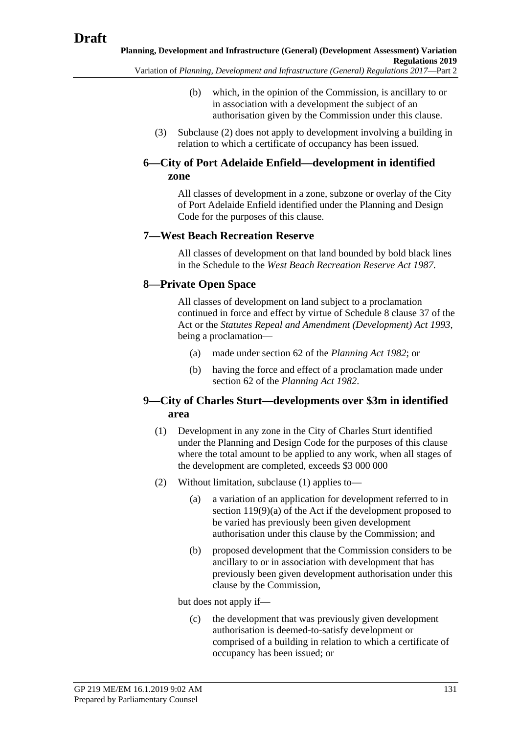- Variation of *Planning, Development and Infrastructure (General) Regulations 2017*—Part 2
	- (b) which, in the opinion of the Commission, is ancillary to or in association with a development the subject of an authorisation given by the Commission under this clause.
	- (3) [Subclause](#page-129-4) (2) does not apply to development involving a building in relation to which a certificate of occupancy has been issued.

# <span id="page-130-0"></span>**6—City of Port Adelaide Enfield—development in identified zone**

All classes of development in a zone, subzone or overlay of the City of Port Adelaide Enfield identified under the Planning and Design Code for the purposes of this clause.

#### **7—West Beach Recreation Reserve**

All classes of development on that land bounded by bold black lines in the Schedule to the *[West Beach Recreation Reserve Act](http://www.legislation.sa.gov.au/index.aspx?action=legref&type=act&legtitle=West%20Beach%20Recreation%20Reserve%20Act%201987) 1987*.

# **8—Private Open Space**

All classes of development on land subject to a proclamation continued in force and effect by virtue of Schedule 8 clause 37 of the Act or the *[Statutes Repeal and Amendment \(Development\) Act](http://www.legislation.sa.gov.au/index.aspx?action=legref&type=act&legtitle=Statutes%20Repeal%20and%20Amendment%20(Development)%20Act%201993) 1993*, being a proclamation—

- (a) made under section 62 of the *[Planning Act](http://www.legislation.sa.gov.au/index.aspx?action=legref&type=act&legtitle=Planning%20Act%201982) 1982*; or
- (b) having the force and effect of a proclamation made under section 62 of the *[Planning Act](http://www.legislation.sa.gov.au/index.aspx?action=legref&type=act&legtitle=Planning%20Act%201982) 1982*.

#### <span id="page-130-1"></span>**9—City of Charles Sturt—developments over \$3m in identified area**

- (1) Development in any zone in the City of Charles Sturt identified under the Planning and Design Code for the purposes of this clause where the total amount to be applied to any work, when all stages of the development are completed, exceeds \$3 000 000
- <span id="page-130-3"></span><span id="page-130-2"></span>(2) Without limitation, [subclause](#page-130-1) (1) applies to—
	- (a) a variation of an application for development referred to in section 119(9)(a) of the Act if the development proposed to be varied has previously been given development authorisation under this clause by the Commission; and
	- (b) proposed development that the Commission considers to be ancillary to or in association with development that has previously been given development authorisation under this clause by the Commission,

but does not apply if—

(c) the development that was previously given development authorisation is deemed-to-satisfy development or comprised of a building in relation to which a certificate of occupancy has been issued; or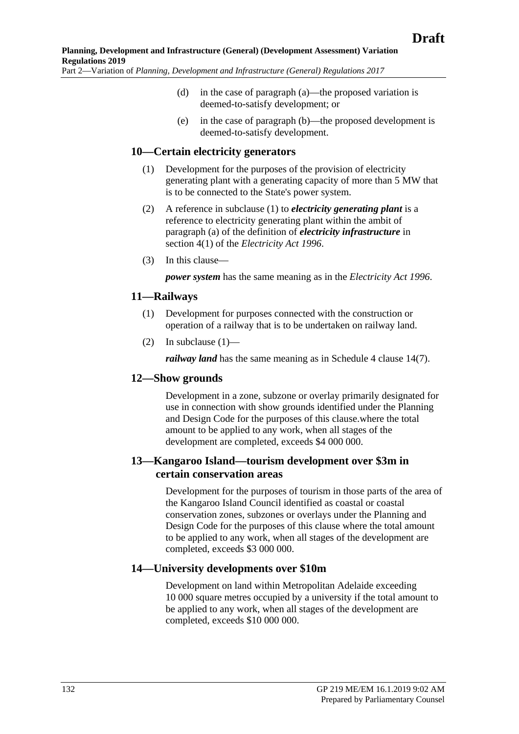- (d) in the case of [paragraph](#page-130-2) (a)—the proposed variation is deemed-to-satisfy development; or
- (e) in the case of [paragraph](#page-130-3) (b)—the proposed development is deemed-to-satisfy development.

#### <span id="page-131-0"></span>**10—Certain electricity generators**

- (1) Development for the purposes of the provision of electricity generating plant with a generating capacity of more than 5 MW that is to be connected to the State's power system.
- (2) A reference in [subclause](#page-131-0) (1) to *electricity generating plant* is a reference to electricity generating plant within the ambit of paragraph (a) of the definition of *electricity infrastructure* in section 4(1) of the *[Electricity Act](http://www.legislation.sa.gov.au/index.aspx?action=legref&type=act&legtitle=Electricity%20Act%201996) 1996*.
- (3) In this clause—

*power system* has the same meaning as in the *[Electricity Act](http://www.legislation.sa.gov.au/index.aspx?action=legref&type=act&legtitle=Electricity%20Act%201996) 1996*.

#### <span id="page-131-1"></span>**11—Railways**

- (1) Development for purposes connected with the construction or operation of a railway that is to be undertaken on railway land.
- (2) In [subclause](#page-131-1)  $(1)$ —

*railway land* has the same meaning as in [Schedule 4 clause](#page-115-1) 14(7).

#### **12—Show grounds**

Development in a zone, subzone or overlay primarily designated for use in connection with show grounds identified under the Planning and Design Code for the purposes of this clause.where the total amount to be applied to any work, when all stages of the development are completed, exceeds \$4 000 000.

#### **13—Kangaroo Island—tourism development over \$3m in certain conservation areas**

Development for the purposes of tourism in those parts of the area of the Kangaroo Island Council identified as coastal or coastal conservation zones, subzones or overlays under the Planning and Design Code for the purposes of this clause where the total amount to be applied to any work, when all stages of the development are completed, exceeds \$3 000 000.

#### **14—University developments over \$10m**

Development on land within Metropolitan Adelaide exceeding 10 000 square metres occupied by a university if the total amount to be applied to any work, when all stages of the development are completed, exceeds \$10 000 000.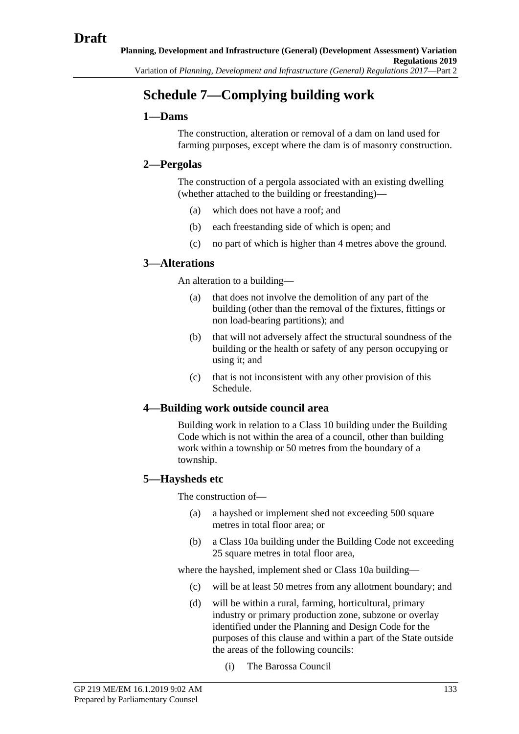# **Schedule 7—Complying building work**

# **1—Dams**

The construction, alteration or removal of a dam on land used for farming purposes, except where the dam is of masonry construction.

# **2—Pergolas**

The construction of a pergola associated with an existing dwelling (whether attached to the building or freestanding)—

- (a) which does not have a roof; and
- (b) each freestanding side of which is open; and
- (c) no part of which is higher than 4 metres above the ground.

# **3—Alterations**

An alteration to a building—

- (a) that does not involve the demolition of any part of the building (other than the removal of the fixtures, fittings or non load-bearing partitions); and
- (b) that will not adversely affect the structural soundness of the building or the health or safety of any person occupying or using it; and
- (c) that is not inconsistent with any other provision of this Schedule.

# **4—Building work outside council area**

Building work in relation to a Class 10 building under the Building Code which is not within the area of a council, other than building work within a township or 50 metres from the boundary of a township.

# **5—Haysheds etc**

The construction of—

- (a) a hayshed or implement shed not exceeding 500 square metres in total floor area; or
- (b) a Class 10a building under the Building Code not exceeding 25 square metres in total floor area,

where the hayshed, implement shed or Class 10a building—

- (c) will be at least 50 metres from any allotment boundary; and
- (d) will be within a rural, farming, horticultural, primary industry or primary production zone, subzone or overlay identified under the Planning and Design Code for the purposes of this clause and within a part of the State outside the areas of the following councils:
	- (i) The Barossa Council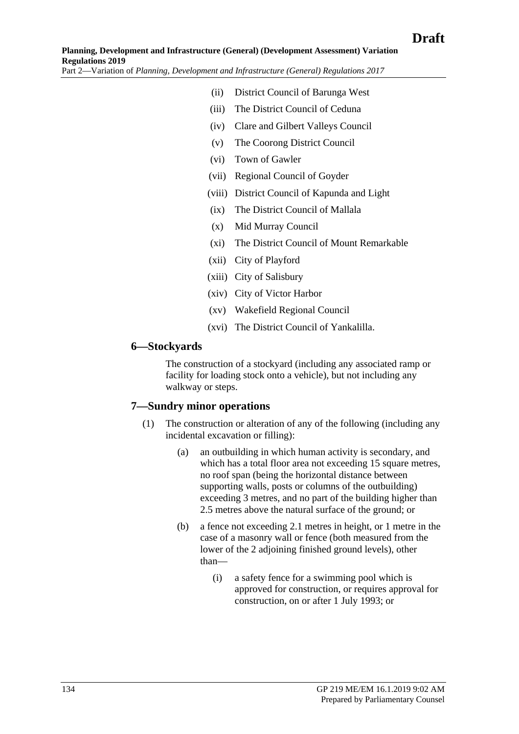- (ii) District Council of Barunga West
- (iii) The District Council of Ceduna
- (iv) Clare and Gilbert Valleys Council
- (v) The Coorong District Council
- (vi) Town of Gawler
- (vii) Regional Council of Goyder
- (viii) District Council of Kapunda and Light
- (ix) The District Council of Mallala
- (x) Mid Murray Council
- (xi) The District Council of Mount Remarkable
- (xii) City of Playford
- (xiii) City of Salisbury
- (xiv) City of Victor Harbor
- (xv) Wakefield Regional Council
- (xvi) The District Council of Yankalilla.

#### **6—Stockyards**

The construction of a stockyard (including any associated ramp or facility for loading stock onto a vehicle), but not including any walkway or steps.

#### **7—Sundry minor operations**

- (1) The construction or alteration of any of the following (including any incidental excavation or filling):
	- (a) an outbuilding in which human activity is secondary, and which has a total floor area not exceeding 15 square metres, no roof span (being the horizontal distance between supporting walls, posts or columns of the outbuilding) exceeding 3 metres, and no part of the building higher than 2.5 metres above the natural surface of the ground; or
	- (b) a fence not exceeding 2.1 metres in height, or 1 metre in the case of a masonry wall or fence (both measured from the lower of the 2 adjoining finished ground levels), other than—
		- (i) a safety fence for a swimming pool which is approved for construction, or requires approval for construction, on or after 1 July 1993; or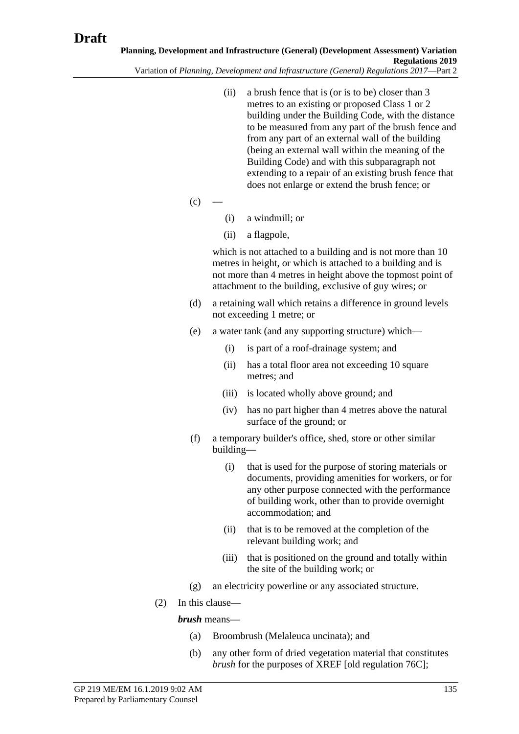(ii) a brush fence that is (or is to be) closer than 3 metres to an existing or proposed Class 1 or 2 building under the Building Code, with the distance to be measured from any part of the brush fence and from any part of an external wall of the building (being an external wall within the meaning of the Building Code) and with this subparagraph not extending to a repair of an existing brush fence that

does not enlarge or extend the brush fence; or

- $(c)$
- (i) a windmill; or
- (ii) a flagpole,

which is not attached to a building and is not more than 10 metres in height, or which is attached to a building and is not more than 4 metres in height above the topmost point of attachment to the building, exclusive of guy wires; or

- (d) a retaining wall which retains a difference in ground levels not exceeding 1 metre; or
- (e) a water tank (and any supporting structure) which—
	- (i) is part of a roof-drainage system; and
	- (ii) has a total floor area not exceeding 10 square metres; and
	- (iii) is located wholly above ground; and
	- (iv) has no part higher than 4 metres above the natural surface of the ground; or
- (f) a temporary builder's office, shed, store or other similar building—
	- (i) that is used for the purpose of storing materials or documents, providing amenities for workers, or for any other purpose connected with the performance of building work, other than to provide overnight accommodation; and
	- (ii) that is to be removed at the completion of the relevant building work; and
	- (iii) that is positioned on the ground and totally within the site of the building work; or
- (g) an electricity powerline or any associated structure.
- (2) In this clause—

#### *brush* means—

- (a) Broombrush (Melaleuca uncinata); and
- (b) any other form of dried vegetation material that constitutes *brush* for the purposes of XREF [old regulation 76C];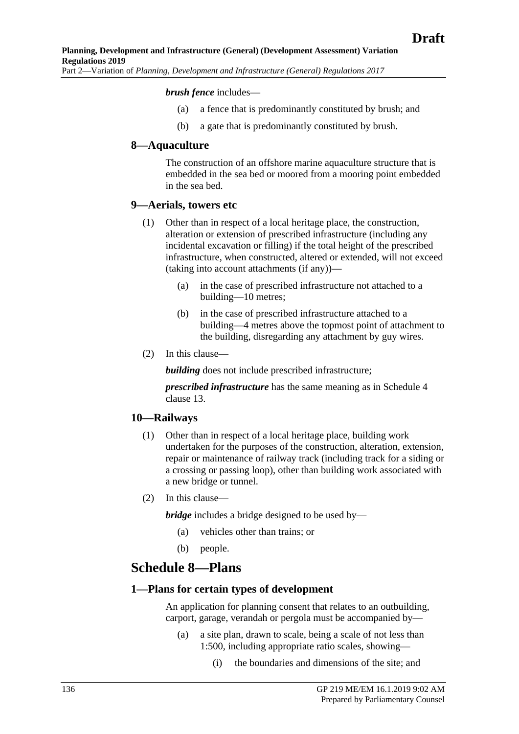#### *brush fence* includes—

- (a) a fence that is predominantly constituted by brush; and
- (b) a gate that is predominantly constituted by brush.

#### **8—Aquaculture**

The construction of an offshore marine aquaculture structure that is embedded in the sea bed or moored from a mooring point embedded in the sea bed.

#### **9—Aerials, towers etc**

- (1) Other than in respect of a local heritage place, the construction, alteration or extension of prescribed infrastructure (including any incidental excavation or filling) if the total height of the prescribed infrastructure, when constructed, altered or extended, will not exceed (taking into account attachments (if any))—
	- (a) in the case of prescribed infrastructure not attached to a building—10 metres;
	- (b) in the case of prescribed infrastructure attached to a building—4 metres above the topmost point of attachment to the building, disregarding any attachment by guy wires.
- (2) In this clause—

**building** does not include prescribed infrastructure;

*prescribed infrastructure* has the same meaning as in Schedule 4 clause 13.

#### **10—Railways**

- (1) Other than in respect of a local heritage place, building work undertaken for the purposes of the construction, alteration, extension, repair or maintenance of railway track (including track for a siding or a crossing or passing loop), other than building work associated with a new bridge or tunnel.
- (2) In this clause—

*bridge* includes a bridge designed to be used by—

- (a) vehicles other than trains; or
- (b) people.

# **Schedule 8—Plans**

#### **1—Plans for certain types of development**

An application for planning consent that relates to an outbuilding, carport, garage, verandah or pergola must be accompanied by—

- (a) a site plan, drawn to scale, being a scale of not less than 1:500, including appropriate ratio scales, showing—
	- (i) the boundaries and dimensions of the site; and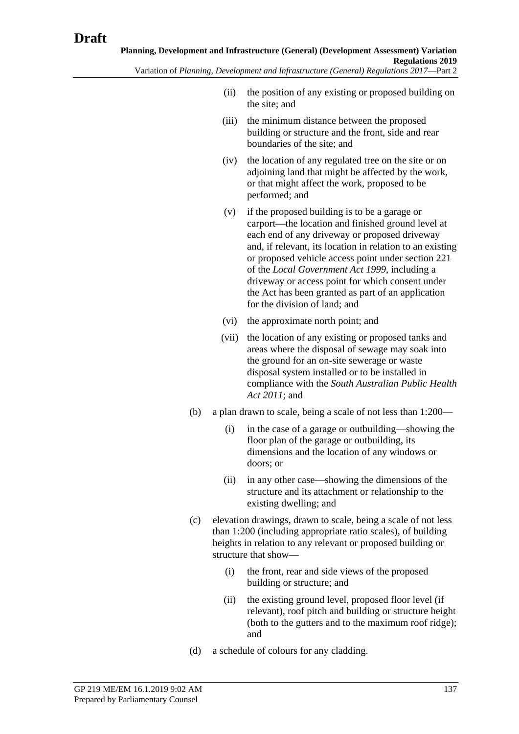- (ii) the position of any existing or proposed building on the site; and
- (iii) the minimum distance between the proposed building or structure and the front, side and rear boundaries of the site; and
- (iv) the location of any regulated tree on the site or on adjoining land that might be affected by the work, or that might affect the work, proposed to be performed; and
- (v) if the proposed building is to be a garage or carport—the location and finished ground level at each end of any driveway or proposed driveway and, if relevant, its location in relation to an existing or proposed vehicle access point under section 221 of the *[Local Government Act](http://www.legislation.sa.gov.au/index.aspx?action=legref&type=act&legtitle=Local%20Government%20Act%201999) 1999*, including a driveway or access point for which consent under the Act has been granted as part of an application for the division of land; and
- (vi) the approximate north point; and
- (vii) the location of any existing or proposed tanks and areas where the disposal of sewage may soak into the ground for an on-site sewerage or waste disposal system installed or to be installed in compliance with the *[South Australian Public Health](http://www.legislation.sa.gov.au/index.aspx?action=legref&type=act&legtitle=South%20Australian%20Public%20Health%20Act%202011)  [Act 2011](http://www.legislation.sa.gov.au/index.aspx?action=legref&type=act&legtitle=South%20Australian%20Public%20Health%20Act%202011)*; and
- (b) a plan drawn to scale, being a scale of not less than 1:200—
	- (i) in the case of a garage or outbuilding—showing the floor plan of the garage or outbuilding, its dimensions and the location of any windows or doors; or
	- (ii) in any other case—showing the dimensions of the structure and its attachment or relationship to the existing dwelling; and
- (c) elevation drawings, drawn to scale, being a scale of not less than 1:200 (including appropriate ratio scales), of building heights in relation to any relevant or proposed building or structure that show—
	- (i) the front, rear and side views of the proposed building or structure; and
	- (ii) the existing ground level, proposed floor level (if relevant), roof pitch and building or structure height (both to the gutters and to the maximum roof ridge); and
- (d) a schedule of colours for any cladding.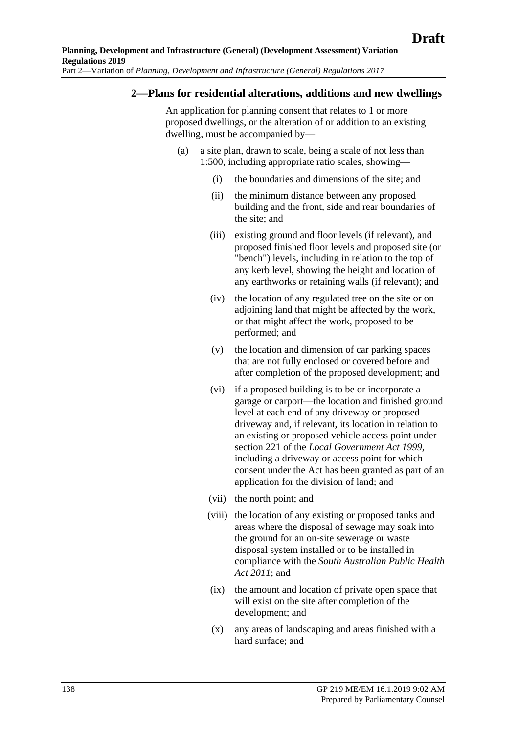#### **2—Plans for residential alterations, additions and new dwellings**

An application for planning consent that relates to 1 or more proposed dwellings, or the alteration of or addition to an existing dwelling, must be accompanied by—

- (a) a site plan, drawn to scale, being a scale of not less than 1:500, including appropriate ratio scales, showing—
	- (i) the boundaries and dimensions of the site; and
	- (ii) the minimum distance between any proposed building and the front, side and rear boundaries of the site; and
	- (iii) existing ground and floor levels (if relevant), and proposed finished floor levels and proposed site (or "bench") levels, including in relation to the top of any kerb level, showing the height and location of any earthworks or retaining walls (if relevant); and
	- (iv) the location of any regulated tree on the site or on adjoining land that might be affected by the work, or that might affect the work, proposed to be performed; and
	- (v) the location and dimension of car parking spaces that are not fully enclosed or covered before and after completion of the proposed development; and
	- (vi) if a proposed building is to be or incorporate a garage or carport—the location and finished ground level at each end of any driveway or proposed driveway and, if relevant, its location in relation to an existing or proposed vehicle access point under section 221 of the *[Local Government Act](http://www.legislation.sa.gov.au/index.aspx?action=legref&type=act&legtitle=Local%20Government%20Act%201999) 1999*, including a driveway or access point for which consent under the Act has been granted as part of an application for the division of land; and
	- (vii) the north point; and
	- (viii) the location of any existing or proposed tanks and areas where the disposal of sewage may soak into the ground for an on-site sewerage or waste disposal system installed or to be installed in compliance with the *[South Australian Public Health](http://www.legislation.sa.gov.au/index.aspx?action=legref&type=act&legtitle=South%20Australian%20Public%20Health%20Act%202011)  [Act 2011](http://www.legislation.sa.gov.au/index.aspx?action=legref&type=act&legtitle=South%20Australian%20Public%20Health%20Act%202011)*; and
	- (ix) the amount and location of private open space that will exist on the site after completion of the development; and
	- (x) any areas of landscaping and areas finished with a hard surface; and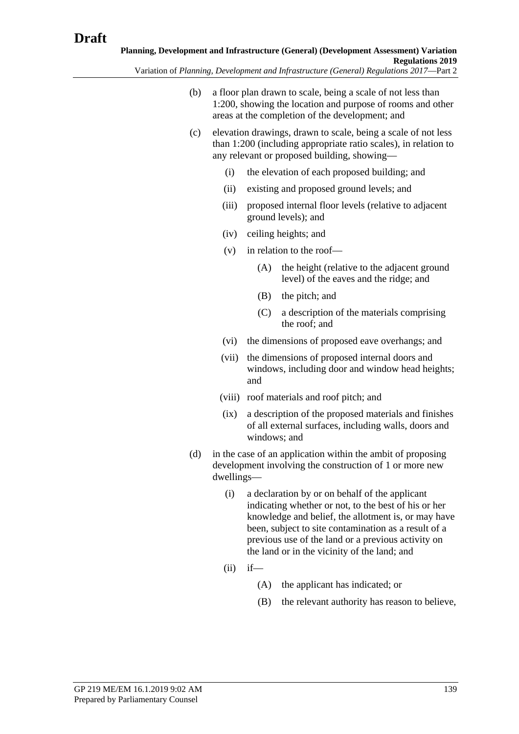Variation of *Planning, Development and Infrastructure (General) Regulations 2017*—Part 2

- (b) a floor plan drawn to scale, being a scale of not less than 1:200, showing the location and purpose of rooms and other areas at the completion of the development; and
- (c) elevation drawings, drawn to scale, being a scale of not less than 1:200 (including appropriate ratio scales), in relation to any relevant or proposed building, showing—
	- (i) the elevation of each proposed building; and
	- (ii) existing and proposed ground levels; and
	- (iii) proposed internal floor levels (relative to adjacent ground levels); and
	- (iv) ceiling heights; and
	- (v) in relation to the roof—
		- (A) the height (relative to the adjacent ground level) of the eaves and the ridge; and
		- (B) the pitch; and
		- (C) a description of the materials comprising the roof; and
	- (vi) the dimensions of proposed eave overhangs; and
	- (vii) the dimensions of proposed internal doors and windows, including door and window head heights; and
	- (viii) roof materials and roof pitch; and
	- (ix) a description of the proposed materials and finishes of all external surfaces, including walls, doors and windows; and
- (d) in the case of an application within the ambit of proposing development involving the construction of 1 or more new dwellings—
	- (i) a declaration by or on behalf of the applicant indicating whether or not, to the best of his or her knowledge and belief, the allotment is, or may have been, subject to site contamination as a result of a previous use of the land or a previous activity on the land or in the vicinity of the land; and
	- $(ii)$  if—
		- (A) the applicant has indicated; or
		- (B) the relevant authority has reason to believe,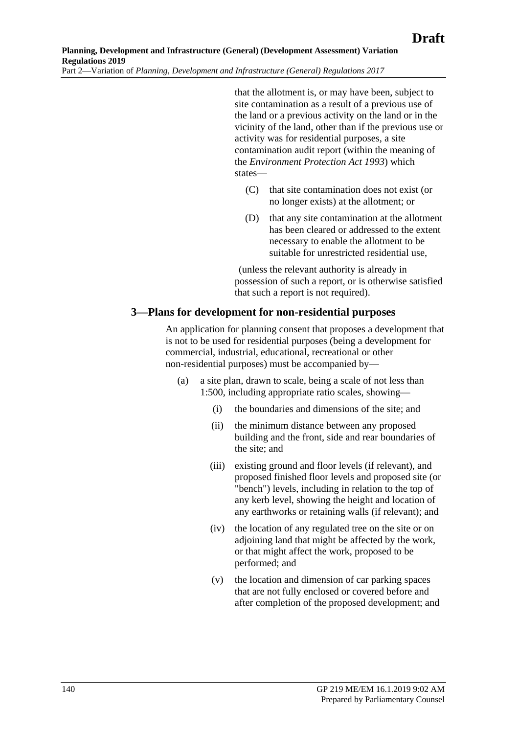that the allotment is, or may have been, subject to site contamination as a result of a previous use of the land or a previous activity on the land or in the vicinity of the land, other than if the previous use or activity was for residential purposes, a site contamination audit report (within the meaning of the *[Environment Protection Act](http://www.legislation.sa.gov.au/index.aspx?action=legref&type=act&legtitle=Environment%20Protection%20Act%201993) 1993*) which states—

- (C) that site contamination does not exist (or no longer exists) at the allotment; or
- (D) that any site contamination at the allotment has been cleared or addressed to the extent necessary to enable the allotment to be suitable for unrestricted residential use,

(unless the relevant authority is already in possession of such a report, or is otherwise satisfied that such a report is not required).

#### **3—Plans for development for non-residential purposes**

An application for planning consent that proposes a development that is not to be used for residential purposes (being a development for commercial, industrial, educational, recreational or other non-residential purposes) must be accompanied by—

- (a) a site plan, drawn to scale, being a scale of not less than 1:500, including appropriate ratio scales, showing—
	- (i) the boundaries and dimensions of the site; and
	- (ii) the minimum distance between any proposed building and the front, side and rear boundaries of the site; and
	- (iii) existing ground and floor levels (if relevant), and proposed finished floor levels and proposed site (or "bench") levels, including in relation to the top of any kerb level, showing the height and location of any earthworks or retaining walls (if relevant); and
	- (iv) the location of any regulated tree on the site or on adjoining land that might be affected by the work, or that might affect the work, proposed to be performed; and
	- (v) the location and dimension of car parking spaces that are not fully enclosed or covered before and after completion of the proposed development; and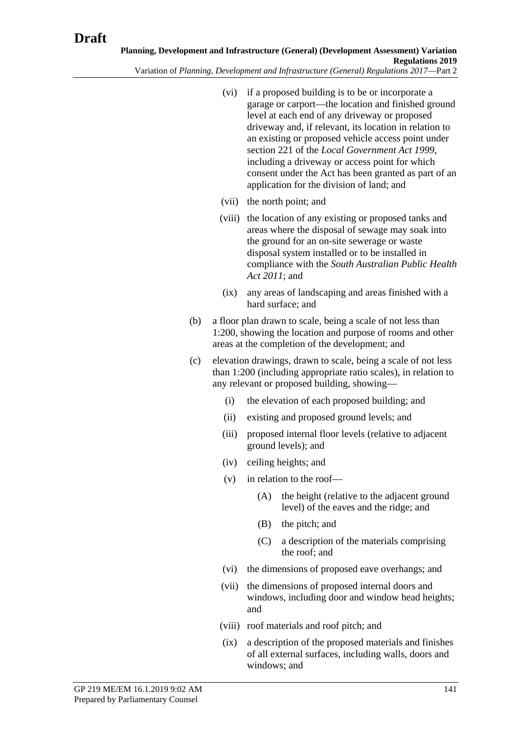- (vi) if a proposed building is to be or incorporate a garage or carport—the location and finished ground level at each end of any driveway or proposed driveway and, if relevant, its location in relation to an existing or proposed vehicle access point under section 221 of the *[Local Government Act](http://www.legislation.sa.gov.au/index.aspx?action=legref&type=act&legtitle=Local%20Government%20Act%201999) 1999*, including a driveway or access point for which consent under the Act has been granted as part of an application for the division of land; and
- (vii) the north point; and
- (viii) the location of any existing or proposed tanks and areas where the disposal of sewage may soak into the ground for an on-site sewerage or waste disposal system installed or to be installed in compliance with the *[South Australian Public Health](http://www.legislation.sa.gov.au/index.aspx?action=legref&type=act&legtitle=South%20Australian%20Public%20Health%20Act%202011)  [Act 2011](http://www.legislation.sa.gov.au/index.aspx?action=legref&type=act&legtitle=South%20Australian%20Public%20Health%20Act%202011)*; and
- (ix) any areas of landscaping and areas finished with a hard surface; and
- (b) a floor plan drawn to scale, being a scale of not less than 1:200, showing the location and purpose of rooms and other areas at the completion of the development; and
- (c) elevation drawings, drawn to scale, being a scale of not less than 1:200 (including appropriate ratio scales), in relation to any relevant or proposed building, showing—
	- (i) the elevation of each proposed building; and
	- (ii) existing and proposed ground levels; and
	- (iii) proposed internal floor levels (relative to adjacent ground levels); and
	- (iv) ceiling heights; and
	- (v) in relation to the roof—
		- (A) the height (relative to the adjacent ground level) of the eaves and the ridge; and
		- (B) the pitch; and
		- (C) a description of the materials comprising the roof; and
	- (vi) the dimensions of proposed eave overhangs; and
	- (vii) the dimensions of proposed internal doors and windows, including door and window head heights; and
	- (viii) roof materials and roof pitch; and
	- (ix) a description of the proposed materials and finishes of all external surfaces, including walls, doors and windows; and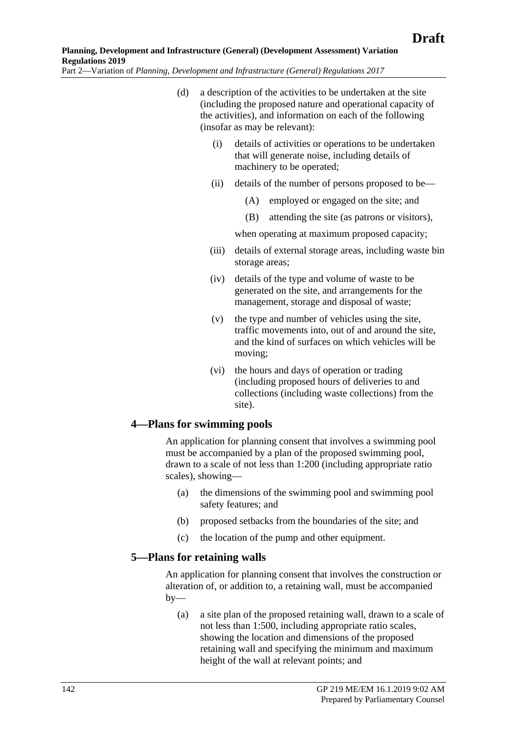- (d) a description of the activities to be undertaken at the site (including the proposed nature and operational capacity of the activities), and information on each of the following (insofar as may be relevant):
	- (i) details of activities or operations to be undertaken that will generate noise, including details of machinery to be operated;
	- (ii) details of the number of persons proposed to be—
		- (A) employed or engaged on the site; and
		- (B) attending the site (as patrons or visitors),

when operating at maximum proposed capacity;

- (iii) details of external storage areas, including waste bin storage areas;
- (iv) details of the type and volume of waste to be generated on the site, and arrangements for the management, storage and disposal of waste;
- (v) the type and number of vehicles using the site, traffic movements into, out of and around the site, and the kind of surfaces on which vehicles will be moving;
- (vi) the hours and days of operation or trading (including proposed hours of deliveries to and collections (including waste collections) from the site).

#### **4—Plans for swimming pools**

An application for planning consent that involves a swimming pool must be accompanied by a plan of the proposed swimming pool, drawn to a scale of not less than 1:200 (including appropriate ratio scales), showing—

- (a) the dimensions of the swimming pool and swimming pool safety features; and
- (b) proposed setbacks from the boundaries of the site; and
- (c) the location of the pump and other equipment.

#### **5—Plans for retaining walls**

An application for planning consent that involves the construction or alteration of, or addition to, a retaining wall, must be accompanied  $bv$ —

(a) a site plan of the proposed retaining wall, drawn to a scale of not less than 1:500, including appropriate ratio scales, showing the location and dimensions of the proposed retaining wall and specifying the minimum and maximum height of the wall at relevant points; and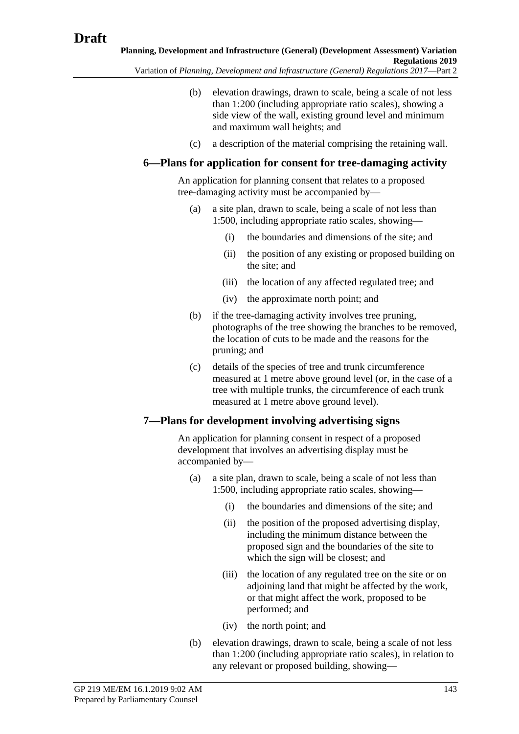Variation of *Planning, Development and Infrastructure (General) Regulations 2017*—Part 2

- (b) elevation drawings, drawn to scale, being a scale of not less than 1:200 (including appropriate ratio scales), showing a side view of the wall, existing ground level and minimum and maximum wall heights; and
- (c) a description of the material comprising the retaining wall.

# **6—Plans for application for consent for tree-damaging activity**

An application for planning consent that relates to a proposed tree-damaging activity must be accompanied by—

- (a) a site plan, drawn to scale, being a scale of not less than 1:500, including appropriate ratio scales, showing—
	- (i) the boundaries and dimensions of the site; and
	- (ii) the position of any existing or proposed building on the site; and
	- (iii) the location of any affected regulated tree; and
	- (iv) the approximate north point; and
- (b) if the tree-damaging activity involves tree pruning, photographs of the tree showing the branches to be removed, the location of cuts to be made and the reasons for the pruning; and
- (c) details of the species of tree and trunk circumference measured at 1 metre above ground level (or, in the case of a tree with multiple trunks, the circumference of each trunk measured at 1 metre above ground level).

# **7—Plans for development involving advertising signs**

An application for planning consent in respect of a proposed development that involves an advertising display must be accompanied by—

- (a) a site plan, drawn to scale, being a scale of not less than 1:500, including appropriate ratio scales, showing—
	- (i) the boundaries and dimensions of the site; and
	- (ii) the position of the proposed advertising display, including the minimum distance between the proposed sign and the boundaries of the site to which the sign will be closest; and
	- (iii) the location of any regulated tree on the site or on adjoining land that might be affected by the work, or that might affect the work, proposed to be performed; and
	- (iv) the north point; and
- (b) elevation drawings, drawn to scale, being a scale of not less than 1:200 (including appropriate ratio scales), in relation to any relevant or proposed building, showing—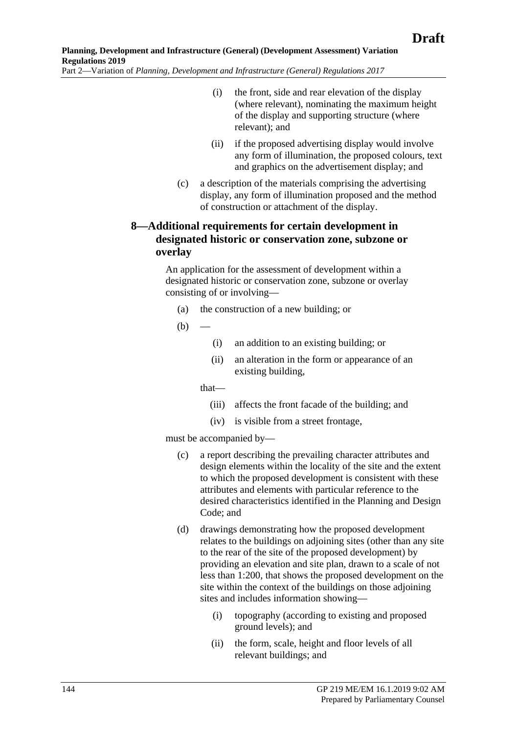- (i) the front, side and rear elevation of the display (where relevant), nominating the maximum height of the display and supporting structure (where relevant); and
- (ii) if the proposed advertising display would involve any form of illumination, the proposed colours, text and graphics on the advertisement display; and
- (c) a description of the materials comprising the advertising display, any form of illumination proposed and the method of construction or attachment of the display.

# **8—Additional requirements for certain development in designated historic or conservation zone, subzone or overlay**

An application for the assessment of development within a designated historic or conservation zone, subzone or overlay consisting of or involving—

- (a) the construction of a new building; or
- $(b)$ 
	- (i) an addition to an existing building; or
	- (ii) an alteration in the form or appearance of an existing building,

that—

- (iii) affects the front facade of the building; and
- (iv) is visible from a street frontage,

must be accompanied by—

- (c) a report describing the prevailing character attributes and design elements within the locality of the site and the extent to which the proposed development is consistent with these attributes and elements with particular reference to the desired characteristics identified in the Planning and Design Code; and
- (d) drawings demonstrating how the proposed development relates to the buildings on adjoining sites (other than any site to the rear of the site of the proposed development) by providing an elevation and site plan, drawn to a scale of not less than 1:200, that shows the proposed development on the site within the context of the buildings on those adjoining sites and includes information showing—
	- (i) topography (according to existing and proposed ground levels); and
	- (ii) the form, scale, height and floor levels of all relevant buildings; and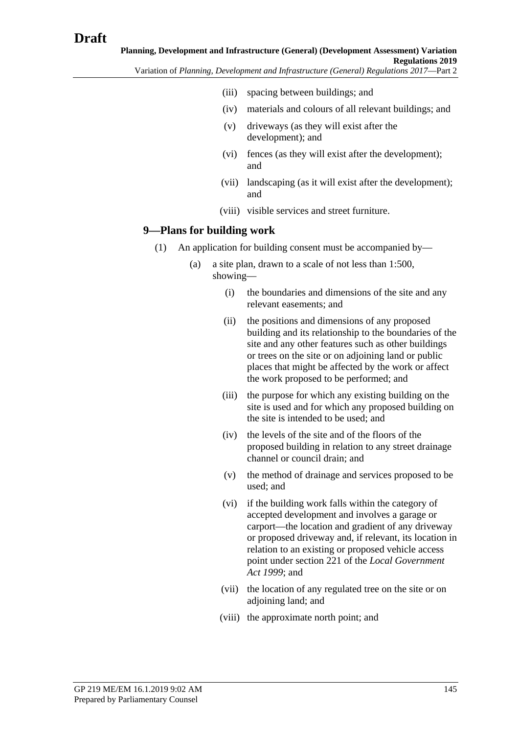- (iii) spacing between buildings; and
- (iv) materials and colours of all relevant buildings; and
- (v) driveways (as they will exist after the development); and
- (vi) fences (as they will exist after the development); and
- (vii) landscaping (as it will exist after the development); and
- (viii) visible services and street furniture.

## <span id="page-144-0"></span>**9—Plans for building work**

- (1) An application for building consent must be accompanied by—
	- (a) a site plan, drawn to a scale of not less than 1:500, showing—
		- (i) the boundaries and dimensions of the site and any relevant easements; and
		- (ii) the positions and dimensions of any proposed building and its relationship to the boundaries of the site and any other features such as other buildings or trees on the site or on adjoining land or public places that might be affected by the work or affect the work proposed to be performed; and
		- (iii) the purpose for which any existing building on the site is used and for which any proposed building on the site is intended to be used; and
		- (iv) the levels of the site and of the floors of the proposed building in relation to any street drainage channel or council drain; and
		- (v) the method of drainage and services proposed to be used; and
		- (vi) if the building work falls within the category of accepted development and involves a garage or carport—the location and gradient of any driveway or proposed driveway and, if relevant, its location in relation to an existing or proposed vehicle access point under section 221 of the *[Local Government](http://www.legislation.sa.gov.au/index.aspx?action=legref&type=act&legtitle=Local%20Government%20Act%201999)  Act [1999](http://www.legislation.sa.gov.au/index.aspx?action=legref&type=act&legtitle=Local%20Government%20Act%201999)*; and
		- (vii) the location of any regulated tree on the site or on adjoining land; and
		- (viii) the approximate north point; and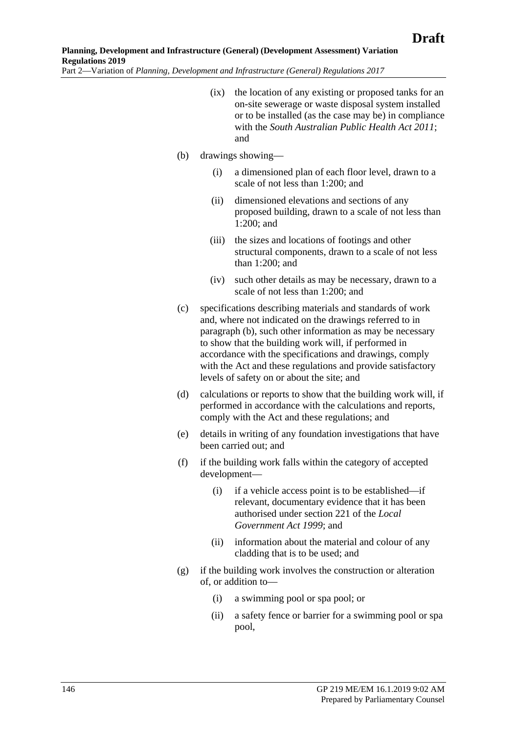- (ix) the location of any existing or proposed tanks for an on-site sewerage or waste disposal system installed or to be installed (as the case may be) in compliance with the *[South Australian Public Health Act 2011](http://www.legislation.sa.gov.au/index.aspx?action=legref&type=act&legtitle=South%20Australian%20Public%20Health%20Act%202011)*; and
- <span id="page-145-0"></span>(b) drawings showing—
	- (i) a dimensioned plan of each floor level, drawn to a scale of not less than 1:200; and
	- (ii) dimensioned elevations and sections of any proposed building, drawn to a scale of not less than 1:200; and
	- (iii) the sizes and locations of footings and other structural components, drawn to a scale of not less than 1:200; and
	- (iv) such other details as may be necessary, drawn to a scale of not less than 1:200; and
- <span id="page-145-1"></span>(c) specifications describing materials and standards of work and, where not indicated on the drawings referred to in [paragraph](#page-145-0) (b), such other information as may be necessary to show that the building work will, if performed in accordance with the specifications and drawings, comply with the Act and these regulations and provide satisfactory levels of safety on or about the site; and
- <span id="page-145-2"></span>(d) calculations or reports to show that the building work will, if performed in accordance with the calculations and reports, comply with the Act and these regulations; and
- <span id="page-145-3"></span>(e) details in writing of any foundation investigations that have been carried out; and
- (f) if the building work falls within the category of accepted development—
	- (i) if a vehicle access point is to be established—if relevant, documentary evidence that it has been authorised under section 221 of the *[Local](http://www.legislation.sa.gov.au/index.aspx?action=legref&type=act&legtitle=Local%20Government%20Act%201999)  [Government Act](http://www.legislation.sa.gov.au/index.aspx?action=legref&type=act&legtitle=Local%20Government%20Act%201999) 1999*; and
	- (ii) information about the material and colour of any cladding that is to be used; and
- (g) if the building work involves the construction or alteration of, or addition to—
	- (i) a swimming pool or spa pool; or
	- (ii) a safety fence or barrier for a swimming pool or spa pool,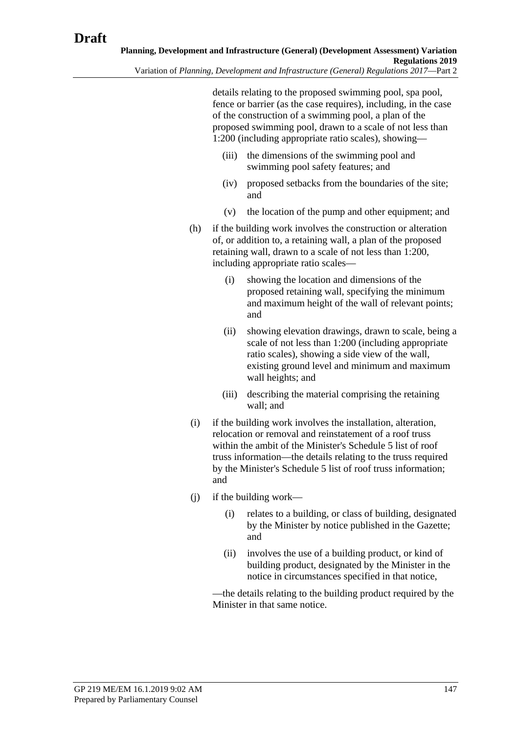details relating to the proposed swimming pool, spa pool, fence or barrier (as the case requires), including, in the case of the construction of a swimming pool, a plan of the proposed swimming pool, drawn to a scale of not less than 1:200 (including appropriate ratio scales), showing—

- (iii) the dimensions of the swimming pool and swimming pool safety features; and
- (iv) proposed setbacks from the boundaries of the site; and
- (v) the location of the pump and other equipment; and
- (h) if the building work involves the construction or alteration of, or addition to, a retaining wall, a plan of the proposed retaining wall, drawn to a scale of not less than 1:200, including appropriate ratio scales—
	- (i) showing the location and dimensions of the proposed retaining wall, specifying the minimum and maximum height of the wall of relevant points; and
	- (ii) showing elevation drawings, drawn to scale, being a scale of not less than 1:200 (including appropriate ratio scales), showing a side view of the wall, existing ground level and minimum and maximum wall heights; and
	- (iii) describing the material comprising the retaining wall; and
- <span id="page-146-0"></span>(i) if the building work involves the installation, alteration, relocation or removal and reinstatement of a roof truss within the ambit of the Minister's Schedule 5 list of roof truss information—the details relating to the truss required by the Minister's Schedule 5 list of roof truss information; and
- $(i)$  if the building work—
	- (i) relates to a building, or class of building, designated by the Minister by notice published in the Gazette; and
	- (ii) involves the use of a building product, or kind of building product, designated by the Minister in the notice in circumstances specified in that notice,

—the details relating to the building product required by the Minister in that same notice.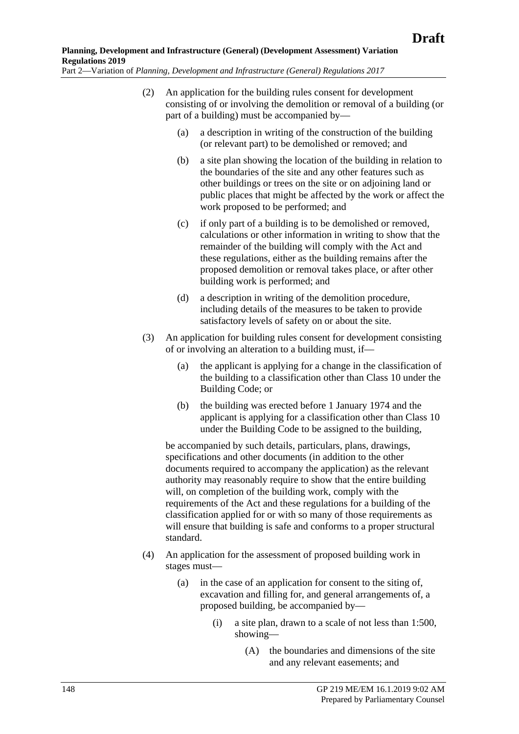- (2) An application for the building rules consent for development consisting of or involving the demolition or removal of a building (or part of a building) must be accompanied by—
	- (a) a description in writing of the construction of the building (or relevant part) to be demolished or removed; and
	- (b) a site plan showing the location of the building in relation to the boundaries of the site and any other features such as other buildings or trees on the site or on adjoining land or public places that might be affected by the work or affect the work proposed to be performed; and
	- (c) if only part of a building is to be demolished or removed, calculations or other information in writing to show that the remainder of the building will comply with the Act and these regulations, either as the building remains after the proposed demolition or removal takes place, or after other building work is performed; and
	- (d) a description in writing of the demolition procedure, including details of the measures to be taken to provide satisfactory levels of safety on or about the site.
	- (3) An application for building rules consent for development consisting of or involving an alteration to a building must, if—
		- (a) the applicant is applying for a change in the classification of the building to a classification other than Class 10 under the Building Code; or
		- (b) the building was erected before 1 January 1974 and the applicant is applying for a classification other than Class 10 under the Building Code to be assigned to the building,

be accompanied by such details, particulars, plans, drawings, specifications and other documents (in addition to the other documents required to accompany the application) as the relevant authority may reasonably require to show that the entire building will, on completion of the building work, comply with the requirements of the Act and these regulations for a building of the classification applied for or with so many of those requirements as will ensure that building is safe and conforms to a proper structural standard.

- (4) An application for the assessment of proposed building work in stages must—
	- (a) in the case of an application for consent to the siting of, excavation and filling for, and general arrangements of, a proposed building, be accompanied by—
		- (i) a site plan, drawn to a scale of not less than 1:500, showing—
			- (A) the boundaries and dimensions of the site and any relevant easements; and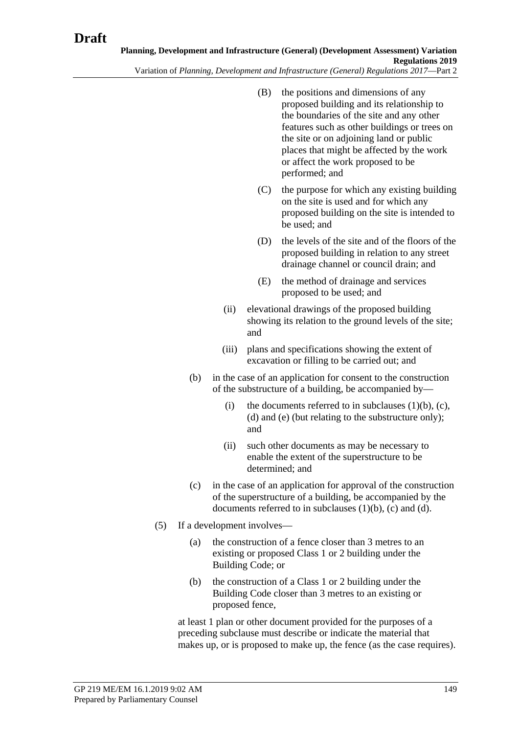- (B) the positions and dimensions of any proposed building and its relationship to the boundaries of the site and any other features such as other buildings or trees on the site or on adjoining land or public places that might be affected by the work or affect the work proposed to be performed; and
- (C) the purpose for which any existing building on the site is used and for which any proposed building on the site is intended to be used; and
- (D) the levels of the site and of the floors of the proposed building in relation to any street drainage channel or council drain; and
- (E) the method of drainage and services proposed to be used; and
- (ii) elevational drawings of the proposed building showing its relation to the ground levels of the site; and
- (iii) plans and specifications showing the extent of excavation or filling to be carried out; and
- (b) in the case of an application for consent to the construction of the substructure of a building, be accompanied by
	- (i) the documents referred to in [subclauses](#page-145-0)  $(1)(b)$ ,  $(c)$ , [\(d\)](#page-145-2) and [\(e\)](#page-145-3) (but relating to the substructure only); and
	- (ii) such other documents as may be necessary to enable the extent of the superstructure to be determined; and
- (c) in the case of an application for approval of the construction of the superstructure of a building, be accompanied by the documents referred to in [subclauses](#page-145-0)  $(1)(b)$ ,  $(c)$  and  $(d)$ .
- <span id="page-148-0"></span>(5) If a development involves—
	- (a) the construction of a fence closer than 3 metres to an existing or proposed Class 1 or 2 building under the Building Code; or
	- (b) the construction of a Class 1 or 2 building under the Building Code closer than 3 metres to an existing or proposed fence,

at least 1 plan or other document provided for the purposes of a preceding subclause must describe or indicate the material that makes up, or is proposed to make up, the fence (as the case requires).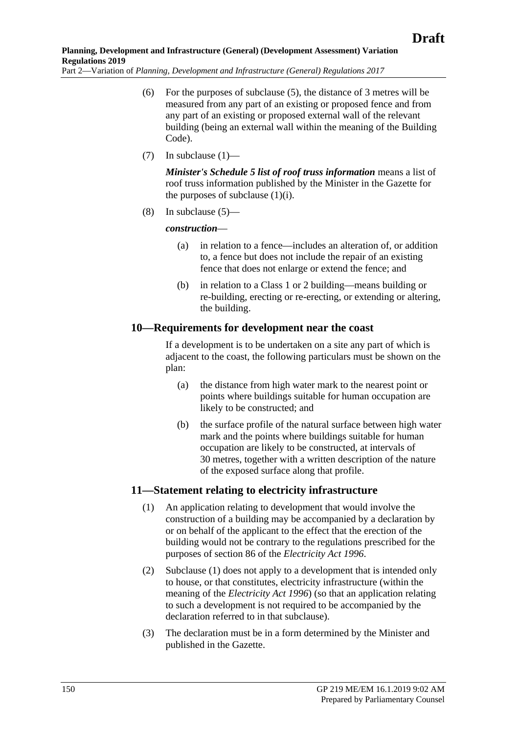- (6) For the purposes of [subclause](#page-148-0) (5), the distance of 3 metres will be measured from any part of an existing or proposed fence and from any part of an existing or proposed external wall of the relevant building (being an external wall within the meaning of the Building Code).
- (7) In [subclause](#page-144-0)  $(1)$ —

*Minister's Schedule 5 list of roof truss information* means a list of roof truss information published by the Minister in the Gazette for the purposes of [subclause](#page-146-0)  $(1)(i)$ .

(8) In [subclause](#page-148-0) (5)—

## *construction*—

- (a) in relation to a fence—includes an alteration of, or addition to, a fence but does not include the repair of an existing fence that does not enlarge or extend the fence; and
- (b) in relation to a Class 1 or 2 building—means building or re-building, erecting or re-erecting, or extending or altering, the building.

# **10—Requirements for development near the coast**

If a development is to be undertaken on a site any part of which is adjacent to the coast, the following particulars must be shown on the plan:

- (a) the distance from high water mark to the nearest point or points where buildings suitable for human occupation are likely to be constructed; and
- (b) the surface profile of the natural surface between high water mark and the points where buildings suitable for human occupation are likely to be constructed, at intervals of 30 metres, together with a written description of the nature of the exposed surface along that profile.

# <span id="page-149-0"></span>**11—Statement relating to electricity infrastructure**

- (1) An application relating to development that would involve the construction of a building may be accompanied by a declaration by or on behalf of the applicant to the effect that the erection of the building would not be contrary to the regulations prescribed for the purposes of section 86 of the *[Electricity Act](http://www.legislation.sa.gov.au/index.aspx?action=legref&type=act&legtitle=Electricity%20Act%201996) 1996*.
- (2) [Subclause](#page-149-0) (1) does not apply to a development that is intended only to house, or that constitutes, electricity infrastructure (within the meaning of the *[Electricity Act](http://www.legislation.sa.gov.au/index.aspx?action=legref&type=act&legtitle=Electricity%20Act%201996) 1996*) (so that an application relating to such a development is not required to be accompanied by the declaration referred to in that subclause).
- (3) The declaration must be in a form determined by the Minister and published in the Gazette.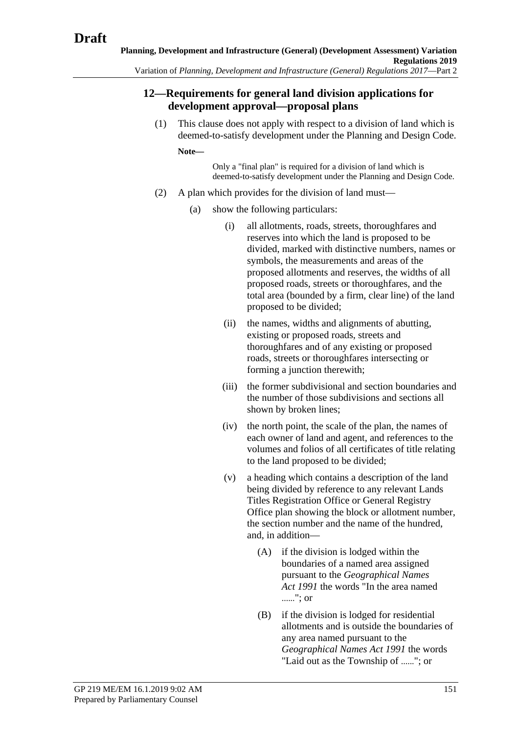# **12—Requirements for general land division applications for development approval—proposal plans**

(1) This clause does not apply with respect to a division of land which is deemed-to-satisfy development under the Planning and Design Code.

**Note—**

Only a "final plan" is required for a division of land which is deemed-to-satisfy development under the Planning and Design Code.

- <span id="page-150-0"></span>(2) A plan which provides for the division of land must—
	- (a) show the following particulars:
		- (i) all allotments, roads, streets, thoroughfares and reserves into which the land is proposed to be divided, marked with distinctive numbers, names or symbols, the measurements and areas of the proposed allotments and reserves, the widths of all proposed roads, streets or thoroughfares, and the total area (bounded by a firm, clear line) of the land proposed to be divided;
		- (ii) the names, widths and alignments of abutting, existing or proposed roads, streets and thoroughfares and of any existing or proposed roads, streets or thoroughfares intersecting or forming a junction therewith;
		- (iii) the former subdivisional and section boundaries and the number of those subdivisions and sections all shown by broken lines;
		- (iv) the north point, the scale of the plan, the names of each owner of land and agent, and references to the volumes and folios of all certificates of title relating to the land proposed to be divided;
		- (v) a heading which contains a description of the land being divided by reference to any relevant Lands Titles Registration Office or General Registry Office plan showing the block or allotment number, the section number and the name of the hundred, and, in addition—
			- (A) if the division is lodged within the boundaries of a named area assigned pursuant to the *[Geographical Names](http://www.legislation.sa.gov.au/index.aspx?action=legref&type=act&legtitle=Geographical%20Names%20Act%201991)  Act [1991](http://www.legislation.sa.gov.au/index.aspx?action=legref&type=act&legtitle=Geographical%20Names%20Act%201991)* the words "In the area named ......"; or
			- (B) if the division is lodged for residential allotments and is outside the boundaries of any area named pursuant to the *[Geographical Names Act](http://www.legislation.sa.gov.au/index.aspx?action=legref&type=act&legtitle=Geographical%20Names%20Act%201991) 1991* the words "Laid out as the Township of ......"; or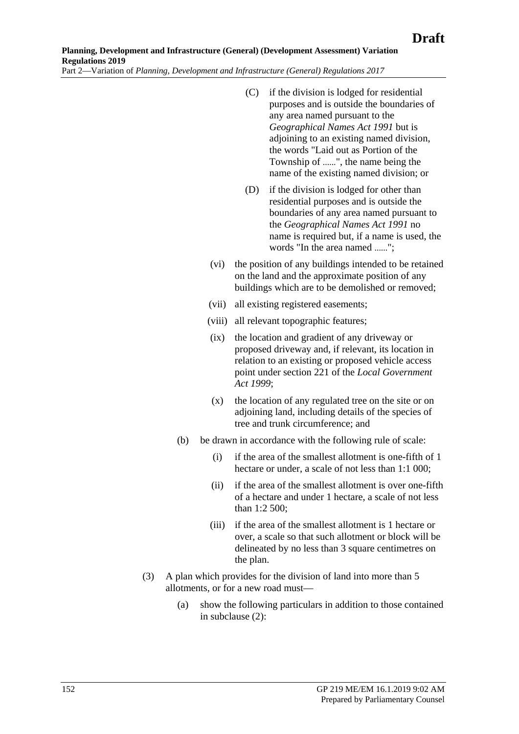- (C) if the division is lodged for residential purposes and is outside the boundaries of any area named pursuant to the *[Geographical Names Act](http://www.legislation.sa.gov.au/index.aspx?action=legref&type=act&legtitle=Geographical%20Names%20Act%201991) 1991* but is adjoining to an existing named division, the words "Laid out as Portion of the Township of ......", the name being the name of the existing named division; or
- (D) if the division is lodged for other than residential purposes and is outside the boundaries of any area named pursuant to the *[Geographical Names Act](http://www.legislation.sa.gov.au/index.aspx?action=legref&type=act&legtitle=Geographical%20Names%20Act%201991) 1991* no name is required but, if a name is used, the words "In the area named ......";
- (vi) the position of any buildings intended to be retained on the land and the approximate position of any buildings which are to be demolished or removed;
- (vii) all existing registered easements;
- (viii) all relevant topographic features;
- (ix) the location and gradient of any driveway or proposed driveway and, if relevant, its location in relation to an existing or proposed vehicle access point under section 221 of the *[Local Government](http://www.legislation.sa.gov.au/index.aspx?action=legref&type=act&legtitle=Local%20Government%20Act%201999)  Act [1999](http://www.legislation.sa.gov.au/index.aspx?action=legref&type=act&legtitle=Local%20Government%20Act%201999)*;
- (x) the location of any regulated tree on the site or on adjoining land, including details of the species of tree and trunk circumference; and
- (b) be drawn in accordance with the following rule of scale:
	- (i) if the area of the smallest allotment is one-fifth of 1 hectare or under, a scale of not less than 1:1 000;
	- (ii) if the area of the smallest allotment is over one-fifth of a hectare and under 1 hectare, a scale of not less than 1:2 500;
	- (iii) if the area of the smallest allotment is 1 hectare or over, a scale so that such allotment or block will be delineated by no less than 3 square centimetres on the plan.
- (3) A plan which provides for the division of land into more than 5 allotments, or for a new road must—
	- (a) show the following particulars in addition to those contained in [subclause](#page-150-0) (2):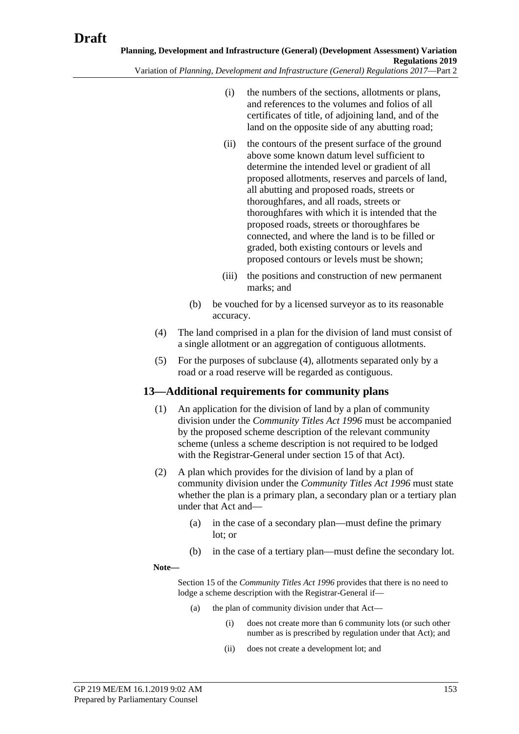- (i) the numbers of the sections, allotments or plans, and references to the volumes and folios of all certificates of title, of adjoining land, and of the land on the opposite side of any abutting road;
- (ii) the contours of the present surface of the ground above some known datum level sufficient to determine the intended level or gradient of all proposed allotments, reserves and parcels of land, all abutting and proposed roads, streets or thoroughfares, and all roads, streets or thoroughfares with which it is intended that the proposed roads, streets or thoroughfares be connected, and where the land is to be filled or graded, both existing contours or levels and proposed contours or levels must be shown;
- (iii) the positions and construction of new permanent marks; and
- (b) be vouched for by a licensed surveyor as to its reasonable accuracy.
- <span id="page-152-0"></span>(4) The land comprised in a plan for the division of land must consist of a single allotment or an aggregation of contiguous allotments.
- (5) For the purposes of [subclause](#page-152-0) (4), allotments separated only by a road or a road reserve will be regarded as contiguous.

# **13—Additional requirements for community plans**

- (1) An application for the division of land by a plan of community division under the *[Community Titles Act](http://www.legislation.sa.gov.au/index.aspx?action=legref&type=act&legtitle=Community%20Titles%20Act%201996) 1996* must be accompanied by the proposed scheme description of the relevant community scheme (unless a scheme description is not required to be lodged with the Registrar-General under section 15 of that Act).
- (2) A plan which provides for the division of land by a plan of community division under the *[Community Titles Act](http://www.legislation.sa.gov.au/index.aspx?action=legref&type=act&legtitle=Community%20Titles%20Act%201996) 1996* must state whether the plan is a primary plan, a secondary plan or a tertiary plan under that Act and—
	- (a) in the case of a secondary plan—must define the primary lot; or
	- (b) in the case of a tertiary plan—must define the secondary lot.

#### **Note—**

Section 15 of the *[Community Titles Act](http://www.legislation.sa.gov.au/index.aspx?action=legref&type=act&legtitle=Community%20Titles%20Act%201996) 1996* provides that there is no need to lodge a scheme description with the Registrar-General if—

- (a) the plan of community division under that Act—
	- (i) does not create more than 6 community lots (or such other number as is prescribed by regulation under that Act); and
	- (ii) does not create a development lot; and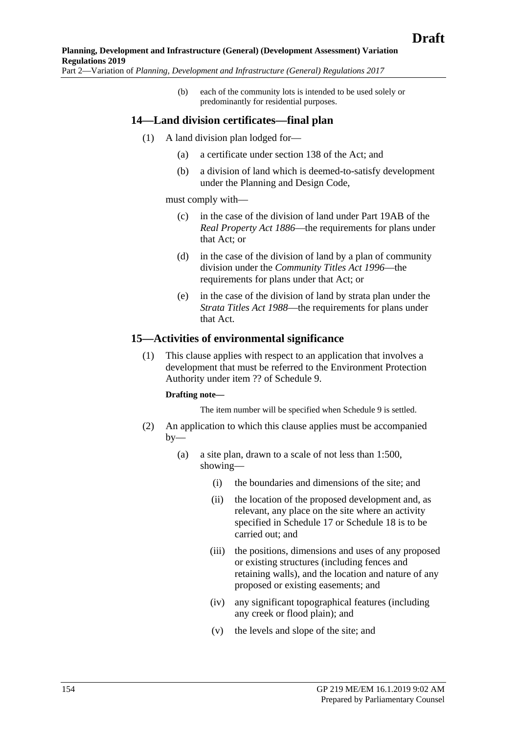(b) each of the community lots is intended to be used solely or predominantly for residential purposes.

## **14—Land division certificates—final plan**

- (1) A land division plan lodged for—
	- (a) a certificate under section 138 of the Act; and
	- (b) a division of land which is deemed-to-satisfy development under the Planning and Design Code,

must comply with—

- (c) in the case of the division of land under Part 19AB of the *[Real Property Act](http://www.legislation.sa.gov.au/index.aspx?action=legref&type=act&legtitle=Real%20Property%20Act%201886) 1886*—the requirements for plans under that Act; or
- (d) in the case of the division of land by a plan of community division under the *[Community Titles Act](http://www.legislation.sa.gov.au/index.aspx?action=legref&type=act&legtitle=Community%20Titles%20Act%201996) 1996*—the requirements for plans under that Act; or
- (e) in the case of the division of land by strata plan under the *[Strata Titles Act](http://www.legislation.sa.gov.au/index.aspx?action=legref&type=act&legtitle=Strata%20Titles%20Act%201988) 1988*—the requirements for plans under that Act.

### **15—Activities of environmental significance**

(1) This clause applies with respect to an application that involves a development that must be referred to the Environment Protection Authority under item ?? of Schedule 9.

#### **Drafting note—**

The item number will be specified when Schedule 9 is settled.

- (2) An application to which this clause applies must be accompanied by—
	- (a) a site plan, drawn to a scale of not less than 1:500, showing—
		- (i) the boundaries and dimensions of the site; and
		- (ii) the location of the proposed development and, as relevant, any place on the site where an activity specified in Schedule 17 or Schedule 18 is to be carried out; and
		- (iii) the positions, dimensions and uses of any proposed or existing structures (including fences and retaining walls), and the location and nature of any proposed or existing easements; and
		- (iv) any significant topographical features (including any creek or flood plain); and
		- (v) the levels and slope of the site; and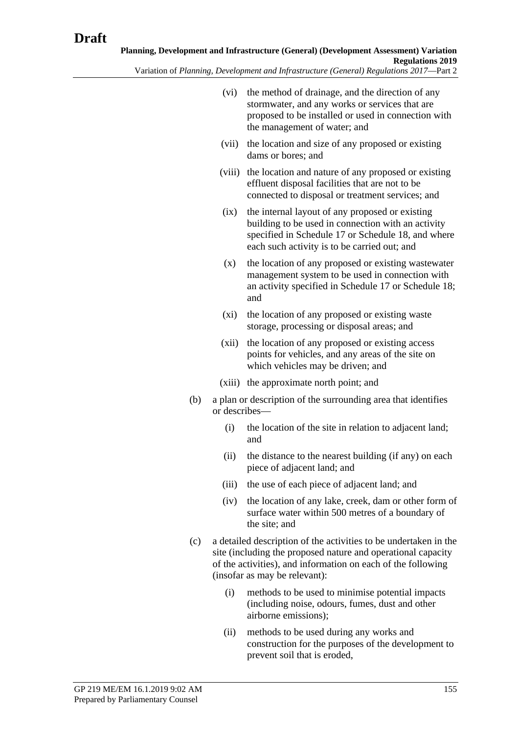- (vi) the method of drainage, and the direction of any stormwater, and any works or services that are proposed to be installed or used in connection with the management of water; and
- (vii) the location and size of any proposed or existing dams or bores; and
- (viii) the location and nature of any proposed or existing effluent disposal facilities that are not to be connected to disposal or treatment services; and
- (ix) the internal layout of any proposed or existing building to be used in connection with an activity specified in Schedule 17 or Schedule 18, and where each such activity is to be carried out; and
- (x) the location of any proposed or existing wastewater management system to be used in connection with an activity specified in Schedule 17 or Schedule 18; and
- (xi) the location of any proposed or existing waste storage, processing or disposal areas; and
- (xii) the location of any proposed or existing access points for vehicles, and any areas of the site on which vehicles may be driven; and
- (xiii) the approximate north point; and
- (b) a plan or description of the surrounding area that identifies or describes—
	- (i) the location of the site in relation to adjacent land; and
	- (ii) the distance to the nearest building (if any) on each piece of adjacent land; and
	- (iii) the use of each piece of adjacent land; and
	- (iv) the location of any lake, creek, dam or other form of surface water within 500 metres of a boundary of the site; and
- (c) a detailed description of the activities to be undertaken in the site (including the proposed nature and operational capacity of the activities), and information on each of the following (insofar as may be relevant):
	- (i) methods to be used to minimise potential impacts (including noise, odours, fumes, dust and other airborne emissions);
	- (ii) methods to be used during any works and construction for the purposes of the development to prevent soil that is eroded,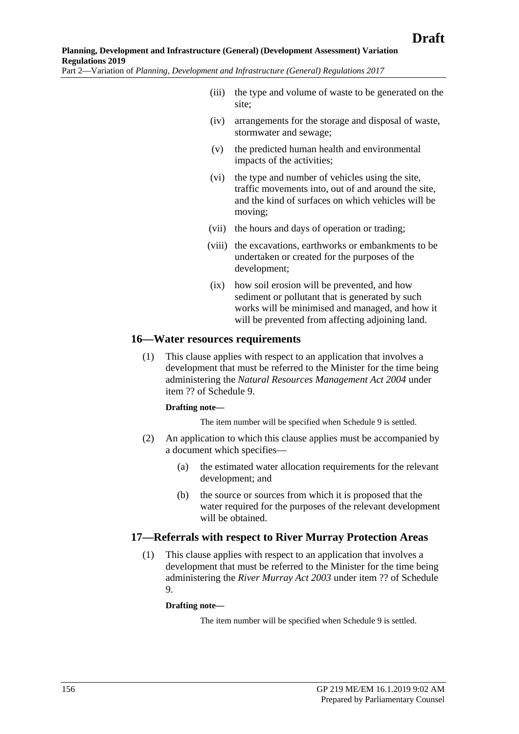- (iii) the type and volume of waste to be generated on the site;
- (iv) arrangements for the storage and disposal of waste, stormwater and sewage;
- (v) the predicted human health and environmental impacts of the activities;
- (vi) the type and number of vehicles using the site, traffic movements into, out of and around the site, and the kind of surfaces on which vehicles will be moving;
- (vii) the hours and days of operation or trading;
- (viii) the excavations, earthworks or embankments to be undertaken or created for the purposes of the development;
- (ix) how soil erosion will be prevented, and how sediment or pollutant that is generated by such works will be minimised and managed, and how it will be prevented from affecting adjoining land.

### **16—Water resources requirements**

(1) This clause applies with respect to an application that involves a development that must be referred to the Minister for the time being administering the *[Natural Resources Management Act](http://www.legislation.sa.gov.au/index.aspx?action=legref&type=act&legtitle=Natural%20Resources%20Management%20Act%202004) 2004* under item ?? of Schedule 9.

### **Drafting note—**

The item number will be specified when Schedule 9 is settled.

- (2) An application to which this clause applies must be accompanied by a document which specifies—
	- (a) the estimated water allocation requirements for the relevant development; and
	- (b) the source or sources from which it is proposed that the water required for the purposes of the relevant development will be obtained.

## **17—Referrals with respect to River Murray Protection Areas**

(1) This clause applies with respect to an application that involves a development that must be referred to the Minister for the time being administering the *[River Murray Act](http://www.legislation.sa.gov.au/index.aspx?action=legref&type=act&legtitle=River%20Murray%20Act%202003) 2003* under item ?? of Schedule 9.

### **Drafting note—**

The item number will be specified when Schedule 9 is settled.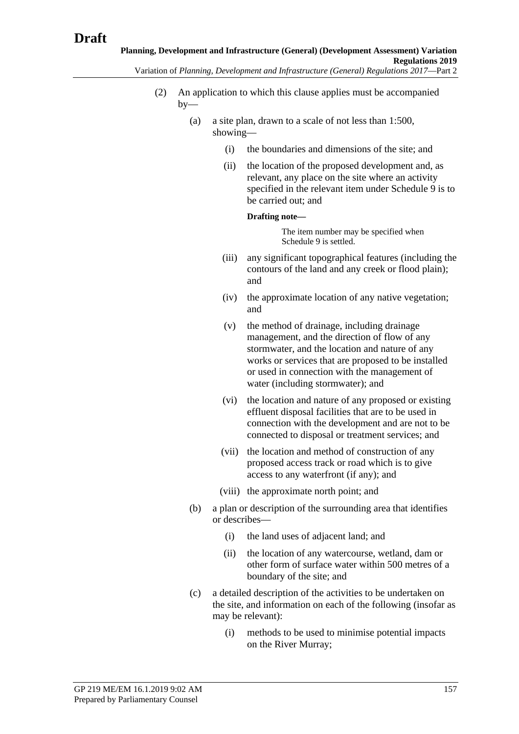- (2) An application to which this clause applies must be accompanied  $bv$ —
	- (a) a site plan, drawn to a scale of not less than 1:500, showing—
		- (i) the boundaries and dimensions of the site; and
		- (ii) the location of the proposed development and, as relevant, any place on the site where an activity specified in the relevant item under Schedule 9 is to be carried out; and

#### **Drafting note—**

The item number may be specified when Schedule 9 is settled.

- (iii) any significant topographical features (including the contours of the land and any creek or flood plain); and
- (iv) the approximate location of any native vegetation; and
- (v) the method of drainage, including drainage management, and the direction of flow of any stormwater, and the location and nature of any works or services that are proposed to be installed or used in connection with the management of water (including stormwater); and
- (vi) the location and nature of any proposed or existing effluent disposal facilities that are to be used in connection with the development and are not to be connected to disposal or treatment services; and
- (vii) the location and method of construction of any proposed access track or road which is to give access to any waterfront (if any); and
- (viii) the approximate north point; and
- (b) a plan or description of the surrounding area that identifies or describes—
	- (i) the land uses of adjacent land; and
	- (ii) the location of any watercourse, wetland, dam or other form of surface water within 500 metres of a boundary of the site; and
- (c) a detailed description of the activities to be undertaken on the site, and information on each of the following (insofar as may be relevant):
	- (i) methods to be used to minimise potential impacts on the River Murray;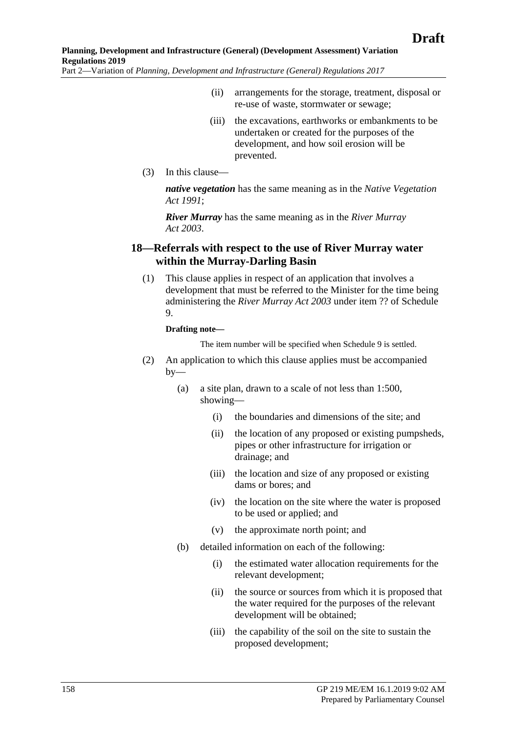- (ii) arrangements for the storage, treatment, disposal or re-use of waste, stormwater or sewage;
- (iii) the excavations, earthworks or embankments to be undertaken or created for the purposes of the development, and how soil erosion will be prevented.
- (3) In this clause—

*native vegetation* has the same meaning as in the *[Native Vegetation](http://www.legislation.sa.gov.au/index.aspx?action=legref&type=act&legtitle=Native%20Vegetation%20Act%201991)  Act [1991](http://www.legislation.sa.gov.au/index.aspx?action=legref&type=act&legtitle=Native%20Vegetation%20Act%201991)*;

*River Murray* has the same meaning as in the *[River Murray](http://www.legislation.sa.gov.au/index.aspx?action=legref&type=act&legtitle=River%20Murray%20Act%202003)  Act [2003](http://www.legislation.sa.gov.au/index.aspx?action=legref&type=act&legtitle=River%20Murray%20Act%202003)*.

## **18—Referrals with respect to the use of River Murray water within the Murray-Darling Basin**

(1) This clause applies in respect of an application that involves a development that must be referred to the Minister for the time being administering the *[River Murray Act](http://www.legislation.sa.gov.au/index.aspx?action=legref&type=act&legtitle=River%20Murray%20Act%202003) 2003* under item ?? of Schedule 9.

#### **Drafting note—**

The item number will be specified when Schedule 9 is settled.

- (2) An application to which this clause applies must be accompanied by—
	- (a) a site plan, drawn to a scale of not less than 1:500, showing—
		- (i) the boundaries and dimensions of the site; and
		- (ii) the location of any proposed or existing pumpsheds, pipes or other infrastructure for irrigation or drainage; and
		- (iii) the location and size of any proposed or existing dams or bores; and
		- (iv) the location on the site where the water is proposed to be used or applied; and
		- (v) the approximate north point; and
	- (b) detailed information on each of the following:
		- (i) the estimated water allocation requirements for the relevant development;
		- (ii) the source or sources from which it is proposed that the water required for the purposes of the relevant development will be obtained;
		- (iii) the capability of the soil on the site to sustain the proposed development;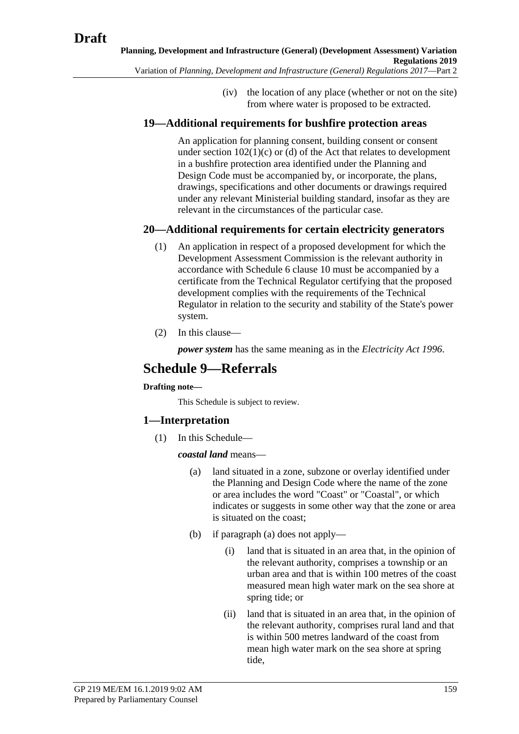(iv) the location of any place (whether or not on the site) from where water is proposed to be extracted.

# **19—Additional requirements for bushfire protection areas**

An application for planning consent, building consent or consent under section  $102(1)(c)$  or (d) of the Act that relates to development in a bushfire protection area identified under the Planning and Design Code must be accompanied by, or incorporate, the plans, drawings, specifications and other documents or drawings required under any relevant Ministerial building standard, insofar as they are relevant in the circumstances of the particular case.

# **20—Additional requirements for certain electricity generators**

- (1) An application in respect of a proposed development for which the Development Assessment Commission is the relevant authority in accordance with Schedule 6 clause 10 must be accompanied by a certificate from the Technical Regulator certifying that the proposed development complies with the requirements of the Technical Regulator in relation to the security and stability of the State's power system.
- (2) In this clause—

*power system* has the same meaning as in the *[Electricity Act](http://www.legislation.sa.gov.au/index.aspx?action=legref&type=act&legtitle=Electricity%20Act%201996) 1996*.

# **Schedule 9—Referrals**

## **Drafting note—**

This Schedule is subject to review.

# <span id="page-158-0"></span>**1—Interpretation**

(1) In this Schedule—

*coastal land* means—

- (a) land situated in a zone, subzone or overlay identified under the Planning and Design Code where the name of the zone or area includes the word "Coast" or "Coastal", or which indicates or suggests in some other way that the zone or area is situated on the coast;
- (b) if [paragraph](#page-158-0) (a) does not apply—
	- (i) land that is situated in an area that, in the opinion of the relevant authority, comprises a township or an urban area and that is within 100 metres of the coast measured mean high water mark on the sea shore at spring tide; or
	- (ii) land that is situated in an area that, in the opinion of the relevant authority, comprises rural land and that is within 500 metres landward of the coast from mean high water mark on the sea shore at spring tide,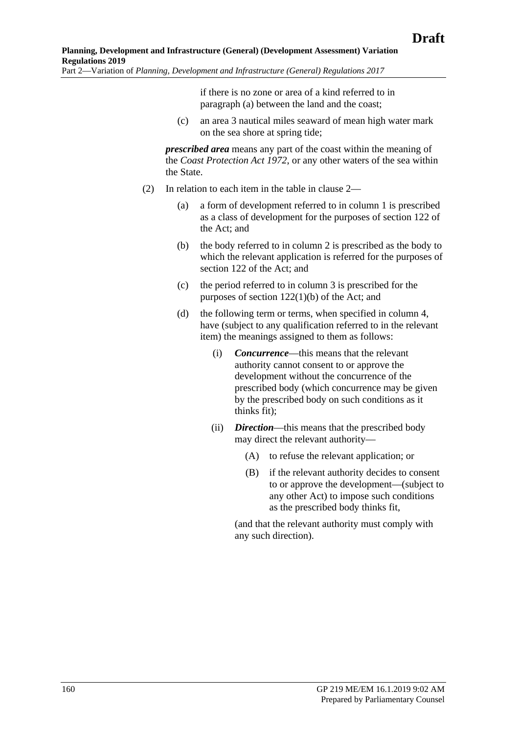if there is no zone or area of a kind referred to in [paragraph](#page-158-0) (a) between the land and the coast;

(c) an area 3 nautical miles seaward of mean high water mark on the sea shore at spring tide;

*prescribed area* means any part of the coast within the meaning of the *[Coast Protection Act](http://www.legislation.sa.gov.au/index.aspx?action=legref&type=act&legtitle=Coast%20Protection%20Act%201972) 1972*, or any other waters of the sea within the State.

- (2) In relation to each item in the table in clause 2—
	- (a) a form of development referred to in column 1 is prescribed as a class of development for the purposes of section 122 of the Act; and
	- (b) the body referred to in column 2 is prescribed as the body to which the relevant application is referred for the purposes of section 122 of the Act; and
	- (c) the period referred to in column 3 is prescribed for the purposes of section 122(1)(b) of the Act; and
	- (d) the following term or terms, when specified in column 4, have (subject to any qualification referred to in the relevant item) the meanings assigned to them as follows:
		- (i) *Concurrence*—this means that the relevant authority cannot consent to or approve the development without the concurrence of the prescribed body (which concurrence may be given by the prescribed body on such conditions as it thinks fit);
		- (ii) *Direction*—this means that the prescribed body may direct the relevant authority—
			- (A) to refuse the relevant application; or
			- (B) if the relevant authority decides to consent to or approve the development—(subject to any other Act) to impose such conditions as the prescribed body thinks fit,

(and that the relevant authority must comply with any such direction).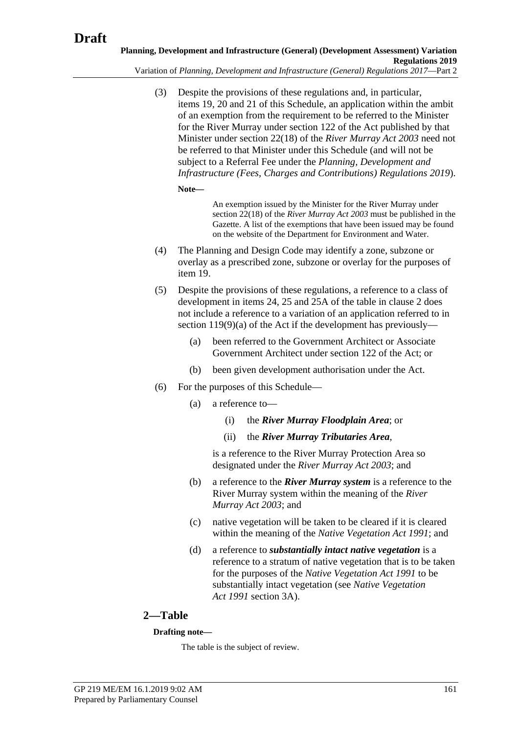Variation of *Planning, Development and Infrastructure (General) Regulations 2017*—Part 2

(3) Despite the provisions of these regulations and, in particular, items 19, 20 and 21 of this Schedule, an application within the ambit of an exemption from the requirement to be referred to the Minister for the River Murray under section 122 of the Act published by that Minister under section 22(18) of the *[River Murray Act](http://www.legislation.sa.gov.au/index.aspx?action=legref&type=act&legtitle=River%20Murray%20Act%202003) 2003* need not be referred to that Minister under this Schedule (and will not be subject to a Referral Fee under the *Planning, Development and Infrastructure (Fees, Charges and Contributions) Regulations 2019*).

**Note—**

An exemption issued by the Minister for the River Murray under section 22(18) of the *[River Murray Act](http://www.legislation.sa.gov.au/index.aspx?action=legref&type=act&legtitle=River%20Murray%20Act%202003) 2003* must be published in the Gazette. A list of the exemptions that have been issued may be found on the website of the Department for Environment and Water.

- (4) The Planning and Design Code may identify a zone, subzone or overlay as a prescribed zone, subzone or overlay for the purposes of item 19.
- (5) Despite the provisions of these regulations, a reference to a class of development in items 24, 25 and 25A of the table in clause 2 does not include a reference to a variation of an application referred to in section 119(9)(a) of the Act if the development has previously—
	- (a) been referred to the Government Architect or Associate Government Architect under section 122 of the Act; or
	- (b) been given development authorisation under the Act.
- (6) For the purposes of this Schedule—
	- (a) a reference to—
		- (i) the *River Murray Floodplain Area*; or
		- (ii) the *River Murray Tributaries Area*,

is a reference to the River Murray Protection Area so designated under the *[River Murray Act](http://www.legislation.sa.gov.au/index.aspx?action=legref&type=act&legtitle=River%20Murray%20Act%202003) 2003*; and

- (b) a reference to the *River Murray system* is a reference to the River Murray system within the meaning of the *[River](http://www.legislation.sa.gov.au/index.aspx?action=legref&type=act&legtitle=River%20Murray%20Act%202003)  [Murray Act](http://www.legislation.sa.gov.au/index.aspx?action=legref&type=act&legtitle=River%20Murray%20Act%202003) 2003*; and
- (c) native vegetation will be taken to be cleared if it is cleared within the meaning of the *[Native Vegetation Act](http://www.legislation.sa.gov.au/index.aspx?action=legref&type=act&legtitle=Native%20Vegetation%20Act%201991) 1991*; and
- (d) a reference to *substantially intact native vegetation* is a reference to a stratum of native vegetation that is to be taken for the purposes of the *[Native Vegetation Act](http://www.legislation.sa.gov.au/index.aspx?action=legref&type=act&legtitle=Native%20Vegetation%20Act%201991) 1991* to be substantially intact vegetation (see *[Native Vegetation](http://www.legislation.sa.gov.au/index.aspx?action=legref&type=act&legtitle=Native%20Vegetation%20Act%201991)  Act [1991](http://www.legislation.sa.gov.au/index.aspx?action=legref&type=act&legtitle=Native%20Vegetation%20Act%201991)* section 3A).

## **2—Table**

### **Drafting note—**

The table is the subject of review.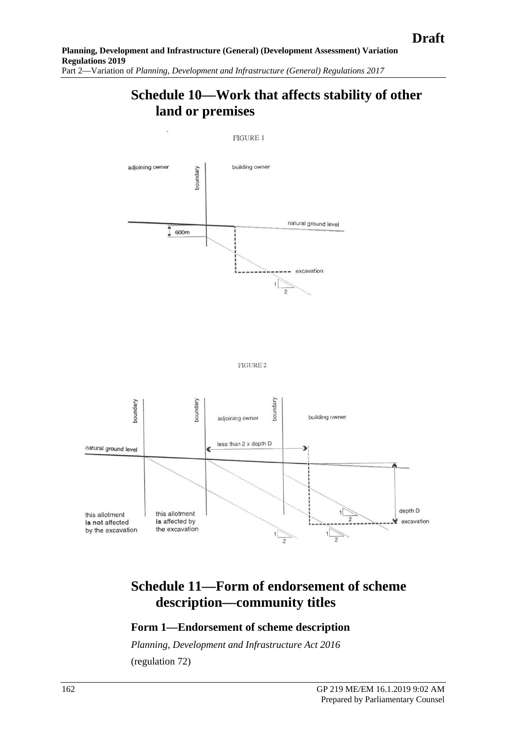# **Schedule 10—Work that affects stability of other land or premises**

**FIGURE 1** 







# **Schedule 11—Form of endorsement of scheme description—community titles**

## **Form 1—Endorsement of scheme description**

*[Planning, Development and Infrastructure Act](http://www.legislation.sa.gov.au/index.aspx?action=legref&type=act&legtitle=Planning%20Development%20and%20Infrastructure%20Act%202016) 2016* (regulation 72)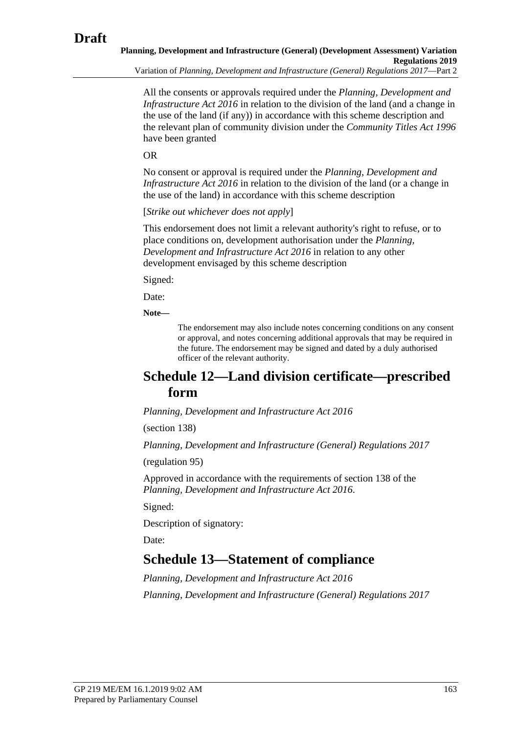**Planning, Development and Infrastructure (General) (Development Assessment) Variation Regulations 2019** Variation of *Planning, Development and Infrastructure (General) Regulations 2017*—Part 2

All the consents or approvals required under the *[Planning, Development and](http://www.legislation.sa.gov.au/index.aspx?action=legref&type=act&legtitle=Planning%20Development%20and%20Infrastructure%20Act%202016)  [Infrastructure Act](http://www.legislation.sa.gov.au/index.aspx?action=legref&type=act&legtitle=Planning%20Development%20and%20Infrastructure%20Act%202016) 2016* in relation to the division of the land (and a change in the use of the land (if any)) in accordance with this scheme description and the relevant plan of community division under the *[Community Titles Act](http://www.legislation.sa.gov.au/index.aspx?action=legref&type=act&legtitle=Community%20Titles%20Act%201996) 1996* have been granted

OR

No consent or approval is required under the *[Planning, Development and](http://www.legislation.sa.gov.au/index.aspx?action=legref&type=act&legtitle=Planning%20Development%20and%20Infrastructure%20Act%202016)  [Infrastructure Act](http://www.legislation.sa.gov.au/index.aspx?action=legref&type=act&legtitle=Planning%20Development%20and%20Infrastructure%20Act%202016) 2016* in relation to the division of the land (or a change in the use of the land) in accordance with this scheme description

[*Strike out whichever does not apply*]

This endorsement does not limit a relevant authority's right to refuse, or to place conditions on, development authorisation under the *[Planning,](http://www.legislation.sa.gov.au/index.aspx?action=legref&type=act&legtitle=Planning%20Development%20and%20Infrastructure%20Act%202016)  [Development and Infrastructure Act](http://www.legislation.sa.gov.au/index.aspx?action=legref&type=act&legtitle=Planning%20Development%20and%20Infrastructure%20Act%202016) 2016* in relation to any other development envisaged by this scheme description

Signed:

Date:

**Note—**

The endorsement may also include notes concerning conditions on any consent or approval, and notes concerning additional approvals that may be required in the future. The endorsement may be signed and dated by a duly authorised officer of the relevant authority.

# **Schedule 12—Land division certificate—prescribed form**

*[Planning, Development and Infrastructure Act](http://www.legislation.sa.gov.au/index.aspx?action=legref&type=act&legtitle=Planning%20Development%20and%20Infrastructure%20Act%202016) 2016*

(section 138)

*[Planning, Development and Infrastructure \(General\) Regulations](http://www.legislation.sa.gov.au/index.aspx?action=legref&type=subordleg&legtitle=Planning%20Development%20and%20Infrastructure%20(General)%20Regulations%202017) 2017*

(regulation 95)

Approved in accordance with the requirements of section 138 of the *[Planning, Development and Infrastructure Act](http://www.legislation.sa.gov.au/index.aspx?action=legref&type=act&legtitle=Planning%20Development%20and%20Infrastructure%20Act%202016) 2016*.

Signed:

Description of signatory:

Date:

# **Schedule 13—Statement of compliance**

*[Planning, Development and Infrastructure Act](http://www.legislation.sa.gov.au/index.aspx?action=legref&type=act&legtitle=Planning%20Development%20and%20Infrastructure%20Act%202016) 2016 [Planning, Development and Infrastructure \(General\) Regulations](http://www.legislation.sa.gov.au/index.aspx?action=legref&type=subordleg&legtitle=Planning%20Development%20and%20Infrastructure%20(General)%20Regulations%202017) 2017*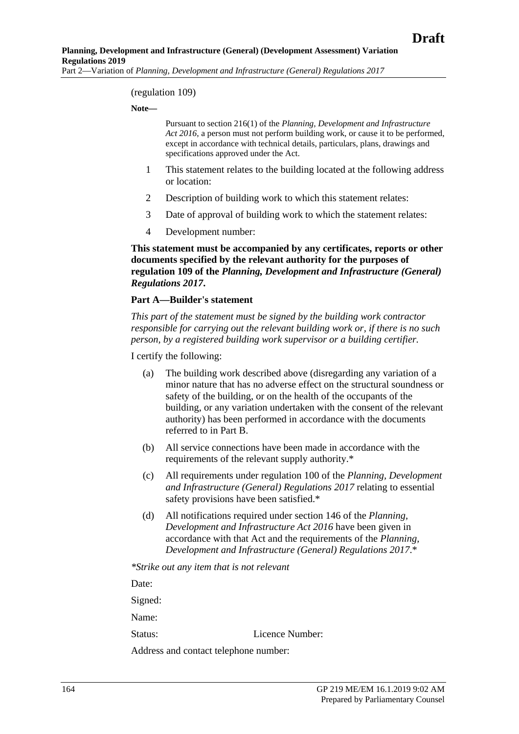#### (regulation 109)

#### **Note—**

Pursuant to section 216(1) of the *[Planning, Development and Infrastructure](http://www.legislation.sa.gov.au/index.aspx?action=legref&type=act&legtitle=Planning%20Development%20and%20Infrastructure%20Act%202016)  Act [2016](http://www.legislation.sa.gov.au/index.aspx?action=legref&type=act&legtitle=Planning%20Development%20and%20Infrastructure%20Act%202016)*, a person must not perform building work, or cause it to be performed, except in accordance with technical details, particulars, plans, drawings and specifications approved under the Act.

- 1 This statement relates to the building located at the following address or location:
- 2 Description of building work to which this statement relates:
- 3 Date of approval of building work to which the statement relates:
- 4 Development number:

**This statement must be accompanied by any certificates, reports or other documents specified by the relevant authority for the purposes of regulation 109 of the** *[Planning, Development and Infrastructure \(General\)](http://www.legislation.sa.gov.au/index.aspx?action=legref&type=subordleg&legtitle=Planning%20Development%20and%20Infrastructure%20(General)%20Regulations%202017)  [Regulations](http://www.legislation.sa.gov.au/index.aspx?action=legref&type=subordleg&legtitle=Planning%20Development%20and%20Infrastructure%20(General)%20Regulations%202017) 2017***.**

#### **Part A—Builder's statement**

*This part of the statement must be signed by the building work contractor responsible for carrying out the relevant building work or, if there is no such person, by a registered building work supervisor or a building certifier.*

I certify the following:

- (a) The building work described above (disregarding any variation of a minor nature that has no adverse effect on the structural soundness or safety of the building, or on the health of the occupants of the building, or any variation undertaken with the consent of the relevant authority) has been performed in accordance with the documents referred to in Part B.
- (b) All service connections have been made in accordance with the requirements of the relevant supply authority.\*
- (c) All requirements under regulation 100 of the *[Planning, Development](http://www.legislation.sa.gov.au/index.aspx?action=legref&type=subordleg&legtitle=Planning%20Development%20and%20Infrastructure%20(General)%20Regulations%202017)  [and Infrastructure \(General\) Regulations](http://www.legislation.sa.gov.au/index.aspx?action=legref&type=subordleg&legtitle=Planning%20Development%20and%20Infrastructure%20(General)%20Regulations%202017) 2017* relating to essential safety provisions have been satisfied.\*
- (d) All notifications required under section 146 of the *[Planning,](http://www.legislation.sa.gov.au/index.aspx?action=legref&type=act&legtitle=Planning%20Development%20and%20Infrastructure%20Act%202016)  [Development and Infrastructure Act](http://www.legislation.sa.gov.au/index.aspx?action=legref&type=act&legtitle=Planning%20Development%20and%20Infrastructure%20Act%202016) 2016* have been given in accordance with that Act and the requirements of the *[Planning,](http://www.legislation.sa.gov.au/index.aspx?action=legref&type=subordleg&legtitle=Planning%20Development%20and%20Infrastructure%20(General)%20Regulations%202017)  [Development and Infrastructure \(General\) Regulations](http://www.legislation.sa.gov.au/index.aspx?action=legref&type=subordleg&legtitle=Planning%20Development%20and%20Infrastructure%20(General)%20Regulations%202017) 2017*.\*

*\*Strike out any item that is not relevant*

Date:

Signed:

Name:

Status: Licence Number:

Address and contact telephone number: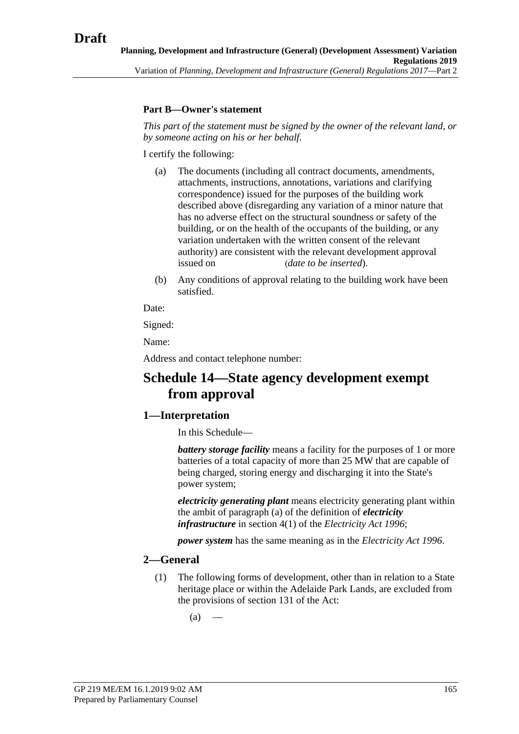## **Part B—Owner's statement**

*This part of the statement must be signed by the owner of the relevant land, or by someone acting on his or her behalf.*

I certify the following:

- (a) The documents (including all contract documents, amendments, attachments, instructions, annotations, variations and clarifying correspondence) issued for the purposes of the building work described above (disregarding any variation of a minor nature that has no adverse effect on the structural soundness or safety of the building, or on the health of the occupants of the building, or any variation undertaken with the written consent of the relevant authority) are consistent with the relevant development approval issued on (*date to be inserted*).
- (b) Any conditions of approval relating to the building work have been satisfied.

Date:

Signed:

Name:

Address and contact telephone number:

# **Schedule 14—State agency development exempt from approval**

## **1—Interpretation**

In this Schedule—

*battery storage facility* means a facility for the purposes of 1 or more batteries of a total capacity of more than 25 MW that are capable of being charged, storing energy and discharging it into the State's power system;

*electricity generating plant* means electricity generating plant within the ambit of paragraph (a) of the definition of *electricity infrastructure* in section 4(1) of the *[Electricity Act](http://www.legislation.sa.gov.au/index.aspx?action=legref&type=act&legtitle=Electricity%20Act%201996) 1996*;

*power system* has the same meaning as in the *[Electricity Act](http://www.legislation.sa.gov.au/index.aspx?action=legref&type=act&legtitle=Electricity%20Act%201996) 1996*.

## <span id="page-164-1"></span><span id="page-164-0"></span>**2—General**

(1) The following forms of development, other than in relation to a State heritage place or within the Adelaide Park Lands, are excluded from the provisions of section 131 of the Act:

 $(a)$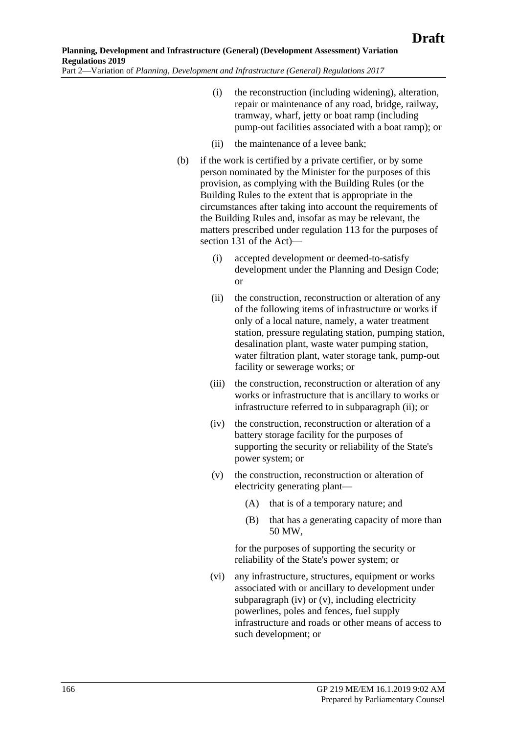- (i) the reconstruction (including widening), alteration, repair or maintenance of any road, bridge, railway, tramway, wharf, jetty or boat ramp (including pump-out facilities associated with a boat ramp); or
- (ii) the maintenance of a levee bank;
- <span id="page-165-4"></span><span id="page-165-0"></span>(b) if the work is certified by a private certifier, or by some person nominated by the Minister for the purposes of this provision, as complying with the Building Rules (or the Building Rules to the extent that is appropriate in the circumstances after taking into account the requirements of the Building Rules and, insofar as may be relevant, the matters prescribed under regulation 113 for the purposes of section 131 of the Act)—
	- (i) accepted development or deemed-to-satisfy development under the Planning and Design Code; or
	- (ii) the construction, reconstruction or alteration of any of the following items of infrastructure or works if only of a local nature, namely, a water treatment station, pressure regulating station, pumping station, desalination plant, waste water pumping station, water filtration plant, water storage tank, pump-out facility or sewerage works; or
	- (iii) the construction, reconstruction or alteration of any works or infrastructure that is ancillary to works or infrastructure referred to in [subparagraph](#page-165-0) (ii); or
	- (iv) the construction, reconstruction or alteration of a battery storage facility for the purposes of supporting the security or reliability of the State's power system; or
	- (v) the construction, reconstruction or alteration of electricity generating plant—
		- (A) that is of a temporary nature; and
		- (B) that has a generating capacity of more than 50 MW,

<span id="page-165-1"></span>for the purposes of supporting the security or reliability of the State's power system; or

<span id="page-165-3"></span><span id="page-165-2"></span>(vi) any infrastructure, structures, equipment or works associated with or ancillary to development under [subparagraph](#page-165-1) (iv) or [\(v\),](#page-165-2) including electricity powerlines, poles and fences, fuel supply infrastructure and roads or other means of access to such development; or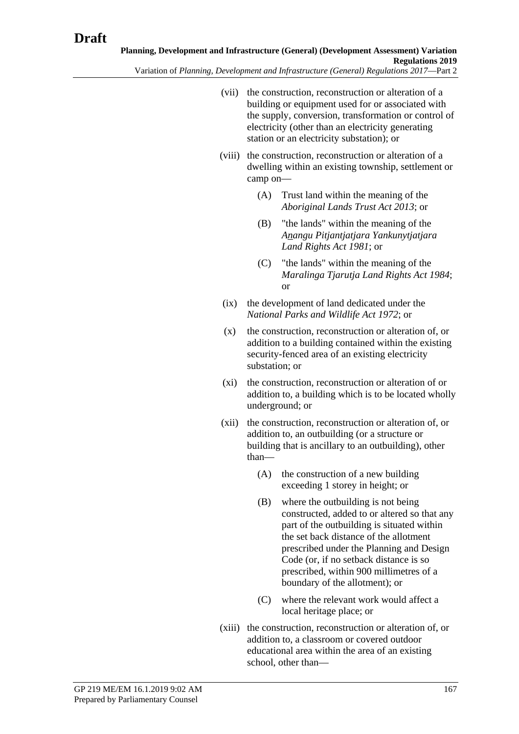- (vii) the construction, reconstruction or alteration of a building or equipment used for or associated with the supply, conversion, transformation or control of electricity (other than an electricity generating station or an electricity substation); or
- (viii) the construction, reconstruction or alteration of a dwelling within an existing township, settlement or camp on—
	- (A) Trust land within the meaning of the *[Aboriginal Lands Trust Act](http://www.legislation.sa.gov.au/index.aspx?action=legref&type=act&legtitle=Aboriginal%20Lands%20Trust%20Act%202013) 2013*; or
	- (B) "the lands" within the meaning of the *[Anangu Pitjantjatjara Yankunytjatjara](http://www.legislation.sa.gov.au/index.aspx?action=legref&type=act&legtitle=Anangu%20Pitjantjatjara%20Yankunytjatjara%20Land%20Rights%20Act%201981)  [Land Rights Act](http://www.legislation.sa.gov.au/index.aspx?action=legref&type=act&legtitle=Anangu%20Pitjantjatjara%20Yankunytjatjara%20Land%20Rights%20Act%201981) 1981*; or
	- (C) "the lands" within the meaning of the *[Maralinga Tjarutja Land Rights Act](http://www.legislation.sa.gov.au/index.aspx?action=legref&type=act&legtitle=Maralinga%20Tjarutja%20Land%20Rights%20Act%201984) 1984*; or
- (ix) the development of land dedicated under the *[National Parks and Wildlife Act](http://www.legislation.sa.gov.au/index.aspx?action=legref&type=act&legtitle=National%20Parks%20and%20Wildlife%20Act%201972) 1972*; or
- (x) the construction, reconstruction or alteration of, or addition to a building contained within the existing security-fenced area of an existing electricity substation; or
- <span id="page-166-0"></span>(xi) the construction, reconstruction or alteration of or addition to, a building which is to be located wholly underground; or
- (xii) the construction, reconstruction or alteration of, or addition to, an outbuilding (or a structure or building that is ancillary to an outbuilding), other than—
	- (A) the construction of a new building exceeding 1 storey in height; or
	- (B) where the outbuilding is not being constructed, added to or altered so that any part of the outbuilding is situated within the set back distance of the allotment prescribed under the Planning and Design Code (or, if no setback distance is so prescribed, within 900 millimetres of a boundary of the allotment); or
	- (C) where the relevant work would affect a local heritage place; or
- (xiii) the construction, reconstruction or alteration of, or addition to, a classroom or covered outdoor educational area within the area of an existing school, other than—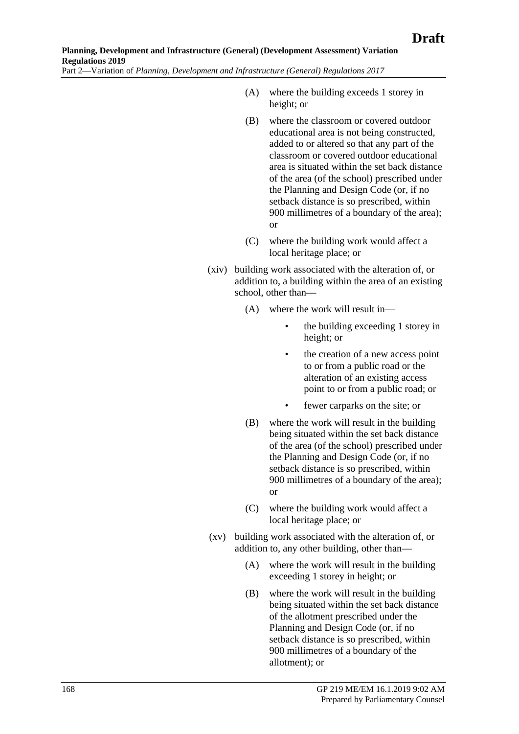- (A) where the building exceeds 1 storey in height; or
- (B) where the classroom or covered outdoor educational area is not being constructed, added to or altered so that any part of the classroom or covered outdoor educational area is situated within the set back distance of the area (of the school) prescribed under the Planning and Design Code (or, if no setback distance is so prescribed, within 900 millimetres of a boundary of the area); or
- (C) where the building work would affect a local heritage place; or
- (xiv) building work associated with the alteration of, or addition to, a building within the area of an existing school, other than—
	- (A) where the work will result in
		- the building exceeding 1 storey in height; or
		- the creation of a new access point to or from a public road or the alteration of an existing access point to or from a public road; or
		- fewer carparks on the site; or
	- (B) where the work will result in the building being situated within the set back distance of the area (of the school) prescribed under the Planning and Design Code (or, if no setback distance is so prescribed, within 900 millimetres of a boundary of the area); or
	- (C) where the building work would affect a local heritage place; or
- <span id="page-167-0"></span>(xv) building work associated with the alteration of, or addition to, any other building, other than—
	- (A) where the work will result in the building exceeding 1 storey in height; or
	- (B) where the work will result in the building being situated within the set back distance of the allotment prescribed under the Planning and Design Code (or, if no setback distance is so prescribed, within 900 millimetres of a boundary of the allotment); or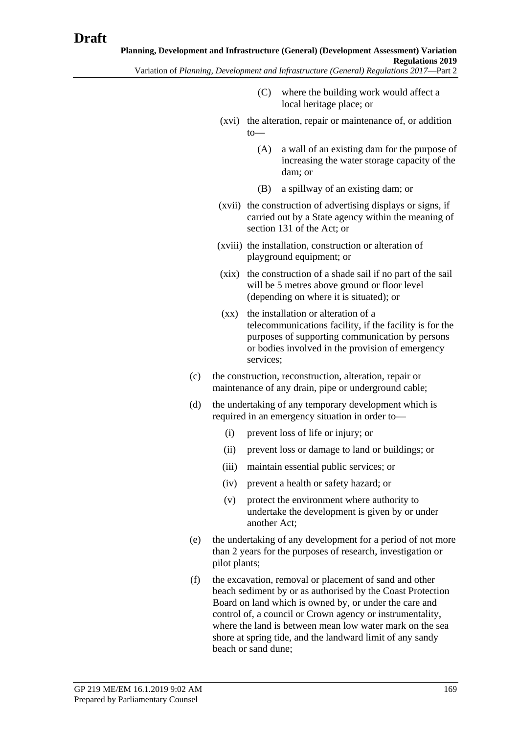- (C) where the building work would affect a local heritage place; or
- (xvi) the alteration, repair or maintenance of, or addition  $t_0$ —
	- (A) a wall of an existing dam for the purpose of increasing the water storage capacity of the dam; or
	- (B) a spillway of an existing dam; or
- (xvii) the construction of advertising displays or signs, if carried out by a State agency within the meaning of section 131 of the Act; or
- (xviii) the installation, construction or alteration of playground equipment; or
- (xix) the construction of a shade sail if no part of the sail will be 5 metres above ground or floor level (depending on where it is situated); or
- (xx) the installation or alteration of a telecommunications facility, if the facility is for the purposes of supporting communication by persons or bodies involved in the provision of emergency services;
- <span id="page-168-0"></span>(c) the construction, reconstruction, alteration, repair or maintenance of any drain, pipe or underground cable;
- (d) the undertaking of any temporary development which is required in an emergency situation in order to—
	- (i) prevent loss of life or injury; or
	- (ii) prevent loss or damage to land or buildings; or
	- (iii) maintain essential public services; or
	- (iv) prevent a health or safety hazard; or
	- (v) protect the environment where authority to undertake the development is given by or under another Act;
- (e) the undertaking of any development for a period of not more than 2 years for the purposes of research, investigation or pilot plants;
- (f) the excavation, removal or placement of sand and other beach sediment by or as authorised by the Coast Protection Board on land which is owned by, or under the care and control of, a council or Crown agency or instrumentality, where the land is between mean low water mark on the sea shore at spring tide, and the landward limit of any sandy beach or sand dune;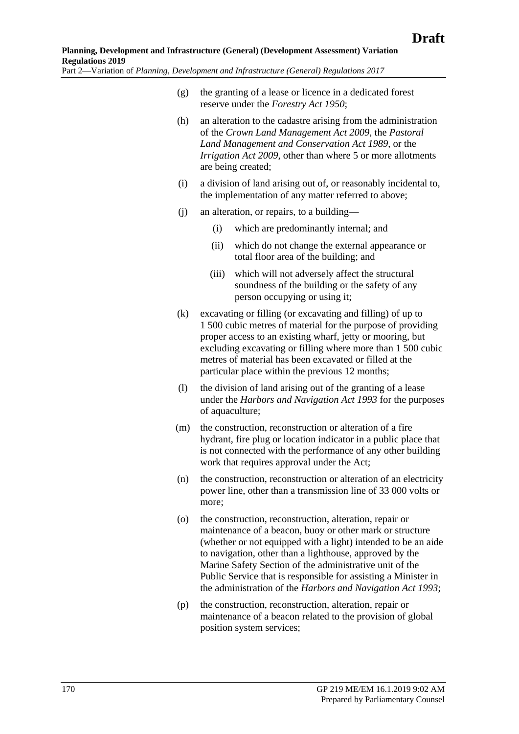- (g) the granting of a lease or licence in a dedicated forest reserve under the *[Forestry Act](http://www.legislation.sa.gov.au/index.aspx?action=legref&type=act&legtitle=Forestry%20Act%201950) 1950*;
- (h) an alteration to the cadastre arising from the administration of the *[Crown Land Management Act](http://www.legislation.sa.gov.au/index.aspx?action=legref&type=act&legtitle=Crown%20Land%20Management%20Act%202009) 2009*, the *[Pastoral](http://www.legislation.sa.gov.au/index.aspx?action=legref&type=act&legtitle=Pastoral%20Land%20Management%20and%20Conservation%20Act%201989)  [Land Management and Conservation Act](http://www.legislation.sa.gov.au/index.aspx?action=legref&type=act&legtitle=Pastoral%20Land%20Management%20and%20Conservation%20Act%201989) 1989*, or the *[Irrigation Act](http://www.legislation.sa.gov.au/index.aspx?action=legref&type=act&legtitle=Irrigation%20Act%202009) 2009*, other than where 5 or more allotments are being created;
- (i) a division of land arising out of, or reasonably incidental to, the implementation of any matter referred to above;
- (j) an alteration, or repairs, to a building—
	- (i) which are predominantly internal; and
	- (ii) which do not change the external appearance or total floor area of the building; and
	- (iii) which will not adversely affect the structural soundness of the building or the safety of any person occupying or using it;
- (k) excavating or filling (or excavating and filling) of up to 1 500 cubic metres of material for the purpose of providing proper access to an existing wharf, jetty or mooring, but excluding excavating or filling where more than 1 500 cubic metres of material has been excavated or filled at the particular place within the previous 12 months;
- (l) the division of land arising out of the granting of a lease under the *[Harbors and Navigation Act](http://www.legislation.sa.gov.au/index.aspx?action=legref&type=act&legtitle=Harbors%20and%20Navigation%20Act%201993) 1993* for the purposes of aquaculture;
- (m) the construction, reconstruction or alteration of a fire hydrant, fire plug or location indicator in a public place that is not connected with the performance of any other building work that requires approval under the Act;
- (n) the construction, reconstruction or alteration of an electricity power line, other than a transmission line of 33 000 volts or more;
- (o) the construction, reconstruction, alteration, repair or maintenance of a beacon, buoy or other mark or structure (whether or not equipped with a light) intended to be an aide to navigation, other than a lighthouse, approved by the Marine Safety Section of the administrative unit of the Public Service that is responsible for assisting a Minister in the administration of the *[Harbors and Navigation Act](http://www.legislation.sa.gov.au/index.aspx?action=legref&type=act&legtitle=Harbors%20and%20Navigation%20Act%201993) 1993*;
- (p) the construction, reconstruction, alteration, repair or maintenance of a beacon related to the provision of global position system services;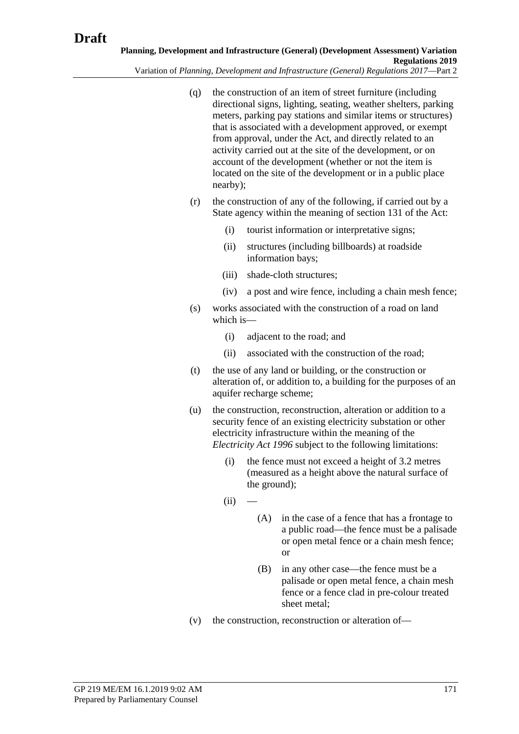Variation of *Planning, Development and Infrastructure (General) Regulations 2017*—Part 2

- (q) the construction of an item of street furniture (including directional signs, lighting, seating, weather shelters, parking meters, parking pay stations and similar items or structures) that is associated with a development approved, or exempt from approval, under the Act, and directly related to an activity carried out at the site of the development, or on account of the development (whether or not the item is located on the site of the development or in a public place nearby);
- (r) the construction of any of the following, if carried out by a State agency within the meaning of section 131 of the Act:
	- (i) tourist information or interpretative signs;
	- (ii) structures (including billboards) at roadside information bays;
	- (iii) shade-cloth structures;
	- (iv) a post and wire fence, including a chain mesh fence;
- (s) works associated with the construction of a road on land which is—
	- (i) adjacent to the road; and
	- (ii) associated with the construction of the road;
- (t) the use of any land or building, or the construction or alteration of, or addition to, a building for the purposes of an aquifer recharge scheme;
- (u) the construction, reconstruction, alteration or addition to a security fence of an existing electricity substation or other electricity infrastructure within the meaning of the *[Electricity Act](http://www.legislation.sa.gov.au/index.aspx?action=legref&type=act&legtitle=Electricity%20Act%201996) 1996* subject to the following limitations:
	- (i) the fence must not exceed a height of 3.2 metres (measured as a height above the natural surface of the ground);
	- $(ii)$
- (A) in the case of a fence that has a frontage to a public road—the fence must be a palisade or open metal fence or a chain mesh fence; or
- (B) in any other case—the fence must be a palisade or open metal fence, a chain mesh fence or a fence clad in pre-colour treated sheet metal;
- (v) the construction, reconstruction or alteration of—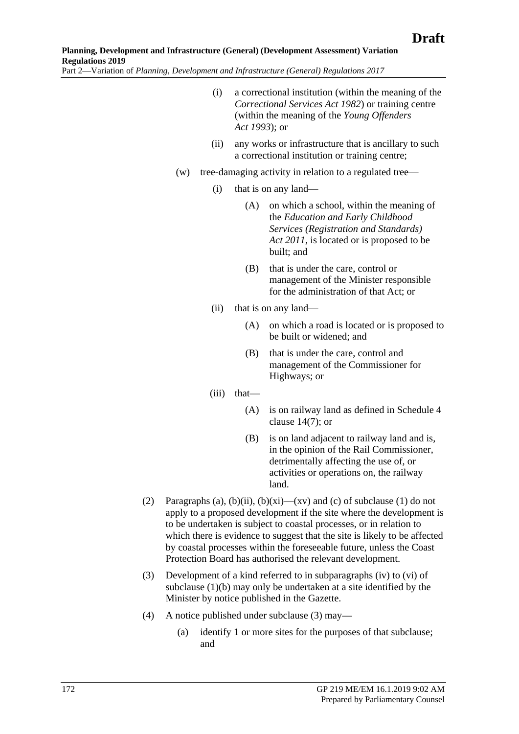- (i) a correctional institution (within the meaning of the *[Correctional Services Act](http://www.legislation.sa.gov.au/index.aspx?action=legref&type=act&legtitle=Correctional%20Services%20Act%201982) 1982*) or training centre (within the meaning of the *[Young Offenders](http://www.legislation.sa.gov.au/index.aspx?action=legref&type=act&legtitle=Young%20Offenders%20Act%201993)  Act [1993](http://www.legislation.sa.gov.au/index.aspx?action=legref&type=act&legtitle=Young%20Offenders%20Act%201993)*); or
- (ii) any works or infrastructure that is ancillary to such a correctional institution or training centre;
- (w) tree-damaging activity in relation to a regulated tree—
	- (i) that is on any land—
		- (A) on which a school, within the meaning of the *[Education and Early Childhood](http://www.legislation.sa.gov.au/index.aspx?action=legref&type=act&legtitle=Education%20and%20Early%20Childhood%20Services%20(Registration%20and%20Standards)%20Act%202011)  [Services \(Registration and Standards\)](http://www.legislation.sa.gov.au/index.aspx?action=legref&type=act&legtitle=Education%20and%20Early%20Childhood%20Services%20(Registration%20and%20Standards)%20Act%202011)  Act [2011](http://www.legislation.sa.gov.au/index.aspx?action=legref&type=act&legtitle=Education%20and%20Early%20Childhood%20Services%20(Registration%20and%20Standards)%20Act%202011)*, is located or is proposed to be built; and
		- (B) that is under the care, control or management of the Minister responsible for the administration of that Act; or
	- (ii) that is on any land—
		- (A) on which a road is located or is proposed to be built or widened; and
		- (B) that is under the care, control and management of the Commissioner for Highways; or
	- (iii) that—
		- (A) is on railway land as defined in [Schedule 4](#page-115-0)  [clause](#page-115-0) 14(7); or
		- (B) is on land adjacent to railway land and is, in the opinion of the Rail Commissioner, detrimentally affecting the use of, or activities or operations on, the railway land.
- (2) [Paragraphs](#page-164-0) (a), [\(b\)\(ii\),](#page-165-0) [\(b\)\(xi\)—](#page-166-0)[\(xv\)](#page-167-0) and [\(c\)](#page-168-0) of [subclause](#page-164-1) (1) do not apply to a proposed development if the site where the development is to be undertaken is subject to coastal processes, or in relation to which there is evidence to suggest that the site is likely to be affected by coastal processes within the foreseeable future, unless the Coast Protection Board has authorised the relevant development.
- <span id="page-171-0"></span>(3) Development of a kind referred to in [subparagraphs](#page-165-1) (iv) to [\(vi\)](#page-165-3) of [subclause](#page-165-4) (1)(b) may only be undertaken at a site identified by the Minister by notice published in the Gazette.
- (4) A notice published under [subclause](#page-171-0) (3) may—
	- (a) identify 1 or more sites for the purposes of that subclause; and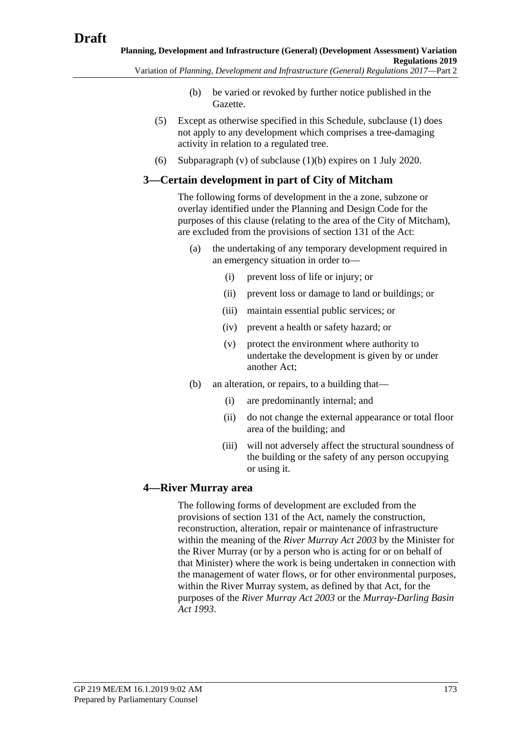- (b) be varied or revoked by further notice published in the Gazette.
- (5) Except as otherwise specified in this Schedule, [subclause](#page-164-1) (1) does not apply to any development which comprises a tree-damaging activity in relation to a regulated tree.
- (6) [Subparagraph](#page-165-2) (v) of [subclause](#page-165-4) (1)(b) expires on 1 July 2020.

## **3—Certain development in part of City of Mitcham**

The following forms of development in the a zone, subzone or overlay identified under the Planning and Design Code for the purposes of this clause (relating to the area of the City of Mitcham), are excluded from the provisions of section 131 of the Act:

- (a) the undertaking of any temporary development required in an emergency situation in order to—
	- (i) prevent loss of life or injury; or
	- (ii) prevent loss or damage to land or buildings; or
	- (iii) maintain essential public services; or
	- (iv) prevent a health or safety hazard; or
	- (v) protect the environment where authority to undertake the development is given by or under another Act;
- (b) an alteration, or repairs, to a building that—
	- (i) are predominantly internal; and
	- (ii) do not change the external appearance or total floor area of the building; and
	- (iii) will not adversely affect the structural soundness of the building or the safety of any person occupying or using it.

# **4—River Murray area**

The following forms of development are excluded from the provisions of section 131 of the Act, namely the construction, reconstruction, alteration, repair or maintenance of infrastructure within the meaning of the *[River Murray Act](http://www.legislation.sa.gov.au/index.aspx?action=legref&type=act&legtitle=River%20Murray%20Act%202003) 2003* by the Minister for the River Murray (or by a person who is acting for or on behalf of that Minister) where the work is being undertaken in connection with the management of water flows, or for other environmental purposes, within the River Murray system, as defined by that Act, for the purposes of the *[River Murray Act](http://www.legislation.sa.gov.au/index.aspx?action=legref&type=act&legtitle=River%20Murray%20Act%202003) 2003* or the *[Murray-Darling Basin](http://www.legislation.sa.gov.au/index.aspx?action=legref&type=act&legtitle=Murray-Darling%20Basin%20Act%201993)  Act [1993](http://www.legislation.sa.gov.au/index.aspx?action=legref&type=act&legtitle=Murray-Darling%20Basin%20Act%201993)*.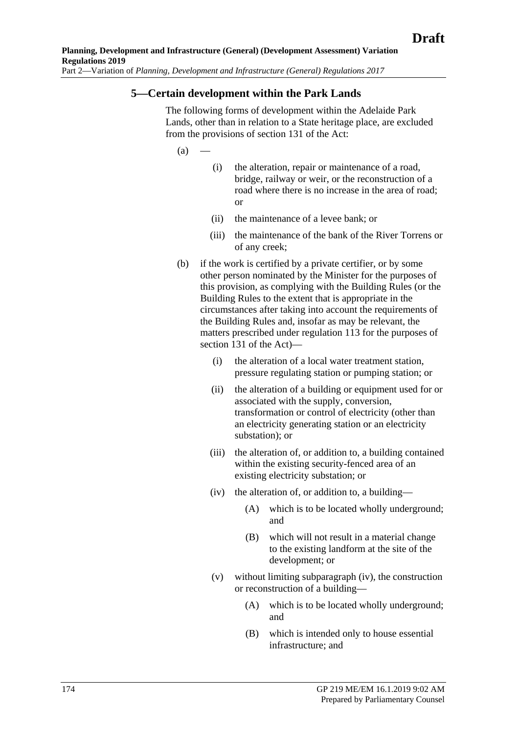## **5—Certain development within the Park Lands**

The following forms of development within the Adelaide Park Lands, other than in relation to a State heritage place, are excluded from the provisions of section 131 of the Act:

 $(a)$ 

- (i) the alteration, repair or maintenance of a road, bridge, railway or weir, or the reconstruction of a road where there is no increase in the area of road; or
- (ii) the maintenance of a levee bank; or
- (iii) the maintenance of the bank of the River Torrens or of any creek;
- <span id="page-173-0"></span>(b) if the work is certified by a private certifier, or by some other person nominated by the Minister for the purposes of this provision, as complying with the Building Rules (or the Building Rules to the extent that is appropriate in the circumstances after taking into account the requirements of the Building Rules and, insofar as may be relevant, the matters prescribed under regulation 113 for the purposes of section 131 of the Act)—
	- (i) the alteration of a local water treatment station, pressure regulating station or pumping station; or
	- (ii) the alteration of a building or equipment used for or associated with the supply, conversion, transformation or control of electricity (other than an electricity generating station or an electricity substation); or
	- (iii) the alteration of, or addition to, a building contained within the existing security-fenced area of an existing electricity substation; or
	- (iv) the alteration of, or addition to, a building—
		- (A) which is to be located wholly underground; and
		- (B) which will not result in a material change to the existing landform at the site of the development; or
	- (v) without limiting [subparagraph](#page-173-0) (iv), the construction or reconstruction of a building—
		- (A) which is to be located wholly underground; and
		- (B) which is intended only to house essential infrastructure; and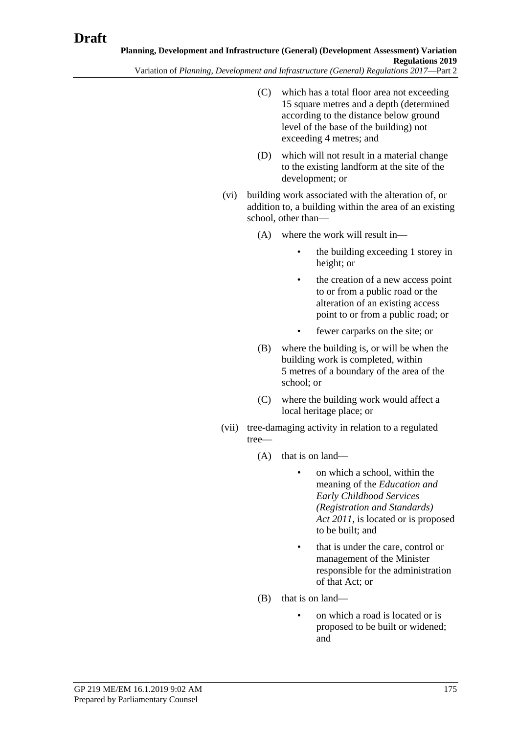- (C) which has a total floor area not exceeding 15 square metres and a depth (determined according to the distance below ground level of the base of the building) not exceeding 4 metres; and
- (D) which will not result in a material change to the existing landform at the site of the development; or
- (vi) building work associated with the alteration of, or addition to, a building within the area of an existing school, other than—
	- (A) where the work will result in—
		- the building exceeding 1 storey in height; or
		- the creation of a new access point to or from a public road or the alteration of an existing access point to or from a public road; or
		- fewer carparks on the site; or
	- (B) where the building is, or will be when the building work is completed, within 5 metres of a boundary of the area of the school; or
	- (C) where the building work would affect a local heritage place; or
- (vii) tree-damaging activity in relation to a regulated tree—
	- (A) that is on land—
		- on which a school, within the meaning of the *[Education and](http://www.legislation.sa.gov.au/index.aspx?action=legref&type=act&legtitle=Education%20and%20Early%20Childhood%20Services%20(Registration%20and%20Standards)%20Act%202011)  [Early Childhood Services](http://www.legislation.sa.gov.au/index.aspx?action=legref&type=act&legtitle=Education%20and%20Early%20Childhood%20Services%20(Registration%20and%20Standards)%20Act%202011)  [\(Registration and Standards\)](http://www.legislation.sa.gov.au/index.aspx?action=legref&type=act&legtitle=Education%20and%20Early%20Childhood%20Services%20(Registration%20and%20Standards)%20Act%202011)  Act [2011](http://www.legislation.sa.gov.au/index.aspx?action=legref&type=act&legtitle=Education%20and%20Early%20Childhood%20Services%20(Registration%20and%20Standards)%20Act%202011)*, is located or is proposed to be built; and
		- that is under the care, control or management of the Minister responsible for the administration of that Act; or
	- (B) that is on land—
		- on which a road is located or is proposed to be built or widened; and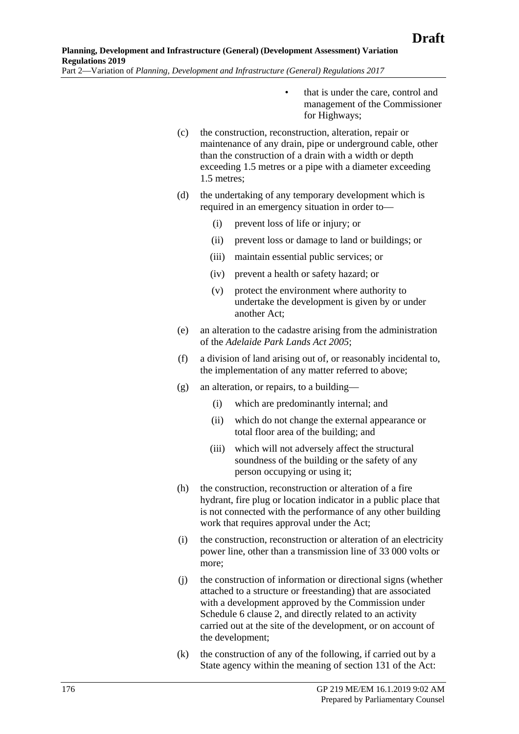- that is under the care, control and management of the Commissioner for Highways;
- (c) the construction, reconstruction, alteration, repair or maintenance of any drain, pipe or underground cable, other than the construction of a drain with a width or depth exceeding 1.5 metres or a pipe with a diameter exceeding 1.5 metres;
- (d) the undertaking of any temporary development which is required in an emergency situation in order to—
	- (i) prevent loss of life or injury; or
	- (ii) prevent loss or damage to land or buildings; or
	- (iii) maintain essential public services; or
	- (iv) prevent a health or safety hazard; or
	- (v) protect the environment where authority to undertake the development is given by or under another Act;
- (e) an alteration to the cadastre arising from the administration of the *[Adelaide Park Lands Act](http://www.legislation.sa.gov.au/index.aspx?action=legref&type=act&legtitle=Adelaide%20Park%20Lands%20Act%202005) 2005*;
- (f) a division of land arising out of, or reasonably incidental to, the implementation of any matter referred to above;
- (g) an alteration, or repairs, to a building—
	- (i) which are predominantly internal; and
	- (ii) which do not change the external appearance or total floor area of the building; and
	- (iii) which will not adversely affect the structural soundness of the building or the safety of any person occupying or using it;
- (h) the construction, reconstruction or alteration of a fire hydrant, fire plug or location indicator in a public place that is not connected with the performance of any other building work that requires approval under the Act:
- (i) the construction, reconstruction or alteration of an electricity power line, other than a transmission line of 33 000 volts or more;
- (j) the construction of information or directional signs (whether attached to a structure or freestanding) that are associated with a development approved by the Commission under Schedule 6 clause 2, and directly related to an activity carried out at the site of the development, or on account of the development;
- (k) the construction of any of the following, if carried out by a State agency within the meaning of section 131 of the Act: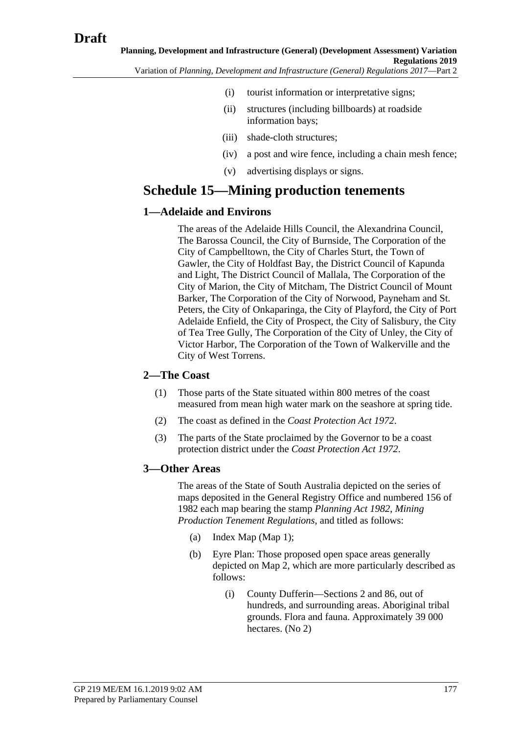- (i) tourist information or interpretative signs;
- (ii) structures (including billboards) at roadside information bays;
- (iii) shade-cloth structures;
- (iv) a post and wire fence, including a chain mesh fence;
- (v) advertising displays or signs.

# **Schedule 15—Mining production tenements**

# **1—Adelaide and Environs**

The areas of the Adelaide Hills Council, the Alexandrina Council, The Barossa Council, the City of Burnside, The Corporation of the City of Campbelltown, the City of Charles Sturt, the Town of Gawler, the City of Holdfast Bay, the District Council of Kapunda and Light, The District Council of Mallala, The Corporation of the City of Marion, the City of Mitcham, The District Council of Mount Barker, The Corporation of the City of Norwood, Payneham and St. Peters, the City of Onkaparinga, the City of Playford, the City of Port Adelaide Enfield, the City of Prospect, the City of Salisbury, the City of Tea Tree Gully, The Corporation of the City of Unley, the City of Victor Harbor, The Corporation of the Town of Walkerville and the City of West Torrens.

# **2—The Coast**

- (1) Those parts of the State situated within 800 metres of the coast measured from mean high water mark on the seashore at spring tide.
- (2) The coast as defined in the *[Coast Protection Act](http://www.legislation.sa.gov.au/index.aspx?action=legref&type=act&legtitle=Coast%20Protection%20Act%201972) 1972*.
- (3) The parts of the State proclaimed by the Governor to be a coast protection district under the *[Coast Protection Act](http://www.legislation.sa.gov.au/index.aspx?action=legref&type=act&legtitle=Coast%20Protection%20Act%201972) 1972*.

# **3—Other Areas**

The areas of the State of South Australia depicted on the series of maps deposited in the General Registry Office and numbered 156 of 1982 each map bearing the stamp *[Planning Act](http://www.legislation.sa.gov.au/index.aspx?action=legref&type=act&legtitle=Planning%20Act%201982) 1982*, *Mining Production Tenement Regulations*, and titled as follows:

- (a) Index Map (Map 1);
- (b) Eyre Plan: Those proposed open space areas generally depicted on Map 2, which are more particularly described as follows:
	- (i) County Dufferin—Sections 2 and 86, out of hundreds, and surrounding areas. Aboriginal tribal grounds. Flora and fauna. Approximately 39 000 hectares. (No 2)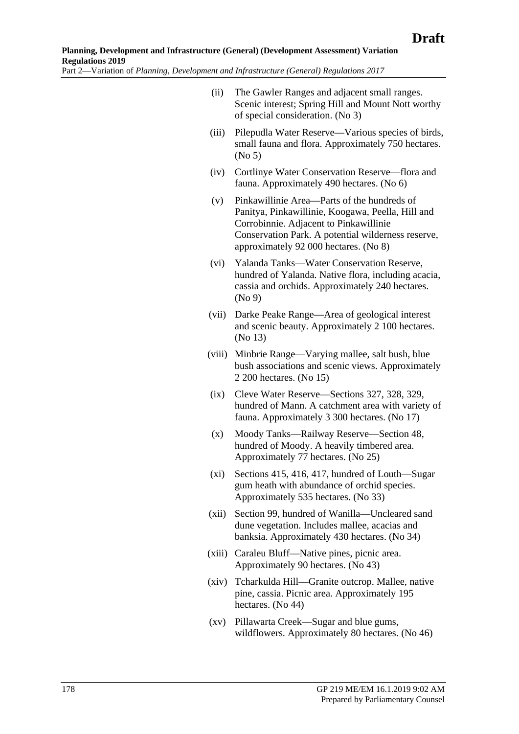- (ii) The Gawler Ranges and adjacent small ranges. Scenic interest; Spring Hill and Mount Nott worthy of special consideration. (No 3)
- (iii) Pilepudla Water Reserve—Various species of birds, small fauna and flora. Approximately 750 hectares. (No 5)
- (iv) Cortlinye Water Conservation Reserve—flora and fauna. Approximately 490 hectares. (No 6)
- (v) Pinkawillinie Area—Parts of the hundreds of Panitya, Pinkawillinie, Koogawa, Peella, Hill and Corrobinnie. Adjacent to Pinkawillinie Conservation Park. A potential wilderness reserve, approximately 92 000 hectares. (No 8)
- (vi) Yalanda Tanks—Water Conservation Reserve, hundred of Yalanda. Native flora, including acacia, cassia and orchids. Approximately 240 hectares. (No 9)
- (vii) Darke Peake Range—Area of geological interest and scenic beauty. Approximately 2 100 hectares. (No 13)
- (viii) Minbrie Range—Varying mallee, salt bush, blue bush associations and scenic views. Approximately 2 200 hectares. (No 15)
- (ix) Cleve Water Reserve—Sections 327, 328, 329, hundred of Mann. A catchment area with variety of fauna. Approximately 3 300 hectares. (No 17)
- (x) Moody Tanks—Railway Reserve—Section 48, hundred of Moody. A heavily timbered area. Approximately 77 hectares. (No 25)
- (xi) Sections 415, 416, 417, hundred of Louth—Sugar gum heath with abundance of orchid species. Approximately 535 hectares. (No 33)
- (xii) Section 99, hundred of Wanilla—Uncleared sand dune vegetation. Includes mallee, acacias and banksia. Approximately 430 hectares. (No 34)
- (xiii) Caraleu Bluff—Native pines, picnic area. Approximately 90 hectares. (No 43)
- (xiv) Tcharkulda Hill—Granite outcrop. Mallee, native pine, cassia. Picnic area. Approximately 195 hectares. (No 44)
- (xv) Pillawarta Creek—Sugar and blue gums, wildflowers. Approximately 80 hectares. (No 46)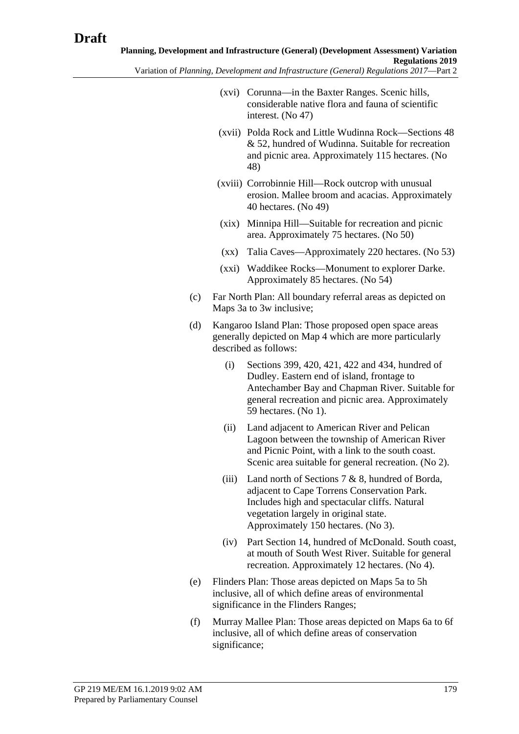- (xvi) Corunna—in the Baxter Ranges. Scenic hills, considerable native flora and fauna of scientific interest. (No 47)
- (xvii) Polda Rock and Little Wudinna Rock—Sections 48 & 52, hundred of Wudinna. Suitable for recreation and picnic area. Approximately 115 hectares. (No 48)
- (xviii) Corrobinnie Hill—Rock outcrop with unusual erosion. Mallee broom and acacias. Approximately 40 hectares. (No 49)
- (xix) Minnipa Hill—Suitable for recreation and picnic area. Approximately 75 hectares. (No 50)
- (xx) Talia Caves—Approximately 220 hectares. (No 53)
- (xxi) Waddikee Rocks—Monument to explorer Darke. Approximately 85 hectares. (No 54)
- (c) Far North Plan: All boundary referral areas as depicted on Maps 3a to 3w inclusive;
- (d) Kangaroo Island Plan: Those proposed open space areas generally depicted on Map 4 which are more particularly described as follows:
	- (i) Sections 399, 420, 421, 422 and 434, hundred of Dudley. Eastern end of island, frontage to Antechamber Bay and Chapman River. Suitable for general recreation and picnic area. Approximately 59 hectares. (No 1).
	- (ii) Land adjacent to American River and Pelican Lagoon between the township of American River and Picnic Point, with a link to the south coast. Scenic area suitable for general recreation. (No 2).
	- (iii) Land north of Sections  $7 & 8$ , hundred of Borda, adjacent to Cape Torrens Conservation Park. Includes high and spectacular cliffs. Natural vegetation largely in original state. Approximately 150 hectares. (No 3).
	- (iv) Part Section 14, hundred of McDonald. South coast, at mouth of South West River. Suitable for general recreation. Approximately 12 hectares. (No 4).
- (e) Flinders Plan: Those areas depicted on Maps 5a to 5h inclusive, all of which define areas of environmental significance in the Flinders Ranges;
- (f) Murray Mallee Plan: Those areas depicted on Maps 6a to 6f inclusive, all of which define areas of conservation significance;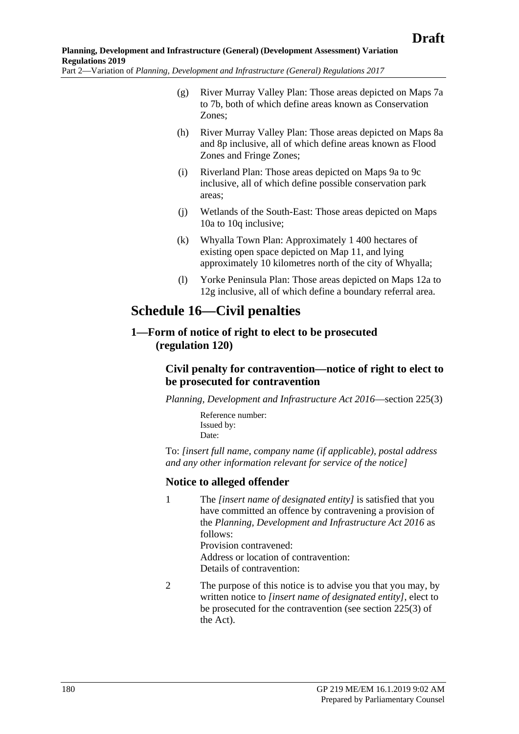- (g) River Murray Valley Plan: Those areas depicted on Maps 7a to 7b, both of which define areas known as Conservation Zones;
- (h) River Murray Valley Plan: Those areas depicted on Maps 8a and 8p inclusive, all of which define areas known as Flood Zones and Fringe Zones;
- (i) Riverland Plan: Those areas depicted on Maps 9a to 9c inclusive, all of which define possible conservation park areas;
- (j) Wetlands of the South-East: Those areas depicted on Maps 10a to 10q inclusive;
- (k) Whyalla Town Plan: Approximately 1 400 hectares of existing open space depicted on Map 11, and lying approximately 10 kilometres north of the city of Whyalla;
- (l) Yorke Peninsula Plan: Those areas depicted on Maps 12a to 12g inclusive, all of which define a boundary referral area.

# **Schedule 16—Civil penalties**

**1—Form of notice of right to elect to be prosecuted (regulation 120)**

# **Civil penalty for contravention—notice of right to elect to be prosecuted for contravention**

*[Planning, Development and Infrastructure Act](http://www.legislation.sa.gov.au/index.aspx?action=legref&type=act&legtitle=Planning%20Development%20and%20Infrastructure%20Act%202016) 2016*—section 225(3)

Reference number: Issued by: Date:

To: *[insert full name, company name (if applicable), postal address and any other information relevant for service of the notice]*

# **Notice to alleged offender**

1 The *[insert name of designated entity]* is satisfied that you have committed an offence by contravening a provision of the *[Planning, Development and Infrastructure Act](http://www.legislation.sa.gov.au/index.aspx?action=legref&type=act&legtitle=Planning%20Development%20and%20Infrastructure%20Act%202016) 2016* as follows:

> Provision contravened: Address or location of contravention: Details of contravention:

2 The purpose of this notice is to advise you that you may, by written notice to *[insert name of designated entity]*, elect to be prosecuted for the contravention (see section 225(3) of the Act).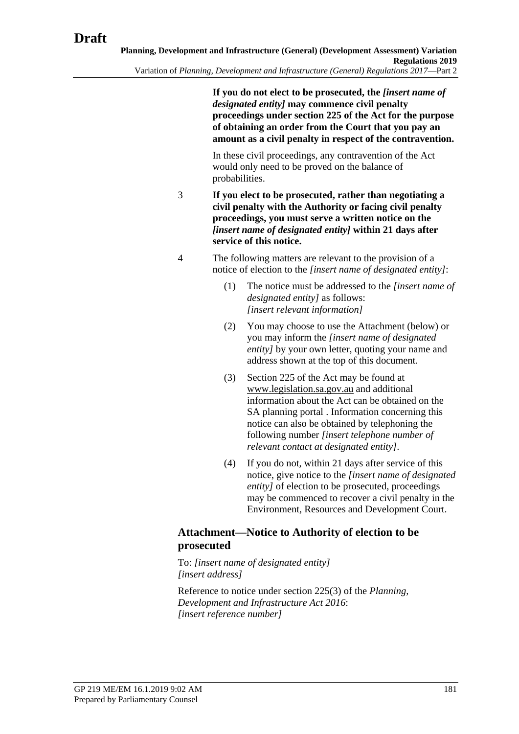**If you do not elect to be prosecuted, the** *[insert name of designated entity]* **may commence civil penalty proceedings under section 225 of the Act for the purpose of obtaining an order from the Court that you pay an amount as a civil penalty in respect of the contravention.**

In these civil proceedings, any contravention of the Act would only need to be proved on the balance of probabilities.

- 3 **If you elect to be prosecuted, rather than negotiating a civil penalty with the Authority or facing civil penalty proceedings, you must serve a written notice on the**  *[insert name of designated entity]* **within 21 days after service of this notice.**
- 4 The following matters are relevant to the provision of a notice of election to the *[insert name of designated entity]*:
	- (1) The notice must be addressed to the *[insert name of designated entity]* as follows: *[insert relevant information]*
	- (2) You may choose to use the Attachment (below) or you may inform the *[insert name of designated entity* by your own letter, quoting your name and address shown at the top of this document.
	- (3) Section 225 of the Act may be found at www.legislation.sa.gov.au and additional information about the Act can be obtained on the SA planning portal . Information concerning this notice can also be obtained by telephoning the following number *[insert telephone number of relevant contact at designated entity]*.
	- (4) If you do not, within 21 days after service of this notice, give notice to the *[insert name of designated entity]* of election to be prosecuted, proceedings may be commenced to recover a civil penalty in the Environment, Resources and Development Court.

## **Attachment—Notice to Authority of election to be prosecuted**

To: *[insert name of designated entity] [insert address]*

Reference to notice under section 225(3) of the *[Planning,](http://www.legislation.sa.gov.au/index.aspx?action=legref&type=act&legtitle=Planning%20Development%20and%20Infrastructure%20Act%202016)  [Development and Infrastructure Act](http://www.legislation.sa.gov.au/index.aspx?action=legref&type=act&legtitle=Planning%20Development%20and%20Infrastructure%20Act%202016) 2016*: *[insert reference number]*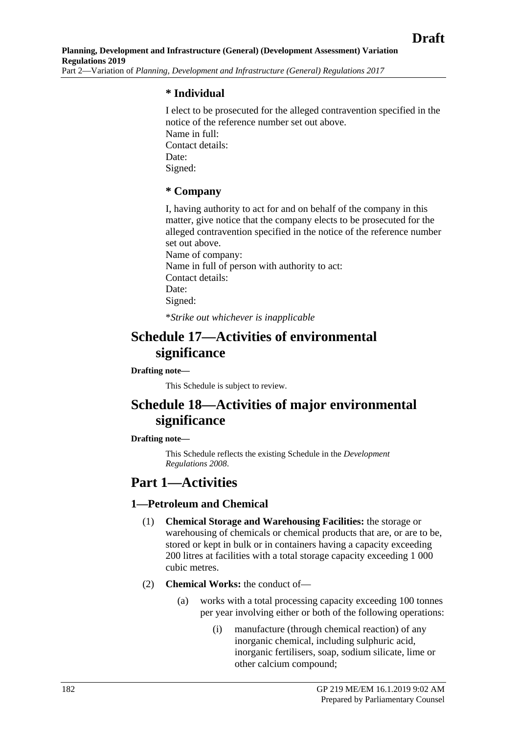## **\* Individual**

I elect to be prosecuted for the alleged contravention specified in the notice of the reference number set out above. Name in full: Contact details: Date: Signed:

### **\* Company**

I, having authority to act for and on behalf of the company in this matter, give notice that the company elects to be prosecuted for the alleged contravention specified in the notice of the reference number set out above. Name of company: Name in full of person with authority to act: Contact details: Date: Signed: \**Strike out whichever is inapplicable*

# **Schedule 17—Activities of environmental significance**

#### **Drafting note—**

This Schedule is subject to review.

# **Schedule 18—Activities of major environmental significance**

#### **Drafting note—**

This Schedule reflects the existing Schedule in the *[Development](http://www.legislation.sa.gov.au/index.aspx?action=legref&type=subordleg&legtitle=Development%20Regulations%202008)  [Regulations](http://www.legislation.sa.gov.au/index.aspx?action=legref&type=subordleg&legtitle=Development%20Regulations%202008) 2008*.

## **Part 1—Activities**

## **1—Petroleum and Chemical**

- (1) **Chemical Storage and Warehousing Facilities:** the storage or warehousing of chemicals or chemical products that are, or are to be, stored or kept in bulk or in containers having a capacity exceeding 200 litres at facilities with a total storage capacity exceeding 1 000 cubic metres.
- (2) **Chemical Works:** the conduct of—
	- (a) works with a total processing capacity exceeding 100 tonnes per year involving either or both of the following operations:
		- (i) manufacture (through chemical reaction) of any inorganic chemical, including sulphuric acid, inorganic fertilisers, soap, sodium silicate, lime or other calcium compound;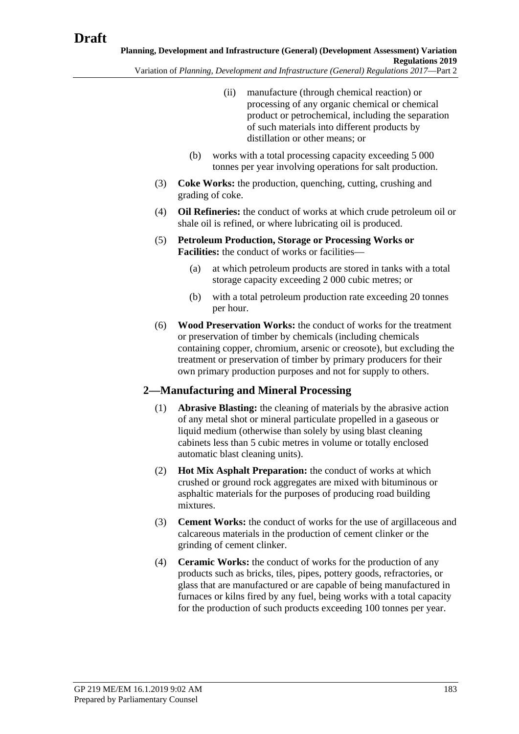- (ii) manufacture (through chemical reaction) or processing of any organic chemical or chemical product or petrochemical, including the separation of such materials into different products by distillation or other means; or
- (b) works with a total processing capacity exceeding 5 000 tonnes per year involving operations for salt production.
- (3) **Coke Works:** the production, quenching, cutting, crushing and grading of coke.
- (4) **Oil Refineries:** the conduct of works at which crude petroleum oil or shale oil is refined, or where lubricating oil is produced.
- <span id="page-182-0"></span>(5) **Petroleum Production, Storage or Processing Works or Facilities:** the conduct of works or facilities—
	- (a) at which petroleum products are stored in tanks with a total storage capacity exceeding 2 000 cubic metres; or
	- (b) with a total petroleum production rate exceeding 20 tonnes per hour.
- (6) **Wood Preservation Works:** the conduct of works for the treatment or preservation of timber by chemicals (including chemicals containing copper, chromium, arsenic or creosote), but excluding the treatment or preservation of timber by primary producers for their own primary production purposes and not for supply to others.

## **2—Manufacturing and Mineral Processing**

- (1) **Abrasive Blasting:** the cleaning of materials by the abrasive action of any metal shot or mineral particulate propelled in a gaseous or liquid medium (otherwise than solely by using blast cleaning cabinets less than 5 cubic metres in volume or totally enclosed automatic blast cleaning units).
- (2) **Hot Mix Asphalt Preparation:** the conduct of works at which crushed or ground rock aggregates are mixed with bituminous or asphaltic materials for the purposes of producing road building mixtures.
- (3) **Cement Works:** the conduct of works for the use of argillaceous and calcareous materials in the production of cement clinker or the grinding of cement clinker.
- (4) **Ceramic Works:** the conduct of works for the production of any products such as bricks, tiles, pipes, pottery goods, refractories, or glass that are manufactured or are capable of being manufactured in furnaces or kilns fired by any fuel, being works with a total capacity for the production of such products exceeding 100 tonnes per year.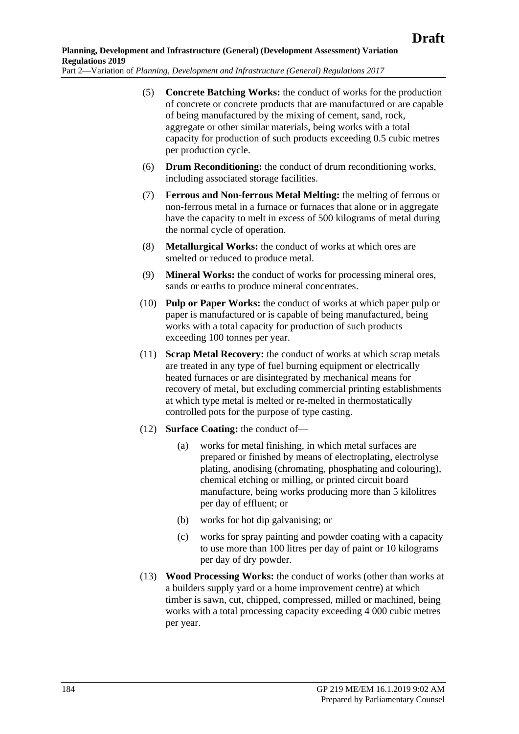- (5) **Concrete Batching Works:** the conduct of works for the production of concrete or concrete products that are manufactured or are capable of being manufactured by the mixing of cement, sand, rock, aggregate or other similar materials, being works with a total capacity for production of such products exceeding 0.5 cubic metres per production cycle.
- (6) **Drum Reconditioning:** the conduct of drum reconditioning works, including associated storage facilities.
- (7) **Ferrous and Non-ferrous Metal Melting:** the melting of ferrous or non-ferrous metal in a furnace or furnaces that alone or in aggregate have the capacity to melt in excess of 500 kilograms of metal during the normal cycle of operation.
- (8) **Metallurgical Works:** the conduct of works at which ores are smelted or reduced to produce metal.
- (9) **Mineral Works:** the conduct of works for processing mineral ores, sands or earths to produce mineral concentrates.
- (10) **Pulp or Paper Works:** the conduct of works at which paper pulp or paper is manufactured or is capable of being manufactured, being works with a total capacity for production of such products exceeding 100 tonnes per year.
- (11) **Scrap Metal Recovery:** the conduct of works at which scrap metals are treated in any type of fuel burning equipment or electrically heated furnaces or are disintegrated by mechanical means for recovery of metal, but excluding commercial printing establishments at which type metal is melted or re-melted in thermostatically controlled pots for the purpose of type casting.
- (12) **Surface Coating:** the conduct of—
	- (a) works for metal finishing, in which metal surfaces are prepared or finished by means of electroplating, electrolyse plating, anodising (chromating, phosphating and colouring), chemical etching or milling, or printed circuit board manufacture, being works producing more than 5 kilolitres per day of effluent; or
	- (b) works for hot dip galvanising; or
	- (c) works for spray painting and powder coating with a capacity to use more than 100 litres per day of paint or 10 kilograms per day of dry powder.
- (13) **Wood Processing Works:** the conduct of works (other than works at a builders supply yard or a home improvement centre) at which timber is sawn, cut, chipped, compressed, milled or machined, being works with a total processing capacity exceeding 4 000 cubic metres per year.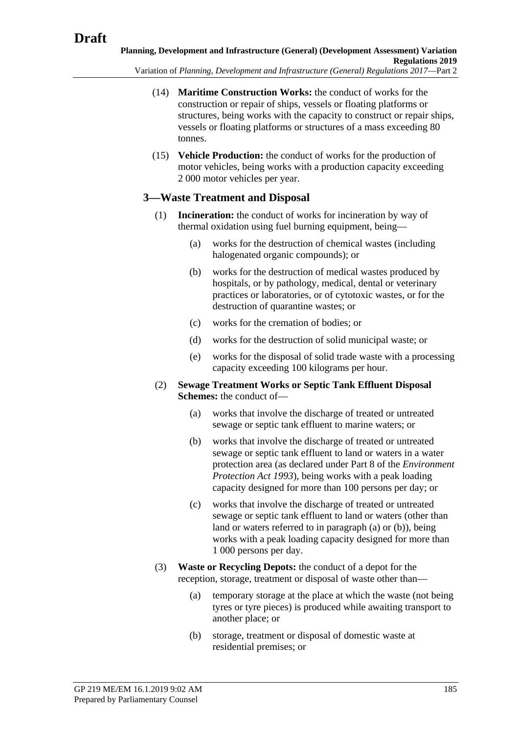Variation of *Planning, Development and Infrastructure (General) Regulations 2017*—Part 2

- (14) **Maritime Construction Works:** the conduct of works for the construction or repair of ships, vessels or floating platforms or structures, being works with the capacity to construct or repair ships, vessels or floating platforms or structures of a mass exceeding 80 tonnes.
- (15) **Vehicle Production:** the conduct of works for the production of motor vehicles, being works with a production capacity exceeding 2 000 motor vehicles per year.

## **3—Waste Treatment and Disposal**

- (1) **Incineration:** the conduct of works for incineration by way of thermal oxidation using fuel burning equipment, being—
	- (a) works for the destruction of chemical wastes (including halogenated organic compounds); or
	- (b) works for the destruction of medical wastes produced by hospitals, or by pathology, medical, dental or veterinary practices or laboratories, or of cytotoxic wastes, or for the destruction of quarantine wastes; or
	- (c) works for the cremation of bodies; or
	- (d) works for the destruction of solid municipal waste; or
	- (e) works for the disposal of solid trade waste with a processing capacity exceeding 100 kilograms per hour.
- <span id="page-184-1"></span><span id="page-184-0"></span>(2) **Sewage Treatment Works or Septic Tank Effluent Disposal Schemes:** the conduct of—
	- (a) works that involve the discharge of treated or untreated sewage or septic tank effluent to marine waters; or
	- (b) works that involve the discharge of treated or untreated sewage or septic tank effluent to land or waters in a water protection area (as declared under Part 8 of the *[Environment](http://www.legislation.sa.gov.au/index.aspx?action=legref&type=act&legtitle=Environment%20Protection%20Act%201993)  [Protection Act](http://www.legislation.sa.gov.au/index.aspx?action=legref&type=act&legtitle=Environment%20Protection%20Act%201993) 1993*), being works with a peak loading capacity designed for more than 100 persons per day; or
	- (c) works that involve the discharge of treated or untreated sewage or septic tank effluent to land or waters (other than land or waters referred to in [paragraph](#page-184-0) (a) or [\(b\)\)](#page-184-1), being works with a peak loading capacity designed for more than 1 000 persons per day.
- (3) **Waste or Recycling Depots:** the conduct of a depot for the reception, storage, treatment or disposal of waste other than—
	- (a) temporary storage at the place at which the waste (not being tyres or tyre pieces) is produced while awaiting transport to another place; or
	- (b) storage, treatment or disposal of domestic waste at residential premises; or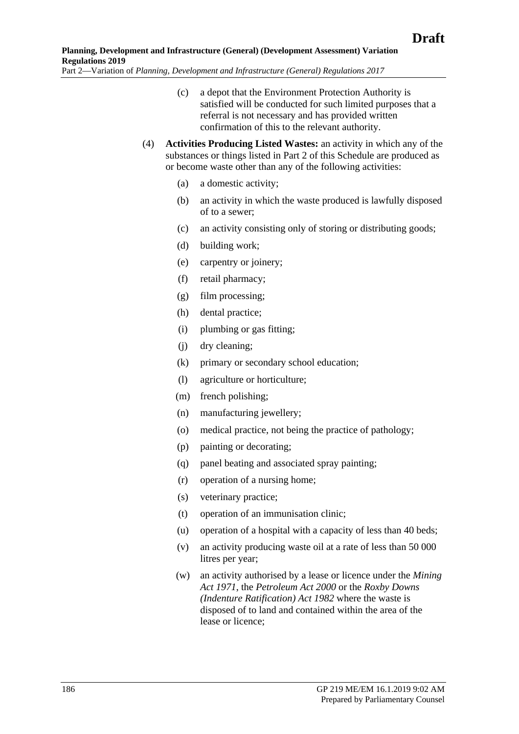- (c) a depot that the Environment Protection Authority is satisfied will be conducted for such limited purposes that a referral is not necessary and has provided written confirmation of this to the relevant authority.
- (4) **Activities Producing Listed Wastes:** an activity in which any of the substances or things listed in Part 2 of this Schedule are produced as or become waste other than any of the following activities:
	- (a) a domestic activity;
	- (b) an activity in which the waste produced is lawfully disposed of to a sewer;
	- (c) an activity consisting only of storing or distributing goods;
	- (d) building work;
	- (e) carpentry or joinery;
	- (f) retail pharmacy;
	- (g) film processing;
	- (h) dental practice;
	- (i) plumbing or gas fitting;
	- (j) dry cleaning;
	- (k) primary or secondary school education;
	- (l) agriculture or horticulture;
	- (m) french polishing;
	- (n) manufacturing jewellery;
	- (o) medical practice, not being the practice of pathology;
	- (p) painting or decorating;
	- (q) panel beating and associated spray painting;
	- (r) operation of a nursing home;
	- (s) veterinary practice;
	- (t) operation of an immunisation clinic;
	- (u) operation of a hospital with a capacity of less than 40 beds;
	- (v) an activity producing waste oil at a rate of less than 50 000 litres per year;
	- (w) an activity authorised by a lease or licence under the *[Mining](http://www.legislation.sa.gov.au/index.aspx?action=legref&type=act&legtitle=Mining%20Act%201971)  Act [1971](http://www.legislation.sa.gov.au/index.aspx?action=legref&type=act&legtitle=Mining%20Act%201971)*, the *[Petroleum Act](http://www.legislation.sa.gov.au/index.aspx?action=legref&type=act&legtitle=Petroleum%20Act%202000) 2000* or the *[Roxby Downs](http://www.legislation.sa.gov.au/index.aspx?action=legref&type=act&legtitle=Roxby%20Downs%20(Indenture%20Ratification)%20Act%201982)  [\(Indenture Ratification\) Act](http://www.legislation.sa.gov.au/index.aspx?action=legref&type=act&legtitle=Roxby%20Downs%20(Indenture%20Ratification)%20Act%201982) 1982* where the waste is disposed of to land and contained within the area of the lease or licence;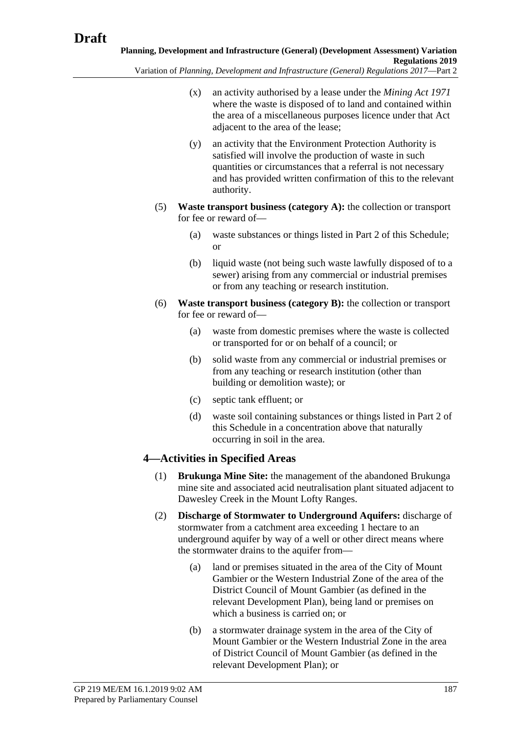Variation of *Planning, Development and Infrastructure (General) Regulations 2017*—Part 2

- (x) an activity authorised by a lease under the *[Mining Act](http://www.legislation.sa.gov.au/index.aspx?action=legref&type=act&legtitle=Mining%20Act%201971) 1971* where the waste is disposed of to land and contained within the area of a miscellaneous purposes licence under that Act adjacent to the area of the lease;
- (y) an activity that the Environment Protection Authority is satisfied will involve the production of waste in such quantities or circumstances that a referral is not necessary and has provided written confirmation of this to the relevant authority.
- (5) **Waste transport business (category A):** the collection or transport for fee or reward of—
	- (a) waste substances or things listed in Part 2 of this Schedule; or
	- (b) liquid waste (not being such waste lawfully disposed of to a sewer) arising from any commercial or industrial premises or from any teaching or research institution.
- (6) **Waste transport business (category B):** the collection or transport for fee or reward of—
	- (a) waste from domestic premises where the waste is collected or transported for or on behalf of a council; or
	- (b) solid waste from any commercial or industrial premises or from any teaching or research institution (other than building or demolition waste); or
	- (c) septic tank effluent; or
	- (d) waste soil containing substances or things listed in Part 2 of this Schedule in a concentration above that naturally occurring in soil in the area.

# **4—Activities in Specified Areas**

- (1) **Brukunga Mine Site:** the management of the abandoned Brukunga mine site and associated acid neutralisation plant situated adjacent to Dawesley Creek in the Mount Lofty Ranges.
- (2) **Discharge of Stormwater to Underground Aquifers:** discharge of stormwater from a catchment area exceeding 1 hectare to an underground aquifer by way of a well or other direct means where the stormwater drains to the aquifer from—
	- (a) land or premises situated in the area of the City of Mount Gambier or the Western Industrial Zone of the area of the District Council of Mount Gambier (as defined in the relevant Development Plan), being land or premises on which a business is carried on; or
	- (b) a stormwater drainage system in the area of the City of Mount Gambier or the Western Industrial Zone in the area of District Council of Mount Gambier (as defined in the relevant Development Plan); or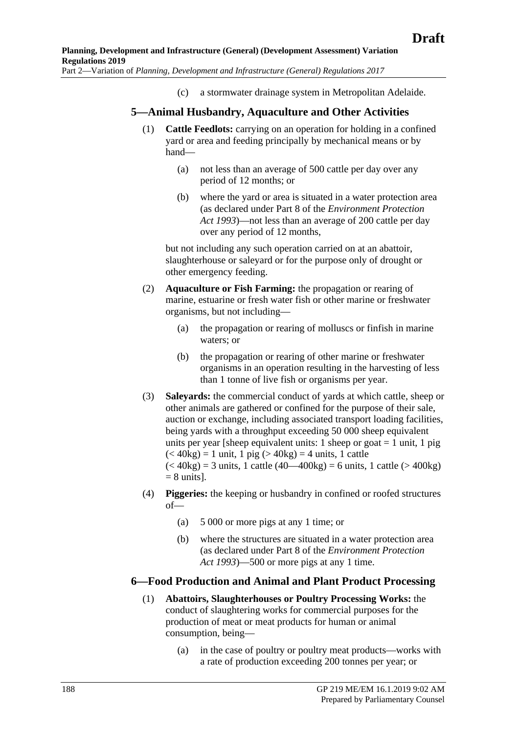(c) a stormwater drainage system in Metropolitan Adelaide.

## **5—Animal Husbandry, Aquaculture and Other Activities**

- (1) **Cattle Feedlots:** carrying on an operation for holding in a confined yard or area and feeding principally by mechanical means or by hand—
	- (a) not less than an average of 500 cattle per day over any period of 12 months; or
	- (b) where the yard or area is situated in a water protection area (as declared under Part 8 of the *[Environment Protection](http://www.legislation.sa.gov.au/index.aspx?action=legref&type=act&legtitle=Environment%20Protection%20Act%201993)  Act [1993](http://www.legislation.sa.gov.au/index.aspx?action=legref&type=act&legtitle=Environment%20Protection%20Act%201993)*)—not less than an average of 200 cattle per day over any period of 12 months,

but not including any such operation carried on at an abattoir, slaughterhouse or saleyard or for the purpose only of drought or other emergency feeding.

- (2) **Aquaculture or Fish Farming:** the propagation or rearing of marine, estuarine or fresh water fish or other marine or freshwater organisms, but not including—
	- (a) the propagation or rearing of molluscs or finfish in marine waters; or
	- (b) the propagation or rearing of other marine or freshwater organisms in an operation resulting in the harvesting of less than 1 tonne of live fish or organisms per year.
- (3) **Saleyards:** the commercial conduct of yards at which cattle, sheep or other animals are gathered or confined for the purpose of their sale, auction or exchange, including associated transport loading facilities, being yards with a throughput exceeding 50 000 sheep equivalent units per year [sheep equivalent units: 1 sheep or goat  $= 1$  unit, 1 pig  $(<$  40kg) = 1 unit, 1 pig ( $>$  40kg) = 4 units, 1 cattle  $(< 40 \text{kg}) = 3$  units, 1 cattle  $(40 - 400 \text{kg}) = 6$  units, 1 cattle  $(> 400 \text{kg})$  $= 8$  units].
- (4) **Piggeries:** the keeping or husbandry in confined or roofed structures of—
	- (a) 5 000 or more pigs at any 1 time; or
	- (b) where the structures are situated in a water protection area (as declared under Part 8 of the *[Environment Protection](http://www.legislation.sa.gov.au/index.aspx?action=legref&type=act&legtitle=Environment%20Protection%20Act%201993)  Act [1993](http://www.legislation.sa.gov.au/index.aspx?action=legref&type=act&legtitle=Environment%20Protection%20Act%201993)*)—500 or more pigs at any 1 time.

## **6—Food Production and Animal and Plant Product Processing**

- (1) **Abattoirs, Slaughterhouses or Poultry Processing Works:** the conduct of slaughtering works for commercial purposes for the production of meat or meat products for human or animal consumption, being—
	- (a) in the case of poultry or poultry meat products—works with a rate of production exceeding 200 tonnes per year; or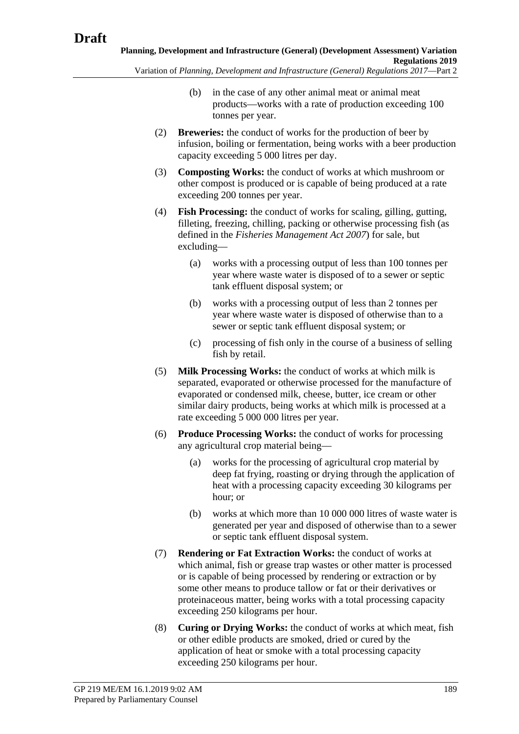- - (b) in the case of any other animal meat or animal meat products—works with a rate of production exceeding 100 tonnes per year.
	- (2) **Breweries:** the conduct of works for the production of beer by infusion, boiling or fermentation, being works with a beer production capacity exceeding 5 000 litres per day.
	- (3) **Composting Works:** the conduct of works at which mushroom or other compost is produced or is capable of being produced at a rate exceeding 200 tonnes per year.
	- (4) **Fish Processing:** the conduct of works for scaling, gilling, gutting, filleting, freezing, chilling, packing or otherwise processing fish (as defined in the *[Fisheries Management Act](http://www.legislation.sa.gov.au/index.aspx?action=legref&type=act&legtitle=Fisheries%20Management%20Act%202007) 2007*) for sale, but excluding—
		- (a) works with a processing output of less than 100 tonnes per year where waste water is disposed of to a sewer or septic tank effluent disposal system; or
		- (b) works with a processing output of less than 2 tonnes per year where waste water is disposed of otherwise than to a sewer or septic tank effluent disposal system; or
		- (c) processing of fish only in the course of a business of selling fish by retail.
	- (5) **Milk Processing Works:** the conduct of works at which milk is separated, evaporated or otherwise processed for the manufacture of evaporated or condensed milk, cheese, butter, ice cream or other similar dairy products, being works at which milk is processed at a rate exceeding 5 000 000 litres per year.
	- (6) **Produce Processing Works:** the conduct of works for processing any agricultural crop material being—
		- (a) works for the processing of agricultural crop material by deep fat frying, roasting or drying through the application of heat with a processing capacity exceeding 30 kilograms per hour; or
		- (b) works at which more than 10 000 000 litres of waste water is generated per year and disposed of otherwise than to a sewer or septic tank effluent disposal system.
	- (7) **Rendering or Fat Extraction Works:** the conduct of works at which animal, fish or grease trap wastes or other matter is processed or is capable of being processed by rendering or extraction or by some other means to produce tallow or fat or their derivatives or proteinaceous matter, being works with a total processing capacity exceeding 250 kilograms per hour.
	- (8) **Curing or Drying Works:** the conduct of works at which meat, fish or other edible products are smoked, dried or cured by the application of heat or smoke with a total processing capacity exceeding 250 kilograms per hour.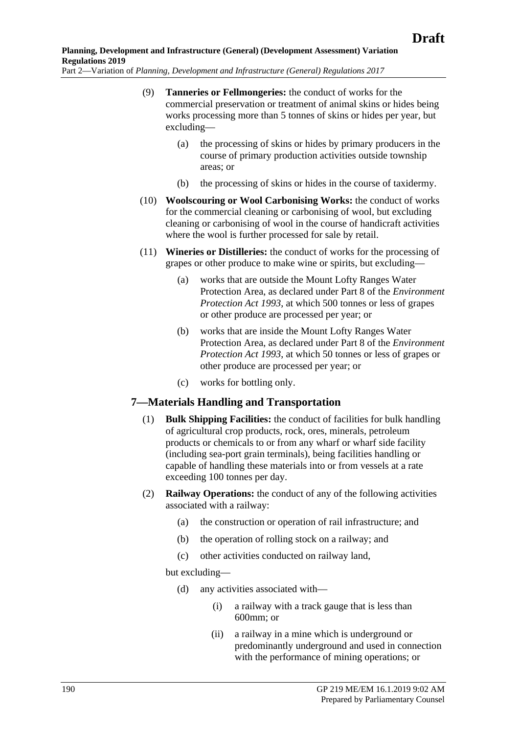- (9) **Tanneries or Fellmongeries:** the conduct of works for the commercial preservation or treatment of animal skins or hides being works processing more than 5 tonnes of skins or hides per year, but excluding—
	- (a) the processing of skins or hides by primary producers in the course of primary production activities outside township areas; or
	- (b) the processing of skins or hides in the course of taxidermy.
- (10) **Woolscouring or Wool Carbonising Works:** the conduct of works for the commercial cleaning or carbonising of wool, but excluding cleaning or carbonising of wool in the course of handicraft activities where the wool is further processed for sale by retail.
- (11) **Wineries or Distilleries:** the conduct of works for the processing of grapes or other produce to make wine or spirits, but excluding—
	- (a) works that are outside the Mount Lofty Ranges Water Protection Area, as declared under Part 8 of the *[Environment](http://www.legislation.sa.gov.au/index.aspx?action=legref&type=act&legtitle=Environment%20Protection%20Act%201993)  [Protection Act](http://www.legislation.sa.gov.au/index.aspx?action=legref&type=act&legtitle=Environment%20Protection%20Act%201993) 1993*, at which 500 tonnes or less of grapes or other produce are processed per year; or
	- (b) works that are inside the Mount Lofty Ranges Water Protection Area, as declared under Part 8 of the *[Environment](http://www.legislation.sa.gov.au/index.aspx?action=legref&type=act&legtitle=Environment%20Protection%20Act%201993)  [Protection Act](http://www.legislation.sa.gov.au/index.aspx?action=legref&type=act&legtitle=Environment%20Protection%20Act%201993) 1993*, at which 50 tonnes or less of grapes or other produce are processed per year; or
	- (c) works for bottling only.

## **7—Materials Handling and Transportation**

- (1) **Bulk Shipping Facilities:** the conduct of facilities for bulk handling of agricultural crop products, rock, ores, minerals, petroleum products or chemicals to or from any wharf or wharf side facility (including sea-port grain terminals), being facilities handling or capable of handling these materials into or from vessels at a rate exceeding 100 tonnes per day.
- (2) **Railway Operations:** the conduct of any of the following activities associated with a railway:
	- (a) the construction or operation of rail infrastructure; and
	- (b) the operation of rolling stock on a railway; and
	- (c) other activities conducted on railway land,

but excluding—

- (d) any activities associated with—
	- (i) a railway with a track gauge that is less than 600mm; or
	- (ii) a railway in a mine which is underground or predominantly underground and used in connection with the performance of mining operations; or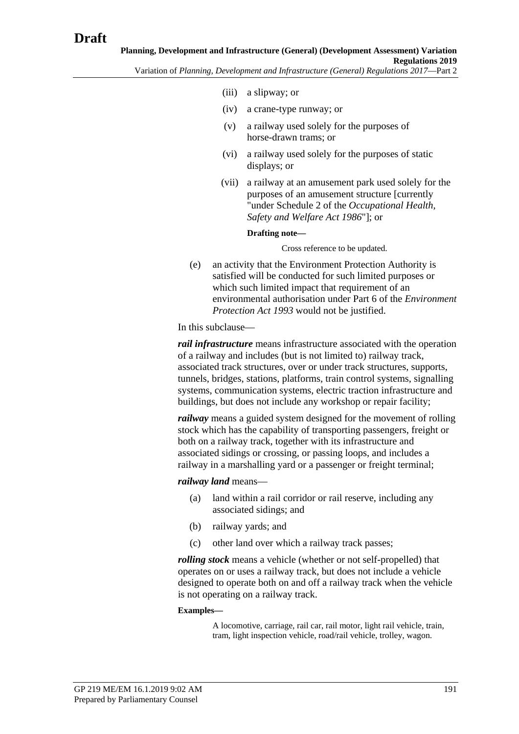- (iii) a slipway; or
- (iv) a crane-type runway; or
- (v) a railway used solely for the purposes of horse-drawn trams; or
- (vi) a railway used solely for the purposes of static displays; or
- (vii) a railway at an amusement park used solely for the purposes of an amusement structure [currently "under Schedule 2 of the *[Occupational Health,](http://www.legislation.sa.gov.au/index.aspx?action=legref&type=act&legtitle=Occupational%20Health%20Safety%20and%20Welfare%20Act%201986)  [Safety and Welfare Act](http://www.legislation.sa.gov.au/index.aspx?action=legref&type=act&legtitle=Occupational%20Health%20Safety%20and%20Welfare%20Act%201986) 1986*"]; or

#### **Drafting note—**

Cross reference to be updated.

(e) an activity that the Environment Protection Authority is satisfied will be conducted for such limited purposes or which such limited impact that requirement of an environmental authorisation under Part 6 of the *[Environment](http://www.legislation.sa.gov.au/index.aspx?action=legref&type=act&legtitle=Environment%20Protection%20Act%201993)  [Protection Act](http://www.legislation.sa.gov.au/index.aspx?action=legref&type=act&legtitle=Environment%20Protection%20Act%201993) 1993* would not be justified.

In this subclause—

*rail infrastructure* means infrastructure associated with the operation of a railway and includes (but is not limited to) railway track, associated track structures, over or under track structures, supports, tunnels, bridges, stations, platforms, train control systems, signalling systems, communication systems, electric traction infrastructure and buildings, but does not include any workshop or repair facility;

*railway* means a guided system designed for the movement of rolling stock which has the capability of transporting passengers, freight or both on a railway track, together with its infrastructure and associated sidings or crossing, or passing loops, and includes a railway in a marshalling yard or a passenger or freight terminal;

#### *railway land* means—

- (a) land within a rail corridor or rail reserve, including any associated sidings; and
- (b) railway yards; and
- (c) other land over which a railway track passes;

*rolling stock* means a vehicle (whether or not self-propelled) that operates on or uses a railway track, but does not include a vehicle designed to operate both on and off a railway track when the vehicle is not operating on a railway track.

#### **Examples—**

A locomotive, carriage, rail car, rail motor, light rail vehicle, train, tram, light inspection vehicle, road/rail vehicle, trolley, wagon.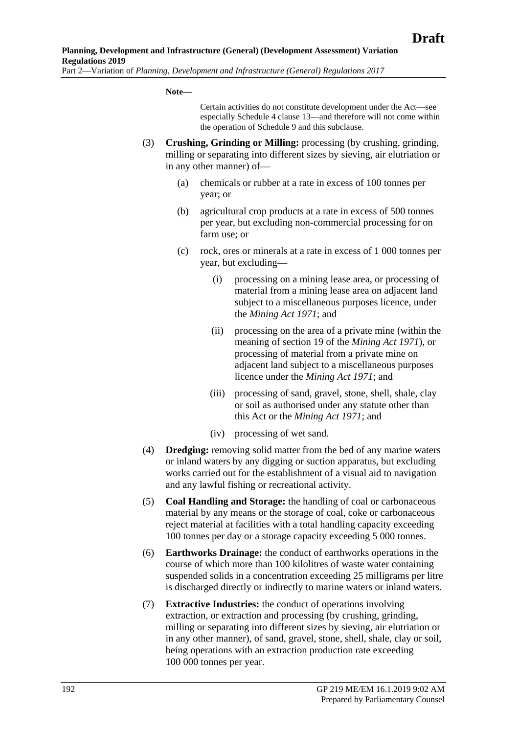#### **Note—**

Certain activities do not constitute development under the Act—see especially Schedule 4 clause 13—and therefore will not come within the operation of Schedule 9 and this subclause.

- (3) **Crushing, Grinding or Milling:** processing (by crushing, grinding, milling or separating into different sizes by sieving, air elutriation or in any other manner) of—
	- (a) chemicals or rubber at a rate in excess of 100 tonnes per year; or
	- (b) agricultural crop products at a rate in excess of 500 tonnes per year, but excluding non-commercial processing for on farm use; or
	- (c) rock, ores or minerals at a rate in excess of 1 000 tonnes per year, but excluding—
		- (i) processing on a mining lease area, or processing of material from a mining lease area on adjacent land subject to a miscellaneous purposes licence, under the *[Mining Act](http://www.legislation.sa.gov.au/index.aspx?action=legref&type=act&legtitle=Mining%20Act%201971) 1971*; and
		- (ii) processing on the area of a private mine (within the meaning of section 19 of the *[Mining Act](http://www.legislation.sa.gov.au/index.aspx?action=legref&type=act&legtitle=Mining%20Act%201971) 1971*), or processing of material from a private mine on adjacent land subject to a miscellaneous purposes licence under the *[Mining Act](http://www.legislation.sa.gov.au/index.aspx?action=legref&type=act&legtitle=Mining%20Act%201971) 1971*; and
		- (iii) processing of sand, gravel, stone, shell, shale, clay or soil as authorised under any statute other than this Act or the *[Mining Act](http://www.legislation.sa.gov.au/index.aspx?action=legref&type=act&legtitle=Mining%20Act%201971) 1971*; and
		- (iv) processing of wet sand.
- (4) **Dredging:** removing solid matter from the bed of any marine waters or inland waters by any digging or suction apparatus, but excluding works carried out for the establishment of a visual aid to navigation and any lawful fishing or recreational activity.
- (5) **Coal Handling and Storage:** the handling of coal or carbonaceous material by any means or the storage of coal, coke or carbonaceous reject material at facilities with a total handling capacity exceeding 100 tonnes per day or a storage capacity exceeding 5 000 tonnes.
- (6) **Earthworks Drainage:** the conduct of earthworks operations in the course of which more than 100 kilolitres of waste water containing suspended solids in a concentration exceeding 25 milligrams per litre is discharged directly or indirectly to marine waters or inland waters.
- (7) **Extractive Industries:** the conduct of operations involving extraction, or extraction and processing (by crushing, grinding, milling or separating into different sizes by sieving, air elutriation or in any other manner), of sand, gravel, stone, shell, shale, clay or soil, being operations with an extraction production rate exceeding 100 000 tonnes per year.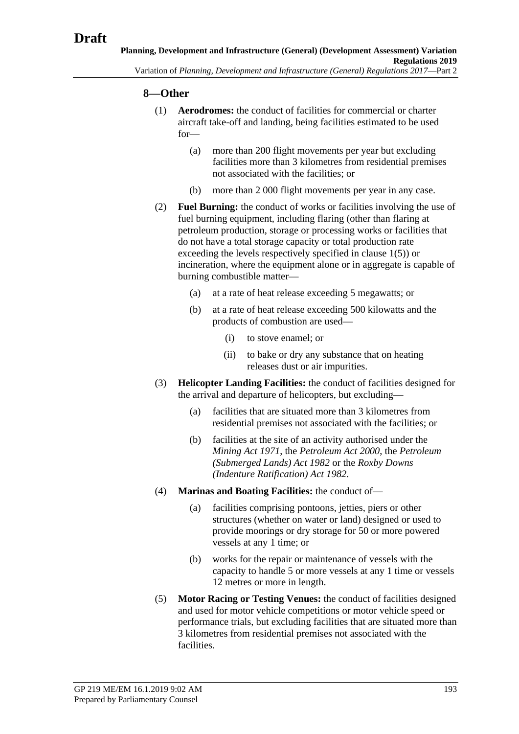## **8—Other**

- (1) **Aerodromes:** the conduct of facilities for commercial or charter aircraft take-off and landing, being facilities estimated to be used for—
	- (a) more than 200 flight movements per year but excluding facilities more than 3 kilometres from residential premises not associated with the facilities; or
	- (b) more than 2 000 flight movements per year in any case.
- (2) **Fuel Burning:** the conduct of works or facilities involving the use of fuel burning equipment, including flaring (other than flaring at petroleum production, storage or processing works or facilities that do not have a total storage capacity or total production rate exceeding the levels respectively specified in [clause](#page-182-0) 1(5)) or incineration, where the equipment alone or in aggregate is capable of burning combustible matter—
	- (a) at a rate of heat release exceeding 5 megawatts; or
	- (b) at a rate of heat release exceeding 500 kilowatts and the products of combustion are used—
		- (i) to stove enamel; or
		- (ii) to bake or dry any substance that on heating releases dust or air impurities.
- (3) **Helicopter Landing Facilities:** the conduct of facilities designed for the arrival and departure of helicopters, but excluding—
	- (a) facilities that are situated more than 3 kilometres from residential premises not associated with the facilities; or
	- (b) facilities at the site of an activity authorised under the *[Mining Act](http://www.legislation.sa.gov.au/index.aspx?action=legref&type=act&legtitle=Mining%20Act%201971) 1971*, the *[Petroleum Act](http://www.legislation.sa.gov.au/index.aspx?action=legref&type=act&legtitle=Petroleum%20Act%202000) 2000*, the *[Petroleum](http://www.legislation.sa.gov.au/index.aspx?action=legref&type=act&legtitle=Petroleum%20(Submerged%20Lands)%20Act%201982)  [\(Submerged Lands\) Act](http://www.legislation.sa.gov.au/index.aspx?action=legref&type=act&legtitle=Petroleum%20(Submerged%20Lands)%20Act%201982) 1982* or the *[Roxby Downs](http://www.legislation.sa.gov.au/index.aspx?action=legref&type=act&legtitle=Roxby%20Downs%20(Indenture%20Ratification)%20Act%201982)  [\(Indenture Ratification\) Act](http://www.legislation.sa.gov.au/index.aspx?action=legref&type=act&legtitle=Roxby%20Downs%20(Indenture%20Ratification)%20Act%201982) 1982*.
- (4) **Marinas and Boating Facilities:** the conduct of—
	- (a) facilities comprising pontoons, jetties, piers or other structures (whether on water or land) designed or used to provide moorings or dry storage for 50 or more powered vessels at any 1 time; or
	- (b) works for the repair or maintenance of vessels with the capacity to handle 5 or more vessels at any 1 time or vessels 12 metres or more in length.
- (5) **Motor Racing or Testing Venues:** the conduct of facilities designed and used for motor vehicle competitions or motor vehicle speed or performance trials, but excluding facilities that are situated more than 3 kilometres from residential premises not associated with the facilities.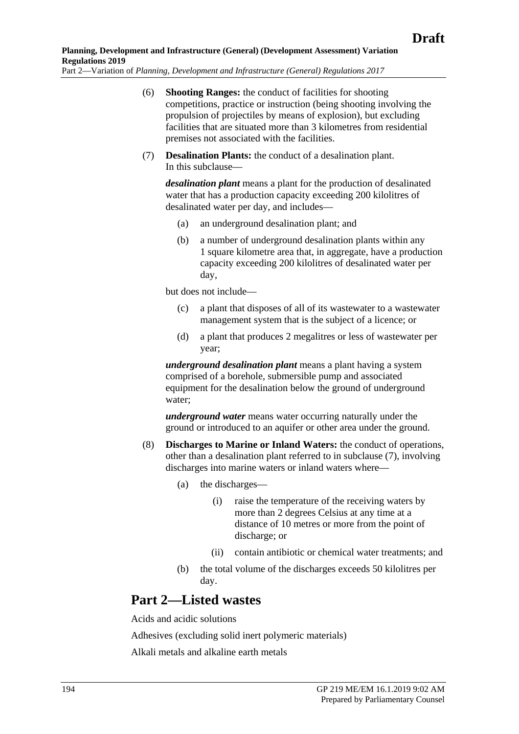- (6) **Shooting Ranges:** the conduct of facilities for shooting competitions, practice or instruction (being shooting involving the propulsion of projectiles by means of explosion), but excluding facilities that are situated more than 3 kilometres from residential premises not associated with the facilities.
- <span id="page-193-0"></span>(7) **Desalination Plants:** the conduct of a desalination plant. In this subclause—

*desalination plant* means a plant for the production of desalinated water that has a production capacity exceeding 200 kilolitres of desalinated water per day, and includes—

- (a) an underground desalination plant; and
- (b) a number of underground desalination plants within any 1 square kilometre area that, in aggregate, have a production capacity exceeding 200 kilolitres of desalinated water per day,

but does not include—

- (c) a plant that disposes of all of its wastewater to a wastewater management system that is the subject of a licence; or
- (d) a plant that produces 2 megalitres or less of wastewater per year;

*underground desalination plant* means a plant having a system comprised of a borehole, submersible pump and associated equipment for the desalination below the ground of underground water;

*underground water* means water occurring naturally under the ground or introduced to an aquifer or other area under the ground.

- (8) **Discharges to Marine or Inland Waters:** the conduct of operations, other than a desalination plant referred to in [subclause](#page-193-0) (7), involving discharges into marine waters or inland waters where—
	- (a) the discharges—
		- (i) raise the temperature of the receiving waters by more than 2 degrees Celsius at any time at a distance of 10 metres or more from the point of discharge; or
		- (ii) contain antibiotic or chemical water treatments; and
	- (b) the total volume of the discharges exceeds 50 kilolitres per day.

## **Part 2—Listed wastes**

Acids and acidic solutions

Adhesives (excluding solid inert polymeric materials)

Alkali metals and alkaline earth metals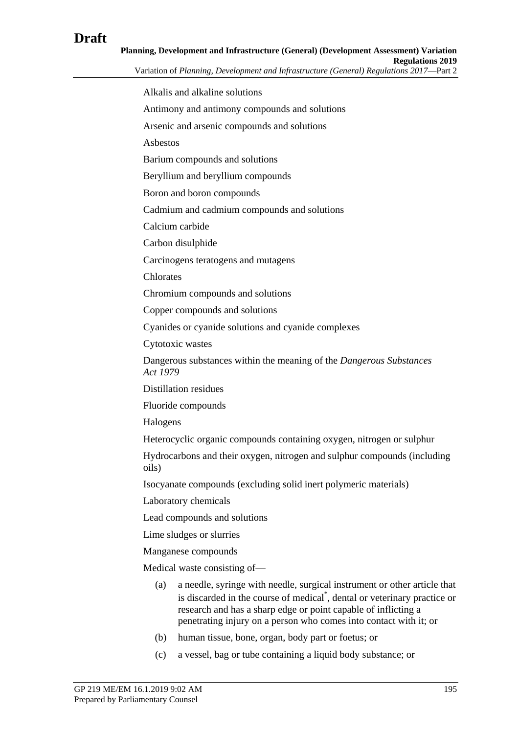# **Draft**

| Planning, Development and Infrastructure (General) (Development Assessment) Variation   |
|-----------------------------------------------------------------------------------------|
| <b>Regulations 2019</b>                                                                 |
| Variation of Planning, Development and Infrastructure (General) Regulations 2017—Part 2 |

Alkalis and alkaline solutions Antimony and antimony compounds and solutions Arsenic and arsenic compounds and solutions Asbestos Barium compounds and solutions Beryllium and beryllium compounds Boron and boron compounds Cadmium and cadmium compounds and solutions Calcium carbide Carbon disulphide Carcinogens teratogens and mutagens Chlorates Chromium compounds and solutions Copper compounds and solutions Cyanides or cyanide solutions and cyanide complexes Cytotoxic wastes Dangerous substances within the meaning of the *[Dangerous Substances](http://www.legislation.sa.gov.au/index.aspx?action=legref&type=act&legtitle=Dangerous%20Substances%20Act%201979)  Act [1979](http://www.legislation.sa.gov.au/index.aspx?action=legref&type=act&legtitle=Dangerous%20Substances%20Act%201979)* Distillation residues Fluoride compounds Halogens Heterocyclic organic compounds containing oxygen, nitrogen or sulphur Hydrocarbons and their oxygen, nitrogen and sulphur compounds (including oils) Isocyanate compounds (excluding solid inert polymeric materials) Laboratory chemicals Lead compounds and solutions Lime sludges or slurries Manganese compounds Medical waste consisting of— (a) a needle, syringe with needle, surgical instrument or other article that is discarded in the course of medical\* , dental or veterinary practice or research and has a sharp edge or point capable of inflicting a penetrating injury on a person who comes into contact with it; or

- (b) human tissue, bone, organ, body part or foetus; or
- (c) a vessel, bag or tube containing a liquid body substance; or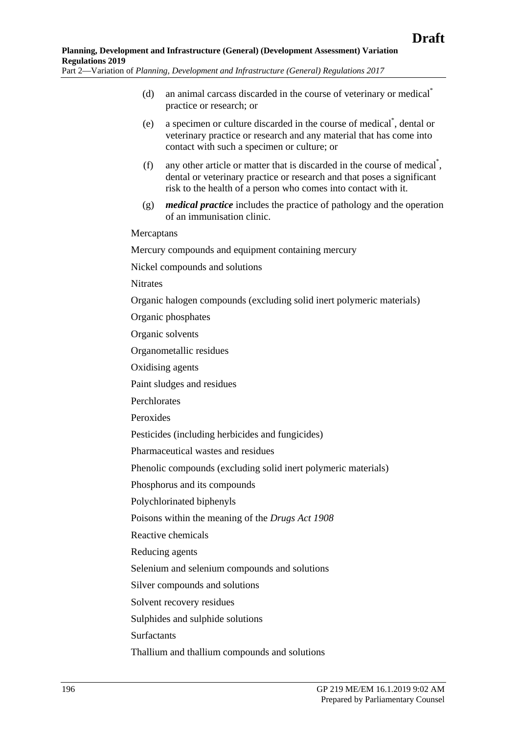- (d) an animal carcass discarded in the course of veterinary or medical\* practice or research; or
- (e) a specimen or culture discarded in the course of medical\* , dental or veterinary practice or research and any material that has come into contact with such a specimen or culture; or
- (f) any other article or matter that is discarded in the course of medical<sup>\*</sup>, dental or veterinary practice or research and that poses a significant risk to the health of a person who comes into contact with it.
- (g) *medical practice* includes the practice of pathology and the operation of an immunisation clinic.

#### **Mercaptans**

Mercury compounds and equipment containing mercury

Nickel compounds and solutions

**Nitrates** 

Organic halogen compounds (excluding solid inert polymeric materials)

Organic phosphates

Organic solvents

Organometallic residues

Oxidising agents

Paint sludges and residues

Perchlorates

Peroxides

Pesticides (including herbicides and fungicides)

Pharmaceutical wastes and residues

Phenolic compounds (excluding solid inert polymeric materials)

Phosphorus and its compounds

Polychlorinated biphenyls

Poisons within the meaning of the *[Drugs Act](http://www.legislation.sa.gov.au/index.aspx?action=legref&type=act&legtitle=Drugs%20Act%201908) 1908*

Reactive chemicals

Reducing agents

Selenium and selenium compounds and solutions

Silver compounds and solutions

Solvent recovery residues

Sulphides and sulphide solutions

Surfactants

Thallium and thallium compounds and solutions